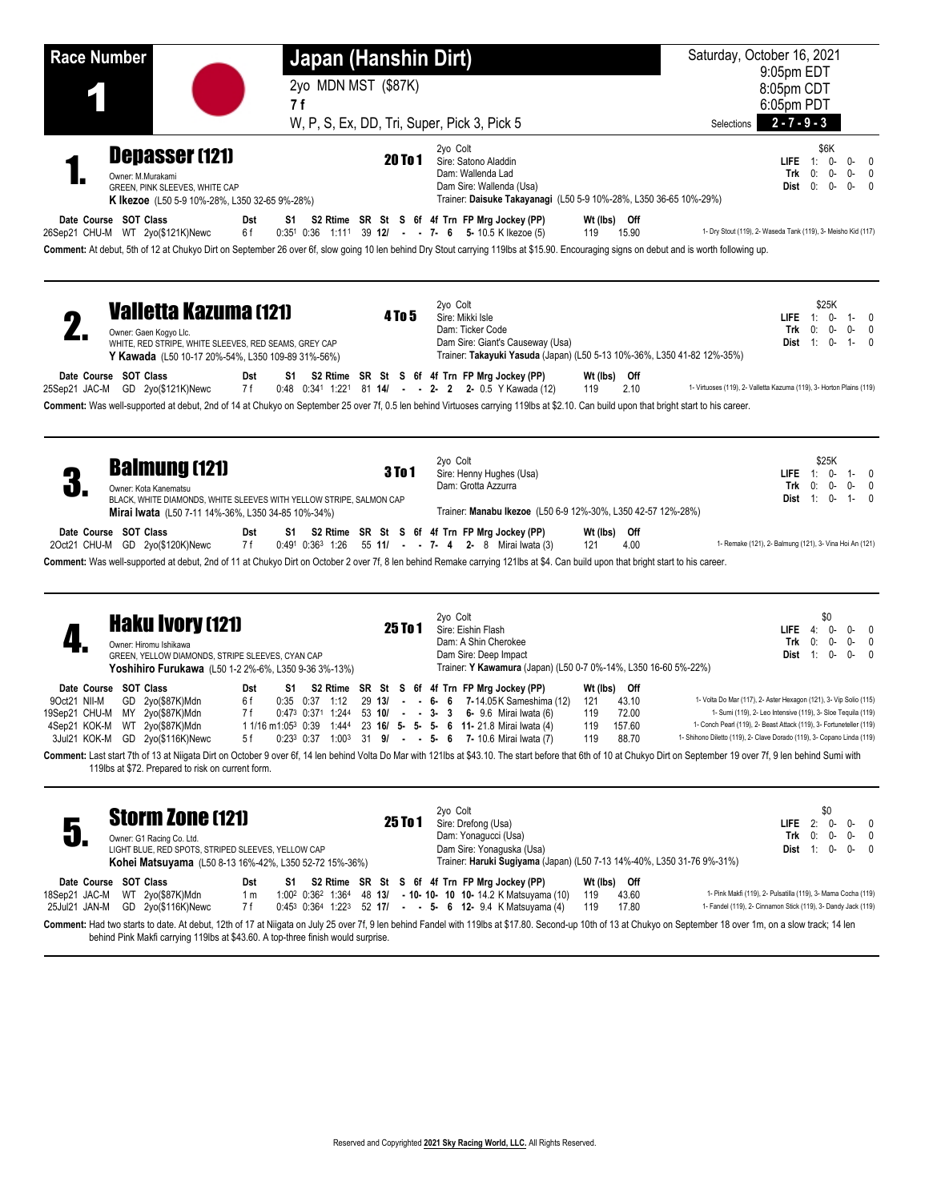| <b>Race Number</b>                                                                                       |                                                                                                                                                                            |                               | Japan (Hanshin Dirt) |               |                                                                                                                                                                                                                                                                                                                                            |                                                   | Saturday, October 16, 2021                                                                                                                                                                                                                                                         |
|----------------------------------------------------------------------------------------------------------|----------------------------------------------------------------------------------------------------------------------------------------------------------------------------|-------------------------------|----------------------|---------------|--------------------------------------------------------------------------------------------------------------------------------------------------------------------------------------------------------------------------------------------------------------------------------------------------------------------------------------------|---------------------------------------------------|------------------------------------------------------------------------------------------------------------------------------------------------------------------------------------------------------------------------------------------------------------------------------------|
|                                                                                                          |                                                                                                                                                                            |                               | 2yo MDN MST (\$87K)  |               |                                                                                                                                                                                                                                                                                                                                            |                                                   | 9:05pm EDT<br>8:05pm CDT                                                                                                                                                                                                                                                           |
|                                                                                                          |                                                                                                                                                                            | 7 f                           |                      |               |                                                                                                                                                                                                                                                                                                                                            |                                                   | 6:05pm PDT                                                                                                                                                                                                                                                                         |
|                                                                                                          |                                                                                                                                                                            |                               |                      |               | W, P, S, Ex, DD, Tri, Super, Pick 3, Pick 5                                                                                                                                                                                                                                                                                                | Selections                                        | $2 - 7 - 9 - 3$                                                                                                                                                                                                                                                                    |
|                                                                                                          | <b>Depasser (121)</b><br>Owner: M.Murakami<br>GREEN, PINK SLEEVES, WHITE CAP<br><b>K Ikezoe</b> (L50 5-9 10%-28%, L350 32-65 9%-28%)                                       |                               |                      | 20 To 1       | 2yo Colt<br>Sire: Satono Aladdin<br>Dam: Wallenda Lad<br>Dam Sire: Wallenda (Usa)<br>Trainer: Daisuke Takayanagi (L50 5-9 10%-28%, L350 36-65 10%-29%)                                                                                                                                                                                     |                                                   | \$6K<br>0-<br>0-<br>$LIEE = 1:$<br>$\mathbf{0}$<br>0-<br>$0-0$<br>Trk<br>0:<br>Dist 0:<br>0-<br>$0-$<br>$\mathbf{0}$                                                                                                                                                               |
| Date Course SOT Class                                                                                    | 26Sep21 CHU-M WT 2yo(\$121K)Newc                                                                                                                                           | Dst<br>6f                     |                      |               | S1 S2 Rtime SR St S 6f 4f Trn FP Mrg Jockey (PP)<br>$0.35^1$ $0.36$ 1:11 <sup>1</sup> 39 12/ - 7- 6 5-10.5 K Ikezoe (5)<br>119<br>Comment: At debut, 5th of 12 at Chukyo Dirt on September 26 over 6f, slow going 10 len behind Dry Stout carrying 119lbs at \$15.90. Encouraging signs on debut and is worth following up.                | Wt (lbs) Off<br>15.90                             | 1- Dry Stout (119), 2- Waseda Tank (119), 3- Meisho Kid (117)                                                                                                                                                                                                                      |
|                                                                                                          | <b>Valletta Kazuma (121)</b><br>Owner: Gaen Kogyo Llc.<br>WHITE, RED STRIPE, WHITE SLEEVES, RED SEAMS, GREY CAP<br>Y Kawada (L50 10-17 20%-54%, L350 109-89 31%-56%)       |                               |                      | <b>4 To 5</b> | 2yo Colt<br>Sire: Mikki Isle<br>Dam: Ticker Code<br>Dam Sire: Giant's Causeway (Usa)<br>Trainer: Takayuki Yasuda (Japan) (L50 5-13 10%-36%, L350 41-82 12%-35%)                                                                                                                                                                            |                                                   | \$25K<br>0-<br>$LIEE = 1$<br>$1 - 0$<br>Trk<br>0:<br>0-<br>0-<br>0<br>Dist 1:<br>0-<br>$1 -$<br>$\Omega$                                                                                                                                                                           |
| Date Course SOT Class                                                                                    | 25Sep21 JAC-M GD 2yo(\$121K)Newc                                                                                                                                           | Dst<br>S1 St<br>7 f           |                      |               | S2 Rtime SR St S 6f 4f Trn FP Mrg Jockey (PP)<br>0:48 0:341 1:221 81 14/ - - 2- 2 2- 0.5 Y Kawada (12)<br>119<br>Comment: Was well-supported at debut, 2nd of 14 at Chukyo on September 25 over 7f, 0.5 len behind Virtuoses carrying 119lbs at \$2.10. Can build upon that bright start to his career.                                    | Wt (lbs) Off<br>2.10                              | 1- Virtuoses (119), 2- Valletta Kazuma (119), 3- Horton Plains (119)                                                                                                                                                                                                               |
|                                                                                                          | <b>Balmung (121)</b><br>Owner: Kota Kanematsu<br>BLACK, WHITE DIAMONDS, WHITE SLEEVES WITH YELLOW STRIPE, SALMON CAP<br>Mirai Iwata (L50 7-11 14%-36%, L350 34-85 10%-34%) |                               |                      | <b>3To1</b>   | 2yo Colt<br>Sire: Henny Hughes (Usa)<br>Dam: Grotta Azzurra<br>Trainer: Manabu Ikezoe (L50 6-9 12%-30%, L350 42-57 12%-28%)                                                                                                                                                                                                                |                                                   | \$25K<br>$LIFE$ 1: 0-<br>$1 - 0$<br>Trk<br>0:<br>$\overline{0}$<br>0-<br>0-<br><b>Dist</b> $1: 0-$<br>$1 - 0$                                                                                                                                                                      |
| Date Course SOT Class                                                                                    | 2Oct21 CHU-M GD 2yo(\$120K)Newc                                                                                                                                            | Dst<br>S1<br>7 f              |                      |               | S2 Rtime SR St S 6f 4f Trn FP Mrg Jockey (PP)<br>0:491 0:363 1:26 55 11/ - - 7- 4 2- 8 Mirai Iwata (3)<br>121<br>Comment: Was well-supported at debut, 2nd of 11 at Chukyo Dirt on October 2 over 7f, 8 len behind Remake carrying 121lbs at \$4. Can build upon that bright start to his career.                                          | Wt (lbs) Off<br>4.00                              | 1- Remake (121), 2- Balmung (121), 3- Vina Hoi An (121)                                                                                                                                                                                                                            |
|                                                                                                          | <b>Haku Ivory (121)</b><br>Owner: Hiromu Ishikawa<br>GREEN, YELLOW DIAMONDS, STRIPE SLEEVES, CYAN CAP<br><b>Yoshihiro Furukawa</b> (L50 1-2 2%-6%, L350 9-36 3%-13%)       |                               |                      | 25 To 1       | 2yo Colt<br>Sire: Eishin Flash<br>Dam: A Shin Cherokee<br>Dam Sire: Deep Impact<br>Trainer: Y Kawamura (Japan) (L50 0-7 0%-14%, L350 16-60 5%-22%)                                                                                                                                                                                         |                                                   | \$0<br>$LIEE = 4$ :<br>0-<br>0-<br>0<br>0-<br>0-<br>Trk<br>0:<br>$\mathbf{0}$<br>1:<br>0-<br>$0-$<br>Dist<br>$\mathbf{0}$                                                                                                                                                          |
| Date Course SOT Class<br>9Oct21 NII-M<br>19Sep21 CHU-M MY 2yo(\$87K)Mdn<br>4Sep21 KOK-M WT 2yo(\$87K)Mdn | GD 2yo(\$87K)Mdn<br>3Jul21 KOK-M GD 2yo(\$116K)Newc                                                                                                                        | Dst<br>S1<br>6f<br>7 f<br>5 f | $0:35$ $0:37$ 1:12   | 29 13/        | S2 Rtime SR St S 6f 4f Trn FP Mrg Jockey (PP)<br>$ -$ 6 6 7-14.05 K Sameshima (12)<br>121<br>0:473 0:371 1:244 53 10/ - - 3- 3 6- 9.6 Mirai Iwata (6)<br>119<br>1 1/16 m1:05 <sup>3</sup> 0:39 1:444 23 <b>16/ 5- 5- 5- 6 11-</b> 21.8 Mirai Iwata (4)<br>119<br>$0.23^3$ $0.37$ $1.00^3$ $31$ $9/$ - - 5- 6 7-10.6 Mirai Iwata (7)<br>119 | Wt (lbs) Off<br>43.10<br>72.00<br>157.60<br>88.70 | 1- Volta Do Mar (117), 2- Aster Hexagon (121), 3- Vip Solio (115)<br>1- Sumi (119), 2- Leo Intensive (119), 3- Sloe Tequila (119)<br>1- Conch Pearl (119), 2- Beast Attack (119), 3- Fortuneteller (119)<br>1- Shihono Diletto (119), 2- Clave Dorado (119), 3- Copano Linda (119) |
|                                                                                                          | 119lbs at \$72. Prepared to risk on current form.                                                                                                                          |                               |                      |               | Comment: Last start 7th of 13 at Niigata Dirt on October 9 over 6f, 14 len behind Volta Do Mar with 121lbs at \$43.10. The start before that 6th of 10 at Chukyo Dirt on September 19 over 7f, 9 len behind Sumi with                                                                                                                      |                                                   |                                                                                                                                                                                                                                                                                    |
| 5                                                                                                        | <b>Storm Zone (121)</b><br>Owner: G1 Racing Co. Ltd.<br>LIGHT BLUE, RED SPOTS, STRIPED SLEEVES, YELLOW CAP<br>Kohei Matsuyama (L50 8-13 16%-42%, L350 52-72 15%-36%)       |                               |                      | 25 To 1       | 2yo Colt<br>Sire: Drefong (Usa)<br>Dam: Yonagucci (Usa)<br>Dam Sire: Yonaquska (Usa)<br>Trainer: Haruki Sugiyama (Japan) (L50 7-13 14%-40%, L350 31-76 9%-31%)                                                                                                                                                                             |                                                   | \$0<br>2:<br><b>LIFE</b><br>0-<br>0-<br>$\overline{\phantom{0}}$<br>Trk<br>0:<br>0-<br>$0 - 0$<br>Dist $1: 0-$<br>$0 - 0$                                                                                                                                                          |
| Date Course SOT Class<br>18Sep21 JAC-M WT 2yo(\$87K)Mdn                                                  | 25Jul21 JAN-M GD 2yo(\$116K)Newc                                                                                                                                           | Dst<br>1 <sub>m</sub><br>7 f  |                      |               | S1 S2 Rtime SR St S 6f 4f Trn FP Mrg Jockey (PP)<br>1:00 <sup>2</sup> 0:36 <sup>2</sup> 1:36 <sup>4</sup> 48 <b>13/ - 10- 10- 10 10-</b> 14.2 K Matsuyama (10)<br>119<br>$0.45^3$ $0.36^4$ 1.22 <sup>3</sup> 52 17/ - - 5 - 6 12 - 9.4 K Matsuyama (4)<br>119                                                                              | Wt (lbs) Off<br>43.60<br>17.80                    | 1- Pink Makfi (119), 2- Pulsatilla (119), 3- Mama Cocha (119)<br>1- Fandel (119), 2- Cinnamon Stick (119), 3- Dandy Jack (119)                                                                                                                                                     |
|                                                                                                          | behind Pink Makfi carrying 119lbs at \$43.60. A top-three finish would surprise.                                                                                           |                               |                      |               | Comment: Had two starts to date. At debut, 12th of 17 at Niigata on July 25 over 7f, 9 len behind Fandel with 119lbs at \$17.80. Second-up 10th of 13 at Chukyo on September 18 over 1m, on a slow track; 14 len                                                                                                                           |                                                   |                                                                                                                                                                                                                                                                                    |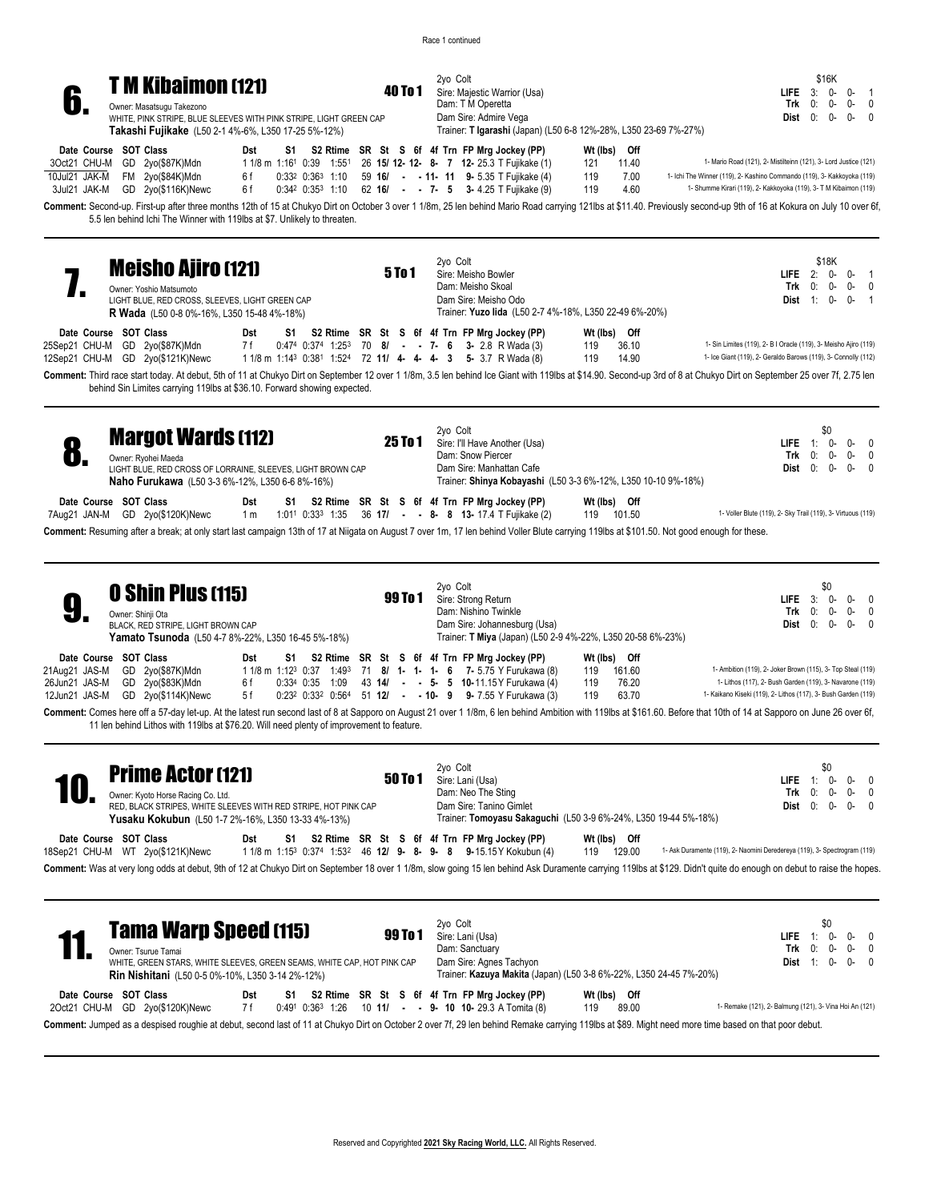Race 1 continued

2yo Colt 40 To 1 Sire: Majestic Warrior (Usa) Dam: T M Operetta Dam Sire: Admire Vega



Owner: Masatsugu Takezono WHITE, PINK STRIPE, BLUE SLEEVES WITH PINK STRIPE, LIGHT GREEN CAP **Takashi Fujikake** (L50 2-1 4%-6%, L350 17-25 5%-12%)

| Date Course SOT Class           | Dst |  |  |  | S1 S2 Rtime SR St S 6f 4f Trn FP Mrg Jockey (PP)                                                    |     | Wt (lbs) Off |                                                                         |
|---------------------------------|-----|--|--|--|-----------------------------------------------------------------------------------------------------|-----|--------------|-------------------------------------------------------------------------|
| 3Oct21 CHU-M GD 2yo(\$87K)Mdn   |     |  |  |  | 1 1/8 m 1:16 <sup>1</sup> 0:39 1:55 <sup>1</sup> 26 <b>15/ 12- 12- 8- 7 12-</b> 25.3 T Fujikake (1) | 121 | 11.40        | 1- Mario Road (121), 2- Mistilteinn (121), 3- Lord Justice (121)        |
| 10Jul21 JAK-M FM 2yo(\$84K)Mdn  | 6 f |  |  |  | $0.33^2$ $0.36^3$ 1:10 59 16/ - - 11- 11 9- 5.35 T Fujikake (4)                                     | 119 | 7.00         | 1- Ichi The Winner (119), 2- Kashino Commando (119), 3- Kakkoyoka (119) |
| 3Jul21 JAK-M GD 2yo(\$116K)Newc | 6 f |  |  |  | $0.34^2$ $0.35^3$ 1:10 62 <b>16/ - - 7- 5 3-</b> 4.25 T Fujikake (9)                                | 119 | 4.60         | 1- Shumme Kirari (119), 2- Kakkoyoka (119), 3- T M Kibaimon (119)       |

Trainer: **T Igarashi** (Japan) (L50 6-8 12%-28%, L350 23-69 7%-27%)

\$16K **LIFE** 3: 0- 0- 1 **Trk** 0: 0- 0- 0 **Dist** 0: 0- 0- 0

**Dist** 0: 0- 0- 0

Comment: Second-up. First-up after three months 12th of 15 at Chukyo Dirt on October 3 over 1 1/8m, 25 len behind Mario Road carrying 121lbs at \$11.40. Previously second-up 9th of 16 at Kokura on July 10 over 6f, 5.5 len behind Ichi The Winner with 119lbs at \$7. Unlikely to threaten.

| <b>Meisho Ajiro (121)</b><br>Owner: Yoshio Matsumoto<br>LIGHT BLUE, RED CROSS, SLEEVES, LIGHT GREEN CAP<br><b>R Wada</b> (L50 0-8 0%-16%, L350 15-48 4%-18%) |  |                                                                                                                     |     |    | <b>5 To 1</b>                                                                                            |  | 2yo Colt<br>Sire: Meisho Bowler<br>Dam: Meisho Skoal<br>Dam Sire: Meisho Odo<br>Trainer: Yuzo lida (L50 2-7 4%-18%, L350 22-49 6%-20%) |  |  |  |  |                                               | LIFE $2: 0 - 0 - 1$<br>Trk $0: 0-0-0$<br><b>Dist</b> $1: 0 - 0 - 1$ | \$18K        |                                                                  |  |  |           |  |
|--------------------------------------------------------------------------------------------------------------------------------------------------------------|--|---------------------------------------------------------------------------------------------------------------------|-----|----|----------------------------------------------------------------------------------------------------------|--|----------------------------------------------------------------------------------------------------------------------------------------|--|--|--|--|-----------------------------------------------|---------------------------------------------------------------------|--------------|------------------------------------------------------------------|--|--|-----------|--|
| Date Course SOT Class                                                                                                                                        |  |                                                                                                                     | Dst | S1 |                                                                                                          |  |                                                                                                                                        |  |  |  |  | S2 Rtime SR St S 6f 4f Trn FP Mrg Jockey (PP) |                                                                     | Wt (lbs) Off |                                                                  |  |  |           |  |
| 25Sep21 CHU-M GD 2yo(\$87K)Mdn                                                                                                                               |  |                                                                                                                     | 7 f |    | $0:474$ $0:374$ $1:253$ $70$ $8/$ - - 7- 6 3- 2.8 R Wada (3)                                             |  |                                                                                                                                        |  |  |  |  |                                               | 119                                                                 | 36.10        | 1- Sin Limites (119), 2- B I Oracle (119), 3- Meisho Ajiro (119) |  |  |           |  |
| 12Sep21 CHU-M GD 2yo(\$121K)Newc                                                                                                                             |  |                                                                                                                     |     |    | 1 1/8 m 1:14 <sup>3</sup> 0:38 <sup>1</sup> 1:52 <sup>4</sup> 72 <b>11/ 4- 4- 4- 3 5-</b> 3.7 R Wada (8) |  |                                                                                                                                        |  |  |  |  |                                               | 119                                                                 | 14.90        | 1- Ice Giant (119), 2- Geraldo Barows (119), 3- Connolly (112)   |  |  |           |  |
|                                                                                                                                                              |  | المنتار المتحاول المتحاول المتحاول المتحاول المتحاول المتحاول المتحاول المتحاول المتحاول المتحاول المتحاول المتحاول |     |    |                                                                                                          |  |                                                                                                                                        |  |  |  |  |                                               |                                                                     |              |                                                                  |  |  | $-1$ $-1$ |  |

Comment: Third race start today. At debut, 5th of 11 at Chukyo Dirt on September 12 over 1 1/8m, 3.5 len behind Ice Giant with 119lbs at \$14.90. Second-up 3rd of 8 at Chukyo Dirt on September 25 over 7f, 2.75 len behind Sin Limites carrying 119lbs at \$36.10. Forward showing expected.

|              | <b>Margot Wards (112)</b><br>Owner: Ryohei Maeda<br>LIGHT BLUE, RED CROSS OF LORRAINE, SLEEVES, LIGHT BROWN CAP<br><b>Naho Furukawa</b> (L50 3-3 6%-12%, L350 6-6 8%-16%)                                                                 |            |    |  |  | 25 To 1 |  | 2yo Colt | Dam: Snow Piercer                           | Sire: I'll Have Another (Usa)<br>Dam Sire: Manhattan Cafe                                                            |     |                        | Trainer: Shinya Kobayashi (L50 3-3 6%-12%, L350 10-10 9%-18%) | LIFE.                                                        | Trk<br>Dist | 0:<br>0:          | \$0<br>$0 -$<br>0- |                                                               | $\Omega$<br>$\Omega$<br>$0 - 0$ |
|--------------|-------------------------------------------------------------------------------------------------------------------------------------------------------------------------------------------------------------------------------------------|------------|----|--|--|---------|--|----------|---------------------------------------------|----------------------------------------------------------------------------------------------------------------------|-----|------------------------|---------------------------------------------------------------|--------------------------------------------------------------|-------------|-------------------|--------------------|---------------------------------------------------------------|---------------------------------|
| 7Aua21 JAN-M | Date Course SOT Class<br>GD 2yo(\$120K)Newc<br>Comment: Resuming after a break; at only start last campaign 13th of 17 at Niigata on August 7 over 1m, 17 len behind Voller Blute carrying 119lbs at \$101.50. Not good enough for these. | Dst<br>1 m | S1 |  |  |         |  |          |                                             | S2 Rtime SR St S 6f 4f Trn FP Mrg Jockey (PP)<br>1:011 0:33 <sup>3</sup> 1:35 36 17/ - - 8- 8 13-17.4 T Fujikake (2) | 119 | Wt (lbs) Off<br>101.50 |                                                               | 1- Voller Blute (119), 2- Sky Trail (119), 3- Virtuous (119) |             |                   |                    |                                                               |                                 |
|              | <b>O Shin Plus (115)</b><br>Owner: Shinii Ota<br><b>DI ACK DED STRIDE LIGHT BROWN CAD</b>                                                                                                                                                 |            |    |  |  | 99 To 1 |  | 2yo Colt | Sire: Strong Return<br>Dam: Nishino Twinkle | Dam Sire: Johanneshum (Hsa)                                                                                          |     |                        |                                                               | <b>LIFE</b>                                                  | Trk         | $3^{\circ}$<br>0: | \$0<br>0-          | $\mathsf{Dict} \cap \mathsf{C}$ , $\mathsf{C}$ , $\mathsf{C}$ | $\Omega$<br>$0 - 0$             |

Owner: Shinji Ota BLACK, RED STRIPE, LIGHT BROWN CAP **Yamato Tsunoda** (L50 4-7 8%-22%, L350 16-45 5%-18%)

| Date Course SOT Class            |  |  |  |  |  | Dst S1 S2 Rtime SR St S 6f 4f Trn FP Mrg Jockey (PP)                                                     | Wt (lbs) Off |                                                                |
|----------------------------------|--|--|--|--|--|----------------------------------------------------------------------------------------------------------|--------------|----------------------------------------------------------------|
| 21Aug21 JAS-M GD 2yo(\$87K)Mdn   |  |  |  |  |  | 1 1/8 m 1:12 <sup>3</sup> 0:37 1:49 <sup>3</sup> 71 8/ 1- 1- 1- 6 7- 5.75 Y Furukawa (8)                 | 119 161.60   | 1- Ambition (119), 2- Joker Brown (115), 3- Top Steal (119)    |
| 26Jun21 JAS-M GD 2yo(\$83K)Mdn   |  |  |  |  |  | 6 f 0:334 0:35 1:09 43 14/ - - 5- 5 10-11.15 Y Furukawa (4)                                              | 119 76.20    | 1- Lithos (117), 2- Bush Garden (119), 3- Navarone (119)       |
| 12Jun21 JAS-M GD 2yo(\$114K)Newc |  |  |  |  |  | 5 f 0:23 <sup>2</sup> 0:33 <sup>2</sup> 0:56 <sup>4</sup> 51 <b>12/ - - 10- 9 9-</b> 7.55 Y Furukawa (3) | 119 63.70    | 1- Kaikano Kiseki (119), 2- Lithos (117), 3- Bush Garden (119) |

Comment: Comes here off a 57-day let-up. At the latest run second last of 8 at Sapporo on August 21 over 1 1/8m, 6 len behind Ambition with 119lbs at \$161.60. Before that 10th of 14 at Sapporo on June 26 over 6f, 11 len behind Lithos with 119lbs at \$76.20. Will need plenty of improvement to feature.

Dam Sire: Johannesburg (Usa)

Trainer: **T Miya** (Japan) (L50 2-9 4%-22%, L350 20-58 6%-23%)

| 10           | <b>Prime Actor (121)</b><br>Owner: Kyoto Horse Racing Co. Ltd.<br>RED, BLACK STRIPES, WHITE SLEEVES WITH RED STRIPE, HOT PINK CAP<br><b>Yusaku Kokubun</b> (L50 1-7 2%-16%, L350 13-33 4%-13%) |                                            | 50 To 1 | 2yo Colt<br>Sire: Lani (Usa)<br>Dam: Neo The Sting<br>Dam Sire: Tanino Gimlet<br>Trainer: Tomoyasu Sakaguchi (L50 3-9 6%-24%, L350 19-44 5%-18%)    | \$0<br>LIFE.<br>n-<br>1:<br>$\Omega$<br>$Trk = 0$ :<br>n-<br>0-<br>0:<br>ი-<br>Dist<br>$\Omega$                                                                                                                                                                                                  |
|--------------|------------------------------------------------------------------------------------------------------------------------------------------------------------------------------------------------|--------------------------------------------|---------|-----------------------------------------------------------------------------------------------------------------------------------------------------|--------------------------------------------------------------------------------------------------------------------------------------------------------------------------------------------------------------------------------------------------------------------------------------------------|
|              | Date Course SOT Class<br>18Sep21 CHU-M WT 2yo(\$121K)Newc                                                                                                                                      | Dst<br>S1                                  |         | S2 Rtime SR St S 6f 4f Trn FP Mrg Jockey (PP)<br>Wt (lbs) Off<br>1 1/8 m 1:153 0:374 1:532 46 12/ 9- 8- 9- 8 9-15.15 Y Kokubun (4)<br>129.00<br>119 | 1- Ask Duramente (119), 2- Naomini Deredereya (119), 3- Spectrogram (119)<br>Comment: Was at very long odds at debut, 9th of 12 at Chukyo Dirt on September 18 over 1 1/8m, slow going 15 len behind Ask Duramente carrying 119lbs at \$129. Didn't quite do enough on debut to raise the hopes. |
|              |                                                                                                                                                                                                |                                            |         |                                                                                                                                                     |                                                                                                                                                                                                                                                                                                  |
|              | <b>Tama Warp Speed (115)</b><br>Owner: Tsurue Tamai<br>WHITE, GREEN STARS, WHITE SLEEVES, GREEN SEAMS, WHITE CAP, HOT PINK CAP<br><b>Rin Nishitani</b> (L50 0-5 0%-10%, L350 3-14 2%-12%)      |                                            | 99 To 1 | 2yo Colt<br>Sire: Lani (Usa)<br>Dam: Sanctuary<br>Dam Sire: Agnes Tachyon<br>Trainer: Kazuya Makita (Japan) (L50 3-8 6%-22%, L350 24-45 7%-20%)     | \$0<br>LIFE.<br>$Trk = 0$ :<br>$0 -$<br>n-<br>$1: 0-$<br>Dist<br>$0-0$                                                                                                                                                                                                                           |
| 20ct21 CHU-M | Date Course SOT Class<br>GD 2yo(\$120K)Newc                                                                                                                                                    | Dst<br>S1<br>7 f<br>$0:36^3$ 1:26<br>0:491 |         | Wt (lbs)<br>S2 Rtime SR St S 6f 4f Trn FP Mrg Jockey (PP)<br>Off<br>89.00<br>10 11/ - - 9- 10 10- 29.3 A Tomita (8)<br>119                          | 1- Remake (121), 2- Balmung (121), 3- Vina Hoi An (121)                                                                                                                                                                                                                                          |

**Comment:** Jumped as a despised roughie at debut, second last of 11 at Chukyo Dirt on October 2 over 7f, 29 len behind Remake carrying 119lbs at \$89. Might need more time based on that poor debut.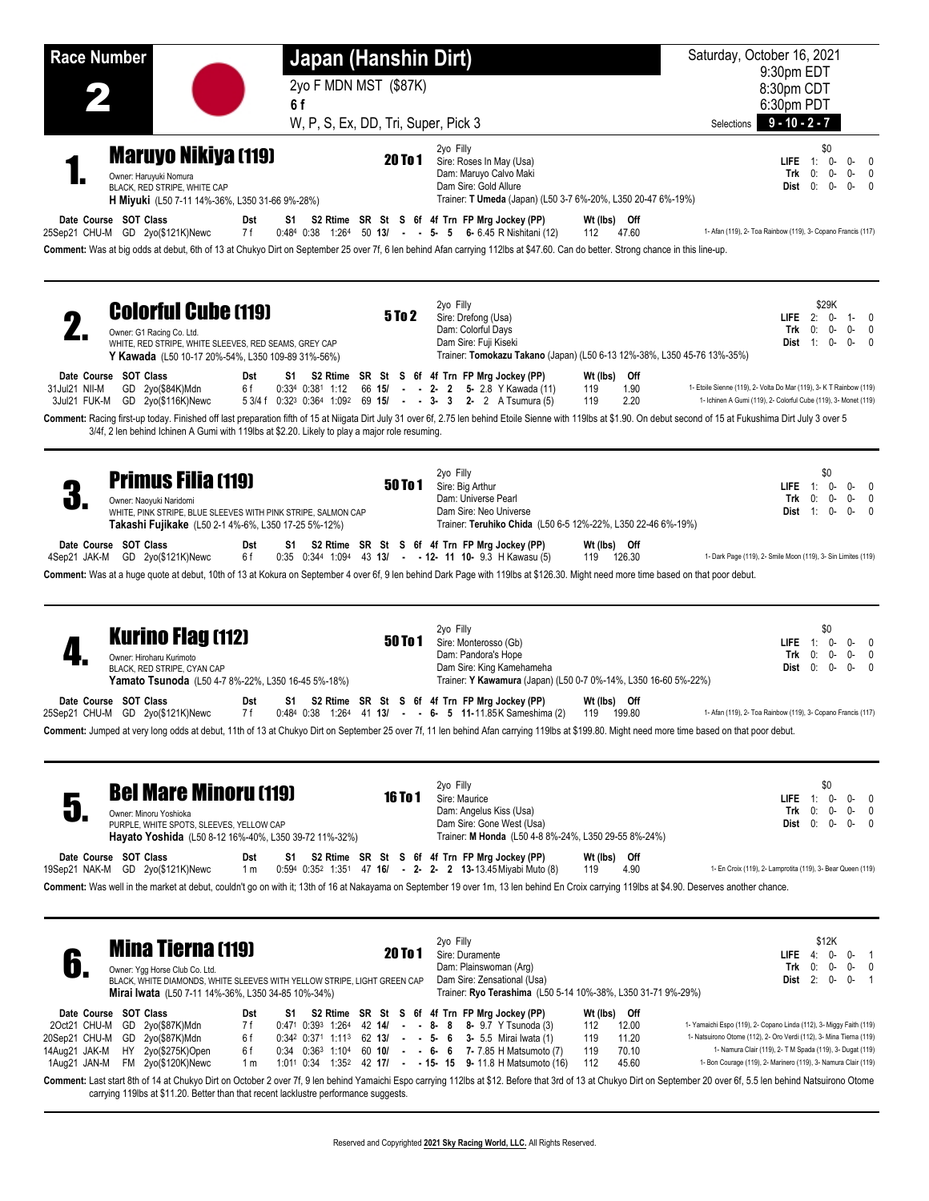| <b>Race Number</b>                                                                                                                                                                                                                                                                                                                                                                                                                                         | Japan (Hanshin Dirt)                                                                                                                                                                                                                                                                                                                                                                   | Saturday, October 16, 2021<br>9:30pm EDT                                                                                                                                                                                                                                                                                                                  |
|------------------------------------------------------------------------------------------------------------------------------------------------------------------------------------------------------------------------------------------------------------------------------------------------------------------------------------------------------------------------------------------------------------------------------------------------------------|----------------------------------------------------------------------------------------------------------------------------------------------------------------------------------------------------------------------------------------------------------------------------------------------------------------------------------------------------------------------------------------|-----------------------------------------------------------------------------------------------------------------------------------------------------------------------------------------------------------------------------------------------------------------------------------------------------------------------------------------------------------|
| 6f                                                                                                                                                                                                                                                                                                                                                                                                                                                         | 2yo F MDN MST (\$87K)                                                                                                                                                                                                                                                                                                                                                                  | 8:30pm CDT<br>6:30pm PDT                                                                                                                                                                                                                                                                                                                                  |
|                                                                                                                                                                                                                                                                                                                                                                                                                                                            | W, P, S, Ex, DD, Tri, Super, Pick 3                                                                                                                                                                                                                                                                                                                                                    | $9 - 10 - 2 - 7$<br>Selections                                                                                                                                                                                                                                                                                                                            |
| <b>Maruyo Nikiya (119)</b><br>Owner: Haruyuki Nomura<br>BLACK, RED STRIPE, WHITE CAP<br>H Miyuki (L50 7-11 14%-36%, L350 31-66 9%-28%)<br>Date Course SOT Class<br>Dst                                                                                                                                                                                                                                                                                     | 2yo Filly<br><b>20 To 1</b><br>Sire: Roses In May (Usa)<br>Dam: Maruyo Calvo Maki<br>Dam Sire: Gold Allure<br>Trainer: T Umeda (Japan) (L50 3-7 6%-20%, L350 20-47 6%-19%)<br>S1 S2 Rtime SR St S 6f 4f Trn FP Mrg Jockey (PP)                                                                                                                                                         | \$0<br>$1: 0-$<br>$0-0$<br>LIFE.<br>0-<br>$0 - 0$<br>Trk<br>0:<br>Dist 0:<br>0-<br>$0 - 0$<br>Wt (lbs) Off                                                                                                                                                                                                                                                |
| 25Sep21 CHU-M GD 2yo(\$121K)Newc<br>7 f<br>Comment: Was at big odds at debut, 6th of 13 at Chukyo Dirt on September 25 over 7f, 6 len behind Afan carrying 112lbs at \$47.60. Can do better. Strong chance in this line-up.                                                                                                                                                                                                                                | $0.484$ $0.38$ $1.264$ $50$ $13/$ - - 5- 5 6- 6.45 R Nishitani (12)                                                                                                                                                                                                                                                                                                                    | 1- Afan (119), 2- Toa Rainbow (119), 3- Copano Francis (117)<br>47.60<br>112                                                                                                                                                                                                                                                                              |
| <b>Colorful Cube (119)</b><br>Owner: G1 Racing Co. Ltd.<br>WHITE, RED STRIPE, WHITE SLEEVES, RED SEAMS, GREY CAP<br>Y Kawada (L50 10-17 20%-54%, L350 109-89 31%-56%)                                                                                                                                                                                                                                                                                      | 2yo Filly<br>5 To 2<br>Sire: Drefong (Usa)<br>Dam: Colorful Days<br>Dam Sire: Fuji Kiseki                                                                                                                                                                                                                                                                                              | \$29K<br>LIFE $2: 0-$<br>$1 - 0$<br>Trk<br>0:<br>0-<br>$0 - 0$<br><b>Dist</b> $1: 0-$<br>$0 - 0$<br>Trainer: Tomokazu Takano (Japan) (L50 6-13 12%-38%, L350 45-76 13%-35%)                                                                                                                                                                               |
| Date Course SOT Class<br>Dst<br>0:334 0:381 1:12<br>31Jul21 NII-M<br>GD 2yo(\$84K)Mdn<br>6 f<br>3Jul21 FUK-M GD 2yo(\$116K)Newc<br>Comment: Racing first-up today. Finished off last preparation fifth of 15 at Niigata Dirt July 31 over 6f, 2.75 len behind Etoile Sienne with 119lbs at \$1.90. On debut second of 15 at Fukushima Dirt July 3 over 5<br>3/4f, 2 len behind Ichinen A Gumi with 119lbs at \$2.20. Likely to play a major role resuming. | S1 S2 Rtime SR St S 6f 4f Trn FP Mrg Jockey (PP)<br>66 15/ - - 2- 2 5- 2.8 Y Kawada (11)<br>5 3/4 f 0:32 <sup>3</sup> 0:36 <sup>4</sup> 1:09 <sup>2</sup> 69 <b>15/ - - 3- 3 2-</b> 2 A Tsumura (5)                                                                                                                                                                                    | Wt (lbs) Off<br>1.90<br>1- Etoile Sienne (119), 2- Volta Do Mar (119), 3- K T Rainbow (119)<br>119<br>1- Ichinen A Gumi (119), 2- Colorful Cube (119), 3- Monet (119)<br>119<br>2.20                                                                                                                                                                      |
| <b>Primus Filia (119)</b><br>U)<br>Owner: Naoyuki Naridomi<br>WHITE, PINK STRIPE, BLUE SLEEVES WITH PINK STRIPE, SALMON CAP<br>Takashi Fujikake (L50 2-1 4%-6%, L350 17-25 5%-12%)                                                                                                                                                                                                                                                                         | 2yo Filly<br><b>50 To 1</b><br>Sire: Big Arthur<br>Dam: Universe Pearl<br>Dam Sire: Neo Universe<br>Trainer: Teruhiko Chida (L50 6-5 12%-22%, L350 22-46 6%-19%)                                                                                                                                                                                                                       | \$0<br>LIFE $1:0$ -<br>$0 - 0$<br>Trk<br>0:<br>$0 - 0$<br>0-<br><b>Dist</b> 1: 0-<br>$0 - 0$                                                                                                                                                                                                                                                              |
| Date Course SOT Class<br>Dst<br>S1<br>4Sep21 JAK-M GD 2yo(\$121K)Newc<br>6 f<br>Comment: Was at a huge quote at debut, 10th of 13 at Kokura on September 4 over 6f, 9 len behind Dark Page with 119lbs at \$126.30. Might need more time based on that poor debut.                                                                                                                                                                                         | S2 Rtime SR St S 6f 4f Trn FP Mrg Jockey (PP)<br>$0.35$ $0.344$ 1:09 <sup>4</sup> 43 13/ - - 12- 11 10- 9.3 H Kawasu (5)                                                                                                                                                                                                                                                               | Wt (lbs) Off<br>1- Dark Page (119), 2- Smile Moon (119), 3- Sin Limites (119)<br>119 126.30                                                                                                                                                                                                                                                               |
| <b>Kurino Flag (112)</b><br>Owner: Hiroharu Kurimoto<br>BLACK, RED STRIPE, CYAN CAP<br><b>Yamato Tsunoda</b> (L50 4-7 8%-22%, L350 16-45 5%-18%)                                                                                                                                                                                                                                                                                                           | 2yo Filly<br>50 To 1<br>Sire: Monterosso (Gb)<br>Dam: Pandora's Hope<br>Dam Sire: King Kamehameha<br>Trainer: Y Kawamura (Japan) (L50 0-7 0%-14%, L350 16-60 5%-22%)                                                                                                                                                                                                                   | \$0<br>1: $0-$<br>$0 - 0$<br>LIFE<br>Trk<br>0:<br>0-<br>$0 - 0$<br>0:<br>0-<br>$0 - 0$<br>Dist                                                                                                                                                                                                                                                            |
| Date Course SOT Class<br>Dst<br>25Sep21 CHU-M GD 2yo(\$121K)Newc<br>7 f<br>Comment: Jumped at very long odds at debut, 11th of 13 at Chukyo Dirt on September 25 over 7f, 11 len behind Afan carrying 119lbs at \$199.80. Might need more time based on that poor debut.                                                                                                                                                                                   | S1 S2 Rtime SR St S 6f 4f Trn FP Mrg Jockey (PP)<br>$0.484$ $0.38$ 1:264 41 <b>13/ - - 6- 5 11-</b> 11.85K Sameshima (2) 119 199.80                                                                                                                                                                                                                                                    | Wt (lbs) Off<br>1- Afan (119), 2- Toa Rainbow (119), 3- Copano Francis (117)                                                                                                                                                                                                                                                                              |
| <b>Bel Mare Minoru (119)</b><br>$\overline{\mathbf{a}}$<br>Owner: Minoru Yoshioka<br>PURPLE, WHITE SPOTS, SLEEVES, YELLOW CAP<br>Hayato Yoshida (L50 8-12 16%-40%, L350 39-72 11%-32%)                                                                                                                                                                                                                                                                     | 2yo Filly<br><b>16 To 1</b><br>Sire: Maurice<br>Dam: Angelus Kiss (Usa)<br>Dam Sire: Gone West (Usa)<br>Trainer: M Honda (L50 4-8 8%-24%, L350 29-55 8%-24%)                                                                                                                                                                                                                           | \$0<br>LIFE<br>$-1$ :<br>0-<br>$0-0$<br>0-<br>$0 - 0$<br>Trk<br>0:<br>$0: 0-$<br>Dist<br>$0-0$                                                                                                                                                                                                                                                            |
| Date Course SOT Class<br>Dst<br>19Sep21 NAK-M GD 2yo(\$121K)Newc<br>1 <sub>m</sub><br>Comment: Was well in the market at debut, couldn't go on with it; 13th of 16 at Nakayama on September 19 over 1m, 13 len behind En Croix carrying 119lbs at \$4.90. Deserves another chance.                                                                                                                                                                         | S1 S2 Rtime SR St S 6f 4f Trn FP Mrg Jockey (PP)<br>$0.594$ $0.352$ $1.351$ $47$ $16/$ - 2- 2- 2 $13-13.45$ Mivabi Muto (8)                                                                                                                                                                                                                                                            | Wt (lbs) Off<br>1- En Croix (119), 2- Lamprotita (119), 3- Bear Queen (119)<br>4.90<br>119                                                                                                                                                                                                                                                                |
| <b>Mina Tierna (119)</b><br>b.<br>Owner: Ygg Horse Club Co. Ltd.<br>BLACK, WHITE DIAMONDS, WHITE SLEEVES WITH YELLOW STRIPE, LIGHT GREEN CAP<br>Mirai Iwata (L50 7-11 14%-36%, L350 34-85 10%-34%)                                                                                                                                                                                                                                                         | 2yo Filly<br><b>20 To 1</b><br>Sire: Duramente<br>Dam: Plainswoman (Arg)<br>Dam Sire: Zensational (Usa)<br>Trainer: Ryo Terashima (L50 5-14 10%-38%, L350 31-71 9%-29%)                                                                                                                                                                                                                | \$12K<br>LIFE.<br>4: 0-<br>$0 - 1$<br>Trk<br>0:<br>0-<br>$0 - 0$<br>Dist $2: 0-$<br>$0 - 1$                                                                                                                                                                                                                                                               |
| Date Course SOT Class<br>Dst<br>S1.<br>2Oct21 CHU-M<br>GD 2yo(\$87K)Mdn<br>7 f<br>GD 2yo(\$87K)Mdn<br>6 f<br>20Sep21 CHU-M<br>14Aug21 JAK-M<br>HY 2yo(\$275K)Open<br>6 f                                                                                                                                                                                                                                                                                   | S2 Rtime SR St S 6f 4f Trn FP Mrg Jockey (PP)<br>$0.471$ $0.393$ $1.264$ $42$ $14/$ - - 8- 8 8- 9.7 Y Tsunoda (3)<br>$0.34^2$ $0.37^1$ 1:11 <sup>3</sup> 62 <b>13/ - - 5- 6 3-</b> 5.5 Mirai Iwata (1)<br>$0.34$ $0.363$ 1:10 <sup>4</sup> 60 <b>10/</b> - - 6- 6 7-7.85 H Matsumoto (7)<br>1:01 <sup>1</sup> 0:34 1:35 <sup>2</sup> 42 <b>17/ - - 15- 15 9-</b> 11.8 H Matsumoto (16) | Wt (lbs) Off<br>1- Yamaichi Espo (119), 2- Copano Linda (112), 3- Miggy Faith (119)<br>12.00<br>112<br>1- Natsuirono Otome (112), 2- Oro Verdi (112), 3- Mina Tierna (119)<br>119<br>11.20<br>1- Namura Clair (119), 2- T M Spada (119), 3- Dugat (119)<br>119<br>70.10<br>1- Bon Courage (119), 2- Marinero (119), 3- Namura Clair (119)<br>112<br>45.60 |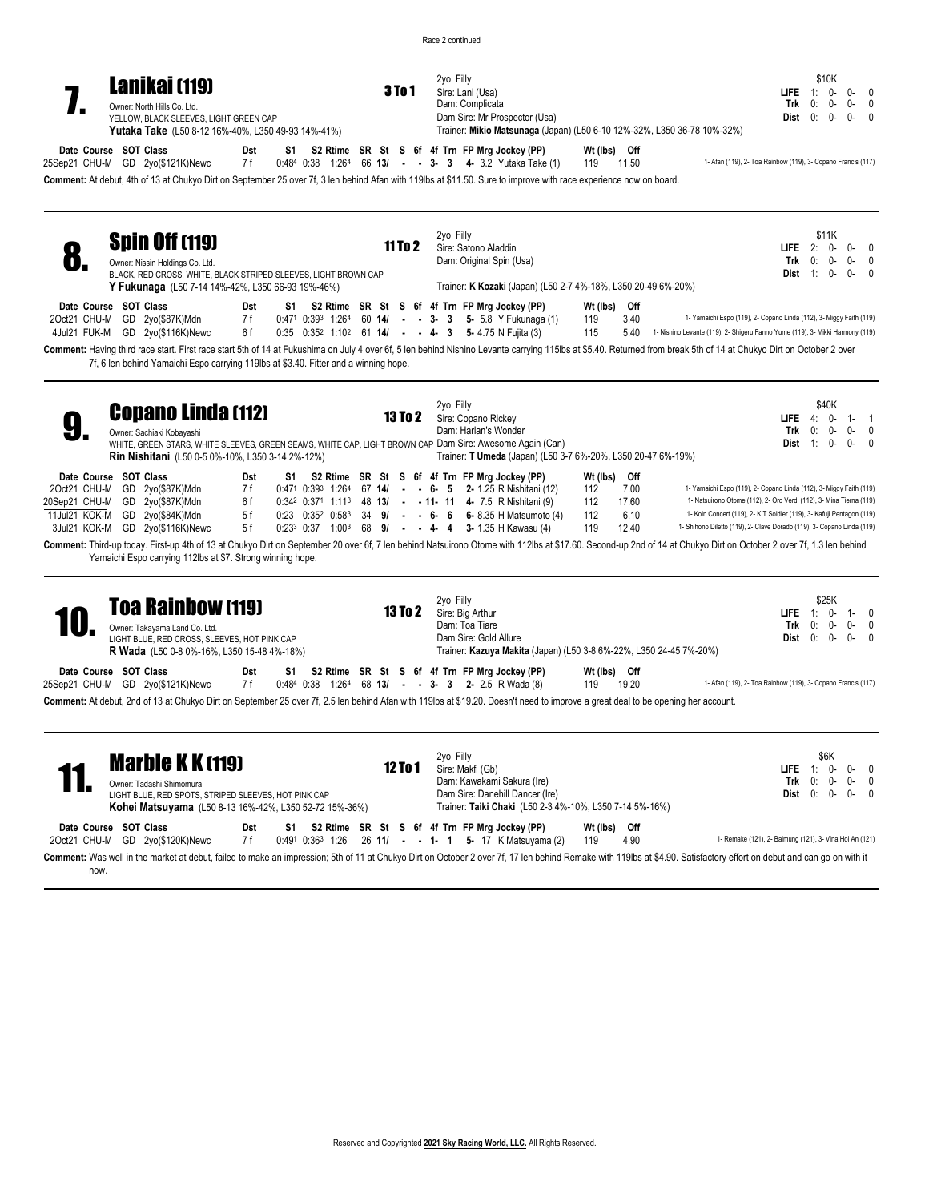|                                | <b>Lanikai (119)</b><br>Owner: North Hills Co. Ltd.<br>YELLOW, BLACK SLEEVES, LIGHT GREEN CAP<br>Yutaka Take (L50 8-12 16%-40%, L350 49-93 14%-41%)                                                                                                                                                            |                                |                             | <b>3To1</b>    | 2yo Filly | Sire: Lani (Usa)<br>Dam: Complicata<br>Dam Sire: Mr Prospector (Usa)<br>Trainer: Mikio Matsunaga (Japan) (L50 6-10 12%-32%, L350 36-78 10%-32%)                                                                                                                                                                 |                                          |                                |                                                                                                                                                                                                                                                                                               | LIFE.<br>Trk<br>Dist $0: 0$ - | 0:           | \$10K<br>$1: 0-$<br>0-                       | 0- 0<br>0-<br>0<br>0-<br>0                 |  |
|--------------------------------|----------------------------------------------------------------------------------------------------------------------------------------------------------------------------------------------------------------------------------------------------------------------------------------------------------------|--------------------------------|-----------------------------|----------------|-----------|-----------------------------------------------------------------------------------------------------------------------------------------------------------------------------------------------------------------------------------------------------------------------------------------------------------------|------------------------------------------|--------------------------------|-----------------------------------------------------------------------------------------------------------------------------------------------------------------------------------------------------------------------------------------------------------------------------------------------|-------------------------------|--------------|----------------------------------------------|--------------------------------------------|--|
|                                | Date Course SOT Class<br>25Sep21 CHU-M GD 2yo(\$121K)Newc                                                                                                                                                                                                                                                      | Dst<br>7 f                     |                             |                |           | S1 S2 Rtime SR St S 6f 4f Trn FP Mrg Jockey (PP)<br>$0.484$ $0.38$ $1.264$ 66 13/ - - 3- 3 4- 3.2 Yutaka Take (1)<br>Comment: At debut, 4th of 13 at Chukyo Dirt on September 25 over 7f, 3 len behind Afan with 119lbs at \$11.50. Sure to improve with race experience now on board.                          | Wt (lbs) Off<br>119                      | 11.50                          | 1- Afan (119), 2- Toa Rainbow (119), 3- Copano Francis (117)                                                                                                                                                                                                                                  |                               |              |                                              |                                            |  |
| 8.                             | <b>Spin Off (119)</b><br>Owner: Nissin Holdings Co. Ltd.<br>BLACK, RED CROSS, WHITE, BLACK STRIPED SLEEVES, LIGHT BROWN CAP<br>Y Fukunaga (L50 7-14 14%-42%, L350 66-93 19%-46%)                                                                                                                               |                                |                             | <b>11 To 2</b> | 2yo Filly | Sire: Satono Aladdin<br>Dam: Original Spin (Usa)<br>Trainer: K Kozaki (Japan) (L50 2-7 4%-18%, L350 20-49 6%-20%)                                                                                                                                                                                               |                                          |                                |                                                                                                                                                                                                                                                                                               | $L$ IFE $2$ :<br>Dist $1: 0-$ | $Trk = 0$ :  | \$11K<br>0-                                  | $0 - 0 - 0$<br>$0-0$<br>$0 - 0$            |  |
| 2Oct21 CHU-M<br>4Jul21 FUK-M   | Date Course SOT Class<br>GD 2yo(\$87K)Mdn<br>GD 2yo(\$116K)Newc                                                                                                                                                                                                                                                | Dst<br>7 f<br>6 f              |                             |                |           | S1 S2 Rtime SR St S 6f 4f Trn FP Mrg Jockey (PP)<br>$0.471$ $0.393$ $1.264$ 60 <b>14/</b> - - 3- 3 5- 5.8 Y Fukunaga (1)<br>0:35 0:352 1:102 61 14/ - - 4- 3 5-4.75 N Fuilta (3)                                                                                                                                | Wt (lbs)<br>119<br>115                   | Off<br>3.40<br>5.40            | 1- Yamaichi Espo (119), 2- Copano Linda (112), 3- Miggy Faith (119)<br>1- Nishino Levante (119), 2- Shigeru Fanno Yume (119), 3- Mikki Harmony (119)                                                                                                                                          |                               |              |                                              |                                            |  |
| 9.                             | 7f, 6 len behind Yamaichi Espo carrying 119lbs at \$3.40. Fitter and a winning hope.<br><b>Copano Linda (112)</b><br>Owner: Sachiaki Kobayashi<br>WHITE, GREEN STARS, WHITE SLEEVES, GREEN SEAMS, WHITE CAP, LIGHT BROWN CAP Dam Sire: Awesome Again (Can)<br>Rin Nishitani (L50 0-5 0%-10%, L350 3-14 2%-12%) |                                |                             | 13 To 2        | 2yo Filly | Sire: Copano Rickey<br>Dam: Harlan's Wonder<br>Trainer: T Umeda (Japan) (L50 3-7 6%-20%, L350 20-47 6%-19%)                                                                                                                                                                                                     |                                          |                                | Comment: Having third race start. First race start 5th of 14 at Fukushima on July 4 over 6f, 5 len behind Nishino Levante carrying 115lbs at \$5.40. Returned from break 5th of 14 at Chukyo Dirt on October 2 over                                                                           | Trk                           |              | \$40K<br>$0: 0-$<br><b>Dist</b> $1: 0 - 0 -$ | <b>LIFE</b> 4: $0 - 1 - 1$<br>$0-0$<br>- 0 |  |
| 20Sep21 CHU-M<br>11Jul21 KOK-M | Date Course SOT Class<br>2Oct21 CHU-M GD 2yo(\$87K)Mdn<br>GD 2yo(\$87K)Mdn<br>GD 2yo(\$84K)Mdn<br>3Jul21 KOK-M GD 2yo(\$116K)Newc                                                                                                                                                                              | Dst<br>7 f<br>6 f<br>5f<br>5 f | $0:23$ $0:35^2$ $0:58^3$    |                |           | S1 S2 Rtime SR St S 6f 4f Trn FP Mrg Jockey (PP)<br>$0.471$ $0.393$ $1.264$ 67 <b>14/</b> - - 6- 5 <b>2-</b> 1.25 R Nishitani (12)<br>0:342 0:371 1:113 48 13/ - - 11- 11 4- 7.5 R Nishitani (9)<br>34 9/ - - 6- 6 6-8.35 H Matsumoto (4)<br>$0:23^3$ $0:37$ $1:00^3$ 68 <b>9/ - - 4-4 3-</b> 1.35 H Kawasu (4) | Wt (lbs) Off<br>112<br>112<br>112<br>119 | 7.00<br>17.60<br>6.10<br>12.40 | 1- Yamaichi Espo (119), 2- Copano Linda (112), 3- Miggy Faith (119)<br>1- Natsuirono Otome (112), 2- Oro Verdi (112), 3- Mina Tierna (119)<br>1- Koln Concert (119), 2- K T Soldier (119), 3- Kafuji Pentagon (119)<br>1- Shihono Diletto (119), 2- Clave Dorado (119), 3- Copano Linda (119) |                               |              |                                              |                                            |  |
|                                | Yamaichi Espo carrying 112lbs at \$7. Strong winning hope.                                                                                                                                                                                                                                                     |                                |                             |                |           |                                                                                                                                                                                                                                                                                                                 |                                          |                                | Comment: Third-up today. First-up 4th of 13 at Chukyo Dirt on September 20 over 6f, 7 len behind Natsuirono Otome with 112lbs at \$17.60. Second-up 2nd of 14 at Chukyo Dirt on October 2 over 7f, 1.3 len behind                                                                             |                               |              |                                              |                                            |  |
|                                | <b>Toa Rainbow (119)</b><br>Owner: Takayama Land Co. Ltd.<br>LIGHT BLUE, RED CROSS, SLEEVES, HOT PINK CAP<br><b>R Wada</b> (L50 0-8 0%-16%, L350 15-48 4%-18%)                                                                                                                                                 |                                | $\sim$ $\sim$ $\sim$ $\sim$ | <b>13 To 2</b> | 2yo Filly | Sire: Big Arthur<br>Dam: Toa Tiare<br>Dam Sire: Gold Allure<br>Trainer: Kazuya Makita (Japan) (L50 3-8 6%-22%, L350 24-45 7%-20%)                                                                                                                                                                               | $\overline{1}$                           |                                |                                                                                                                                                                                                                                                                                               | LIFE.<br>Trk<br>Dist $0: 0$ - | $-1$ :<br>0: | \$25K<br>0-<br>0-                            | 1-0<br>0-<br>0<br>0-<br>$\Omega$           |  |

**Date Course SOT Class Dst S1 S2 Rtime SR St S 6f 4f Trn FP Mrg Jockey (PP) Wt (lbs) Off** 25Sep21 CHU-M GD 2yo(\$121K)Newc 7f 0:484 0:38 1:264 68 **13/ - - 3- 3 2-** 2.5 R Wada (8) 119 19.20 1- Afan (119), 2- Toa Rainbow (119), 3- Copano Francis (117) **Comment:** At debut, 2nd of 13 at Chukyo Dirt on September 25 over 7f, 2.5 len behind Afan with 119lbs at \$19.20. Doesn't need to improve a great deal to be opening her account.

| <b>Marble K K (119)</b><br>Owner: Tadashi Shimomura<br>LIGHT BLUE, RED SPOTS, STRIPED SLEEVES, HOT PINK CAP<br><b>Kohei Matsuyama</b> (L50 8-13 16%-42%, L350 52-72 15%-36%)                                                  | 12 To 1 | 2yo Filly<br>Sire: Makfi (Gb)<br>Dam: Kawakami Sakura (Ire)<br>Dam Sire: Danehill Dancer (Ire)<br>Trainer: Taiki Chaki (L50 2-3 4%-10%, L350 7-14 5%-16%) | \$6K<br>$0 - 0$<br>LIFE $1:0-$<br>Trk $0: 0$ -<br>$0 - 0$<br><b>Dist</b> $0: 0-0-0$ |
|-------------------------------------------------------------------------------------------------------------------------------------------------------------------------------------------------------------------------------|---------|-----------------------------------------------------------------------------------------------------------------------------------------------------------|-------------------------------------------------------------------------------------|
| Date Course SOT Class<br>Dst<br>S1<br>7 f<br>2Oct21 CHU-M GD 2yo(\$120K)Newc                                                                                                                                                  |         | S2 Rtime SR St S 6f 4f Trn FP Mrg Jockey (PP)<br>Wt (lbs) Off<br>0:491 0:363 1:26 26 11/ - - 1- 1 5- 17 K Matsuyama (2)<br>4.90<br>119                    | 1- Remake (121), 2- Balmung (121), 3- Vina Hoi An (121)                             |
| Comment: Was well in the market at debut, failed to make an impression; 5th of 11 at Chukyo Dirt on October 2 over 7f, 17 len behind Remake with 119lbs at \$4.90. Satisfactory effort on debut and can go on with it<br>now. |         |                                                                                                                                                           |                                                                                     |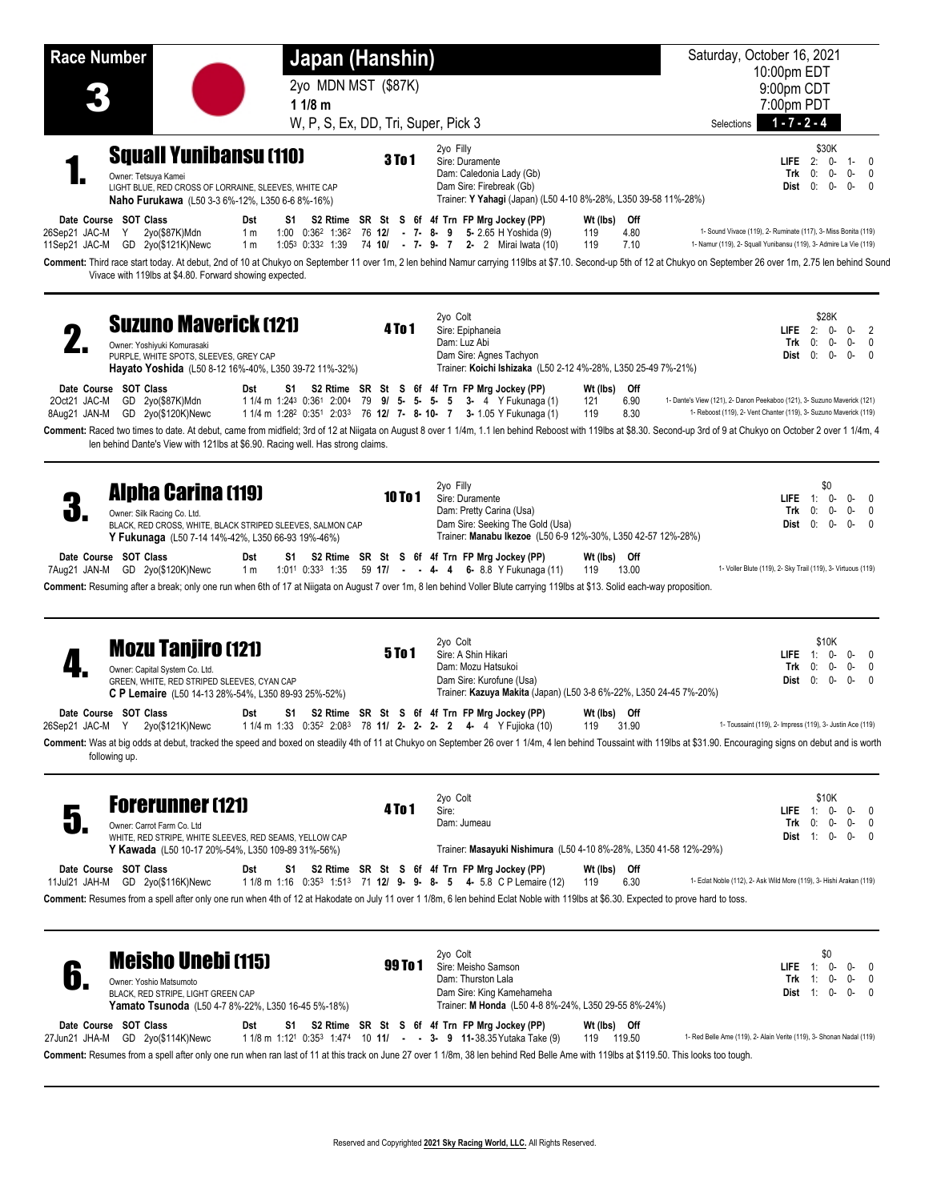| <b>Race Number</b>           |                                                                                                                                                                                                                                                                                                                                                                                                                        | Japan (Hanshin)                                                                                                                                                                                            |                                                                                                                                            |                                                                    | Saturday, October 16, 2021                                                                                                                    |
|------------------------------|------------------------------------------------------------------------------------------------------------------------------------------------------------------------------------------------------------------------------------------------------------------------------------------------------------------------------------------------------------------------------------------------------------------------|------------------------------------------------------------------------------------------------------------------------------------------------------------------------------------------------------------|--------------------------------------------------------------------------------------------------------------------------------------------|--------------------------------------------------------------------|-----------------------------------------------------------------------------------------------------------------------------------------------|
|                              |                                                                                                                                                                                                                                                                                                                                                                                                                        | 2yo MDN MST (\$87K)                                                                                                                                                                                        |                                                                                                                                            |                                                                    | 10:00pm EDT<br>9:00pm CDT                                                                                                                     |
|                              |                                                                                                                                                                                                                                                                                                                                                                                                                        | 11/8 m                                                                                                                                                                                                     |                                                                                                                                            |                                                                    | 7:00pm PDT                                                                                                                                    |
|                              |                                                                                                                                                                                                                                                                                                                                                                                                                        | W, P, S, Ex, DD, Tri, Super, Pick 3                                                                                                                                                                        |                                                                                                                                            |                                                                    | $1 - 7 - 2 - 4$<br>Selections                                                                                                                 |
|                              | <b>Squall Yunibansu (110)</b><br>Owner: Tetsuya Kamei<br>LIGHT BLUE, RED CROSS OF LORRAINE, SLEEVES, WHITE CAP<br>Naho Furukawa (L50 3-3 6%-12%, L350 6-6 8%-16%)                                                                                                                                                                                                                                                      | <b>3To1</b>                                                                                                                                                                                                | 2yo Filly<br>Sire: Duramente<br>Dam: Caledonia Lady (Gb)<br>Dam Sire: Firebreak (Gb)                                                       | Trainer: Y Yahagi (Japan) (L50 4-10 8%-28%, L350 39-58 11%-28%)    | \$30K<br>LIFE $2:$<br>0-<br>1- 0<br>Trk<br>0:<br>0-<br>$0-$<br>0<br>0:<br>0-<br>$0-$<br>Dist<br>$\mathbf{0}$                                  |
| 26Sep21 JAC-M                | Date Course SOT Class<br>Dst<br>$\mathsf{Y}$<br>2yo(\$87K)Mdn<br>1 <sub>m</sub><br>11Sep21 JAC-M GD 2yo(\$121K)Newc<br>1 <sub>m</sub><br>Comment: Third race start today. At debut, 2nd of 10 at Chukyo on September 11 over 1m, 2 len behind Namur carrying 119lbs at \$7.10. Second-up 5th of 12 at Chukyo on September 26 over 1m, 2.75 len behind Sound<br>Vivace with 119lbs at \$4.80. Forward showing expected. | S1.<br>1:00 $0:36^2$ 1:36 <sup>2</sup> 76 12/ - 7- 8- 9 5-2.65 H Yoshida (9)<br>1:053 0:332 1:39                                                                                                           | S2 Rtime SR St S 6f 4f Trn FP Mrg Jockey (PP)<br>74 10/ - 7- 9- 7 2- 2 Mirai Iwata (10)                                                    | Wt (lbs) Off<br>119<br>4.80<br>7.10<br>119                         | 1- Sound Vivace (119), 2- Ruminate (117), 3- Miss Bonita (119)<br>1- Namur (119), 2- Squall Yunibansu (119), 3- Admire La Vie (119)           |
|                              | <b>Suzuno Maverick (121)</b><br>Owner: Yoshiyuki Komurasaki<br>PURPLE, WHITE SPOTS, SLEEVES, GREY CAP<br>Hayato Yoshida (L50 8-12 16%-40%, L350 39-72 11%-32%)                                                                                                                                                                                                                                                         | 4 To 1                                                                                                                                                                                                     | 2yo Colt<br>Sire: Epiphaneia<br>Dam: Luz Abi<br>Dam Sire: Agnes Tachyon                                                                    | Trainer: Koichi Ishizaka (L50 2-12 4%-28%, L350 25-49 7%-21%)      | \$28K<br>LIFE $2$ :<br>0-<br>0-<br>2<br>0:<br>0-<br>0-<br>0<br>Trk<br>0-<br>$0-$<br>0:<br>Dist<br>0                                           |
| 2Oct21 JAC-M<br>8Aug21 JAN-M | Date Course SOT Class<br>Dst<br>GD 2yo(\$87K)Mdn<br>GD 2yo(\$120K)Newc<br>Comment: Raced two times to date. At debut, came from midfield; 3rd of 12 at Niigata on August 8 over 1 1/4m, 1.1 len behind Reboost with 119lbs at \$8.30. Second-up 3rd of 9 at Chukyo on October 2 over 1 1/4m, 4<br>len behind Dante's View with 121lbs at \$6.90. Racing well. Has strong claims.                                       | S1 I<br>1 1/4 m 1:24 <sup>3</sup> 0:36 <sup>1</sup> 2:00 <sup>4</sup> 79 <b>9/ 5- 5- 5- 5 3-</b> 4 Y Fukunaga (1)<br>1 1/4 m 1:28 <sup>2</sup> 0:351 2:033 76 <b>12/ 7- 8-10- 7 3-</b> 1.05 Y Fukunaga (1) | S2 Rtime SR St S 6f 4f Trn FP Mrg Jockey (PP)                                                                                              | Wt (lbs) Off<br>6.90<br>121<br>119<br>8.30                         | 1- Dante's View (121), 2- Danon Peekaboo (121), 3- Suzuno Maverick (121)<br>1- Reboost (119), 2- Vent Chanter (119), 3- Suzuno Maverick (119) |
| ð.                           | <b>Alpha Carina (119)</b><br>Owner: Silk Racing Co. Ltd.<br>BLACK, RED CROSS, WHITE, BLACK STRIPED SLEEVES, SALMON CAP<br><b>Y Fukunaga</b> (L50 7-14 14%-42%, L350 66-93 19%-46%)                                                                                                                                                                                                                                     | 10T <sub>0</sub> 1                                                                                                                                                                                         | 2yo Filly<br>Sire: Duramente<br>Dam: Pretty Carina (Usa)<br>Dam Sire: Seeking The Gold (Usa)                                               | Trainer: Manabu Ikezoe (L50 6-9 12%-30%, L350 42-57 12%-28%)       | \$0<br>LIFE $1$ :<br>0-<br>0-<br>$\Omega$<br>0:<br>0-<br>Trk<br>0-<br>0<br>$0-$<br>0:<br>0-<br>Dist<br>$\Omega$                               |
| 7Aug21 JAN-M                 | Date Course SOT Class<br>Dst<br>GD 2yo(\$120K)Newc<br>1 <sub>m</sub><br>Comment: Resuming after a break; only one run when 6th of 17 at Niigata on August 7 over 1m, 8 len behind Voller Blute carrying 119lbs at \$13. Solid each-way proposition.                                                                                                                                                                    | S1 S2 Rtime SR St S 6f 4f Trn FP Mrg Jockey (PP)<br>1:011 0:333 1:35                                                                                                                                       | 59 17/ - - 4 4 6 8.8 Y Fukunaga (11)                                                                                                       | Wt (lbs) Off<br>119<br>13.00                                       | 1- Voller Blute (119), 2- Sky Trail (119), 3- Virtuous (119)                                                                                  |
|                              | <b>Mozu Tanjiro (121)</b><br>Owner: Capital System Co. Ltd.<br>GREEN, WHITE, RED STRIPED SLEEVES, CYAN CAP<br>C P Lemaire (L50 14-13 28%-54%, L350 89-93 25%-52%)                                                                                                                                                                                                                                                      | <b>5To1</b>                                                                                                                                                                                                | 2yo Colt<br>Sire: A Shin Hikari<br>Dam: Mozu Hatsukoi<br>Dam Sire: Kurofune (Usa)                                                          | Trainer: Kazuya Makita (Japan) (L50 3-8 6%-22%, L350 24-45 7%-20%) | \$10K<br>$LIEE = 1:$<br>0-<br>0-<br>0<br>0-<br>Trk<br>0:<br>0-<br>0<br>Dist 0:<br>0-<br>0-<br>$\Omega$                                        |
|                              | Date Course SOT Class<br>Dst<br>26Sep21 JAC-M Y 2yo(\$121K)Newc<br>Comment: Was at big odds at debut, tracked the speed and boxed on steadily 4th of 11 at Chukyo on September 26 over 1 1/4m, 4 len behind Toussaint with 119lbs at \$31.90. Encouraging signs on debut and is worth<br>following up.                                                                                                                 | S1<br>1 1/4 m 1:33 0:352 2:083 78 11/ 2- 2- 2- 2 4- 4 Y Fujioka (10)                                                                                                                                       | S2 Rtime SR St S 6f 4f Trn FP Mrg Jockey (PP)                                                                                              | Wt (lbs) Off<br>31.90<br>119                                       | 1- Toussaint (119), 2- Impress (119), 3- Justin Ace (119)                                                                                     |
|                              | <b>Forerunner (121)</b><br>Owner: Carrot Farm Co. Ltd<br>WHITE, RED STRIPE, WHITE SLEEVES, RED SEAMS, YELLOW CAP<br>Y Kawada (L50 10-17 20%-54%, L350 109-89 31%-56%)                                                                                                                                                                                                                                                  | 4 To 1                                                                                                                                                                                                     | 2yo Colt<br>Sire:<br>Dam: Jumeau                                                                                                           | Trainer: Masayuki Nishimura (L50 4-10 8%-28%, L350 41-58 12%-29%)  | \$10K<br>$LIEE = 1:$<br>0-<br>0-<br>0<br>Trk<br>0:<br>0-<br>0-<br>0<br><b>Dist</b> $1: 0 - 0 -$<br>0                                          |
|                              | Date Course SOT Class<br>Dst<br>11Jul21 JAH-M GD 2yo(\$116K)Newc<br>Comment: Resumes from a spell after only one run when 4th of 12 at Hakodate on July 11 over 1 1/8m, 6 len behind Eclat Noble with 119lbs at \$6.30. Expected to prove hard to toss.                                                                                                                                                                | S1 I<br>1 1/8 m 1:16 0:35 <sup>3</sup> 1:51 <sup>3</sup> 71 <b>12/ 9- 9- 8- 5 4-</b> 5.8 C P Lemaire (12)                                                                                                  | S2 Rtime SR St S 6f 4f Trn FP Mrg Jockey (PP)                                                                                              | Wt (lbs) Off<br>6.30<br>119                                        | 1- Eclat Noble (112), 2- Ask Wild More (119), 3- Hishi Arakan (119)                                                                           |
| 6                            | <b>Meisho Unebi (115)</b><br>Owner: Yoshio Matsumoto<br>BLACK, RED STRIPE, LIGHT GREEN CAP<br>Yamato Tsunoda (L50 4-7 8%-22%, L350 16-45 5%-18%)                                                                                                                                                                                                                                                                       | 99 To 1                                                                                                                                                                                                    | 2yo Colt<br>Sire: Meisho Samson<br>Dam: Thurston Lala<br>Dam Sire: King Kamehameha<br>Trainer: M Honda (L50 4-8 8%-24%, L350 29-55 8%-24%) |                                                                    | \$0<br>LIFE.<br>$-1$ :<br>0-<br>-0<br>0<br>Trk<br>1:<br>0-<br>0-<br>0<br>Dist 1:<br>$0 - 0 -$<br>0                                            |
|                              | Date Course SOT Class<br>Dst<br>27Jun21 JHA-M GD 2yo(\$114K)Newc<br>Comment: Resumes from a spell after only one run when ran last of 11 at this track on June 27 over 1 1/8m, 38 len behind Red Belle Ame with 119lbs at \$119.50. This looks too tough.                                                                                                                                                              | S1 S2 Rtime SR St S 6f 4f Trn FP Mrg Jockey (PP)<br>1 1/8 m 1:12 <sup>1</sup> 0:35 <sup>3</sup> 1:47 <sup>4</sup> 10 <b>11/ - - 3- 9 11-38.35</b> Yutaka Take (9)                                          |                                                                                                                                            | Wt (lbs) Off<br>119 119.50                                         | 1- Red Belle Ame (119), 2- Alain Verite (119), 3- Shonan Nadal (119)                                                                          |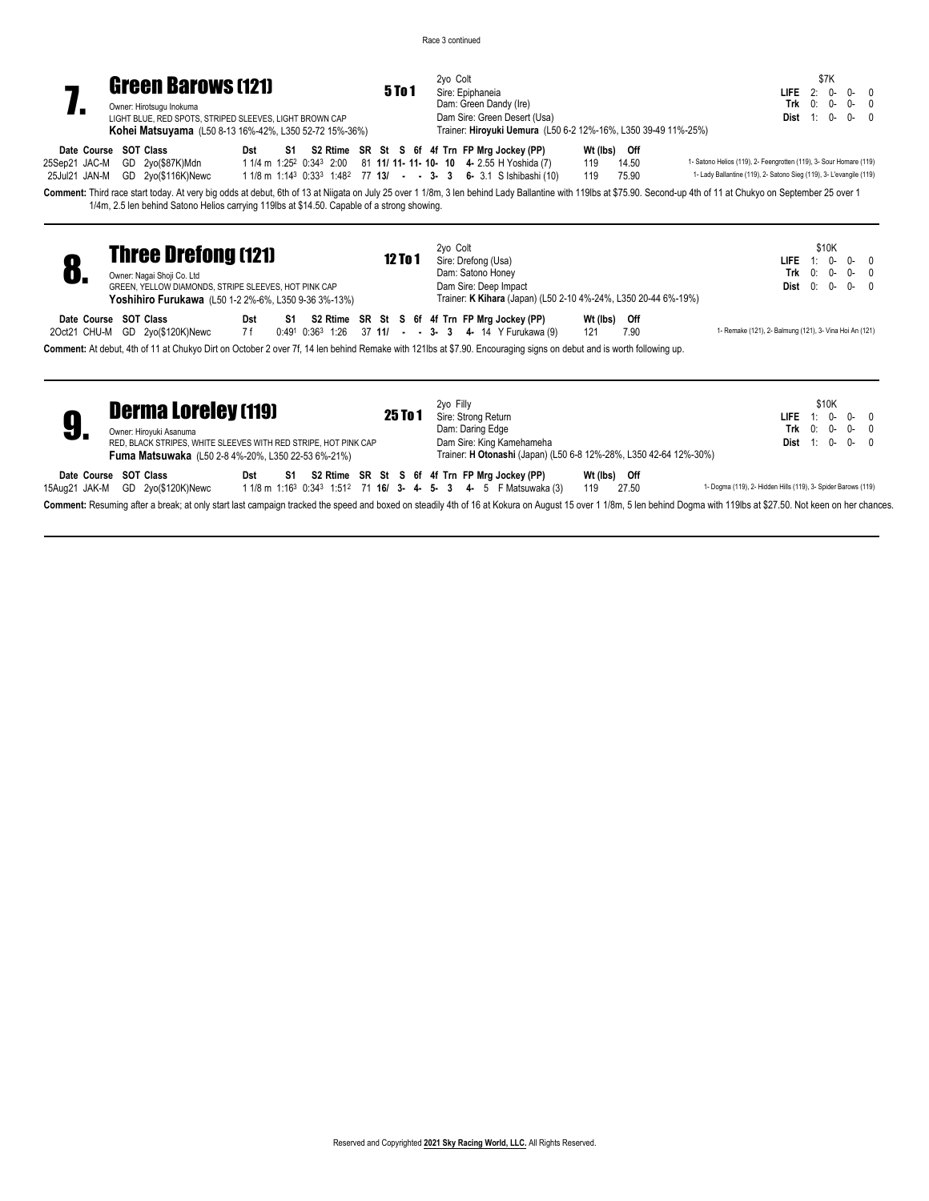

| Owner: Hirotsugu Inokuma                                |
|---------------------------------------------------------|
| LIGHT BLUE. RED SPOTS. STRIPED SLEEVES. LIGHT BROWN CAP |
| Kohei Matsuyama (L50 8-13 16%-42%, L350 52-72 15%-36%)  |

|     | 6 6f 4f Trn FP Mrg Jockey (PP)                                                                 | Wt (lbs) | Off |  |
|-----|------------------------------------------------------------------------------------------------|----------|-----|--|
|     | Dam Sire: Green Desert (Usa)<br>Trainer: Hiroyuki Uemura (L50 6-2 12%-16%, L350 39-49 11%-25%) |          |     |  |
|     | Dam: Green Dandy (Ire)                                                                         |          |     |  |
| n 1 | Sire: Epiphaneia                                                                               |          |     |  |
|     | 2vo Colt                                                                                       |          |     |  |

\$7K **LIFE** 2: 0- 0- 0 **Trk** 0: 0- 0- 0 **Dist** 1: 0- 0- 0

**Date Course SOT Class Dst S1 S2 Rtime SR St S 6f 4f Trn FP Mrg Jockey (PP) Wt (Ibs) Off 25Sep21** JAC-M GD 2yo(\$87K)Mdn 11/4 m 1:25<sup>2</sup> 0:34<sup>3</sup> 2:00 81 **11/ 11- 11- 10- 10** 4- 2.55 H Yo 25Sep21 JAC-M GD 2yo(\$87K)Mdn 1 1/4 m 1:25 2 0:34 3 2:00 81 **11/ 11- 11- 10- 10 4-** 2.55 H Yoshida (7) 119 14.50 1- Satono Helios (119), 2- Feengrotten (119), 3- Sour Homare (119) 25Jul21 JAN-M GD 2yo(\$116K)Newc 11/8 m 1:143 0:333 1:482 77 **13/ - - 3-3 6-** 3.1 S Ishibashi (10) 119 75.90 1- Lady Ballantine (119), 2- Satono Sieg (119), 3- L'evangile (119)

**Comment:** Third race start today. At very big odds at debut, 6th of 13 at Niigata on July 25 over 1 1/8m, 3 len behind Lady Ballantine with 119lbs at \$75.90. Second-up 4th of 11 at Chukyo on September 25 over 1 1/4m, 2.5 len behind Satono Helios carrying 119lbs at \$14.50. Capable of a strong showing.

|                       | <b>Three Drefong (121)</b><br>Owner: Nagai Shoji Co. Ltd<br>GREEN, YELLOW DIAMONDS, STRIPE SLEEVES, HOT PINK CAP<br><b>Yoshihiro Furukawa</b> (L50 1-2 2%-6%, L350 9-36 3%-13%) |                                                                                                                                                                  |            |    |  |  |  | <b>12 To 1</b> |  | 2vo Colt | Sire: Drefong (Usa) | Dam: Satono Honey<br>Dam Sire: Deep Impact                                                             |                     | Trainer: K Kihara (Japan) (L50 2-10 4%-24%, L350 20-44 6%-19%) |                                                         | \$10K<br><b>LIFE</b> $1: 0 - 0 - 0$<br>Trk $0: 0-0-0$<br><b>Dist</b> $0: 0-0-0$ |  |
|-----------------------|---------------------------------------------------------------------------------------------------------------------------------------------------------------------------------|------------------------------------------------------------------------------------------------------------------------------------------------------------------|------------|----|--|--|--|----------------|--|----------|---------------------|--------------------------------------------------------------------------------------------------------|---------------------|----------------------------------------------------------------|---------------------------------------------------------|---------------------------------------------------------------------------------|--|
| Date Course SOT Class |                                                                                                                                                                                 | 2Oct21 CHU-M GD 2yo(\$120K)Newc                                                                                                                                  | Dst<br>7 f | S1 |  |  |  |                |  |          |                     | S2 Rtime SR St S 6f 4f Trn FP Mrg Jockey (PP)<br>0:491 0:363 1:26 37 11/ - - 3- 3 4- 14 Y Furukawa (9) | Wt (lbs) Off<br>121 | 7.90                                                           | 1- Remake (121), 2- Balmung (121), 3- Vina Hoi An (121) |                                                                                 |  |
|                       |                                                                                                                                                                                 | Comment: At debut Ath of 11 at Chukyo Dirt on October 2 over 75 14 Jen behind Remake with 121 he at \$7.00. Encouraging signs on debut and is worth following up |            |    |  |  |  |                |  |          |                     |                                                                                                        |                     |                                                                |                                                         |                                                                                 |  |

**Comment:** At debut, 4th of 11 at Chukyo Dirt on October 2 over 7f, 14 len behind Remake with 121lbs at \$7.90. Encouraging signs on debut and is worth following up.

|                                        | <b>Derma Loreley (119)</b><br>Owner: Hiroyuki Asanuma<br>RED, BLACK STRIPES, WHITE SLEEVES WITH RED STRIPE, HOT PINK CAP<br><b>Fuma Matsuwaka</b> (L50 2-8 4%-20%, L350 22-53 6%-21%) |     |     |  | <b>25 To 1</b> |  | 2vo Filly |  | Sire: Strong Return<br>Dam: Daring Edge<br>Dam Sire: King Kamehameha<br>Trainer: H Otonashi (Japan) (L50 6-8 12%-28%, L350 42-64 12%-30%)                    |                     |       | \$10K<br>LIFE $1: 0 - 0 - 0$<br>Trk $0: 0-0-0$<br><b>Dist</b> 1: $0 - 0 - 0$                                                                                                                                           |
|----------------------------------------|---------------------------------------------------------------------------------------------------------------------------------------------------------------------------------------|-----|-----|--|----------------|--|-----------|--|--------------------------------------------------------------------------------------------------------------------------------------------------------------|---------------------|-------|------------------------------------------------------------------------------------------------------------------------------------------------------------------------------------------------------------------------|
| Date Course SOT Class<br>15Aua21 JAK-M | GD 2yo(\$120K)Newc                                                                                                                                                                    | Dst | -S1 |  |                |  |           |  | S2 Rtime SR St S 6f 4f Trn FP Mrg Jockey (PP)<br>1 1/8 m 1:16 <sup>3</sup> 0:34 <sup>3</sup> 1:51 <sup>2</sup> 71 <b>16/ 3- 4- 5- 3 4-</b> 5 F Matsuwaka (3) | Wt (lbs) Off<br>119 | 27.50 | 1- Dogma (119), 2- Hidden Hills (119), 3- Spider Barows (119)                                                                                                                                                          |
|                                        |                                                                                                                                                                                       |     |     |  |                |  |           |  |                                                                                                                                                              |                     |       | Comment: Resuming after a break: at only start last campaign tracked the speed and boxed on steadily 4th of 16 at Kokura on August 15 over 1 1/8m, 5 len behind Dogma with 119lbs at \$27.50. Not keen on her chances, |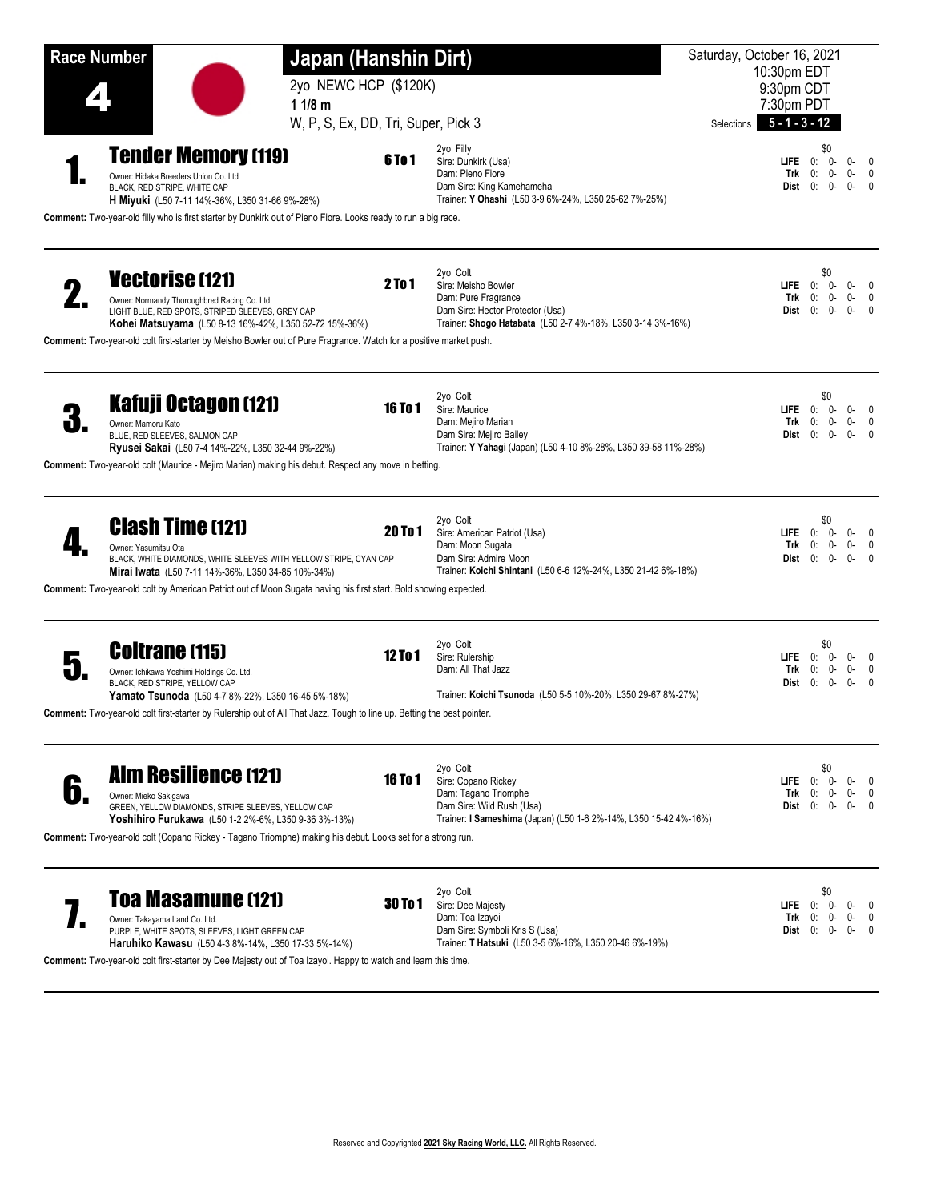| <b>Race Number</b>                                                                                                                                                                                                                                                                                         | Japan (Hanshin Dirt)<br>2yo NEWC HCP (\$120K)<br>11/8 m |                                                                                                                                                          | Saturday, October 16, 2021<br>10:30pm EDT<br>9:30pm CDT<br>7:30pm PDT |                                                       |                                                 |
|------------------------------------------------------------------------------------------------------------------------------------------------------------------------------------------------------------------------------------------------------------------------------------------------------------|---------------------------------------------------------|----------------------------------------------------------------------------------------------------------------------------------------------------------|-----------------------------------------------------------------------|-------------------------------------------------------|-------------------------------------------------|
| <b>Tender Memory (119)</b><br>Owner: Hidaka Breeders Union Co. Ltd<br>BLACK, RED STRIPE, WHITE CAP<br>H Miyuki (L50 7-11 14%-36%, L350 31-66 9%-28%)<br>Comment: Two-year-old filly who is first starter by Dunkirk out of Pieno Fiore. Looks ready to run a big race.                                     | W, P, S, Ex, DD, Tri, Super, Pick 3<br><b>6To1</b>      | 2yo Filly<br>Sire: Dunkirk (Usa)<br>Dam: Pieno Fiore<br>Dam Sire: King Kamehameha<br>Trainer: Y Ohashi (L50 3-9 6%-24%, L350 25-62 7%-25%)               | $5 - 1 - 3 - 12$<br>Selections<br>Trk<br>Dist 0:                      | \$0<br>$LIEE$ 0: 0-<br>0-<br>0:<br>0-                 | $0-$<br>0<br>$0-$<br>0<br>0-<br>$\mathbf{0}$    |
| <b>Vectorise (121)</b><br>Owner: Normandy Thoroughbred Racing Co. Ltd.<br>LIGHT BLUE, RED SPOTS, STRIPED SLEEVES, GREY CAP<br>Kohei Matsuyama (L50 8-13 16%-42%, L350 52-72 15%-36%)<br>Comment: Two-year-old colt first-starter by Meisho Bowler out of Pure Fragrance. Watch for a positive market push. | 2To 1                                                   | 2yo Colt<br>Sire: Meisho Bowler<br>Dam: Pure Fragrance<br>Dam Sire: Hector Protector (Usa)<br>Trainer: Shogo Hatabata (L50 2-7 4%-18%, L350 3-14 3%-16%) | LIFE<br>Trk                                                           | \$0<br>0:<br>- 0-<br>0-<br>0:<br><b>Dist</b> $0: 0$ - | 0-<br>$\Omega$<br>0-<br>0<br>0-<br>0            |
| <b>Kafuji Octagon (121)</b><br>Owner: Mamoru Kato<br>BLUE. RED SLEEVES. SALMON CAP<br>Ryusei Sakai (L50 7-4 14%-22%, L350 32-44 9%-22%)<br>Comment: Two-year-old colt (Maurice - Mejiro Marian) making his debut. Respect any move in betting.                                                             | <b>16 To 1</b>                                          | 2yo Colt<br>Sire: Maurice<br>Dam: Mejiro Marian<br>Dam Sire: Mejiro Bailey<br>Trainer: Y Yahagi (Japan) (L50 4-10 8%-28%, L350 39-58 11%-28%)            | Trk                                                                   | \$0<br>$LIEE$ 0: 0-<br>0:<br>0-<br>Dist $0: 0$ -      | $0-$<br>0<br>0-<br>$\mathbf{0}$<br>0-<br>0      |
| <b>Clash Time (121)</b><br>Owner: Yasumitsu Ota<br>BLACK, WHITE DIAMONDS, WHITE SLEEVES WITH YELLOW STRIPE, CYAN CAP<br>Mirai Iwata (L50 7-11 14%-36%, L350 34-85 10%-34%)<br>Comment: Two-year-old colt by American Patriot out of Moon Sugata having his first start. Bold showing expected.             | <b>20 To 1</b>                                          | 2yo Colt<br>Sire: American Patriot (Usa)<br>Dam: Moon Sugata<br>Dam Sire: Admire Moon<br>Trainer: Koichi Shintani (L50 6-6 12%-24%, L350 21-42 6%-18%)   | <b>LIFE</b><br>Trk<br>Dist                                            | \$0<br>0:<br>0-<br>0-<br>0:<br>0:<br>0-               | 0-<br>$\Omega$<br>0-<br>0<br>0-<br>$\Omega$     |
| <b>Coltrane (115)</b><br>Owner: Ichikawa Yoshimi Holdings Co. Ltd.<br>BLACK, RED STRIPE, YELLOW CAP<br><b>Yamato Tsunoda</b> (L50 4-7 8%-22%, L350 16-45 5%-18%)<br>Comment: Two-year-old colt first-starter by Rulership out of All That Jazz. Tough to line up. Betting the best pointer.                | <b>12 To 1</b>                                          | 2yo Colt<br>Sire: Rulership<br>Dam: All That Jazz<br>Trainer: Koichi Tsunoda (L50 5-5 10%-20%, L350 29-67 8%-27%)                                        | <b>LIFE</b><br>Trk                                                    | \$0<br>0:<br>- 0-<br>0-<br>0:<br>Dist $0: 0$ -        | $0-$<br>0<br>0-<br>0<br>0-<br>0                 |
| <b>Alm Resilience (121)</b><br>Owner: Mieko Sakigawa<br>GREEN, YELLOW DIAMONDS, STRIPE SLEEVES, YELLOW CAP<br>Yoshihiro Furukawa (L50 1-2 2%-6%, L350 9-36 3%-13%)<br>Comment: Two-year-old colt (Copano Rickey - Tagano Triomphe) making his debut. Looks set for a strong run.                           | 16 To 1                                                 | 2yo Colt<br>Sire: Copano Rickey<br>Dam: Tagano Triomphe<br>Dam Sire: Wild Rush (Usa)<br>Trainer: I Sameshima (Japan) (L50 1-6 2%-14%, L350 15-42 4%-16%) | $LIE$ $0:$<br>Trk<br>Dist 0:                                          | \$0<br>0-<br>0:<br>0-<br>0-                           | $\Omega$<br>0-<br>$\mathbf{0}$<br>0-<br>0-<br>0 |
| <b>Toa Masamune (121)</b><br>Owner: Takayama Land Co. Ltd.<br>PURPLE, WHITE SPOTS, SLEEVES, LIGHT GREEN CAP<br>Haruhiko Kawasu (L50 4-3 8%-14%, L350 17-33 5%-14%)<br>Comment: Two-year-old colt first-starter by Dee Majesty out of Toa Izayoi. Happy to watch and learn this time.                       | 30 To 1                                                 | 2yo Colt<br>Sire: Dee Majesty<br>Dam: Toa Izayoi<br>Dam Sire: Symboli Kris S (Usa)<br>Trainer: T Hatsuki (L50 3-5 6%-16%, L350 20-46 6%-19%)             | <b>LIFE</b><br>Trk<br>Dist 0:                                         | \$0<br>0-<br>0:<br>0:<br>0-<br>0-                     | 0-<br>$\Omega$<br>0-<br>$\mathbf{0}$<br>0-      |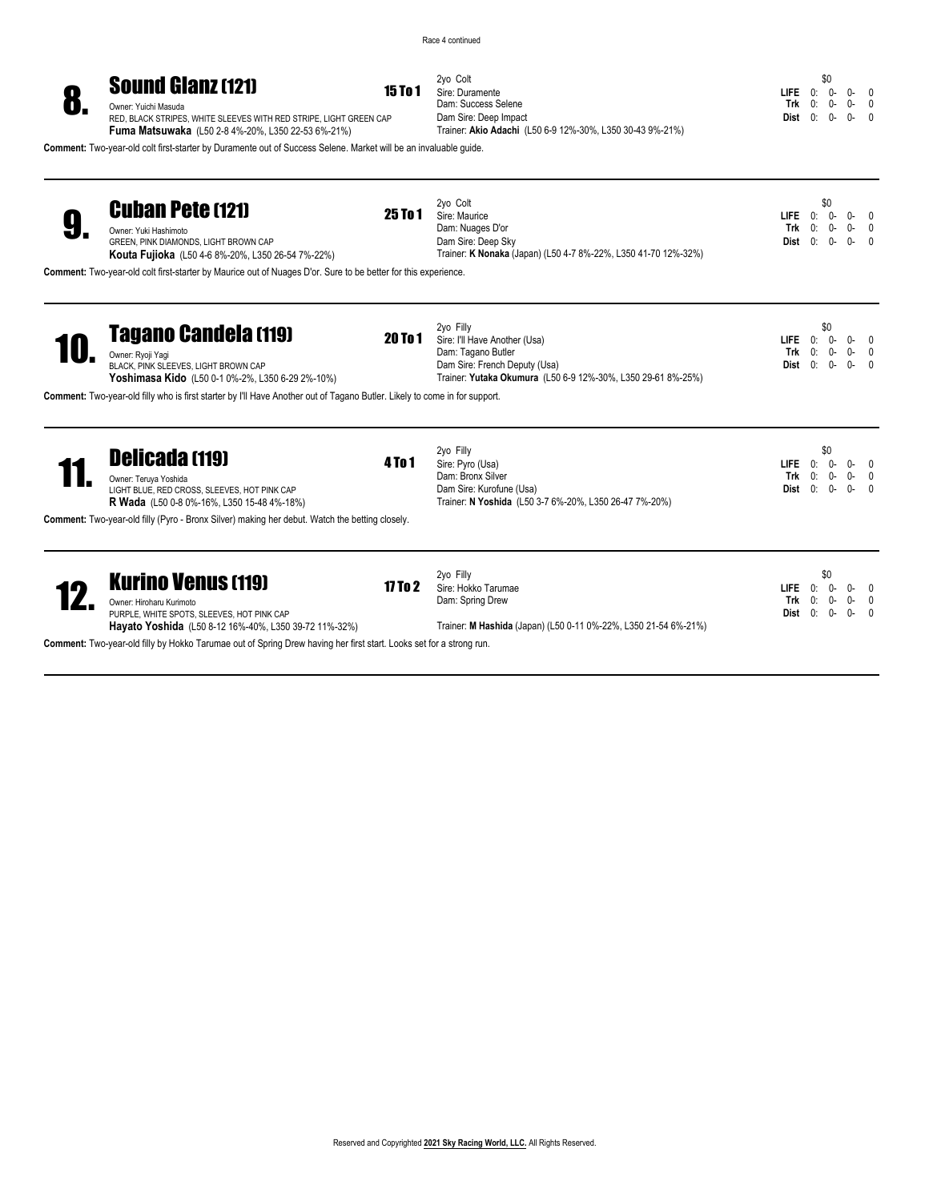2yo Colt **15 To 1** Sire: Duramente

Dam: Success Selene Dam Sire: Deep Impact

Trainer: **Akio Adachi** (L50 6-9 12%-30%, L350 30-43 9%-21%)

\$0 **LIFE** 0: 0- 0- 0<br> **Trk** 0: 0- 0- 0 **Trk** 0: 0- 0- 0 **Dist** 0: 0- 0- 0

# **Sound Gianz (121)** 15 To 1<br> **Owner: Yuichi Masuda**<br>RED, BLACK STRIPES, WHITE SLEEVES WITH RED STRIPE, LIGHT GREEN CAP

**Fuma Matsuwaka** (L50 2-8 4%-20%, L350 22-53 6%-21%)

**Comment:** Two-year-old colt first-starter by Duramente out of Success Selene. Market will be an invaluable guide.

| <b>Cuban Pete (121)</b><br>Owner: Yuki Hashimoto<br>GREEN, PINK DIAMONDS, LIGHT BROWN CAP<br><b>Kouta Fujioka</b> (L50 4-6 8%-20%, L350 26-54 7%-22%)                                                                                                        | 25 To 1        | 2yo Colt<br>Sire: Maurice<br>Dam: Nuages D'or<br>Dam Sire: Deep Sky<br>Trainer: K Nonaka (Japan) (L50 4-7 8%-22%, L350 41-70 12%-32%)                             | <b>LIFE</b><br>Trk<br>Dist        | \$0<br>0:<br>$0 -$<br>0:<br>0-<br>0:<br>$^{\circ}$  | $0-$<br>0-<br>$0 -$ | $\overline{0}$<br>$\overline{0}$<br>- 0 |
|--------------------------------------------------------------------------------------------------------------------------------------------------------------------------------------------------------------------------------------------------------------|----------------|-------------------------------------------------------------------------------------------------------------------------------------------------------------------|-----------------------------------|-----------------------------------------------------|---------------------|-----------------------------------------|
| Comment: Two-year-old colt first-starter by Maurice out of Nuages D'or. Sure to be better for this experience.                                                                                                                                               |                |                                                                                                                                                                   |                                   |                                                     |                     |                                         |
| <b>Tagano Candela (119)</b><br>Owner: Ryoji Yaqi<br>BLACK, PINK SLEEVES, LIGHT BROWN CAP<br>Yoshimasa Kido (L50 0-1 0%-2%, L350 6-29 2%-10%)                                                                                                                 | <b>20 To 1</b> | 2yo Filly<br>Sire: I'll Have Another (Usa)<br>Dam: Tagano Butler<br>Dam Sire: French Deputy (Usa)<br>Trainer: Yutaka Okumura (L50 6-9 12%-30%, L350 29-61 8%-25%) | LIFE.<br>Trk<br>Dist              | \$0<br>0:<br>$0-$<br>0:<br>$0-$<br>0:<br>$^{\circ}$ | $0-$<br>0-<br>O-    | - 0<br>$\mathbf{0}$<br>$\overline{0}$   |
| Comment: Two-year-old filly who is first starter by I'll Have Another out of Tagano Butler. Likely to come in for support.                                                                                                                                   |                |                                                                                                                                                                   |                                   |                                                     |                     |                                         |
| <b>Delicada (119)</b><br>Owner: Teruya Yoshida<br>LIGHT BLUE, RED CROSS, SLEEVES, HOT PINK CAP<br><b>R Wada</b> (L50 0-8 0%-16%, L350 15-48 4%-18%)<br><b>Comment:</b> Two-year-old filly (Pyro - Bronx Silver) making her debut. Watch the betting closely. | <b>4 To 1</b>  | 2yo Filly<br>Sire: Pyro (Usa)<br>Dam: Bronx Silver<br>Dam Sire: Kurofune (Usa)<br>Trainer: N Yoshida (L50 3-7 6%-20%, L350 26-47 7%-20%)                          | <b>LIFE</b><br>Trk<br>Dist        | \$0<br>0:<br>$0 -$<br>0:<br>$0 -$<br>0:<br>$0 -$    | 0-<br>0-<br>$0 -$   | $\Omega$<br>$\Omega$                    |
|                                                                                                                                                                                                                                                              |                |                                                                                                                                                                   |                                   |                                                     |                     |                                         |
| <b>Kurino Venus (119)</b><br>Owner: Hiroharu Kurimoto<br>PURPLE, WHITE SPOTS, SLEEVES, HOT PINK CAP<br>Hayato Yoshida (L50 8-12 16%-40%, L350 39-72 11%-32%)                                                                                                 | 17 To $2$      | 2yo Filly<br>Sire: Hokko Tarumae<br>Dam: Spring Drew<br>Trainer: M Hashida (Japan) (L50 0-11 0%-22%, L350 21-54 6%-21%)                                           | <b>LIFE</b><br>Trk<br><b>Dist</b> | \$0<br>0:<br>$0-$<br>0:<br>$0-$<br>0:<br>$0-$       | $0-$<br>0-<br>$0-$  | $\overline{0}$<br>$\overline{0}$<br>- 0 |
| Comment: Two-year-old filly by Hokko Tarumae out of Spring Drew having her first start. Looks set for a strong run.                                                                                                                                          |                |                                                                                                                                                                   |                                   |                                                     |                     |                                         |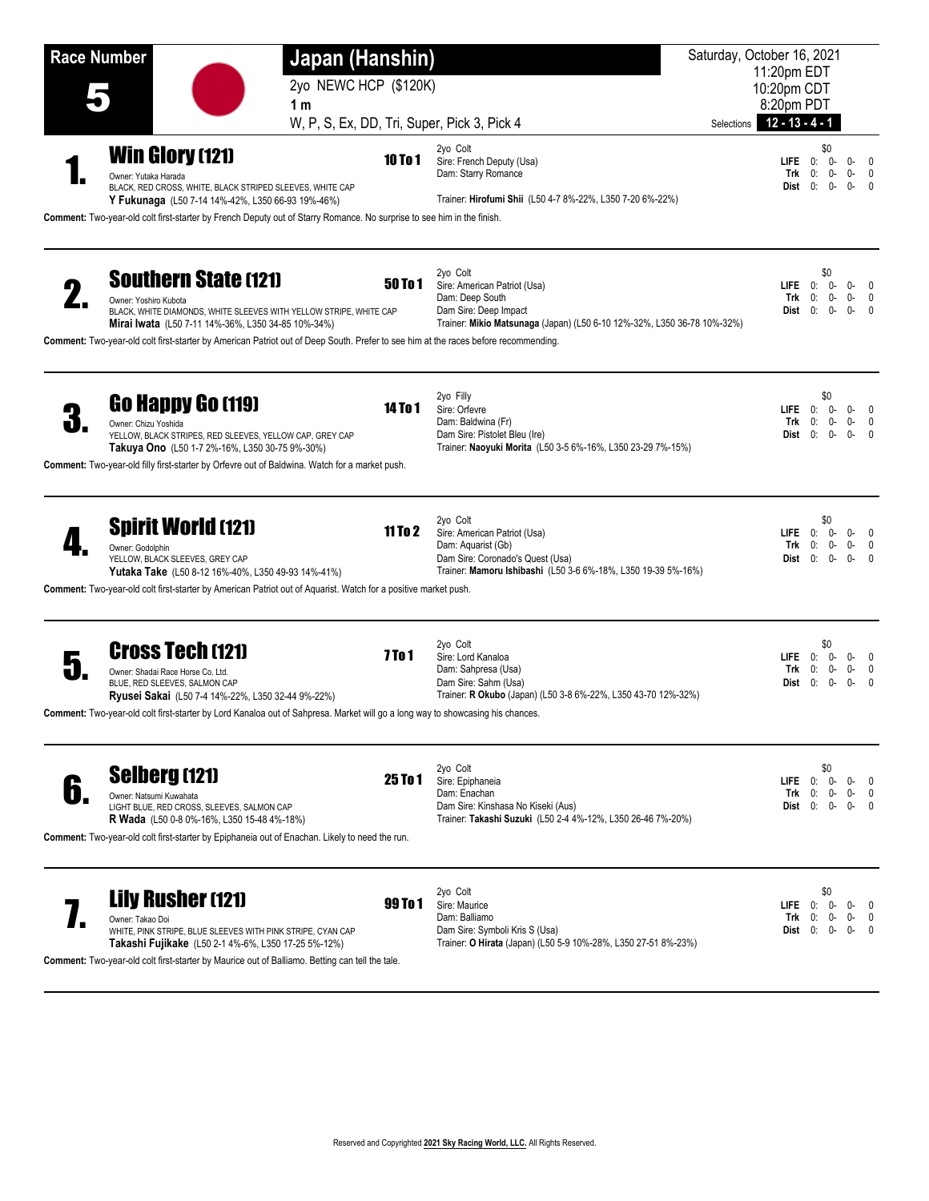**Race Number Japan (Hanshin)** Saturday, October 16, 2021 . 2yo NEWC HCP (\$120K) 11:20pm EDT 10:20pm CDT 8:20pm PDT W, P, S, Ex, DD, Tri, Super, Pick 3, Pick 4 Selections **12 - 13 - 4 - 1** Selections **12 - 13 - 4 - 1 1 m Win Glory** (121)  $10 \text{ to } 10 \text{ to } 10$ 2yo Colt Sire: French Deputy (Usa) Dam: Starry Romance Trainer: **Hirofumi Shii** (L50 4-7 8%-22%, L350 7-20 6%-22%)  $\begin{matrix} 1 & 0 \\ 0 & 0 \end{matrix}$ **LIFE** 0: 0- 0- 0<br> **Trk** 0: 0- 0- 0  $0: 0-$ **Dist** 0: 0- 0- 0 Owner: Yutaka Harada BLACK, RED CROSS, WHITE, BLACK STRIPED SLEEVES, WHITE CAP **Y Fukunaga** (L50 7-14 14%-42%, L350 66-93 19%-46%) **Comment:** Two-year-old colt first-starter by French Deputy out of Starry Romance. No surprise to see him in the finish. **Southern State (121)**  $50 \text{ To } 1$ 2yo Colt Sire: American Patriot (Usa) Dam: Deep South Dam Sire: Deep Impact Trainer: **Mikio Matsunaga** (Japan) (L50 6-10 12%-32%, L350 36-78 10%-32%) \$0 **LIFE** 0: 0- 0- 0 0: 0- 0-<br>0: 0- 0-**Dist** 0: 0- 0- 0 Owner: Yoshiro Kubota BLACK, WHITE DIAMONDS, WHITE SLEEVES WITH YELLOW STRIPE, WHITE CAP **Mirai Iwata** (L50 7-11 14%-36%, L350 34-85 10%-34%) **Comment:** Two-year-old colt first-starter by American Patriot out of Deep South. Prefer to see him at the races before recommending. **60 Happy Go (119)** 14 To 1 2yo Filly Sire: Orfevre Dam: Baldwina (Fr) Dam Sire: Pistolet Bleu (Ire) Trainer: **Naoyuki Morita** (L50 3-5 6%-16%, L350 23-29 7%-15%) \$0 **LIFE** 0: 0- 0- 0 **Trk** 0: 0- 0- 0 **Dist** 0: 0- 0- 0 Owner: Chizu Yoshida YELLOW, BLACK STRIPES, RED SLEEVES, YELLOW CAP, GREY CAP **Takuya Ono** (L50 1-7 2%-16%, L350 30-75 9%-30%) **Comment:** Two-year-old filly first-starter by Orfevre out of Baldwina. Watch for a market push. **Spirit World (121)** 11 To 2 2yo Colt Sire: American Patriot (Usa) Dam: Aquarist (Gb) Dam Sire: Coronado's Quest (Usa) Trainer: **Mamoru Ishibashi** (L50 3-6 6%-18%, L350 19-39 5%-16%) \$0 **LIFE** 0: 0- 0- 0 0: 0- 0-<br>0: 0- 0-**Dist** 0: 0- 0- 0 Owner: Godolphin YELLOW, BLACK SLEEVES, GREY CAP **Yutaka Take** (L50 8-12 16%-40%, L350 49-93 14%-41%) **Comment:** Two-year-old colt first-starter by American Patriot out of Aquarist. Watch for a positive market push. **Cross Tech (121)** 7 To 1 2yo Colt Sire: Lord Kanaloa Dam: Sahpresa (Usa) Dam Sire: Sahm (Usa) Trainer: **R Okubo** (Japan) (L50 3-8 6%-22%, L350 43-70 12%-32%) \$0 **LIFE** 0: 0- 0- 0 0: 0- 0- 0<br>0: 0- 0- 0 **Dist** 0: 0- 0- 0 Owner: Shadai Race Horse Co. Ltd. BLUE, RED SLEEVES, SALMON CAP **Ryusei Sakai** (L50 7-4 14%-22%, L350 32-44 9%-22%) **Comment:** Two-year-old colt first-starter by Lord Kanaloa out of Sahpresa. Market will go a long way to showcasing his chances. **6.** Selberg (121) 25 To 1 2yo Colt Sire: Epiphaneia Dam: Enachan Dam Sire: Kinshasa No Kiseki (Aus) Trainer: **Takashi Suzuki** (L50 2-4 4%-12%, L350 26-46 7%-20%) \$0 **LIFE** 0: 0- 0- 0 **Trk** 0: 0- 0- 0 **Dist** 0: 0- 0- 0 Owner: Natsumi Kuwahata LIGHT BLUE, RED CROSS, SLEEVES, SALMON CAP **R Wada** (L50 0-8 0%-16%, L350 15-48 4%-18%) **Comment:** Two-year-old colt first-starter by Epiphaneia out of Enachan. Likely to need the run. **Lily Rusher (121)** 99 To 1 2yo Colt Sire: Maurice Dam: Balliamo \$0 **LIFE** 0: 0- 0- 0 **Trk** 0: 0- 0- 0

Owner: Takao Doi WHITE, PINK STRIPE, BLUE SLEEVES WITH PINK STRIPE, CYAN CAP **Takashi Fujikake** (L50 2-1 4%-6%, L350 17-25 5%-12%)

**Comment:** Two-year-old colt first-starter by Maurice out of Balliamo. Betting can tell the tale.

Dam Sire: Symboli Kris S (Usa)

Trainer: **O Hirata** (Japan) (L50 5-9 10%-28%, L350 27-51 8%-23%)

**Dist** 0: 0- 0- 0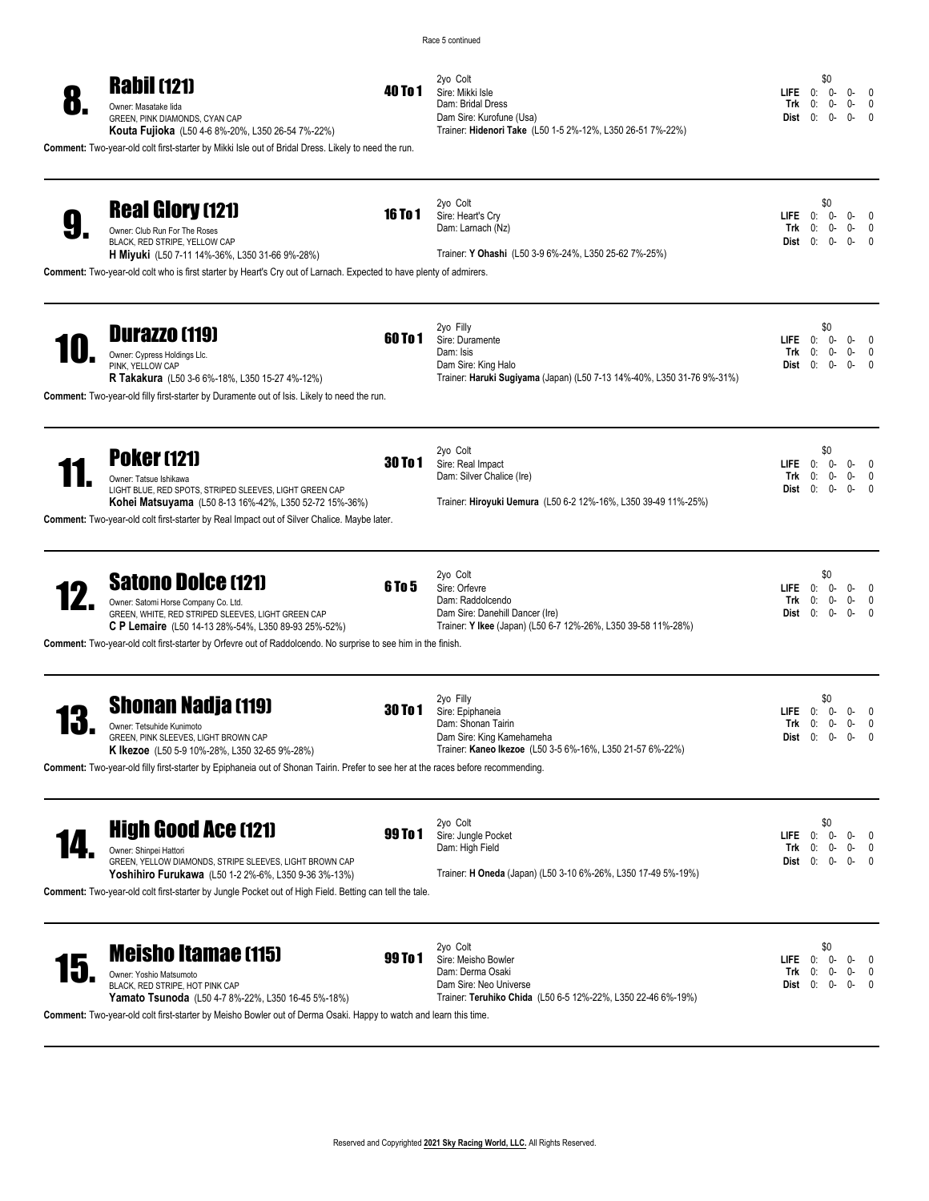Race 5 continued



**Comment:** Two-year-old colt first-starter by Mikki Isle out of Bridal Dress. Likely to need the run.

2yo Colt Sire: Mikki Isle Dam: Bridal Dress Dam Sire: Kurofune (Usa) Trainer: **Hidenori Take** (L50 1-5 2%-12%, L350 26-51 7%-22%)

\$0 **LIFE** 0: 0- 0- 0<br> **Trk** 0: 0- 0- 0 **Trk** 0: 0- 0- 0 **Dist** 0: 0- 0- 0

| <b>Real Glory (121)</b><br>Owner: Club Run For The Roses<br>BLACK, RED STRIPE, YELLOW CAP<br><b>H Miyuki</b> (L50 7-11 14%-36%, L350 31-66 9%-28%)<br>Comment: Two-year-old colt who is first starter by Heart's Cry out of Larnach. Expected to have plenty of admirers.                       | <b>16 To 1</b> | 2yo Colt<br>Sire: Heart's Cry<br>Dam: Larnach (Nz)<br>Trainer: Y Ohashi (L50 3-9 6%-24%, L350 25-62 7%-25%)                                       | <b>LIFE</b><br>Trk<br>Dist    | \$0<br>0:<br>0:<br>0: | 0-<br>0-<br>$0 -$ | 0<br>0-<br>0-<br>0<br>0-      |
|-------------------------------------------------------------------------------------------------------------------------------------------------------------------------------------------------------------------------------------------------------------------------------------------------|----------------|---------------------------------------------------------------------------------------------------------------------------------------------------|-------------------------------|-----------------------|-------------------|-------------------------------|
| <b>Durazzo (119)</b><br>Owner: Cypress Holdings Llc.<br>PINK. YELLOW CAP<br>R Takakura (L50 3-6 6%-18%, L350 15-27 4%-12%)<br>Comment: Two-year-old filly first-starter by Duramente out of Isis. Likely to need the run.                                                                       | 60 To 1        | 2yo Filly<br>Sire: Duramente<br>Dam: Isis<br>Dam Sire: King Halo<br>Trainer: Haruki Sugiyama (Japan) (L50 7-13 14%-40%, L350 31-76 9%-31%)        | <b>LIFE</b><br>Trk<br>Dist    | \$0<br>0:<br>0:<br>0: | 0-<br>0-<br>0-    | 0-<br>0-<br>0-                |
| <b>Poker (121)</b><br>Owner: Tatsue Ishikawa<br>LIGHT BLUE, RED SPOTS, STRIPED SLEEVES, LIGHT GREEN CAP<br>Kohei Matsuyama (L50 8-13 16%-42%, L350 52-72 15%-36%)<br>Comment: Two-year-old colt first-starter by Real Impact out of Silver Chalice. Maybe later.                                | <b>30 To 1</b> | 2yo Colt<br>Sire: Real Impact<br>Dam: Silver Chalice (Ire)<br>Trainer: Hiroyuki Uemura (L50 6-2 12%-16%, L350 39-49 11%-25%)                      | <b>LIFE</b><br>Trk<br>Dist    | \$0<br>0:<br>0:<br>0: | 0-<br>0-<br>$0-$  | 0-<br>0<br>0-<br>0<br>0-      |
| <b>Satono Dolce (121)</b><br>Owner: Satomi Horse Company Co. Ltd.<br>GREEN, WHITE, RED STRIPED SLEEVES, LIGHT GREEN CAP<br>C P Lemaire (L50 14-13 28%-54%, L350 89-93 25%-52%)<br>Comment: Two-year-old colt first-starter by Orfevre out of Raddolcendo. No surprise to see him in the finish. | <b>6 To 5</b>  | 2yo Colt<br>Sire: Orfevre<br>Dam: Raddolcendo<br>Dam Sire: Danehill Dancer (Ire)<br>Trainer: Y Ikee (Japan) (L50 6-7 12%-26%, L350 39-58 11%-28%) | LIFE<br>Trk<br>Dist           | \$0<br>0:<br>0:<br>0: | 0-<br>0-<br>0-    | 0-<br>0-<br>0<br>0-<br>0      |
| <b>Shonan Nadja (119)</b><br>Owner: Tetsuhide Kunimoto<br>GREEN, PINK SLEEVES, LIGHT BROWN CAP<br><b>K Ikezoe</b> (L50 5-9 10%-28%, L350 32-65 9%-28%)<br>Comment: Two-year-old filly first-starter by Epiphaneia out of Shonan Tairin. Prefer to see her at the races before recommending.     | <b>30 To 1</b> | 2yo Filly<br>Sire: Epiphaneia<br>Dam: Shonan Tairin<br>Dam Sire: King Kamehameha<br>Trainer: Kaneo Ikezoe (L50 3-5 6%-16%, L350 21-57 6%-22%)     | <b>LIFE</b><br>Trk<br>Dist    | \$0<br>0:<br>0:<br>0: | 0-<br>0-<br>$0 -$ | 0-<br>0-<br>0<br>0-           |
| <b>High Good Ace (121)</b><br>Owner: Shinpei Hattori<br>GREEN, YELLOW DIAMONDS, STRIPE SLEEVES, LIGHT BROWN CAP<br>Yoshihiro Furukawa (L50 1-2 2%-6%, L350 9-36 3%-13%)<br>Comment: Two-year-old colt first-starter by Jungle Pocket out of High Field. Betting can tell the tale.              | 99 To 1        | 2yo Colt<br>Sire: Jungle Pocket<br>Dam: High Field<br>Trainer: <b>H Oneda</b> (Japan) (L50 3-10 6%-26%, L350 17-49 5%-19%)                        | $LIFE \t0:$<br>Trk<br>Dist    | \$0<br>0:<br>0:       | 0-<br>0-<br>0-    | 0-<br>0<br>0<br>0-<br>0-<br>0 |
| <b>Meisho Itamae (115)</b><br>Owner: Yoshio Matsumoto<br>BLACK, RED STRIPE, HOT PINK CAP<br><b>Yamato Tsunoda</b> (L50 4-7 8%-22%, L350 16-45 5%-18%)<br>Comment: Two-year-old colt first-starter by Meisho Bowler out of Derma Osaki. Happy to watch and learn this time.                      | 99 To 1        | 2yo Colt<br>Sire: Meisho Bowler<br>Dam: Derma Osaki<br>Dam Sire: Neo Universe<br>Trainer: Teruhiko Chida (L50 6-5 12%-22%, L350 22-46 6%-19%)     | <b>LIFE</b><br>Trk<br>Dist 0: | \$0<br>0:<br>0:       | 0-<br>0-<br>0-    | 0-<br>- 0<br>0-<br>0-         |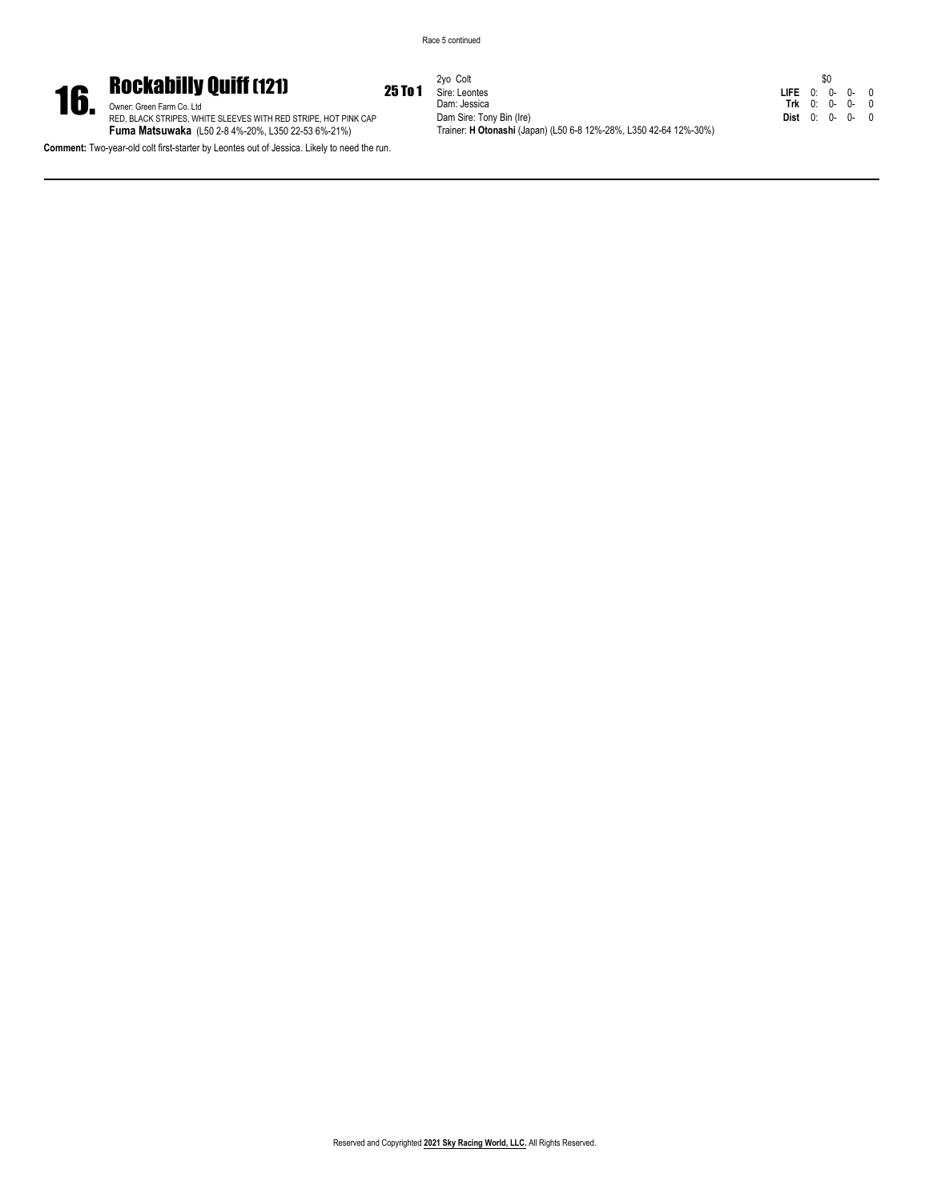Race 5 continued



**16.** Rockabilly Quiff (121) 25 To 1<br> **RED, BLACK STRIPES, WHITE SLEEVES WITH RED STRIPE, HOT PINK CAP<br>
Fuma Matsuwaka (L50 2-8 4%-20%, L350 22-53 6%-21%)** 

**Comment:** Two-year-old colt first-starter by Leontes out of Jessica. Likely to need the run.

2yo Colt Sire: Leontes Dam: Jessica Dam Sire: Tony Bin (Ire) Trainer: **H Otonashi** (Japan) (L50 6-8 12%-28%, L350 42-64 12%-30%)

|            |    | \$0 |    |   |
|------------|----|-----|----|---|
| LIFE 0: 0- |    |     | 0- | 0 |
| Trk        | 0: | 0-  | በ- | 0 |
| Dist       | 0: | 0-  | በ- | 0 |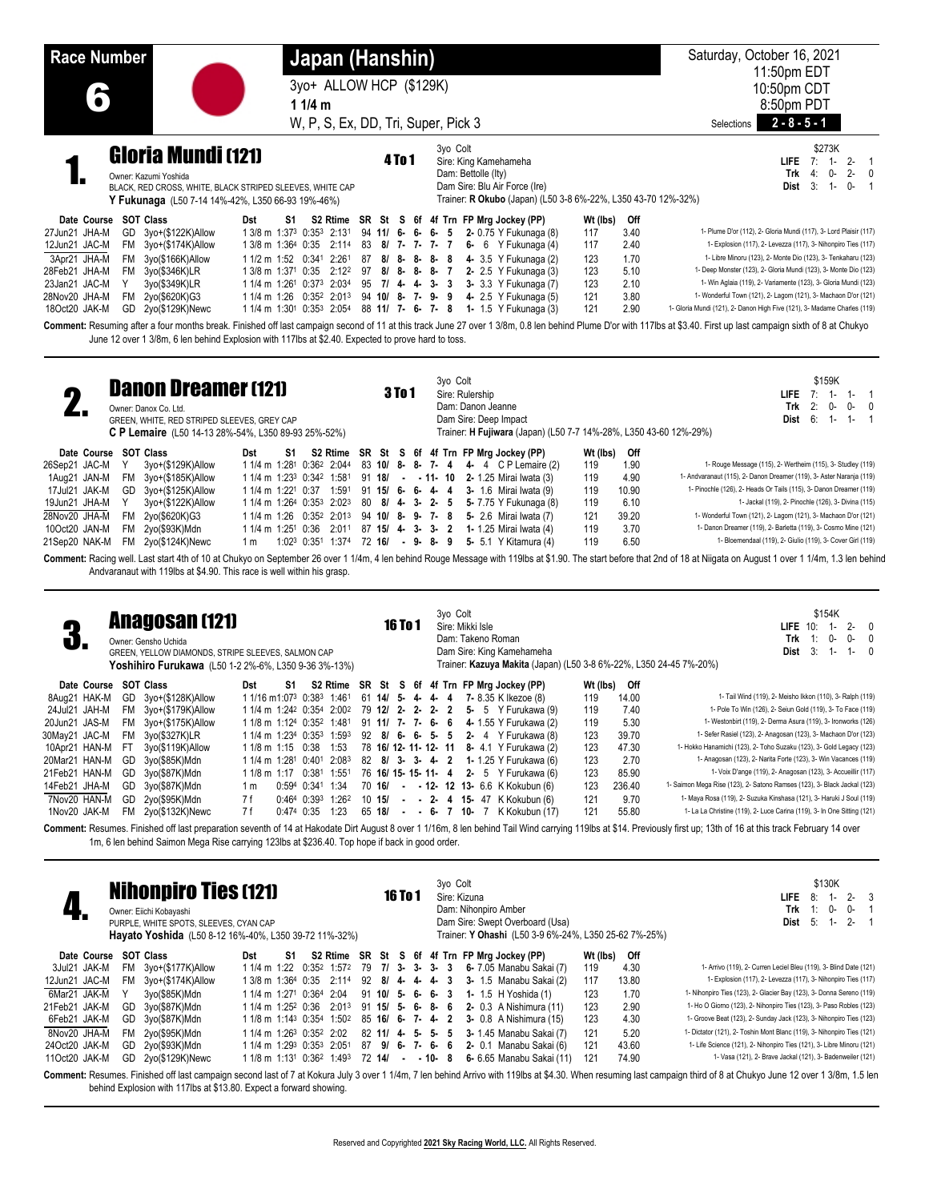| <b>Race Number</b>                                                                                                                |                                                                                                                                                                             | Japan (Hanshin)<br>11/4m                                                                                                                                                                                                                                                                                                                                                                                                                                                                                                         | 3yo+ ALLOW HCP (\$129K)<br>W, P, S, Ex, DD, Tri, Super, Pick 3                                                                                                                                                                                                                         | Saturday, October 16, 2021<br>11:50pm EDT<br>10:50pm CDT<br>8:50pm PDT<br>$2 - 8 - 5 - 1$<br>Selections                                                                                                                                                                                                                                                                                                                                                                                                                                                                                                                                                                                                                                                                                                                                      |
|-----------------------------------------------------------------------------------------------------------------------------------|-----------------------------------------------------------------------------------------------------------------------------------------------------------------------------|----------------------------------------------------------------------------------------------------------------------------------------------------------------------------------------------------------------------------------------------------------------------------------------------------------------------------------------------------------------------------------------------------------------------------------------------------------------------------------------------------------------------------------|----------------------------------------------------------------------------------------------------------------------------------------------------------------------------------------------------------------------------------------------------------------------------------------|----------------------------------------------------------------------------------------------------------------------------------------------------------------------------------------------------------------------------------------------------------------------------------------------------------------------------------------------------------------------------------------------------------------------------------------------------------------------------------------------------------------------------------------------------------------------------------------------------------------------------------------------------------------------------------------------------------------------------------------------------------------------------------------------------------------------------------------------|
|                                                                                                                                   | <b>Gloria Mundi (121)</b><br>Owner: Kazumi Yoshida<br>BLACK, RED CROSS, WHITE, BLACK STRIPED SLEEVES, WHITE CAP<br>Y Fukunaga (L50 7-14 14%-42%, L350 66-93 19%-46%)        | \$273K<br><b>LIFE</b> $7: 1$<br>$2 - 1$<br>Trk<br>4:<br>$2 - 0$<br>0-<br>3:<br>$1 -$<br>$0 - 1$<br>Dist<br>Trainer: R Okubo (Japan) (L50 3-8 6%-22%, L350 43-70 12%-32%)                                                                                                                                                                                                                                                                                                                                                         |                                                                                                                                                                                                                                                                                        |                                                                                                                                                                                                                                                                                                                                                                                                                                                                                                                                                                                                                                                                                                                                                                                                                                              |
| Date Course<br>27Jun21 JHA-M<br>12Jun21 JAC-M<br>3Apr21 JHA-M<br>28Feb21 JHA-M<br>23Jan21 JAC-M<br>28Nov20 JHA-M<br>18Oct20 JAK-M | <b>SOT Class</b><br>GD 3yo+(\$122K)Allow<br>FM 3yo+(\$174K)Allow<br>FM 3yo(\$166K)Allow<br>FM 3yo(\$346K)LR<br>Y<br>3yo(\$349K)LR<br>FM 2yo(\$620K)G3<br>GD 2yo(\$129K)Newc | Dst<br>S1<br>1 3/8 m 1:373 0:353 2:131<br>1 3/8 m 1:364 0:35 2:114 83 8/ 7- 7- 7- 7<br>1 1/2 m 1:52 0:341 2:261<br>1 3/8 m 1:371 0:35 2:12 <sup>2</sup> 97 8/ 8- 8- 8- 7<br>1 1/4 m 1:26 <sup>1</sup> 0:37 <sup>3</sup> 2:03 <sup>4</sup> 95 7/ 4- 4- 3- 3<br>1 1/4 m 1:26 0:35 <sup>2</sup> 2:01 <sup>3</sup> 94 10/ 8- 7- 9- 9<br>1 1/4 m 1:30 <sup>1</sup> 0:35 <sup>3</sup> 2:05 <sup>4</sup> 88 <b>11/ 7- 6- 7- 8</b><br>June 12 over 1 3/8m, 6 len behind Explosion with 117lbs at \$2.40. Expected to prove hard to toss. | S2 Rtime SR St S 6f 4f Trn FP Mrg Jockey (PP)<br>$94$ 11/ 6- 6- 6-<br>5<br>2- 0.75 Y Fukunaga (8)<br>$6-6$ Y Fukunaga (4)<br>87 8/ 8- 8- 8- 8<br>4- 3.5 Y Fukunaga (2)<br>2- 2.5 Y Fukunaga (3)<br>3- 3.3 Y Fukunaga (7)<br>4- 2.5 Y Fukunaga (5)<br>1- 1.5 Y Fukunaga (3)             | Wt (lbs)<br>Off<br>3.40<br>1- Plume D'or (112), 2- Gloria Mundi (117), 3- Lord Plaisir (117)<br>117<br>2.40<br>117<br>1- Explosion (117), 2- Levezza (117), 3- Nihonpiro Ties (117)<br>1.70<br>1- Libre Minoru (123), 2- Monte Dio (123), 3- Tenkaharu (123)<br>123<br>123<br>5.10<br>1- Deep Monster (123), 2- Gloria Mundi (123), 3- Monte Dio (123)<br>2.10<br>123<br>1- Win Aglaia (119), 2- Variamente (123), 3- Gloria Mundi (123)<br>121<br>3.80<br>1- Wonderful Town (121), 2- Lagom (121), 3- Machaon D'or (121)<br>2.90<br>1- Gloria Mundi (121), 2- Danon High Five (121), 3- Madame Charles (119)<br>121<br>Comment: Resuming after a four months break. Finished off last campaign second of 11 at this track June 27 over 1 3/8m, 0.8 len behind Plume D'or with 117lbs at \$3.40. First up last campaign sixth of 8 at Chukyo |
|                                                                                                                                   | <b>Danon Dreamer (121)</b><br>Owner: Danox Co. Ltd.<br>GREEN, WHITE, RED STRIPED SLEEVES, GREY CAP                                                                          | C P Lemaire (L50 14-13 28%-54%, L350 89-93 25%-52%)                                                                                                                                                                                                                                                                                                                                                                                                                                                                              | 3yo Colt<br><b>3To1</b><br>Sire: Rulership<br>Dam: Danon Jeanne<br>Dam Sire: Deep Impact<br>Trainer: H Fujiwara (Japan) (L50 7-7 14%-28%, L350 43-60 12%-29%)                                                                                                                          | \$159K<br>$7:1-$<br><b>LIFE</b><br>$1 - 1$<br>2:<br>Trk<br>0-<br>$0-$<br>- 0<br>6:<br>$1 -$<br>$1 - 1$<br>Dist                                                                                                                                                                                                                                                                                                                                                                                                                                                                                                                                                                                                                                                                                                                               |
| Date Course<br>26Sep21 JAC-M<br>1Aug21 JAN-M<br>17Jul21 JAK-M<br>19Jun21 JHA-M<br>28Nov20 JHA-M                                   | <b>SOT Class</b><br>3yo+(\$129K)Allow<br>Y<br>FM 3yo+(\$185K)Allow<br>GD 3yo+(\$125K)Allow<br>Υ<br>3yo+(\$122K)Allow<br><b>FM</b><br>2yo(\$620K)G3                          | Dst<br>S1<br>1 1/4 m 1:281 0:362 2:044<br>1 1/4 m 1:23 <sup>3</sup> 0:34 <sup>2</sup> 1:581<br>1 1/4 m 1:22 <sup>1</sup> 0:37 1:591<br>1 1/4 m 1:264 0:353 2:023<br>1 1/4 m 1:26 0:352 2:013 94 10/ 8- 9- 7- 8                                                                                                                                                                                                                                                                                                                   | S2 Rtime SR St S 6f 4f Trn FP Mrg Jockey (PP)<br>83 10/ 8- 8- 7-<br>4 4- 4 C P Lemaire (2)<br>91 18/ - - 11- 10 2- 1.25 Mirai Iwata (3)<br>$91 \t15/6$<br>$6-$<br>$4 - 4$<br>3- 1.6 Mirai Iwata (9)<br>80 8/ 4-<br>- 3-<br>$2 - 5$<br>5- 7.75 Y Fukunaga (8)<br>5- 2.6 Mirai Iwata (7) | Wt (lbs)<br>Off<br>1.90<br>1- Rouge Message (115), 2- Wertheim (115), 3- Studley (119)<br>119<br>119<br>4.90<br>1- Andvaranaut (115), 2- Danon Dreamer (119), 3- Aster Naranja (119)<br>119<br>1- Pinochle (126), 2- Heads Or Tails (115), 3- Danon Dreamer (119)<br>10.90<br>6.10<br>1- Jackal (119), 2- Pinochle (126), 3- Divina (115)<br>119<br>121<br>39.20<br>1- Wonderful Town (121), 2- Lagom (121), 3- Machaon D'or (121)                                                                                                                                                                                                                                                                                                                                                                                                           |

21Sep20 NAK-M FM 2yo(\$124K)Newc 1 m 1:02 3 0:35 1 1:37 4 72 **16/ - 9- 8- 9 5-** 5.1 Y Kitamura (4) 119 6.50 1- Bloemendaal (119), 2- Giulio (119), 3- Cover Girl (119) Comment: Racing well. Last start 4th of 10 at Chukyo on September 26 over 1 1/4m, 4 len behind Rouge Message with 119lbs at \$1.90. The start before that 2nd of 18 at Niigata on August 1 over 1 1/4m, 1.3 len behind Andvaranaut with 119lbs at \$4.90. This race is well within his grasp.

10Oct20 JAN-M FM 2yo(\$93K)Mdn 1 1/4 m 1:25 1 0:36 2:01 1 87 **15/ 4- 3- 3- 2 1-** 1.25 Mirai Iwata (4) 119 3.70 1- Danon Dreamer (119), 2- Barletta (119), 3- Cosmo Mine (121)

| 4                |                       |     | <b>Anagosan (121)</b><br>Owner: Gensho Uchida<br>GREEN, YELLOW DIAMONDS, STRIPE SLEEVES, SALMON CAP<br><b>Yoshihiro Furukawa</b> (L50 1-2 2%-6%, L350 9-36 3%-13%) |                                                               |    |                  |                   |                  | <b>16 To 1</b> |         |  | 3yo Colt | Sire: Mikki Isle | Dam: Takeno Roman<br>Dam Sire: King Kamehameha |          |        | \$154K<br>$2 - 0$<br>LIFE $10$ :<br>$1 -$<br>Trk<br>$0-$<br>$0 -$<br>1:<br>3:1<br>Dist<br>$1 - 0$<br>Trainer: Kazuya Makita (Japan) (L50 3-8 6%-22%, L350 24-45 7%-20%) |
|------------------|-----------------------|-----|--------------------------------------------------------------------------------------------------------------------------------------------------------------------|---------------------------------------------------------------|----|------------------|-------------------|------------------|----------------|---------|--|----------|------------------|------------------------------------------------|----------|--------|-------------------------------------------------------------------------------------------------------------------------------------------------------------------------|
|                  | Date Course SOT Class |     |                                                                                                                                                                    | Dst                                                           | S1 |                  |                   |                  |                |         |  |          |                  | S2 Rtime SR St S 6f 4f Trn FP Mrg Jockey (PP)  | Wt (lbs) | Off    |                                                                                                                                                                         |
| 8Aua21 HAK-M     |                       |     | GD 3yo+(\$128K)Allow                                                                                                                                               | 1 1/16 m1:073 0:383 1:461                                     |    |                  |                   |                  |                |         |  |          |                  | 61 14/ 5- 4- 4- 4 7- 8.35 K Ikezoe (8)         | 119      | 14.00  | 1- Tail Wind (119), 2- Meisho Ikkon (110), 3- Ralph (119)                                                                                                               |
| 24Jul21 JAH-M    |                       |     | FM 3vo+(\$179K)Allow                                                                                                                                               | 1 1/4 m 1:24 <sup>2</sup> 0:354 2:00 <sup>2</sup>             |    |                  |                   |                  |                |         |  |          |                  | 79 12/ 2- 2- 2- 2 5- 5 Y Furukawa (9)          | 119      | 7.40   | 1- Pole To Win (126), 2- Seiun Gold (119), 3- To Face (119)                                                                                                             |
| 20Jun21 JAS-M    |                       |     | FM 3yo+(\$175K)Allow                                                                                                                                               | 1 1/8 m 1:124 0:35 <sup>2</sup> 1:48 <sup>1</sup>             |    |                  |                   |                  |                |         |  |          |                  | 91 11/ 7- 7- 6- 6 4- 1.55 Y Furukawa (2)       | 119      | 5.30   | 1- Westonbirt (119), 2- Derma Asura (119), 3- Ironworks (126)                                                                                                           |
| 30May21 JAC-M    |                       | FM. | 3yo(\$327K)LR                                                                                                                                                      | 1 1/4 m 1:234 0:353 1:593                                     |    |                  |                   |                  |                |         |  |          |                  | 92 8/ 6- 6- 5- 5 2- 4 Y Furukawa (8)           | 123      | 39.70  | 1- Sefer Rasiel (123), 2- Anagosan (123), 3- Machaon D'or (123)                                                                                                         |
| 10Apr21 HAN-M FT |                       |     | 3yo(\$119K)Allow                                                                                                                                                   | 1 1/8 m 1:15 0:38 1:53                                        |    |                  |                   |                  |                |         |  |          |                  | 78 16/ 12- 11- 12- 11 8- 4.1 Y Furukawa (2)    | 123      | 47.30  | 1- Hokko Hanamichi (123), 2- Toho Suzaku (123), 3- Gold Legacy (123)                                                                                                    |
| 20Mar21 HAN-M    |                       | GD  | 3yo(\$85K)Mdn                                                                                                                                                      | 1 1/4 m 1:28 <sup>1</sup> 0:40 <sup>1</sup> 2:08 <sup>3</sup> |    |                  |                   | 82 8/ 3- 3- 4- 2 |                |         |  |          |                  | 1- 1.25 Y Furukawa (6)                         | 123      | 2.70   | 1- Anagosan (123), 2- Narita Forte (123), 3- Win Vacances (119)                                                                                                         |
| 21Feb21 HAN-M    |                       |     | GD 3yo(\$87K)Mdn                                                                                                                                                   | 1 1/8 m 1:17 0:381                                            |    |                  | 1:55 <sup>1</sup> |                  |                |         |  |          |                  | 76 16/ 15- 15- 11- 4 2- 5 Y Furukawa (6)       | 123      | 85.90  | 1- Voix D'ange (119), 2- Anagosan (123), 3- Accueillir (117)                                                                                                            |
| 14Feb21 JHA-M    |                       |     | GD 3yo(\$87K)Mdn                                                                                                                                                   | 1 m                                                           |    | 0:594 0:341 1:34 |                   | 70 16/           |                |         |  |          |                  | - - 12- 12 13- 6.6 K Kokubun (6)               | 123      | 236.40 | 1- Saimon Mega Rise (123), 2- Satono Ramses (123), 3- Black Jackal (123)                                                                                                |
| 7Nov20 HAN-M     |                       | GD. | 2yo(\$95K)Mdn                                                                                                                                                      | 7 f                                                           |    |                  | 0:464 0:393 1:262 | 10 15/           |                |         |  |          |                  | - - 2- 4 15- 47 K Kokubun (6)                  | 121      | 9.70   | 1- Maya Rosa (119), 2- Suzuka Kinshasa (121), 3- Haruki J Soul (119)                                                                                                    |
| 1Nov20 JAK-M     |                       |     | FM 2vo(\$132K)Newc                                                                                                                                                 | 7 f                                                           |    | 0:474 0:35       | 1:23              | 65 18/           |                | $- - 6$ |  | 7 10-7   |                  | K Kokubun (17)                                 | 121      | 55.80  | 1- La La Christine (119), 2- Luce Carina (119), 3- In One Sitting (121)                                                                                                 |

Comment: Resumes. Finished off last preparation seventh of 14 at Hakodate Dirt August 8 over 1 1/16m, 8 len behind Tail Wind carrying 119lbs at \$14. Previously first up; 13th of 16 at this track February 14 over 1m, 6 len behind Saimon Mega Rise carrying 123lbs at \$236.40. Top hope if back in good order.

|               | <b>Nihonpiro Ties (121)</b><br>Owner: Eiichi Kobayashi<br>PURPLE, WHITE SPOTS, SLEEVES, CYAN CAP<br>Hayato Yoshida (L50 8-12 16%-40%, L350 39-72 11%-32%)<br>S2 Rtime SR St S 6f 4f Trn FP Mrg Jockey (PP)<br>SOT Class                                                                                                                                                |                      |                                                  |    |  |             |  |                      |  |  |  | 3yo Colt |  | Sire: Kizuna<br>Dam: Nihonpiro Amber | Dam Sire: Swept Overboard (Usa)<br>Trainer: Y Ohashi (L50 3-9 6%-24%, L350 25-62 7%-25%) |          |       | \$130K<br>$2 - 3$<br>LIFE.<br>8:<br>Trk<br>0-<br>0-<br>1:<br>$1 - 2 -$<br>Dist 5: |
|---------------|------------------------------------------------------------------------------------------------------------------------------------------------------------------------------------------------------------------------------------------------------------------------------------------------------------------------------------------------------------------------|----------------------|--------------------------------------------------|----|--|-------------|--|----------------------|--|--|--|----------|--|--------------------------------------|------------------------------------------------------------------------------------------|----------|-------|-----------------------------------------------------------------------------------|
| Date Course   |                                                                                                                                                                                                                                                                                                                                                                        |                      | Dst                                              | S1 |  |             |  |                      |  |  |  |          |  |                                      |                                                                                          | Wt (lbs) | Off   |                                                                                   |
| 3Jul21 JAK-M  | FM.                                                                                                                                                                                                                                                                                                                                                                    | 3yo+(\$177K)Allow    | 1 1/4 m 1:22                                     |    |  | 0:352 1:572 |  | 79 7/ 3- 3- 3- 3     |  |  |  |          |  |                                      | 6- 7.05 Manabu Sakai (7)                                                                 | 119      | 4.30  | 1- Arrivo (119), 2- Curren Leciel Bleu (119), 3- Blind Date (121)                 |
| 12Jun21 JAC-M |                                                                                                                                                                                                                                                                                                                                                                        | FM 3yo+(\$174K)Allow | 1 3/8 m 1:364 0:35                               |    |  | $2:11^4$    |  | 92 8/ 4 - 4 - 4 - 3  |  |  |  |          |  |                                      | 3- 1.5 Manabu Sakai (2)                                                                  | 117      | 13.80 | 1- Explosion (117), 2- Levezza (117), 3- Nihonpiro Ties (117)                     |
| 6Mar21 JAK-M  |                                                                                                                                                                                                                                                                                                                                                                        | 3yo(\$85K)Mdn        | 1 1/4 m 1:27 <sup>1</sup> 0:36 <sup>4</sup> 2:04 |    |  |             |  | $91$ 10/ 5- 6- 6- 3  |  |  |  |          |  |                                      | <b>1-</b> 1.5 H Yoshida (1)                                                              | 123      | 1.70  | 1- Nihonpiro Ties (123), 2- Glacier Bay (123), 3- Donna Sereno (119)              |
| 21Feb21 JAK-M | GD.                                                                                                                                                                                                                                                                                                                                                                    | 3yo(\$87K)Mdn        | 1 1/4 m 1:25 <sup>2</sup> 0:36                   |    |  | $2:01^3$    |  | $91$ 15/ 5- 6- 8- 6  |  |  |  |          |  |                                      | 2- 0.3 A Nishimura (11)                                                                  | 123      | 2.90  | 1- Ho O Giorno (123), 2- Nihonpiro Ties (123), 3- Paso Robles (123)               |
| 6Feb21 JAK-M  |                                                                                                                                                                                                                                                                                                                                                                        | GD 3yo(\$87K)Mdn     | 1 1/8 m 1:143 0:354 1:502                        |    |  |             |  | 85 16/ 6- 7- 4- 2    |  |  |  |          |  |                                      | 3- 0.8 A Nishimura (15)                                                                  | 123      | 4.30  | 1- Groove Beat (123), 2- Sunday Jack (123), 3- Nihonpiro Ties (123)               |
| 8Nov20 JHA-M  |                                                                                                                                                                                                                                                                                                                                                                        | FM 2yo(\$95K)Mdn     | 1 1/4 m 1:26 <sup>3</sup> 0:35 <sup>2</sup> 2:02 |    |  |             |  | 82 11/ 4 - 5 - 5 - 5 |  |  |  |          |  |                                      | 3- 1.45 Manabu Sakai (7)                                                                 | 121      | 5.20  | 1- Dictator (121), 2- Toshin Mont Blanc (119), 3- Nihonpiro Ties (121)            |
| 24Oct20 JAK-M |                                                                                                                                                                                                                                                                                                                                                                        | GD 2yo(\$93K)Mdn     | 1 1/4 m 1:293 0:353 2:051                        |    |  |             |  | 87 9/6-7-6-6         |  |  |  |          |  |                                      | 2- 0.1 Manabu Sakai (6)                                                                  | 121      | 43.60 | 1- Life Science (121), 2- Nihonpiro Ties (121), 3- Libre Minoru (121)             |
| 11Oct20 JAK-M |                                                                                                                                                                                                                                                                                                                                                                        | GD 2yo(\$129K)Newc   |                                                  |    |  |             |  | 72 14/               |  |  |  |          |  |                                      | 6- 6.65 Manabu Sakai (11)                                                                | 121      | 74.90 | 1- Vasa (121), 2- Brave Jackal (121), 3- Badenweiler (121)                        |
|               | 1 1/8 m 1:13 <sup>1</sup> 0:36 <sup>2</sup> 1:49 <sup>3</sup><br>$-10-8$<br>Comment: Resumes. Finished off last campaign second last of 7 at Kokura July 3 over 1 1/4m, 7 len behind Arrivo with 119lbs at \$4.30. When resuming last campaign third of 8 at Chukyo June 12 over 1 3/8m, 1.5 len<br>behind Explosion with 117lbs at \$13.80. Expect a forward showing. |                      |                                                  |    |  |             |  |                      |  |  |  |          |  |                                      |                                                                                          |          |       |                                                                                   |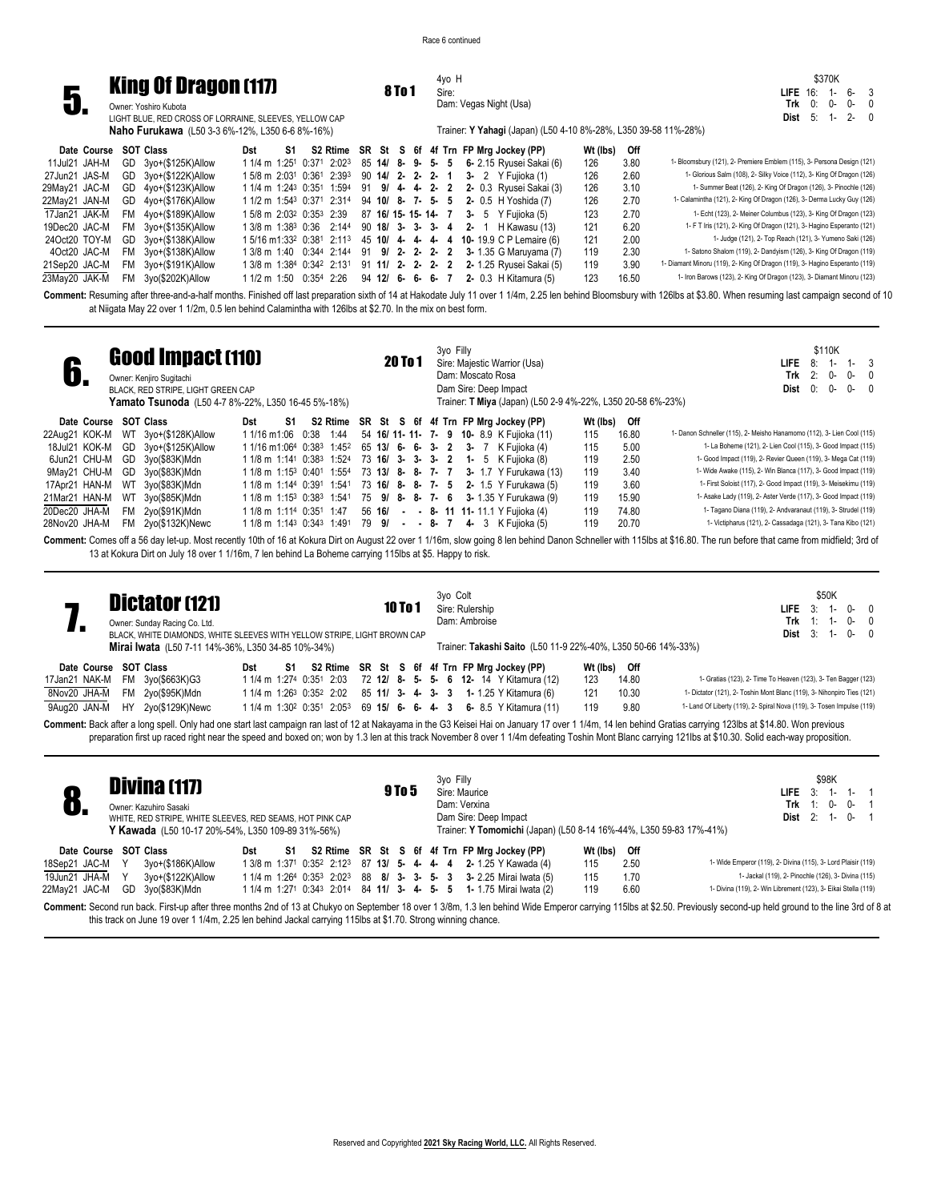

4yo H Sire:

Dam: Vegas Night (Usa)

Trainer: **Y Yahagi** (Japan) (L50 4-10 8%-28%, L350 39-58 11%-28%)

|             |        | \$370K |     |   |
|-------------|--------|--------|-----|---|
| LIFE 16: 1- |        |        | հ-  | 3 |
|             | Trk 0: | ი-     | በ-  | Λ |
| Dist 5:     |        | $1 -$  | -2- | Λ |

**Naho Furukawa** (L50 3-3 6%-12%, L350 6-6 8%-16%)

| Date Course SOT Class |                      | Dst | S1 |  |  |  | S2 Rtime SR St S 6f 4f Trn FP Mrg Jockey (PP)                                                                   | Wt (lbs) | Off   |                                                                             |
|-----------------------|----------------------|-----|----|--|--|--|-----------------------------------------------------------------------------------------------------------------|----------|-------|-----------------------------------------------------------------------------|
| 11Jul21 JAH-M         | GD 3yo+(\$125K)Allow |     |    |  |  |  | 1 1/4 m 1:25 <sup>1</sup> 0:37 <sup>1</sup> 2:02 <sup>3</sup> 85 <b>14/ 8- 9- 5- 5 6-</b> 2.15 Ryusei Sakai (6) | 126      | 3.80  | 1- Bloomsbury (121), 2- Premiere Emblem (115), 3- Persona Design (121)      |
| 27Jun21 JAS-M         | GD 3yo+(\$122K)Allow |     |    |  |  |  | 15/8 m 2:03 <sup>1</sup> 0:36 <sup>1</sup> 2:39 <sup>3</sup> 90 <b>14/ 2- 2- 2- 1 3-</b> 2 Y Fujioka (1)        | 126      | 2.60  | 1- Glorious Salm (108), 2- Silky Voice (112), 3- King Of Dragon (126)       |
| 29May21 JAC-M         | GD 4yo+(\$123K)Allow |     |    |  |  |  | 1 1/4 m 1:243 0:351 1:594 91 9/ 4- 4- 2- 2 2- 0.3 Ryusei Sakai (3)                                              | 126      | 3.10  | 1- Summer Beat (126), 2- King Of Dragon (126), 3- Pinochle (126)            |
| 22May21 JAN-M         | GD 4yo+(\$176K)Allow |     |    |  |  |  | 1 1/2 m 1:54 <sup>3</sup> 0:37 <sup>1</sup> 2:31 <sup>4</sup> 94 <b>10/ 8- 7- 5- 5 2-</b> 0.5 H Yoshida (7)     | 126      | 2.70  | 1- Calamintha (121), 2- King Of Dragon (126), 3- Derma Lucky Guy (126)      |
| 17Jan21 JAK-M         | FM 4yo+(\$189K)Allow |     |    |  |  |  | 15/8 m 2:03 <sup>2</sup> 0:35 <sup>3</sup> 2:39 87 16/ 15- 15- 14- 7 3- 5 Y Fujioka (5)                         | 123      | 2.70  | 1- Echt (123), 2- Meiner Columbus (123), 3- King Of Dragon (123)            |
| 19Dec20 JAC-M         | FM 3yo+(\$135K)Allow |     |    |  |  |  | 1 3/8 m 1:38 <sup>3</sup> 0:36 2:144 90 <b>18/ 3- 3- 3- 4 2-</b> 1 H Kawasu (13)                                | 121      | 6.20  | 1- F T Iris (121), 2- King Of Dragon (121), 3- Hagino Esperanto (121)       |
| 24Oct20 TOY-M         | GD 3yo+(\$138K)Allow |     |    |  |  |  | 1 5/16 m1:33 <sup>2</sup> 0:38 <sup>1</sup> 2:11 <sup>3</sup> 45 <b>10/ 4- 4- 4- 4 10-</b> 19.9 C P Lemaire (6) | 121      | 2.00  | 1- Judge (121), 2- Top Reach (121), 3- Yumeno Saki (126)                    |
| 4Oct20 JAC-M          | FM 3yo+(\$138K)Allow |     |    |  |  |  | 1 3/8 m 1:40 0:344 2:144 91 9/ 2 2 2 2 3 1.35 G Maruyama (7)                                                    | 119      | 2.30  | 1- Satono Shalom (119), 2- Dandyism (126), 3- King Of Dragon (119)          |
| 21Sep20 JAC-M         | FM 3yo+(\$191K)Allow |     |    |  |  |  | 1 3/8 m 1:384 0:342 2:131 91 11/ 2- 2- 2- 2- 2- 1.25 Ryusei Sakai (5)                                           | 119      | 3.90  | 1- Diamant Minoru (119), 2- King Of Dragon (119), 3- Hagino Esperanto (119) |
| 23Mav20 JAK-M         | FM 3yo(\$202K)Allow  |     |    |  |  |  | $11/2$ m $1:50$ $0:35^4$ $2:26$ $94$ $12/6$ - 6- 6- 7 2- 0.3 H Kitamura (5)                                     | 123      | 16.50 | 1- Iron Barows (123), 2- King Of Dragon (123), 3- Diamant Minoru (123)      |

**Comment:** Resuming after three-and-a-half months. Finished off last preparation sixth of 14 at Hakodate July 11 over 1 1/4m, 2.25 len behind Bloomsbury with 126lbs at \$3.80. When resuming last campaign second of 10 at Niigata May 22 over 1 1/2m, 0.5 len behind Calamintha with 126lbs at \$2.70. In the mix on best form.

|                                                                                                                                    | <b>Good Impact (110)</b><br>Owner: Kenjiro Sugitachi<br>BLACK, RED STRIPE, LIGHT GREEN CAP<br><b>Yamato Tsunoda</b> (L50 4-7 8%-22%, L350 16-45 5%-18%)<br>Date Course SOT Class<br>Dst<br>S1. |                                                                                                                                                                                                                                                                                    |                                                                                                                                                                                                                                                                                   |  |  |  |                                        |         |  | 3yo Filly |                                  | Sire: Majestic Warrior (Usa)<br>Dam: Moscato Rosa<br>Dam Sire: Deep Impact<br>Trainer: T Miya (Japan) (L50 2-9 4%-22%, L350 20-58 6%-23%)                                                                                                                                                                                                                        |                                                                  |                                                                         | \$110K<br>LIFE.<br>8:<br>-3<br>$1 -$<br>2:<br>Trk<br>$0-$<br>$0-$<br>$\Omega$<br>0:<br>0-<br>$0-$<br>Dist<br>$\overline{0}$                                                                                                                                                                                                                                                                                                                                                                                                                                                                                                                                                                                                                                                 |
|------------------------------------------------------------------------------------------------------------------------------------|------------------------------------------------------------------------------------------------------------------------------------------------------------------------------------------------|------------------------------------------------------------------------------------------------------------------------------------------------------------------------------------------------------------------------------------------------------------------------------------|-----------------------------------------------------------------------------------------------------------------------------------------------------------------------------------------------------------------------------------------------------------------------------------|--|--|--|----------------------------------------|---------|--|-----------|----------------------------------|------------------------------------------------------------------------------------------------------------------------------------------------------------------------------------------------------------------------------------------------------------------------------------------------------------------------------------------------------------------|------------------------------------------------------------------|-------------------------------------------------------------------------|-----------------------------------------------------------------------------------------------------------------------------------------------------------------------------------------------------------------------------------------------------------------------------------------------------------------------------------------------------------------------------------------------------------------------------------------------------------------------------------------------------------------------------------------------------------------------------------------------------------------------------------------------------------------------------------------------------------------------------------------------------------------------------|
| 22Aug21 KOK-M<br>18Jul21 KOK-M<br>6Jun21 CHU-M<br>9May21 CHU-M<br>17Apr21 HAN-M<br>21Mar21 HAN-M<br>20Dec20 JHA-M<br>28Nov20 JHA-M |                                                                                                                                                                                                | WT 3yo+(\$128K)Allow<br>GD 3yo+(\$125K)Allow<br>GD 3yo(\$83K)Mdn<br>GD 3yo(\$83K)Mdn<br>WT 3yo(\$83K)Mdn<br>WT 3yo(\$85K)Mdn<br>FM 2yo(\$91K)Mdn<br>FM 2yo(\$132K)Newc<br>13 at Kokura Dirt on July 18 over 1 1/16m, 7 len behind La Boheme carrying 115lbs at \$5. Happy to risk. | 1 1/16 m 1:06 0:38 1:44<br>1 1/16 m1:064 0:383 1:452<br>1 1/8 m 1:141 0:383 1:524<br>1 1/8 m 1:15 <sup>3</sup> 0:40 <sup>1</sup> 1:554<br>1 1/8 m 1:144 0:391 1:541<br>1 1/8 m 1:153 0:383 1:541<br>1 1/8 m 1:114 0:351 1:47<br>1 1/8 m 1:14 <sup>3</sup> 0:34 <sup>3</sup> 1:491 |  |  |  | 73 16/ 3- 3- 3- 2<br>73 16/ 8- 8- 7- 5 |         |  |           |                                  | S2 Rtime SR St S 6f 4f Trn FP Mrg Jockey (PP)<br>54 16/ 11- 11- 7- 9 10- 8.9 K Fujioka (11)<br>65 13/ 6- 6- 3- 2 3- 7 K Fujioka (4)<br><b>1-</b> 5 K Fujioka (8)<br>73 13/ 8- 8- 7- 7 3- 1.7 Y Furukawa (13)<br>2- 1.5 Y Furukawa (5)<br>75 9/ 8- 8- 7- 6 3- 1.35 Y Furukawa (9)<br>56 16/ - - 8- 11 11- 11.1 Y Fujioka (4)<br>79 9/ - - 8- 7 4- 3 K Fujioka (5) | Wt (lbs)<br>115<br>115<br>119<br>119<br>119<br>119<br>119<br>119 | Off<br>16.80<br>5.00<br>2.50<br>3.40<br>3.60<br>15.90<br>74.80<br>20.70 | 1- Danon Schneller (115), 2- Meisho Hanamomo (112), 3- Lien Cool (115)<br>1- La Boheme (121), 2- Lien Cool (115), 3- Good Impact (115)<br>1- Good Impact (119), 2- Revier Queen (119), 3- Mega Cat (119)<br>1- Wide Awake (115), 2- Win Blanca (117), 3- Good Impact (119)<br>1- First Soloist (117), 2- Good Impact (119), 3- Meisekimu (119)<br>1- Asake Lady (119), 2- Aster Verde (117), 3- Good Impact (119)<br>1- Tagano Diana (119), 2- Andvaranaut (119), 3- Strudel (119)<br>1- Victipharus (121), 2- Cassadaga (121), 3- Tana Kibo (121)<br>Comment: Comes off a 56 day let-up. Most recently 10th of 16 at Kokura Dirt on August 22 over 1 1/16m, slow going 8 len behind Danon Schneller with 115lbs at \$16.80. The run before that came from midfield; 3rd of |
|                                                                                                                                    |                                                                                                                                                                                                | <b>Dictator (121)</b><br>Owner: Sunday Racing Co. Ltd.<br>BLACK, WHITE DIAMONDS, WHITE SLEEVES WITH YELLOW STRIPE, LIGHT BROWN CAP<br><b>Mirai Iwata</b> (L50 7-11 14%-36%, L350 34-85 10%-34%)                                                                                    |                                                                                                                                                                                                                                                                                   |  |  |  |                                        | 10 To 1 |  | 3yo Colt  | Sire: Rulership<br>Dam: Ambroise | Trainer: Takashi Saito (L50 11-9 22%-40%, L350 50-66 14%-33%)                                                                                                                                                                                                                                                                                                    |                                                                  |                                                                         | \$50K<br><b>LIFE</b><br>3:<br><b>0-</b><br>$\mathsf{D}$<br>Trk<br>n-<br>1:<br>$0-$<br>3:<br>Dist<br>$\Omega$                                                                                                                                                                                                                                                                                                                                                                                                                                                                                                                                                                                                                                                                |

|                       | <b>THE METHOD MANUSEUM CONTRACT CONSUMING CONTRACT CONTRACT CONSUMING CONSUMING CONSUMING CONSUMING CONSUMING CONSUMING CONSUMING CONSUMING CONSUMING CONSUMING CONSUMING CONSUMING CONSUMING CONSUMING CONSUMING CONSUMING CON</b> |  |  |                                                                                                  |     |              |                                                                        |
|-----------------------|-------------------------------------------------------------------------------------------------------------------------------------------------------------------------------------------------------------------------------------|--|--|--------------------------------------------------------------------------------------------------|-----|--------------|------------------------------------------------------------------------|
| Date Course SOT Class |                                                                                                                                                                                                                                     |  |  | Dst S1 S2 Rtime SR St S 6f 4f Trn FP Mrg Jockey (PP)                                             |     | Wt (lbs) Off |                                                                        |
|                       | 17Jan21 NAK-M FM 3yo(\$663K)G3                                                                                                                                                                                                      |  |  | 1 1/4 m 1:274 0:351 2:03 72 12/ 8- 5- 5- 6 12- 14 Y Kitamura (12)                                | 123 | 14.80        | 1- Gratias (123), 2- Time To Heaven (123), 3- Ten Bagger (123)         |
|                       | 8Nov20 JHA-M FM 2yo(\$95K)Mdn                                                                                                                                                                                                       |  |  | 1 1/4 m 1:26 <sup>3</sup> 0:35 <sup>2</sup> 2:02 85 <b>11/ 3- 4- 3- 3 1-</b> 1.25 Y Kitamura (6) | 121 | 10.30        | 1- Dictator (121), 2- Toshin Mont Blanc (119), 3- Nihonpiro Ties (121) |
|                       | 9Aug20 JAN-M HY 2yo(\$129K)Newc                                                                                                                                                                                                     |  |  | 1 1/4 m 1:302 0:351 2:053 69 15/ 6- 6- 4- 3 6- 8.5 Y Kitamura (11)                               | 119 | 9.80         | 1- Land Of Liberty (119), 2- Spiral Nova (119), 3- Tosen Impulse (119) |

Comment: Back after a long spell. Only had one start last campaign ran last of 12 at Nakayama in the G3 Keisei Hai on January 17 over 1 1/4m, 14 len behind Gratias carrying 123lbs at \$14.80. Won previous preparation first up raced right near the speed and boxed on; won by 1.3 len at this track November 8 over 1 1/4m defeating Toshin Mont Blanc carrying 121lbs at \$10.30. Solid each-way proposition.

| . против              |    | <b>Divina (117)</b><br>Owner: Kazuhiro Sasaki<br>WHITE, RED STRIPE, WHITE SLEEVES, RED SEAMS, HOT PINK CAP<br>Y Kawada (L50 10-17 20%-54%, L350 109-89 31%-56%) |     |    |  |  | 9 To 5 |  | 3yo Filly<br>Sire: Maurice<br>Dam: Verxina | Dam Sire: Deep Impact |                                                                                                                |          |      | \$98K<br><b>LIFE</b> $3: 1 - 1 - 1$<br>Trk 1: 0- 0- 1<br><b>Dist</b> 2: 1- 0- 1<br>Trainer: Y Tomomichi (Japan) (L50 8-14 16%-44%, L350 59-83 17%-41%)                                                                 |
|-----------------------|----|-----------------------------------------------------------------------------------------------------------------------------------------------------------------|-----|----|--|--|--------|--|--------------------------------------------|-----------------------|----------------------------------------------------------------------------------------------------------------|----------|------|------------------------------------------------------------------------------------------------------------------------------------------------------------------------------------------------------------------------|
| Date Course SOT Class |    |                                                                                                                                                                 | Dst | S1 |  |  |        |  |                                            |                       | S2 Rtime SR St S 6f 4f Trn FP Mrg Jockey (PP)                                                                  | Wt (lbs) | Off  |                                                                                                                                                                                                                        |
| 18Sep21 JAC-M         |    | 3yo+(\$186K)Allow                                                                                                                                               |     |    |  |  |        |  |                                            |                       | 1 3/8 m 1:371 0:352 2:123 87 13/ 5- 4- 4- 4 2- 1.25 Y Kawada (4)                                               | 115      | 2.50 | 1- Wide Emperor (119), 2- Divina (115), 3- Lord Plaisir (119)                                                                                                                                                          |
| 19Jun21 JHA-M Y       |    | 3yo+(\$122K)Allow                                                                                                                                               |     |    |  |  |        |  |                                            |                       | 1 1/4 m 1:26 <sup>4</sup> 0:35 <sup>3</sup> 2:02 <sup>3</sup> 88 8/ 3- 3- 5- 3 3- 2.25 Mirai Iwata (5)         | 115      | 1.70 | 1- Jackal (119), 2- Pinochle (126), 3- Divina (115)                                                                                                                                                                    |
| 22May21 JAC-M         | GD | 3yo(\$83K)Mdn                                                                                                                                                   |     |    |  |  |        |  |                                            |                       | 1 1/4 m 1:27 <sup>1</sup> 0:34 <sup>3</sup> 2:01 <sup>4</sup> 84 <b>11/ 3- 4- 5- 5 1-</b> 1.75 Mirai Iwata (2) | 119      | 6.60 | 1- Divina (119), 2- Win Librement (123), 3- Eikai Stella (119)                                                                                                                                                         |
|                       |    | this track on June 19 over 1 1/4m, 2.25 len behind Jackal carrying 115lbs at \$1.70. Strong winning chance.                                                     |     |    |  |  |        |  |                                            |                       |                                                                                                                |          |      | Comment: Second run back. First-up after three months 2nd of 13 at Chukyo on September 18 over 1 3/8m, 1.3 len behind Wide Emperor carrying 115lbs at \$2.50. Previously second-up held ground to the line 3rd of 8 at |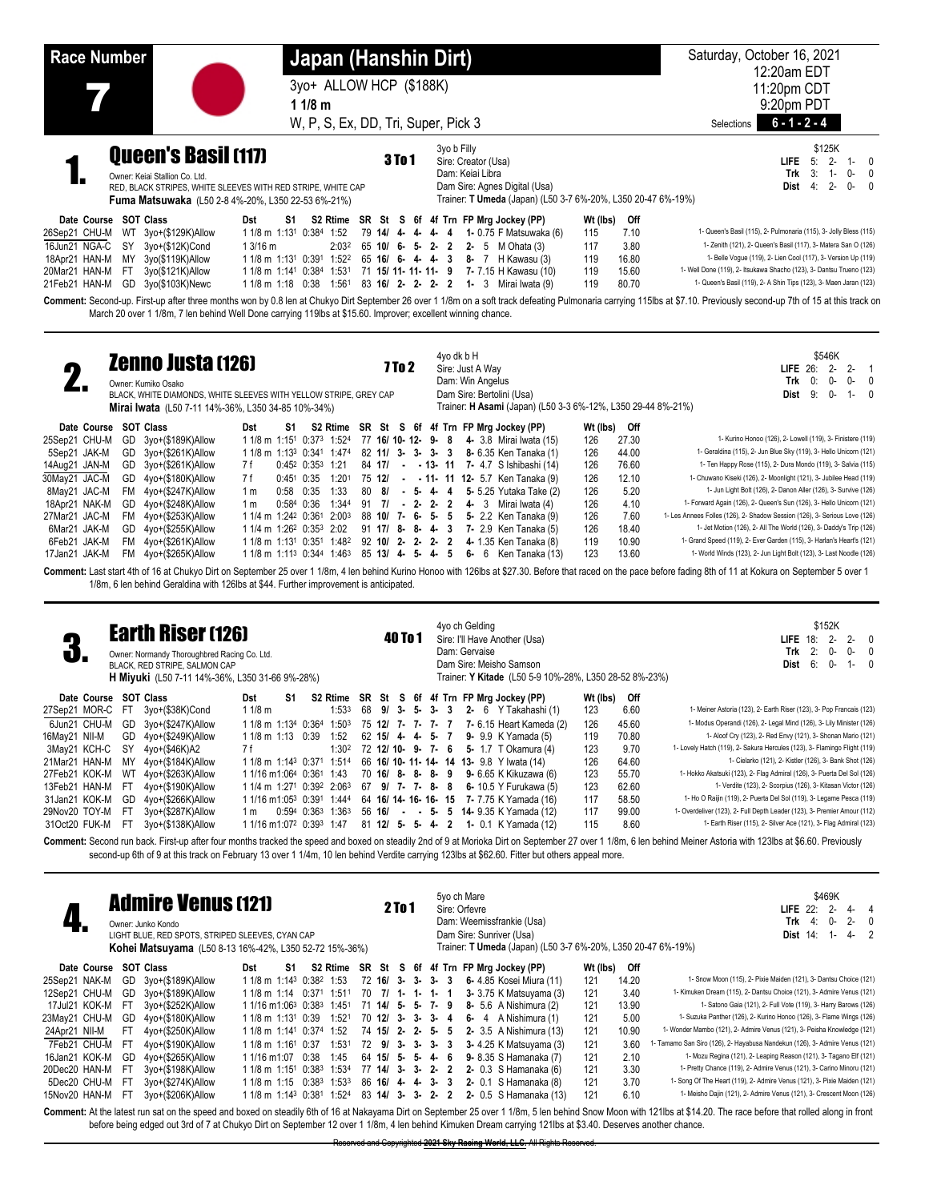| <b>Race Number</b>                                                                                                                                                                                                                                     | Japan (Hanshin Dirt)                                                                                                                                                                                                                                                                                                                        |                                                                                                                                                                                                                                        | Saturday, October 16, 2021<br>12:20am EDT                                                                                                                                                                                                                                                                                                                                                           |
|--------------------------------------------------------------------------------------------------------------------------------------------------------------------------------------------------------------------------------------------------------|---------------------------------------------------------------------------------------------------------------------------------------------------------------------------------------------------------------------------------------------------------------------------------------------------------------------------------------------|----------------------------------------------------------------------------------------------------------------------------------------------------------------------------------------------------------------------------------------|-----------------------------------------------------------------------------------------------------------------------------------------------------------------------------------------------------------------------------------------------------------------------------------------------------------------------------------------------------------------------------------------------------|
|                                                                                                                                                                                                                                                        | 3yo+ ALLOW HCP (\$188K)<br>11/8 m                                                                                                                                                                                                                                                                                                           |                                                                                                                                                                                                                                        | 11:20pm CDT<br>9:20pm PDT                                                                                                                                                                                                                                                                                                                                                                           |
|                                                                                                                                                                                                                                                        | W, P, S, Ex, DD, Tri, Super, Pick 3                                                                                                                                                                                                                                                                                                         |                                                                                                                                                                                                                                        | $6 - 1 - 2 - 4$<br>Selections                                                                                                                                                                                                                                                                                                                                                                       |
| <b>Queen's Basil (117)</b><br>Owner: Keiai Stallion Co. Ltd.                                                                                                                                                                                           | <b>3To1</b><br>RED, BLACK STRIPES, WHITE SLEEVES WITH RED STRIPE, WHITE CAP<br><b>Fuma Matsuwaka</b> (L50 2-8 4%-20%, L350 22-53 6%-21%)                                                                                                                                                                                                    | 3yo b Filly<br>Sire: Creator (Usa)<br>Dam: Keiai Libra<br>Dam Sire: Agnes Digital (Usa)<br>Trainer: T Umeda (Japan) (L50 3-7 6%-20%, L350 20-47 6%-19%)                                                                                | \$125K<br><b>LIFE</b><br>$2 -$<br>5:<br>$\overline{0}$<br>$1 -$<br>3:<br>Trk<br>O-<br>1-<br>$2 -$<br>0-<br><b>Dist</b><br>4:<br>$\Omega$                                                                                                                                                                                                                                                            |
| <b>SOT Class</b><br>Date Course<br>26Sep21 CHU-M<br>3yo+(\$129K)Allow<br>WT<br>16Jun21 NGA-C<br>SY<br>3yo+(\$12K)Cond<br>MY<br>3yo(\$119K)Allow<br>18Apr21 HAN-M<br>3yo(\$121K)Allow<br>20Mar21 HAN-M<br>-FT<br>3yo(\$103K)Newc<br>21Feb21 HAN-M<br>GD | Dst<br>S1.<br>$11/8$ m $1:131$<br>0:384<br>1:52<br>79 14/ 4- 4- 4- 4<br>13/16 m<br>2:03 <sup>2</sup><br>$65$ 10/ 6- 5- 2- 2<br>1 1/8 m 1:13 <sup>1</sup> 0:39 <sup>1</sup><br>1:52 <sup>2</sup><br>$65$ 16/ 6- 4- 4- 3<br>71 15/ 11- 11- 11- 9<br>$11/8$ m $1:141$<br>0:384<br>1:531<br>83 16/ 2- 2- 2-<br>$11/8$ m $1:18$<br>1:561<br>0:38 | S2 Rtime SR St S 6f 4f Trn FP Mrg Jockey (PP)<br>Wt (lbs)<br>115<br>1- 0.75 F Matsuwaka (6)<br>117<br>2- 5 $M$ Ohata (3)<br>119<br>8- 7 H Kawasu (3)<br>119<br>7- 7.15 H Kawasu (10)<br>119<br>1 - 3 Mirai Iwata (9)<br>$\overline{2}$ | Off<br>1- Queen's Basil (115), 2- Pulmonaria (115), 3- Jolly Bless (115)<br>7.10<br>1- Zenith (121), 2- Queen's Basil (117), 3- Matera San O (126)<br>3.80<br>1- Belle Vogue (119), 2- Lien Cool (117), 3- Version Up (119)<br>16.80<br>1- Well Done (119), 2- Itsukawa Shacho (123), 3- Dantsu Trueno (123)<br>15.60<br>1- Queen's Basil (119), 2- A Shin Tips (123), 3- Maen Jaran (123)<br>80.70 |
|                                                                                                                                                                                                                                                        | March 20 over 1 1/8m, 7 len behind Well Done carrying 119lbs at \$15.60. Improver; excellent winning chance.                                                                                                                                                                                                                                |                                                                                                                                                                                                                                        | Comment: Second-up. First-up after three months won by 0.8 len at Chukyo Dirt September 26 over 1 1/8m on a soft track defeating Pulmonaria carrying 115lbs at \$7.10. Previously second-up 7th of 15 at this track on                                                                                                                                                                              |

|               | <b>Zenno Justa (126)</b><br>Owner: Kumiko Osako<br>BLACK, WHITE DIAMONDS, WHITE SLEEVES WITH YELLOW STRIPE, GREY CAP<br>Mirai Iwata (L50 7-11 14%-36%, L350 34-85 10%-34%) |                |    |                                                                                        |                   | 7 To 2 |  | 4yo dk b H<br>Sire: Just A Wav<br>Dam: Win Angelus |  | Dam Sire: Bertolini (Usa) |                                             | Trainer: H Asami (Japan) (L50 3-3 6%-12%, L350 29-44 8%-21%) |       | \$546K<br><b>LIFE</b> $26: 2 - 2 - 1$<br>0:<br>0-<br>Trk<br>0-<br>- 0<br>Dist<br>9:<br>0-<br>$1 - 0$                                                                                                              |
|---------------|----------------------------------------------------------------------------------------------------------------------------------------------------------------------------|----------------|----|----------------------------------------------------------------------------------------|-------------------|--------|--|----------------------------------------------------|--|---------------------------|---------------------------------------------|--------------------------------------------------------------|-------|-------------------------------------------------------------------------------------------------------------------------------------------------------------------------------------------------------------------|
| Date Course   | SOT Class                                                                                                                                                                  | Dst            | S1 | S2 Rtime SR St S 6f 4f Trn FP Mrg Jockey (PP)                                          |                   |        |  |                                                    |  |                           |                                             | Wt (lbs)                                                     | Off   |                                                                                                                                                                                                                   |
| 25Sep21 CHU-M | GD 3yo+(\$189K)Allow                                                                                                                                                       |                |    | 1 1/8 m 1:15 <sup>1</sup> 0:37 <sup>3</sup> 1:524                                      |                   |        |  |                                                    |  |                           | 77 16/ 10- 12- 9- 8 4- 3.8 Mirai Iwata (15) | 126                                                          | 27.30 | 1- Kurino Honoo (126), 2- Lowell (119), 3- Finistere (119)                                                                                                                                                        |
| 5Sep21 JAK-M  | GD 3yo+(\$261K)Allow                                                                                                                                                       |                |    | 1 1/8 m 1:13 <sup>3</sup> 0:341 1:474                                                  |                   |        |  |                                                    |  |                           | 82 11/ 3- 3- 3- 3 8- 6.35 Ken Tanaka (1)    | 126                                                          | 44.00 | 1- Geraldina (115), 2- Jun Blue Sky (119), 3- Hello Unicorn (121)                                                                                                                                                 |
| 14Aug21 JAN-M | GD 3yo+(\$261K)Allow                                                                                                                                                       | 7 f            |    | $0:45^2$ $0:35^3$ 1:21                                                                 |                   |        |  |                                                    |  |                           | 84 17/ - - 13- 11 7- 4.7 S Ishibashi (14)   | 126                                                          | 76.60 | 1- Ten Happy Rose (115), 2- Dura Mondo (119), 3- Salvia (115)                                                                                                                                                     |
| 30May21 JAC-M | GD 4yo+(\$180K)Allow                                                                                                                                                       | 7 f            |    | $0:45^1$ 0:35 1:201                                                                    |                   |        |  |                                                    |  |                           | 75 12/ - - 11- 11 12- 5.7 Ken Tanaka (9)    | 126                                                          | 12.10 | 1- Chuwano Kiseki (126), 2- Moonlight (121), 3- Jubilee Head (119)                                                                                                                                                |
| 8May21 JAC-M  | FM 4yo+(\$247K)Allow                                                                                                                                                       | 1 <sub>m</sub> |    | 0:58 0:35 1:33                                                                         |                   |        |  |                                                    |  |                           | 80 8/ - 5- 4- 4 5- 5.25 Yutaka Take (2)     | 126                                                          | 5.20  | 1- Jun Light Bolt (126), 2- Danon Aller (126), 3- Survive (126)                                                                                                                                                   |
| 18Apr21 NAK-M | GD 4yo+(\$248K)Allow                                                                                                                                                       | 1 m            |    | 0:584 0:36 1:344                                                                       |                   |        |  |                                                    |  |                           | 91 7/ - 2- 2- 2 4- 3 Mirai Iwata (4)        | 126                                                          | 4.10  | 1- Forward Again (126), 2- Queen's Sun (126), 3- Hello Unicorn (121)                                                                                                                                              |
| 27Mar21 JAC-M | FM 4yo+(\$253K)Allow                                                                                                                                                       |                |    | 1 1/4 m 1:24 <sup>2</sup> 0:36 <sup>1</sup> 2:00 <sup>3</sup>                          |                   |        |  |                                                    |  |                           | 88 10/ 7- 6- 5- 5 5- 2.2 Ken Tanaka (9)     | 126                                                          | 7.60  | 1- Les Annees Folles (126), 2- Shadow Session (126), 3- Serious Love (126)                                                                                                                                        |
| 6Mar21 JAK-M  | GD 4yo+(\$255K)Allow                                                                                                                                                       |                |    | 1 1/4 m 1:26 <sup>2</sup> 0:35 <sup>3</sup> 2:02                                       |                   |        |  |                                                    |  |                           | 91 17/ 8- 8- 4- 3 7- 2.9 Ken Tanaka (5)     | 126                                                          | 18.40 | 1- Jet Motion (126), 2- All The World (126), 3- Daddy's Trip (126)                                                                                                                                                |
| 6Feb21 JAK-M  | FM 4yo+(\$261K)Allow                                                                                                                                                       |                |    | 1 1/8 m 1:13 <sup>1</sup> 0:35 <sup>1</sup> 1:48 <sup>2</sup> 92 <b>10/ 2- 2- 2- 2</b> |                   |        |  |                                                    |  |                           | <b>4-</b> 1.35 Ken Tanaka (8)               | 119                                                          | 10.90 | 1- Grand Speed (119), 2- Ever Garden (115), 3- Harlan's Heart's (121)                                                                                                                                             |
| 17Jan21 JAK-M | FM 4yo+(\$265K)Allow                                                                                                                                                       |                |    | 1 1/8 m 1:11 <sup>3</sup> 0:344 1:46 <sup>3</sup>                                      | 85 13/ 4- 5- 4- 5 |        |  |                                                    |  |                           | 6- 6 Ken Tanaka $(13)$                      | 123                                                          | 13.60 | 1- World Winds (123), 2- Jun Light Bolt (123), 3- Last Noodle (126)                                                                                                                                               |
|               |                                                                                                                                                                            |                |    |                                                                                        |                   |        |  |                                                    |  |                           |                                             |                                                              |       | Comment: Last start 4th of 16 at Chukyo Dirt on September 25 over 1 1/8m, 4 len behind Kurino Honoo with 126lbs at \$27.30. Before that raced on the pace before fading 8th of 11 at Kokura on September 5 over 1 |

1/8m, 6 len behind Geraldina with 126lbs at \$44. Further improvement is anticipated.

| ŋ<br>J                |      | <b>Earth Riser (126)</b><br>Owner: Normandy Thoroughbred Racing Co. Ltd.<br>BLACK, RED STRIPE, SALMON CAP<br><b>H Miyuki</b> (L50 7-11 14%-36%, L350 31-66 9%-28%) |                                                  |    |                         |                      | 40 To 1 |  |  | 4yo ch Gelding<br>Dam: Gervaise | Sire: I'll Have Another (Usa)<br>Dam Sire: Meisho Samson                                |          | Trainer: Y Kitade (L50 5-9 10%-28%, L350 28-52 8%-23%) | LIFE<br>Trk<br>Dist                                                                                                                                                                                              | 18: | \$152K<br>$2 -$<br>2:<br>$0 -$<br>6:<br>$0 -$ | 0- | $2 - 0$<br>- 0<br>$1 - 0$ |
|-----------------------|------|--------------------------------------------------------------------------------------------------------------------------------------------------------------------|--------------------------------------------------|----|-------------------------|----------------------|---------|--|--|---------------------------------|-----------------------------------------------------------------------------------------|----------|--------------------------------------------------------|------------------------------------------------------------------------------------------------------------------------------------------------------------------------------------------------------------------|-----|-----------------------------------------------|----|---------------------------|
| Date Course SOT Class |      |                                                                                                                                                                    | Dst                                              | S1 |                         |                      |         |  |  |                                 | S2 Rtime SR St S 6f 4f Trn FP Mrg Jockey (PP)                                           | Wt (lbs) | Off                                                    |                                                                                                                                                                                                                  |     |                                               |    |                           |
| 27Sep21 MOR-C         | -FT  | 3yo+(\$38K)Cond                                                                                                                                                    | 1 1/8 m                                          |    | 1:533                   |                      |         |  |  |                                 | 68 9/ 3- 5- 3- 3 2- 6 Y Takahashi (1)                                                   | 123      | 6.60                                                   | 1- Meiner Astoria (123), 2- Earth Riser (123), 3- Pop Francais (123)                                                                                                                                             |     |                                               |    |                           |
| 6Jun21 CHU-M          |      | GD 3yo+(\$247K)Allow                                                                                                                                               | 1 1/8 m 1:134 0:364 1:503                        |    |                         |                      |         |  |  |                                 | 75 12/ 7- 7- 7- 7 7- 6.15 Heart Kameda (2)                                              | 126      | 45.60                                                  | 1- Modus Operandi (126), 2- Legal Mind (126), 3- Lily Minister (126)                                                                                                                                             |     |                                               |    |                           |
| 16May21 NII-M         |      | GD 4yo+(\$249K)Allow                                                                                                                                               | 1 1/8 m 1:13 0:39                                |    | 1:52                    | 62 15/ 4- 4- 5- 7    |         |  |  |                                 | <b>9-</b> 9.9 K Yamada (5)                                                              | 119      | 70.80                                                  | 1- Aloof Cry (123), 2- Red Envy (121), 3- Shonan Mario (121)                                                                                                                                                     |     |                                               |    |                           |
| 3May21 KCH-C          | SY   | 4yo+(\$46K)A2                                                                                                                                                      | 7 f                                              |    | 1:302                   |                      |         |  |  |                                 | 72 12/ 10- 9- 7- 6 5- 1.7 T Okamura (4)                                                 | 123      | 9.70                                                   | 1- Lovely Hatch (119), 2- Sakura Hercules (123), 3- Flamingo Flight (119)                                                                                                                                        |     |                                               |    |                           |
| 21Mar21 HAN-M         | MY   | 4yo+(\$184K)Allow                                                                                                                                                  |                                                  |    |                         |                      |         |  |  |                                 | 1 1/8 m 1:14 <sup>3</sup> 0:371 1:514 66 <b>16/ 10- 11- 14- 14 13-</b> 9.8 Y Iwata (14) | 126      | 64.60                                                  | 1- Cielarko (121), 2- Kistler (126), 3- Bank Shot (126)                                                                                                                                                          |     |                                               |    |                           |
| 27Feb21 KOK-M         | WT   | 4yo+(\$263K)Allow                                                                                                                                                  | 1 1/16 m1:064 0:361 1:43                         |    |                         | 70 16/ 8- 8- 8- 9    |         |  |  |                                 | 9- 6.65 K Kikuzawa (6)                                                                  | 123      | 55.70                                                  | 1- Hokko Akatsuki (123), 2- Flag Admiral (126), 3- Puerta Del Sol (126)                                                                                                                                          |     |                                               |    |                           |
| 13Feb21 HAN-M         | - FT | 4yo+(\$190K)Allow                                                                                                                                                  | 1 1/4 m 1:271 0:392 2:063                        |    |                         | 67 9/ 7- 7- 8- 8     |         |  |  |                                 | 6- 10.5 Y Furukawa (5)                                                                  | 123      | 62.60                                                  | 1- Verdite (123), 2- Scorpius (126), 3- Kitasan Victor (126)                                                                                                                                                     |     |                                               |    |                           |
| 31Jan21 KOK-M         | GD   | 4yo+(\$266K)Allow                                                                                                                                                  | 1 1/16 m1:053 0:391 1:444                        |    |                         |                      |         |  |  |                                 | 64 16/ 14- 16- 16- 15 7- 7.75 K Yamada (16)                                             | 117      | 58.50                                                  | 1- Ho O Raijin (119), 2- Puerta Del Sol (119), 3- Legame Pesca (119)                                                                                                                                             |     |                                               |    |                           |
| 29Nov20 TOY-M         | - FT | 3yo+(\$287K)Allow                                                                                                                                                  | 1 m                                              |    | $0:594$ $0:363$ $1:363$ |                      |         |  |  |                                 | 56 16/ - - 5- 5 14 9.35 K Yamada (12)                                                   | 117      | 99.00                                                  | 1- Overdeliver (123), 2- Full Depth Leader (123), 3- Premier Amour (112)                                                                                                                                         |     |                                               |    |                           |
| 31Oct20 FUK-M         | -FT  | 3yo+(\$138K)Allow                                                                                                                                                  | 1 1/16 m1:07 <sup>2</sup> 0:39 <sup>3</sup> 1:47 |    |                         | 81 12/ 5 - 5 - 4 - 2 |         |  |  |                                 | <b>1-</b> 0.1 K Yamada (12)                                                             | 115      | 8.60                                                   | 1- Earth Riser (115), 2- Silver Ace (121), 3- Flag Admiral (123)                                                                                                                                                 |     |                                               |    |                           |
|                       |      |                                                                                                                                                                    |                                                  |    |                         |                      |         |  |  |                                 |                                                                                         |          |                                                        | Comment: Second run back. First-up after four months tracked the speed and boxed on steadily 2nd of 9 at Morioka Dirt on September 27 over 1 1/8m, 6 len behind Meiner Astoria with 123lbs at \$6.60. Previously |     |                                               |    |                           |

second-up 6th of 9 at this track on February 13 over 1 1/4m, 10 len behind Verdite carrying 123lbs at \$62.60. Fitter but others appeal more.

|               |               |     | <b>Admire Venus (121)</b><br>Owner: Junko Kondo<br>LIGHT BLUE, RED SPOTS, STRIPED SLEEVES, CYAN CAP<br><b>Kohei Matsuyama</b> (L50 8-13 16%-42%, L350 52-72 15%-36%) |                                                  |    |               |                   |                     | 2 To 1 |                 |       |     | 5yo ch Mare<br>Sire: Orfevre<br>Dam: Weemissfrankie (Usa)<br>Dam Sire: Sunriver (Usa)<br>Trainer: T Umeda (Japan) (L50 3-7 6%-20%, L350 20-47 6%-19%) |          |       | \$469K<br>2-<br>LIFE $22$ :<br>$2 -$<br>Trk<br>0-<br>$\Omega$<br>-4:<br>Dist $14$ :<br>$4 - 2$<br>$1 -$ |
|---------------|---------------|-----|----------------------------------------------------------------------------------------------------------------------------------------------------------------------|--------------------------------------------------|----|---------------|-------------------|---------------------|--------|-----------------|-------|-----|-------------------------------------------------------------------------------------------------------------------------------------------------------|----------|-------|---------------------------------------------------------------------------------------------------------|
|               | Date Course   |     | SOT Class                                                                                                                                                            | Dst                                              | S1 |               |                   |                     |        |                 |       |     | S2 Rtime SR St S 6f 4f Trn FP Mrg Jockey (PP)                                                                                                         | Wt (lbs) | Off   |                                                                                                         |
| 25Sep21 NAK-M |               | GD  | 3yo+(\$189K)Allow                                                                                                                                                    | 1 1/8 m 1:14 <sup>3</sup> 0:38 <sup>2</sup> 1:53 |    |               |                   | 72 16/ 3- 3-        |        |                 | 3-    | -3  | 6- 4.85 Kosei Miura (11)                                                                                                                              | 121      | 14.20 | 1- Snow Moon (115), 2- Pixie Maiden (121), 3- Dantsu Choice (121)                                       |
| 12Sep21 CHU-M |               | GD  | 3yo+(\$189K)Allow                                                                                                                                                    | 1 1/8 m 1:14                                     |    | $0:371$ 1:511 |                   | 70 7/ 1-1-          |        |                 |       | 1-1 | 3- 3.75 K Matsuyama (3)                                                                                                                               | 121      | 3.40  | 1- Kimuken Dream (115), 2- Dantsu Choice (121), 3- Admire Venus (121)                                   |
|               | 17Jul21 KOK-M | -FT | 3yo+(\$252K)Allow                                                                                                                                                    | 1 1/16 m1:06 <sup>3</sup> 0:38 <sup>3</sup>      |    |               | 1:451             | 71 14/ 5- 5- 7- 9   |        |                 |       |     | 8- 5.6 A Nishimura (2)                                                                                                                                | 121      | 13.90 | 1- Satono Gaia (121), 2- Full Vote (119), 3- Harry Barows (126)                                         |
| 23May21 CHU-M |               | GD  | 4yo+(\$180K)Allow                                                                                                                                                    | 1 1/8 m 1:131 0:39                               |    |               | 1:521             | 70 12/ 3- 3- 3- 4   |        |                 |       |     | $6 - 4$ A Nishimura (1)                                                                                                                               | 121      | 5.00  | 1- Suzuka Panther (126), 2- Kurino Honoo (126), 3- Flame Wings (126)                                    |
| 24Apr21 NII-M |               | FT. | 4yo+(\$250K)Allow                                                                                                                                                    | 1 1/8 m 1:141 0:374 1:52                         |    |               |                   | 74 15/ 2- 2- 5- 5   |        |                 |       |     | 2- 3.5 A Nishimura (13)                                                                                                                               | 121      | 10.90 | 1- Wonder Mambo (121), 2- Admire Venus (121), 3- Peisha Knowledge (121)                                 |
|               | 7Feb21 CHU-M  | FT. | 4yo+(\$190K)Allow                                                                                                                                                    | $11/8$ m $1:161$                                 |    | 0:37          | 1:531             | 72 9/               |        | $3 - 3 - 3 - 3$ |       |     | 3- 4.25 K Matsuyama (3)                                                                                                                               | 121      | 3.60  | 1- Tamamo San Siro (126), 2- Hayabusa Nandekun (126), 3- Admire Venus (121)                             |
| 16Jan21 KOK-M |               | GD  | 4yo+(\$265K)Allow                                                                                                                                                    | 1 1/16 m1:07                                     |    | 0:38          | 1:45              | 64 15/              |        | $5 - 5 - 4 - 6$ |       |     | 9- 8.35 S Hamanaka (7)                                                                                                                                | 121      | 2.10  | 1- Mozu Regina (121), 2- Leaping Reason (121), 3- Tagano Elf (121)                                      |
| 20Dec20 HAN-M |               | -FT | 3yo+(\$198K)Allow                                                                                                                                                    | 1 1/8 m 1:15 <sup>1</sup>                        |    | $0:38^3$      | 1:534             | $77$ 14/ 3- 3- 2- 2 |        |                 |       |     | 2- $0.3$ S Hamanaka $(6)$                                                                                                                             | 121      | 3.30  | 1- Pretty Chance (119), 2- Admire Venus (121), 3- Carino Minoru (121)                                   |
|               | 5Dec20 CHU-M  | -FT | 3yo+(\$274K)Allow                                                                                                                                                    | 1 1/8 m 1:15 0:383                               |    |               | 1:53 <sup>3</sup> | 86 16/              |        | 4-4-            | 3-    | -3  | 2- $0.1$ S Hamanaka $(8)$                                                                                                                             | 121      | 3.70  | 1- Song Of The Heart (119), 2- Admire Venus (121), 3- Pixie Maiden (121)                                |
| 15Nov20 HAN-M |               | -FI | 3yo+(\$206K)Allow                                                                                                                                                    | 1 1/8 m 1:14 <sup>3</sup> 0:381                  |    |               | 1:524             | 83 14/              | -3-    | 3-              | $2 -$ | -2  | 2- 0.5 S Hamanaka (13)                                                                                                                                | 121      | 6.10  | 1- Meisho Dajin (121), 2- Admire Venus (121), 3- Crescent Moon (126)                                    |

Comment: At the latest run sat on the speed and boxed on steadily 6th of 16 at Nakayama Dirt on September 25 over 1 1/8m, 5 len behind Snow Moon with 121lbs at \$14.20. The race before that rolled along in front before being edged out 3rd of 7 at Chukyo Dirt on September 12 over 1 1/8m, 4 len behind Kimuken Dream carrying 121lbs at \$3.40. Deserves another chance.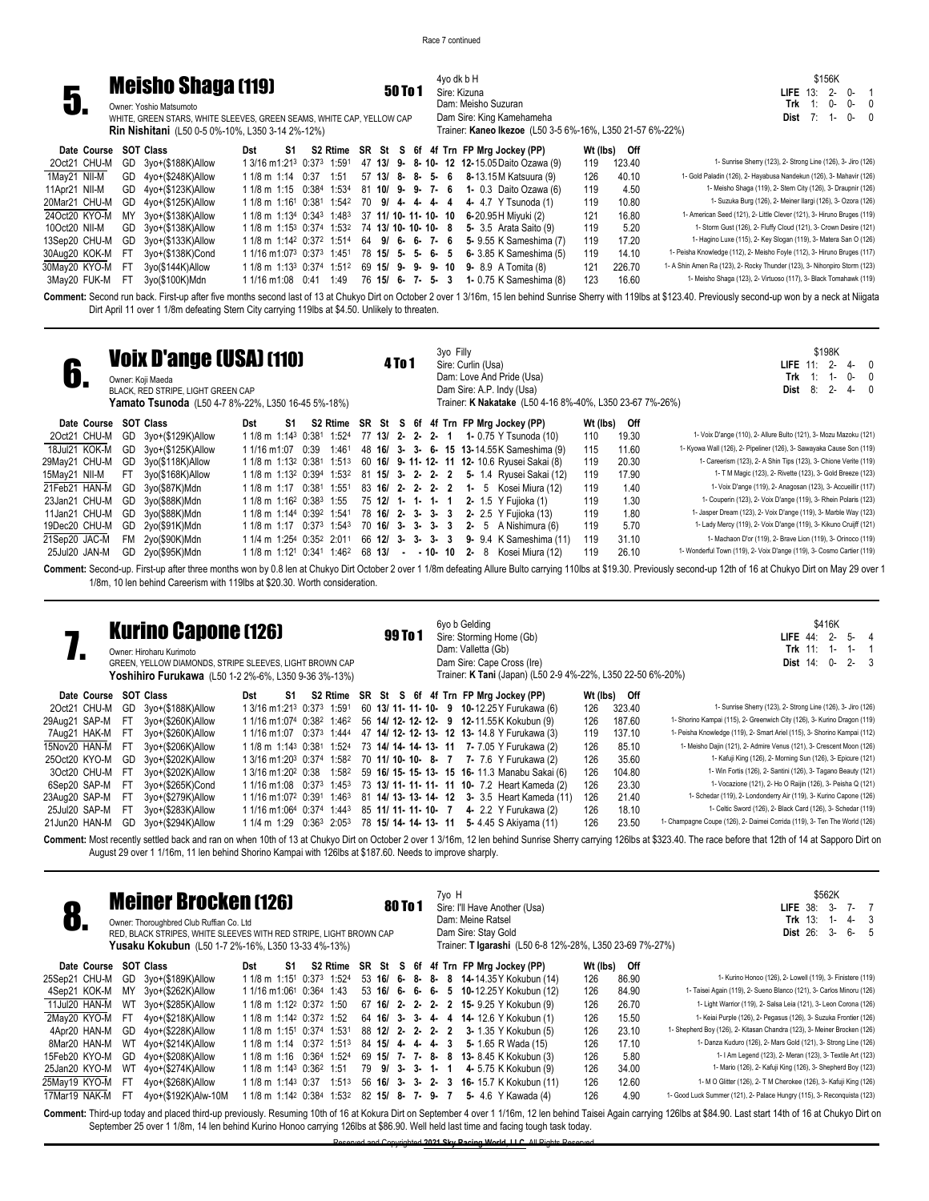4yo dk b H Sire: Kizuna Dam: Meisho Suzuran Dam Sire: King Kamehameha

Trainer: **Kaneo Ikezoe** (L50 3-5 6%-16%, L350 21-57 6%-22%)

\$156K **LIFE** 13: 2- 0- 1 **Trk** 1: 0- 0- 0 **Dist** 7: 1- 0- 0



WHITE, GREEN STARS, WHITE SLEEVES, GREEN SEAMS, WHITE CAP, YELLOW CAP **Rin Nishitani** (L50 0-5 0%-10%, L350 3-14 2%-12%)

| S2 Rtime SR St S 6f 4f Trn FP Mrg Jockey (PP)<br>Wt (lbs) Off<br>Date Course SOT Class<br>S1<br>Dst<br>1 3/16 m1:21 <sup>3</sup> 0:37 <sup>3</sup> 1:59 <sup>1</sup> 47 <b>13/ 9- 8-10- 12 12-</b> 15.05 Daito Ozawa (9)<br>GD 3yo+(\$188K)Allow<br>20ct21 CHU-M<br>123.40<br>119<br>1Mav21 NII-M<br>GD 4yo+(\$248K)Allow<br>40.10<br>1:51 57 13/ 8- 8- 5- 6 8-13.15 M Katsuura (9)<br>126<br>1 1/8 m 1:14 0:37<br>GD 4yo+(\$123K)Allow<br>1 1/8 m 1:15 $0:384$ 1:534 81 10/ 9- 9- 7- 6 1- 0.3 Daito Ozawa (6)<br>11Apr21 NII-M<br>119<br>4.50<br>10.80<br>GD 4yo+(\$125K)Allow<br>20Mar21 CHU-M<br>$11/8$ m $1:161$ 0:38 <sup>1</sup> 1:54 <sup>2</sup> 70 <b>9/ 4- 4- 4- 4- 4- 4-</b> 47 Y Tsunoda (1)<br>119<br>1 1/8 m 1:134 0:343 1:483 37 11/ 10- 11- 10- 10 6-20.95 H Miyuki (2)<br>16.80<br>24Oct20 KYO-M<br>3yo+(\$138K)Allow<br>121<br>MY<br>GD 3yo+(\$138K)Allow<br>1 1/8 m 1:15 <sup>3</sup> 0:374 1:53 <sup>2</sup> 74 <b>13/ 10- 10- 10- 8 5-</b> 3.5 Arata Saito (9)<br>119<br>5.20<br>10Oct20 NII-M<br>1 1/8 m 1:14 <sup>2</sup> 0:37 <sup>2</sup> 1:51 <sup>4</sup> 64 <b>9/ 6- 6- 7- 6 5-</b> 9.55 K Sameshima (7)<br>119<br>GD 3yo+(\$133K)Allow<br>17.20<br>13Sep20 CHU-M<br>$11/16$ m $1:073$ 0:37 $3$ 1:451 78 <b>15/ 5- 5- 6- 5 6-</b> 3.85 K Sameshima (5)<br>119<br>14.10<br>30Aug20 KOK-M FT<br>3yo+(\$138K)Cond<br>226.70<br>30May20 KYO-M FT<br>1 1/8 m 1:13 <sup>3</sup> 0:374 1:512 69 <b>15/ 9- 9- 9- 10 9-</b> 8.9 A Tomita (8)<br>3yo(\$144K)Allow<br>121<br>16.60<br>1 1/16 m 1:08 0:41 1:49 76 15/ 6- 7- 5- 3 1- 0.75 K Sameshima (8)<br>3yo(\$100K)Mdn<br>123<br>3May20 FUK-M<br>FT. |  |  |  |  |  |  |  |  |                                                                           |
|--------------------------------------------------------------------------------------------------------------------------------------------------------------------------------------------------------------------------------------------------------------------------------------------------------------------------------------------------------------------------------------------------------------------------------------------------------------------------------------------------------------------------------------------------------------------------------------------------------------------------------------------------------------------------------------------------------------------------------------------------------------------------------------------------------------------------------------------------------------------------------------------------------------------------------------------------------------------------------------------------------------------------------------------------------------------------------------------------------------------------------------------------------------------------------------------------------------------------------------------------------------------------------------------------------------------------------------------------------------------------------------------------------------------------------------------------------------------------------------------------------------------------------------------------------------------------------------------------------------------------|--|--|--|--|--|--|--|--|---------------------------------------------------------------------------|
|                                                                                                                                                                                                                                                                                                                                                                                                                                                                                                                                                                                                                                                                                                                                                                                                                                                                                                                                                                                                                                                                                                                                                                                                                                                                                                                                                                                                                                                                                                                                                                                                                          |  |  |  |  |  |  |  |  |                                                                           |
|                                                                                                                                                                                                                                                                                                                                                                                                                                                                                                                                                                                                                                                                                                                                                                                                                                                                                                                                                                                                                                                                                                                                                                                                                                                                                                                                                                                                                                                                                                                                                                                                                          |  |  |  |  |  |  |  |  | 1- Sunrise Sherry (123), 2- Strong Line (126), 3- Jiro (126)              |
|                                                                                                                                                                                                                                                                                                                                                                                                                                                                                                                                                                                                                                                                                                                                                                                                                                                                                                                                                                                                                                                                                                                                                                                                                                                                                                                                                                                                                                                                                                                                                                                                                          |  |  |  |  |  |  |  |  | 1- Gold Paladin (126), 2- Hayabusa Nandekun (126), 3- Mahavir (126)       |
|                                                                                                                                                                                                                                                                                                                                                                                                                                                                                                                                                                                                                                                                                                                                                                                                                                                                                                                                                                                                                                                                                                                                                                                                                                                                                                                                                                                                                                                                                                                                                                                                                          |  |  |  |  |  |  |  |  | 1- Meisho Shaga (119), 2- Stern City (126), 3- Draupnir (126)             |
|                                                                                                                                                                                                                                                                                                                                                                                                                                                                                                                                                                                                                                                                                                                                                                                                                                                                                                                                                                                                                                                                                                                                                                                                                                                                                                                                                                                                                                                                                                                                                                                                                          |  |  |  |  |  |  |  |  | 1- Suzuka Burg (126), 2- Meiner Ilargi (126), 3- Ozora (126)              |
|                                                                                                                                                                                                                                                                                                                                                                                                                                                                                                                                                                                                                                                                                                                                                                                                                                                                                                                                                                                                                                                                                                                                                                                                                                                                                                                                                                                                                                                                                                                                                                                                                          |  |  |  |  |  |  |  |  | 1- American Seed (121), 2- Little Clever (121), 3- Hiruno Bruges (119)    |
|                                                                                                                                                                                                                                                                                                                                                                                                                                                                                                                                                                                                                                                                                                                                                                                                                                                                                                                                                                                                                                                                                                                                                                                                                                                                                                                                                                                                                                                                                                                                                                                                                          |  |  |  |  |  |  |  |  | 1- Storm Gust (126), 2- Fluffy Cloud (121), 3- Crown Desire (121)         |
|                                                                                                                                                                                                                                                                                                                                                                                                                                                                                                                                                                                                                                                                                                                                                                                                                                                                                                                                                                                                                                                                                                                                                                                                                                                                                                                                                                                                                                                                                                                                                                                                                          |  |  |  |  |  |  |  |  | 1- Hagino Luxe (115), 2- Key Slogan (119), 3- Matera San O (126)          |
|                                                                                                                                                                                                                                                                                                                                                                                                                                                                                                                                                                                                                                                                                                                                                                                                                                                                                                                                                                                                                                                                                                                                                                                                                                                                                                                                                                                                                                                                                                                                                                                                                          |  |  |  |  |  |  |  |  | 1- Peisha Knowledge (112), 2- Meisho Foyle (112), 3- Hiruno Bruges (117)  |
|                                                                                                                                                                                                                                                                                                                                                                                                                                                                                                                                                                                                                                                                                                                                                                                                                                                                                                                                                                                                                                                                                                                                                                                                                                                                                                                                                                                                                                                                                                                                                                                                                          |  |  |  |  |  |  |  |  | 1- A Shin Amen Ra (123), 2- Rocky Thunder (123), 3- Nihonpiro Storm (123) |
|                                                                                                                                                                                                                                                                                                                                                                                                                                                                                                                                                                                                                                                                                                                                                                                                                                                                                                                                                                                                                                                                                                                                                                                                                                                                                                                                                                                                                                                                                                                                                                                                                          |  |  |  |  |  |  |  |  | 1- Meisho Shaga (123), 2- Virtuoso (117), 3- Black Tomahawk (119)         |

Comment: Second run back. First-up after five months second last of 13 at Chukyo Dirt on October 2 over 1 3/16m, 15 len behind Sunrise Sherry with 119lbs at \$123.40. Previously second-up won by a neck at Niigata Dirt April 11 over 1 1/8m defeating Stern City carrying 119lbs at \$4.50. Unlikely to threaten.

|               |     | <b>Voix D'ange (USA) (110)</b><br>Owner: Koji Maeda<br>BLACK, RED STRIPE, LIGHT GREEN CAP<br><b>Yamato Tsunoda</b> (L50 4-7 8%-22%, L350 16-45 5%-18%) |                                                               |    |                |                   |                   | 4 To 1 |           | 3yo Filly | Sire: Curlin (Usa) | Dam: Love And Pride (Usa)<br>Dam Sire: A.P. Indy (Usa)<br>Trainer: K Nakatake (L50 4-16 8%-40%, L350 23-67 7%-26%) |          |       | \$198K<br><b>LIFE</b> $11: 2$<br>$4-$<br>$\Omega$<br>Trk<br>0-<br>$\mathsf{O}$<br>$1 -$<br>$2 -$<br>8:<br>$\Omega$<br>Dist<br>4- |
|---------------|-----|--------------------------------------------------------------------------------------------------------------------------------------------------------|---------------------------------------------------------------|----|----------------|-------------------|-------------------|--------|-----------|-----------|--------------------|--------------------------------------------------------------------------------------------------------------------|----------|-------|----------------------------------------------------------------------------------------------------------------------------------|
| Date Course   |     | <b>SOT Class</b>                                                                                                                                       | Dst                                                           | S1 |                |                   |                   |        |           |           |                    | S2 Rtime SR St S 6f 4f Trn FP Mrg Jockey (PP)                                                                      | Wt (lbs) | Off   |                                                                                                                                  |
| 20ct21 CHU-M  | GD  | 3yo+(\$129K)Allow                                                                                                                                      | 1 1/8 m 1:14 <sup>3</sup> 0:381                               |    |                | 1:52 <sup>4</sup> |                   |        |           |           |                    | 77 13/ 2- 2- 2- 1 1-0.75 Y Tsunoda (10)                                                                            | 110      | 19.30 | 1- Voix D'ange (110), 2- Allure Bulto (121), 3- Mozu Mazoku (121)                                                                |
| 18Jul21 KOK-M | GD  | 3yo+(\$125K)Allow                                                                                                                                      | 1 1/16 m1:07 0:39                                             |    |                | 1:461             |                   |        |           |           |                    | 48 16/ 3- 3- 6- 15 13-14.55 K Sameshima (9)                                                                        | 115      | 11.60 | 1- Kyowa Wall (126), 2- Pipeliner (126), 3- Sawayaka Cause Son (119)                                                             |
| 29May21 CHU-M | GD  | 3yo(\$118K)Allow                                                                                                                                       | 1 1/8 m 1:13 <sup>2</sup> 0:38 <sup>1</sup> 1:51 <sup>3</sup> |    |                |                   |                   |        |           |           |                    | 60 16/ 9-11-12-11 12-10.6 Ryusei Sakai (8)                                                                         | 119      | 20.30 | 1- Careerism (123), 2- A Shin Tips (123), 3- Chione Verite (119)                                                                 |
| 15May21 NII-M | FT. | 3yo(\$168K)Allow                                                                                                                                       | 1 1/8 m 1:13 <sup>2</sup> 0:394 1:532                         |    |                |                   | 81 15/ 3- 2- 2- 2 |        |           |           |                    | <b>5-</b> 1.4 Ryusei Sakai (12)                                                                                    | 119      | 17.90 | 1- T M Magic (123), 2- Rivette (123), 3- Gold Breeze (123)                                                                       |
| 21Feb21 HAN-M | GD  | 3yo(\$87K)Mdn                                                                                                                                          | 1 1/8 m 1:17 0:381                                            |    |                | 1:551             |                   |        |           |           |                    | 83 16/ 2- 2- 2- 2 1- 5 Kosei Miura (12)                                                                            | 119      | 1.40  | 1- Voix D'ange (119), 2- Anagosan (123), 3- Accueillir (117)                                                                     |
| 23Jan21 CHU-M | GD  | 3yo(\$88K)Mdn                                                                                                                                          | 1 1/8 m 1:16 <sup>2</sup> 0:38 <sup>3</sup> 1:55              |    |                |                   | 75 12/ 1- 1- 1- 1 |        |           |           |                    | <b>2-</b> 1.5 Y Fuiioka (1)                                                                                        | 119      | 1.30  | 1- Couperin (123), 2- Voix D'ange (119), 3- Rhein Polaris (123)                                                                  |
| 11Jan21 CHU-M | GD  | 3yo(\$88K)Mdn                                                                                                                                          | 1 1/8 m 1:144 0:392 1:541                                     |    |                |                   | 78 16/ 2- 3- 3- 3 |        |           |           |                    | 2- 2.5 Y Fulloka (13)                                                                                              | 119      | 1.80  | 1- Jasper Dream (123), 2- Voix D'ange (119), 3- Marble Way (123)                                                                 |
| 19Dec20 CHU-M | GD  | 2yo(\$91K)Mdn                                                                                                                                          | 1 1/8 m 1:17                                                  |    | $0:37^3$ 1:543 |                   | 70 16/ 3- 3- 3-   |        |           | -3        | $2 - 5$            | A Nishimura (6)                                                                                                    | 119      | 5.70  | 1- Lady Mercy (119), 2- Voix D'ange (119), 3- Kikuno Cruijff (121)                                                               |
| 21Sep20 JAC-M | FM. | 2yo(\$90K)Mdn                                                                                                                                          | 1 1/4 m 1:254 0:352 2:011                                     |    |                |                   | 66 12/ 3- 3- 3- 3 |        |           |           |                    | <b>9-</b> 9.4 K Sameshima (11)                                                                                     | 119      | 31.10 | 1- Machaon D'or (119), 2- Brave Lion (119), 3- Orinoco (119)                                                                     |
| 25Jul20 JAN-M | GD  | 2yo(\$95K)Mdn                                                                                                                                          | 1 1/8 m 1:12 <sup>1</sup> 0:34 <sup>1</sup> 1:46 <sup>2</sup> |    |                |                   | 68 13/            |        | - - 10-10 |           |                    | 2- 8 Kosei Miura (12)                                                                                              | 119      | 26.10 | 1- Wonderful Town (119), 2- Voix D'ange (119), 3- Cosmo Cartier (119)                                                            |

Comment: Second-up. First-up after three months won by 0.8 len at Chukyo Dirt October 2 over 1 1/8m defeating Allure Bulto carrying 110lbs at \$19.30. Previously second-up 12th of 16 at Chukyo Dirt on May 29 over 1 1/8m, 10 len behind Careerism with 119lbs at \$20.30. Worth consideration.

|                       |      | <b>Kurino Capone (126)</b><br>Owner: Hiroharu Kurimoto<br>GREEN. YELLOW DIAMONDS. STRIPE SLEEVES, LIGHT BROWN CAP<br><b>Yoshihiro Furukawa</b> (L50 1-2 2%-6%, L350 9-36 3%-13%) |                                                   |                |  | 99 To 1               |  | 6yo b Gelding<br>Sire: Storming Home (Gb)<br>Dam: Valletta (Gb)<br>Dam Sire: Cape Cross (Ire)<br>Trainer: K Tani (Japan) (L50 2-9 4%-22%, L350 22-50 6%-20%) |              |        | \$416K<br>$2 -$<br>$5-$<br>$\overline{4}$<br>LIFE $44$ :<br><b>Trk 11:</b><br>1-<br>1-<br>$2 - 3$<br><b>Dist 14:</b><br>$0 -$                                                                                       |
|-----------------------|------|----------------------------------------------------------------------------------------------------------------------------------------------------------------------------------|---------------------------------------------------|----------------|--|-----------------------|--|--------------------------------------------------------------------------------------------------------------------------------------------------------------|--------------|--------|---------------------------------------------------------------------------------------------------------------------------------------------------------------------------------------------------------------------|
| Date Course SOT Class |      |                                                                                                                                                                                  | S1<br>Dst                                         |                |  |                       |  | S2 Rtime SR St S 6f 4f Trn FP Mrg Jockey (PP)                                                                                                                | Wt (lbs) Off |        |                                                                                                                                                                                                                     |
| 2Oct21 CHU-M          | GD   | 3yo+(\$188K)Allow                                                                                                                                                                | 1 3/16 m1:213 0:373 1:591                         |                |  |                       |  | 60 13/ 11- 11- 10- 9 10-12.25 Y Furukawa (6)                                                                                                                 | 126          | 323.40 | 1- Sunrise Sherry (123), 2- Strong Line (126), 3- Jiro (126)                                                                                                                                                        |
| 29Aug21 SAP-M         | -FT  | 3yo+(\$260K)Allow                                                                                                                                                                | 1 1/16 m1:074 0:38 <sup>2</sup> 1:46 <sup>2</sup> |                |  |                       |  | 56 14/ 12- 12- 12- 9 12-11.55 K Kokubun (9)                                                                                                                  | 126          | 187.60 | 1- Shorino Kampai (115), 2- Greenwich City (126), 3- Kurino Dragon (119)                                                                                                                                            |
| 7Aug21 HAK-M          | -FT  | 3yo+(\$260K)Allow                                                                                                                                                                | 1 1/16 m1:07                                      | 0:373<br>1:444 |  |                       |  | 47 14/ 12- 12- 13- 12 13- 14.8 Y Furukawa (3)                                                                                                                | 119          | 137.10 | 1- Peisha Knowledge (119), 2- Smart Ariel (115), 3- Shorino Kampai (112)                                                                                                                                            |
| 15Nov20 HAN-M         | -FT  | 3yo+(\$206K)Allow                                                                                                                                                                | 1 1/8 m 1:14 <sup>3</sup> 0:381                   |                |  |                       |  | 1:524 73 14/ 14- 14- 13- 11 7- 7.05 Y Furukawa (2)                                                                                                           | 126          | 85.10  | 1- Meisho Dajin (121), 2- Admire Venus (121), 3- Crescent Moon (126)                                                                                                                                                |
| 25Oct20 KYO-M GD      |      | 3yo+(\$202K)Allow                                                                                                                                                                | 1 3/16 m1:20 <sup>3</sup> 0:374 1:582             |                |  |                       |  | 70 11/ 10- 10- 8- 7 7- 7.6 Y Furukawa (2)                                                                                                                    | 126          | 35.60  | 1- Kafuji King (126), 2- Moming Sun (126), 3- Epicure (121)                                                                                                                                                         |
| 3Oct20 CHU-M FT       |      | 3yo+(\$202K)Allow                                                                                                                                                                | 1 3/16 m1:20 <sup>2</sup> 0:38                    | 1:582          |  |                       |  | 59 16/ 15- 15- 13- 15 16- 11.3 Manabu Sakai (6)                                                                                                              | 126          | 104.80 | 1- Win Fortis (126), 2- Santini (126), 3- Tagano Beauty (121)                                                                                                                                                       |
| 6Sep20 SAP-M FT       |      | 3yo+(\$265K)Cond                                                                                                                                                                 | 1 1/16 m 1:08 0:37 <sup>3</sup> 1:45 <sup>3</sup> |                |  |                       |  | 73 13/ 11- 11- 11- 11 10- 7.2 Heart Kameda (2)                                                                                                               | 126          | 23.30  | 1- Vocazione (121), 2- Ho O Raijin (126), 3- Peisha Q (121)                                                                                                                                                         |
| 23Aug20 SAP-M         | - FT | 3yo+(\$279K)Allow                                                                                                                                                                | 1 1/16 m1:07 <sup>2</sup> 0:391                   | 1:463          |  |                       |  | 81 14/ 13- 13- 14- 12 3- 3.5 Heart Kameda (11)                                                                                                               | 126          | 21.40  | 1- Schedar (119), 2- Londonderry Air (119), 3- Kurino Capone (126)                                                                                                                                                  |
| 25Jul20 SAP-M         | - FT | 3yo+(\$283K)Allow                                                                                                                                                                | 1 1/16 m1:064 0:374                               | 1:443          |  | 85 11/ 11- 11- 10- 7  |  | 4- 2.2 Y Furukawa (2)                                                                                                                                        | 126          | 18.10  | 1- Celtic Sword (126), 2- Black Card (126), 3- Schedar (119)                                                                                                                                                        |
| 21Jun20 HAN-M         | GD   | 3yo+(\$294K)Allow                                                                                                                                                                | 1 1/4 m 1:29                                      | 0:363<br>2:053 |  | 78 15/ 14- 14- 13- 11 |  | 5-4.45 S Akiyama (11)                                                                                                                                        | 126          | 23.50  | 1- Champagne Coupe (126), 2- Daimei Corrida (119), 3- Ten The World (126)                                                                                                                                           |
|                       |      |                                                                                                                                                                                  |                                                   |                |  |                       |  |                                                                                                                                                              |              |        | Campanti Mest rescult cetted book and ros an ubon 10th of 12 at Chulgip Dist an Ostober 2 annual 2016 at Colorado Currier Charace Charace Chapter 120 bot 2021 10 The rose before that 12th of 14 at Cannon Dist of |

ment: Most recently settled back and ran on when 10th of 13 at Chukyo Dirt on October 2 over 1 3/16m, 12 len behind Sunrise Sherry carrying 126lbs at \$323.40. The race before that 12th of 14 at Sapporo Dirt on August 29 over 1 1/16m, 11 len behind Shorino Kampai with 126lbs at \$187.60. Needs to improve sharply.

|                       |      | <b>Meiner Brocken (126)</b><br>Owner: Thoroughbred Club Ruffian Co. Ltd<br>RED, BLACK STRIPES, WHITE SLEEVES WITH RED STRIPE, LIGHT BROWN CAP<br><b>Yusaku Kokubun</b> (L50 1-7 2%-16%, L350 13-33 4%-13%) |                                                                                        |    |       |    |                                       | 80 To 1 |  | 7yo H           | Sire: I'll Have Another (Usa)<br>Dam: Meine Ratsel<br>Dam Sire: Stay Gold | Trainer: T Igarashi (L50 6-8 12%-28%, L350 23-69 7%-27%) |              |       | \$562K<br>$3-$<br>$7 - 7$<br>LIFE $38$ :<br>Trk $13:$<br>$4 - 3$<br>$1 -$<br><b>Dist 26:</b><br>-3-<br>$6 - 5$                                                                                                       |
|-----------------------|------|------------------------------------------------------------------------------------------------------------------------------------------------------------------------------------------------------------|----------------------------------------------------------------------------------------|----|-------|----|---------------------------------------|---------|--|-----------------|---------------------------------------------------------------------------|----------------------------------------------------------|--------------|-------|----------------------------------------------------------------------------------------------------------------------------------------------------------------------------------------------------------------------|
| Date Course SOT Class |      |                                                                                                                                                                                                            | Dst                                                                                    | S1 |       |    |                                       |         |  |                 | S2 Rtime SR St S 6f 4f Trn FP Mrg Jockey (PP)                             |                                                          | Wt (lbs) Off |       |                                                                                                                                                                                                                      |
| 25Sep21 CHU-M         |      | GD 3yo+(\$189K)Allow                                                                                                                                                                                       | 1 1/8 m 1:15 <sup>1</sup> 0:37 <sup>3</sup> 1:524                                      |    |       |    |                                       |         |  |                 | 53 16/ 6- 8- 8- 8 14-14.35 Y Kokubun (14)                                 |                                                          | 126          | 86.90 | 1- Kurino Honoo (126), 2- Lowell (119), 3- Finistere (119)                                                                                                                                                           |
| 4Sep21 KOK-M          |      | MY 3yo+(\$262K)Allow                                                                                                                                                                                       | 1 1/16 m1:061 0:364 1:43                                                               |    |       |    | $53 \; 16/ \; 6 - \; 6 - \; 6 - \; 5$ |         |  |                 | 10-12.25 Y Kokubun (12)                                                   |                                                          | 126          | 84.90 | 1- Taisei Again (119), 2- Sueno Blanco (121), 3- Carlos Minoru (126)                                                                                                                                                 |
| 11Jul20 HAN-M         | WT   | 3yo+(\$285K)Allow                                                                                                                                                                                          | 1 1/8 m 1:12 <sup>2</sup> 0:37 <sup>2</sup> 1:50                                       |    |       |    |                                       |         |  |                 | 67 16/ 2- 2- 2- 2 15-9.25 Y Kokubun (9)                                   |                                                          | 126          | 26.70 | 1- Light Warrior (119), 2- Salsa Leia (121), 3- Leon Corona (126)                                                                                                                                                    |
| 2Mav20 KYO-M          | - FT | 4vo+(\$218K)Allow                                                                                                                                                                                          | 1 1/8 m 1:14 <sup>2</sup> 0:37 <sup>2</sup> 1:52                                       |    |       |    | 64 16/ 3- 3- 4- 4                     |         |  |                 | <b>14-</b> 12.6 Y Kokubun (1)                                             |                                                          | 126          | 15.50 | 1- Keiai Purple (126), 2- Pegasus (126), 3- Suzuka Frontier (126)                                                                                                                                                    |
| 4Apr20 HAN-M          |      | GD 4vo+(\$228K)Allow                                                                                                                                                                                       | 1 1/8 m 1:15 <sup>1</sup> 0:374 1:531                                                  |    |       |    | 88 12/ 2- 2- 2- 2                     |         |  |                 | 3- 1.35 Y Kokubun (5)                                                     |                                                          | 126          | 23.10 | 1- Shepherd Boy (126), 2- Kitasan Chandra (123), 3- Meiner Brocken (126)                                                                                                                                             |
| 8Mar20 HAN-M          |      | WT 4yo+(\$214K)Allow                                                                                                                                                                                       | 1 1/8 m 1:14 0:37 <sup>2</sup> 1:51 <sup>3</sup>                                       |    |       |    | 84 15/ 4- 4- 4- 3                     |         |  |                 | 5- 1.65 R Wada (15)                                                       |                                                          | 126          | 17.10 | 1- Danza Kuduro (126), 2- Mars Gold (121), 3- Strong Line (126)                                                                                                                                                      |
| 15Feb20 KYO-M         | GD   | 4yo+(\$208K)Allow                                                                                                                                                                                          | 1 1/8 m 1:16 0:364                                                                     |    | 1:524 |    |                                       |         |  |                 | 69 15/ 7- 7- 8- 8 13-8.45 K Kokubun (3)                                   |                                                          | 126          | 5.80  | 1- I Am Legend (123), 2- Meran (123), 3- Textile Art (123)                                                                                                                                                           |
| 25Jan20 KYO-M         | WT   | 4yo+(\$274K)Allow                                                                                                                                                                                          | 1 1/8 m 1:143 0:36 <sup>2</sup> 1:51                                                   |    |       | 79 |                                       |         |  | $9/3$ - 3- 1- 1 | 4- 5.75 K Kokubun (9)                                                     |                                                          | 126          | 34.00 | 1- Mario (126), 2- Kafuji King (126), 3- Shepherd Boy (123)                                                                                                                                                          |
| 25May19 KYO-M         | FT.  | $4$ yo+( $$268K$ )Allow                                                                                                                                                                                    | 1 1/8 m 1:143 0:37 1:513                                                               |    |       |    |                                       |         |  |                 | 56 16/ 3- 3- 2- 3 16-15.7 K Kokubun (11)                                  |                                                          | 126          | 12.60 | 1- M O Glitter (126), 2- T M Cherokee (126), 3- Kafuji King (126)                                                                                                                                                    |
| 17Mar19 NAK-M         | -FT  | 4yo+(\$192K)Alw-10M                                                                                                                                                                                        | 1 1/8 m 1:14 <sup>2</sup> 0:38 <sup>4</sup> 1:53 <sup>2</sup> 82 <b>15/ 8- 7- 9- 7</b> |    |       |    |                                       |         |  |                 | 5- 4.6 Y Kawada (4)                                                       |                                                          | 126          | 4.90  | 1- Good Luck Summer (121), 2- Palace Hungry (115), 3- Reconquista (123)                                                                                                                                              |
|                       |      |                                                                                                                                                                                                            |                                                                                        |    |       |    |                                       |         |  |                 |                                                                           |                                                          |              |       | Commenter Third up today and placed third up provinculy Pequming 10th of 16 of Kokura Dirt on Contamber 4 over 1,1/16m, 12 log bobind Toisei Aggin corpuing 126 he of CAL Of Logt obert 14th of 16 of Chulsye Dirt o |

**Comment:** Third-up today and placed third-up previously. Resuming 10th of 16 at Kokura Dirt on September 4 over 1 1/16m, 12 len behind Taisei Again carrying 126lbs at \$84.90. Last start 14th of 16 at Chukyo Dirt on September 25 over 1 1/8m, 14 len behind Kurino Honoo carrying 126lbs at \$86.90. Well held last time and facing tough task today.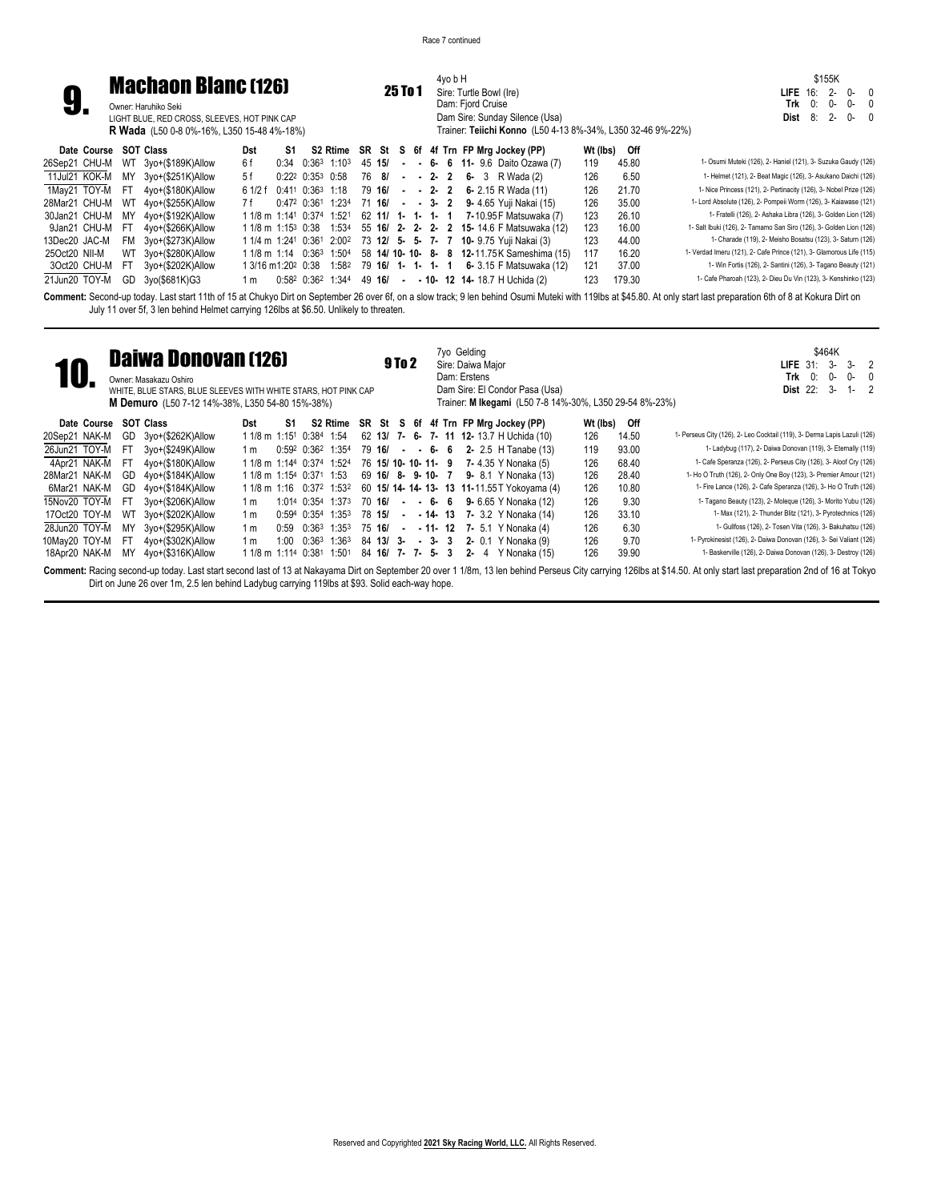

## 4yo b H **25 To 1** Sire: Turtle Bowl (Ire) Dam: Fjord Cruise Dam Sire: Sunday Silence (Usa)

\$155K **LIFE** 16: 2- 0- 0 **Trk** 0: 0- 0- 0 **Dist** 8: 2- 0- 0

|                  |                       |      | <b>R Wada</b> (L50 0-8 0%-16%, L350 15-48 4%-18%) |     |    |  |  |  |  |  | Trainer: Teiichi Konno (L50 4-13 8%-34%, L350 32-46 9%-22%)                                                    |          |        |                                                                      |
|------------------|-----------------------|------|---------------------------------------------------|-----|----|--|--|--|--|--|----------------------------------------------------------------------------------------------------------------|----------|--------|----------------------------------------------------------------------|
|                  | Date Course SOT Class |      |                                                   | Dst | S1 |  |  |  |  |  | S2 Rtime SR St S 6f 4f Trn FP Mrg Jockey (PP)                                                                  | Wt (Ibs) | Off    |                                                                      |
|                  |                       |      | 26Sep21 CHU-M WT 3yo+(\$189K)Allow                | 6 f |    |  |  |  |  |  | $0.34$ $0.36^3$ 1:10 <sup>3</sup> 45 <b>15/</b> - 6- 6 <b>11</b> 9.6 Daito Ozawa (7)                           | 119      | 45.80  | 1- Osumi Muteki (126), 2- Haniel (121), 3- Suzuka Gaudy (126)        |
|                  |                       |      | 11Jul21 KOK-M MY 3yo+(\$251K)Allow                | 5 f |    |  |  |  |  |  | $0:22^2$ $0:35^3$ $0:58$ 76 8/ - - 2- 2 6- 3 R Wada (2)                                                        | 126      | 6.50   | 1- Helmet (121), 2- Beat Magic (126), 3- Asukano Daichi (126)        |
|                  | 1Mav21 TOY-M FT       |      | 4vo+(\$180K)Allow                                 |     |    |  |  |  |  |  | $61/2$ f 0:411 0:36 <sup>3</sup> 1:18 79 16/ - - 2 2 6 2.15 R Wada (11)                                        | 126      | 21.70  | 1- Nice Princess (121), 2- Pertinacity (126), 3- Nobel Prize (126)   |
| 28Mar21 CHU-M WT |                       |      | 4vo+(\$255K)Allow                                 | 7 f |    |  |  |  |  |  | 0:47 <sup>2</sup> 0:36 <sup>1</sup> 1:23 <sup>4</sup> 71 <b>16/ - - 3- 2 9-</b> 4.65 Yuji Nakai (15)           | 126      | 35.00  | 1- Lord Absolute (126), 2- Pompeii Worm (126), 3- Kaiawase (121)     |
| 30Jan21 CHU-M    |                       | MY   | 4vo+(\$192K)Allow                                 |     |    |  |  |  |  |  | 1 1/8 m 1:141 0:374 1:521 62 11/ 1- 1- 1- 1 7-10.95 F Matsuwaka (7)                                            | 123      | 26.10  | 1- Fratelli (126), 2- Ashaka Libra (126), 3- Golden Lion (126)       |
|                  | 9Jan21 CHU-M          | - FT | 4yo+(\$266K)Allow                                 |     |    |  |  |  |  |  | 1 1/8 m 1:15 <sup>3</sup> 0:38 1:53 <sup>4</sup> 55 <b>16/ 2- 2- 2- 2 15-</b> 14.6 F Matsuwaka (12)            | 123      | 16.00  | 1- Salt Ibuki (126), 2- Tamamo San Siro (126), 3- Golden Lion (126)  |
| 13Dec20 JAC-M    |                       |      | FM 3yo+(\$273K)Allow                              |     |    |  |  |  |  |  | 1 1/4 m 1:24 <sup>1</sup> 0:36 <sup>1</sup> 2:00 <sup>2</sup> 73 <b>12/ 5- 5- 7- 7 10-</b> 9.75 Yuji Nakai (3) | 123      | 44.00  | 1- Charade (119), 2- Meisho Bosatsu (123), 3- Saturn (126)           |
| 25Oct20 NII-M    |                       |      | WT 3yo+(\$280K)Allow                              |     |    |  |  |  |  |  | 1 1/8 m 1:14 0:363 1:504 58 14/ 10- 10- 8- 8 12-11.75 K Sameshima (15)                                         | 117      | 16.20  | 1- Verdad Imeru (121), 2- Cafe Prince (121), 3- Glamorous Life (115) |
|                  | 3Oct20 CHU-M          | FT.  | 3yo+(\$202K)Allow                                 |     |    |  |  |  |  |  | 1 3/16 m1:202 0:38 1:582 79 16/ 1- 1- 1- 1 6- 3.15 F Matsuwaka (12)                                            | 121      | 37.00  | 1- Win Fortis (126), 2- Santini (126), 3- Tagano Beauty (121)        |
| 21Jun20 TOY-M    |                       | GD   | 3yo(\$681K)G3                                     | 1 m |    |  |  |  |  |  | $0.58^2$ $0.36^2$ $1.34^4$ 49 <b>16/</b> - - <b>10- 12 14-</b> 18.7 H Uchida (2)                               | 123      | 179.30 | 1- Cafe Pharoah (123), 2- Dieu Du Vin (123), 3- Kenshinko (123)      |

Comment: Second-up today. Last start 11th of 15 at Chukyo Dirt on September 26 over 6f, on a slow track; 9 len behind Osumi Muteki with 119lbs at \$45.80. At only start last preparation 6th of 8 at Kokura Dirt on July 11 over 5f, 3 len behind Helmet carrying 126lbs at \$6.50. Unlikely to threaten.

|               |     | <b>Daiwa Donovan (126)</b><br>Owner: Masakazu Oshiro<br>WHITE, BLUE STARS, BLUE SLEEVES WITH WHITE STARS, HOT PINK CAP<br>M Demuro (L50 7-12 14%-38%, L350 54-80 15%-38%) |                                      |       |                   |                   |                      | 9 To 2 |  | 7yo Gelding<br>Dam: Erstens |         | Sire: Daiwa Maior | Dam Sire: El Condor Pasa (Usa)                | Trainer: M Ikegami (L50 7-8 14%-30%, L350 29-54 8%-23%) |       | \$464K<br>$3-$<br>3-<br>2<br>LIFE $31$ :<br>Trk<br>0:<br>0-<br>0-<br>- 0<br>$Dist$ 22:<br>$3-$<br>$1 - 2$                                                                                                            |
|---------------|-----|---------------------------------------------------------------------------------------------------------------------------------------------------------------------------|--------------------------------------|-------|-------------------|-------------------|----------------------|--------|--|-----------------------------|---------|-------------------|-----------------------------------------------|---------------------------------------------------------|-------|----------------------------------------------------------------------------------------------------------------------------------------------------------------------------------------------------------------------|
| Date Course   |     | <b>SOT Class</b>                                                                                                                                                          | Dst                                  | S1    |                   | S2 Rtime          |                      |        |  |                             |         |                   | SR St S 6f 4f Trn FP Mrg Jockey (PP)          | Wt (lbs)                                                | Off   |                                                                                                                                                                                                                      |
| 20Sep21 NAK-M | GD. | 3yo+(\$262K)Allow                                                                                                                                                         | 1 1/8 m 1:15 <sup>1</sup> 0:384 1:54 |       |                   |                   |                      |        |  |                             |         |                   | 62 13/ 7 6 7 11 12 13.7 H Uchida (10)         | 126                                                     | 14.50 | 1- Perseus City (126), 2- Leo Cocktail (119), 3- Derma Lapis Lazuli (126)                                                                                                                                            |
| 26Jun21 TOY-M | FT  | 3yo+(\$249K)Allow                                                                                                                                                         | 1 m                                  |       | 0:592 0:362 1:354 |                   | 79 16/               |        |  |                             |         |                   | $ -$ 6 6 2 2.5 H Tanabe (13)                  | 119                                                     | 93.00 | 1- Ladybug (117), 2- Daiwa Donovan (119), 3- Eternally (119)                                                                                                                                                         |
| 4Apr21 NAK-M  | FT. | 4yo+(\$180K)Allow                                                                                                                                                         | 1 1/8 m 1:144 0:374 1:524            |       |                   |                   | 76 15/ 10- 10- 11- 9 |        |  |                             |         |                   | 7- 4.35 Y Nonaka (5)                          | 126                                                     | 68.40 | 1- Cafe Speranza (126), 2- Perseus City (126), 3- Aloof Cry (126)                                                                                                                                                    |
| 28Mar21 NAK-M | GD  | 4yo+(\$184K)Allow                                                                                                                                                         | 1 1/8 m 1:154 0:371 1:53             |       |                   |                   | 69 16/ 8- 9-10- 7    |        |  |                             |         |                   | <b>9-</b> 8.1 Y Nonaka (13)                   | 126                                                     | 28.40 | 1- Ho O Truth (126), 2- Only One Boy (123), 3- Premier Amour (121)                                                                                                                                                   |
| 6Mar21 NAK-M  | GD  | 4yo+(\$184K)Allow                                                                                                                                                         | 1 1/8 m 1:16 0:372 1:532             |       |                   |                   |                      |        |  |                             |         |                   | 60 15/ 14- 14- 13- 13 11-11.55 T Yokoyama (4) | 126                                                     | 10.80 | 1- Fire Lance (126), 2- Cafe Speranza (126), 3- Ho O Truth (126)                                                                                                                                                     |
| 15Nov20 TOY-M | FT. | 3yo+(\$206K)Allow                                                                                                                                                         | 1 m                                  |       | 1:014 0:354       | 1:373             | 70 16/               |        |  |                             |         |                   | $ -$ 6 6 9 6.65 Y Nonaka (12)                 | 126                                                     | 9.30  | 1- Tagano Beauty (123), 2- Moleque (126), 3- Morito Yubu (126)                                                                                                                                                       |
| 17Oct20 TOY-M | WT  | 3yo+(\$202K)Allow                                                                                                                                                         | 1 m                                  | 0:594 | 0:35 <sup>4</sup> | 1:35 <sup>3</sup> | 78 15/               |        |  | $-14$ 13                    |         |                   | 7- 3.2 Y Nonaka (14)                          | 126                                                     | 33.10 | 1- Max (121), 2- Thunder Blitz (121), 3- Pyrotechnics (126)                                                                                                                                                          |
| 28Jun20 TOY-M | MY  | 3yo+(\$295K)Allow                                                                                                                                                         | 1 m                                  | 0:59  | 0:363             | 1:35 <sup>3</sup> | 75 16/               | $\sim$ |  |                             |         |                   | $-11 - 12$ 7 - 5.1 Y Nonaka (4)               | 126                                                     | 6.30  | 1- Gullfoss (126), 2- Tosen Vita (126), 3- Bakuhatsu (126)                                                                                                                                                           |
| 10May20 TOY-M | FT  | 4yo+(\$302K)Allow                                                                                                                                                         | 1 m                                  | 1:00  | 0:36 <sup>3</sup> | 1:36 <sup>3</sup> | $84$ 13/ 3- - 3- 3   |        |  |                             |         |                   | 2- 0.1 Y Nonaka (9)                           | 126                                                     | 9.70  | 1- Pyrokinesist (126), 2- Daiwa Donovan (126), 3- Sei Valiant (126)                                                                                                                                                  |
| 18Apr20 NAK-M | MY  | 4yo+(\$316K)Allow                                                                                                                                                         | 1 1/8 m 1:114 0:381                  |       |                   | 1:501             | 84 16/ 7- 7- 5-      |        |  | 3                           | $2 - 4$ |                   | Y Nonaka (15)                                 | 126                                                     | 39.90 | 1- Baskerville (126), 2- Daiwa Donovan (126), 3- Destroy (126)                                                                                                                                                       |
|               |     | Dirt on June 26 over 1m, 2.5 len behind Ladybug carrying 119lbs at \$93. Solid each-way hope.                                                                             |                                      |       |                   |                   |                      |        |  |                             |         |                   |                                               |                                                         |       | Comment: Racing second-up today. Last start second last of 13 at Nakayama Dirt on September 20 over 1 1/8m, 13 len behind Perseus City carrying 126lbs at \$14.50. At only start last preparation 2nd of 16 at Tokyo |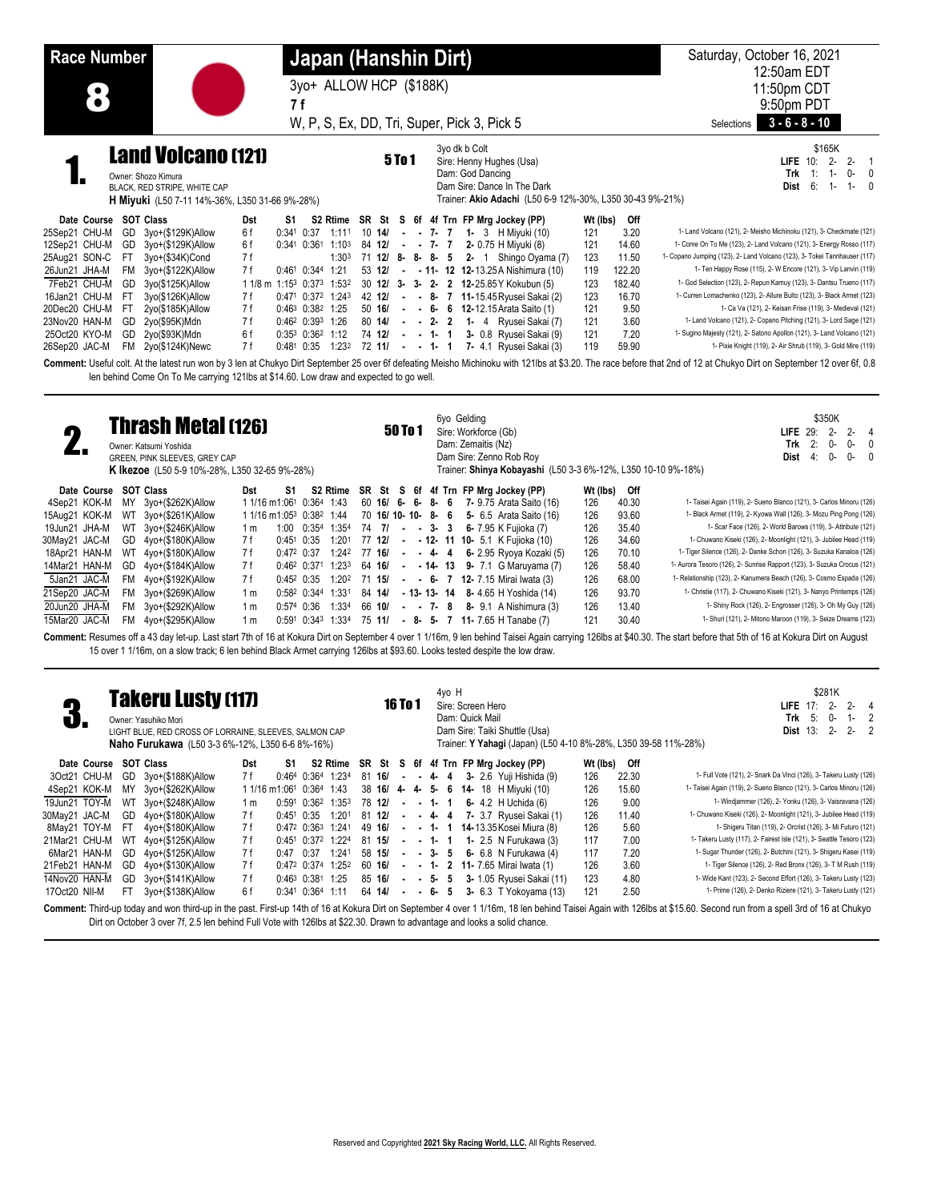| <b>Race Number</b>                                                                                                                                                                                                                                                                                                                                                                                                                                                                                                                                                                                                                                                      | Japan (Hanshin Dirt)                                                                                                                                                                                                                                                                                                                                                                                                                                                                                                                                                                                                                                                                                                                                                                                                                                                                                                                                                                                                                                                                                                                                                | Saturday, October 16, 2021                                                                                                                                                                                                                                                                                                                                                                                                                                                                                                                                                                                                                                                                                                     |
|-------------------------------------------------------------------------------------------------------------------------------------------------------------------------------------------------------------------------------------------------------------------------------------------------------------------------------------------------------------------------------------------------------------------------------------------------------------------------------------------------------------------------------------------------------------------------------------------------------------------------------------------------------------------------|---------------------------------------------------------------------------------------------------------------------------------------------------------------------------------------------------------------------------------------------------------------------------------------------------------------------------------------------------------------------------------------------------------------------------------------------------------------------------------------------------------------------------------------------------------------------------------------------------------------------------------------------------------------------------------------------------------------------------------------------------------------------------------------------------------------------------------------------------------------------------------------------------------------------------------------------------------------------------------------------------------------------------------------------------------------------------------------------------------------------------------------------------------------------|--------------------------------------------------------------------------------------------------------------------------------------------------------------------------------------------------------------------------------------------------------------------------------------------------------------------------------------------------------------------------------------------------------------------------------------------------------------------------------------------------------------------------------------------------------------------------------------------------------------------------------------------------------------------------------------------------------------------------------|
|                                                                                                                                                                                                                                                                                                                                                                                                                                                                                                                                                                                                                                                                         | 3yo+ ALLOW HCP (\$188K)                                                                                                                                                                                                                                                                                                                                                                                                                                                                                                                                                                                                                                                                                                                                                                                                                                                                                                                                                                                                                                                                                                                                             | 12:50am EDT<br>11:50pm CDT                                                                                                                                                                                                                                                                                                                                                                                                                                                                                                                                                                                                                                                                                                     |
| 8                                                                                                                                                                                                                                                                                                                                                                                                                                                                                                                                                                                                                                                                       | 7 f                                                                                                                                                                                                                                                                                                                                                                                                                                                                                                                                                                                                                                                                                                                                                                                                                                                                                                                                                                                                                                                                                                                                                                 | 9:50pm PDT                                                                                                                                                                                                                                                                                                                                                                                                                                                                                                                                                                                                                                                                                                                     |
|                                                                                                                                                                                                                                                                                                                                                                                                                                                                                                                                                                                                                                                                         | W, P, S, Ex, DD, Tri, Super, Pick 3, Pick 5                                                                                                                                                                                                                                                                                                                                                                                                                                                                                                                                                                                                                                                                                                                                                                                                                                                                                                                                                                                                                                                                                                                         | $3 - 6 - 8 - 10$<br>Selections                                                                                                                                                                                                                                                                                                                                                                                                                                                                                                                                                                                                                                                                                                 |
| <b>Land Volcano (121)</b><br>Owner: Shozo Kimura<br>BLACK, RED STRIPE, WHITE CAP<br><b>H Miyuki</b> (L50 7-11 14%-36%, L350 31-66 9%-28%)                                                                                                                                                                                                                                                                                                                                                                                                                                                                                                                               | 3yo dk b Colt<br><b>5To1</b><br>Sire: Henny Hughes (Usa)<br>Dam: God Dancing<br>Dam Sire: Dance In The Dark<br>Trainer: Akio Adachi (L50 6-9 12%-30%, L350 30-43 9%-21%)                                                                                                                                                                                                                                                                                                                                                                                                                                                                                                                                                                                                                                                                                                                                                                                                                                                                                                                                                                                            | \$165K<br>LIFE 10: 2-<br>$2-$<br>$\overline{1}$<br>Trk<br>$\pm$<br>$1 -$<br>0-<br>$\mathbf{0}$<br>6:<br>Dist<br>$1 -$<br>$1 -$                                                                                                                                                                                                                                                                                                                                                                                                                                                                                                                                                                                                 |
| Date Course SOT Class<br><b>Dst</b><br>S1.<br>25Sep21 CHU-M<br>GD<br>3yo+(\$129K)Allow<br>6f<br>12Sep21 CHU-M<br>3yo+(\$129K)Allow<br>6 f<br>GD<br>25Aug21 SON-C<br>FT<br>3yo+(\$34K)Cond<br>7 f<br>3yo+(\$122K)Allow<br>26Jun21 JHA-M<br>FM<br>7 f<br>7Feb21 CHU-M<br>GD<br>1 1/8 m 1:153 0:373 1:532<br>3yo(\$125K)Allow<br>16Jan21 CHU-M<br>FT.<br>3yo(\$126K)Allow<br>7 f<br>20Dec20 CHU-M<br>7 f<br>FT.<br>2yo(\$185K)Allow<br>23Nov20 HAN-M<br>GD<br>2yo(\$95K)Mdn<br>7 f<br>25Oct20 KYO-M<br>GD 2yo(\$93K)Mdn<br>6f<br>26Sep20 JAC-M<br>FM 2yo(\$124K)Newc<br>7 f<br>len behind Come On To Me carrying 121lbs at \$14.60. Low draw and expected to go well.      | S2 Rtime SR St S 6f 4f Trn FP Mrg Jockey (PP)<br>Wt (lbs) Off<br>3.20<br>$0:341$ $0:37$ 1:111<br>$10 \t14$<br>- - 7- 7 1- 3 H Miyuki (10)<br>121<br>0:341 0:361 1:103<br>84 12/<br>$- 7 - 7$ 2-0.75 H Miyuki (8)<br>14.60<br>121<br>1:30 <sup>3</sup><br>71 12/ 8- 8- 8- 5 2- 1 Shingo Oyama (7)<br>123<br>11.50<br>0:461 0:344 1:21<br>122.20<br>53 12/<br>$ -$ 11- 12 12-13.25 A Nishimura (10)<br>119<br>30 12/ 3- 3- 2- 2 12-25.85 Y Kokubun (5)<br>123<br>182.40<br>42 12/<br>16.70<br>0:471 0:372 1:243<br>$- - 8$<br>7 11-15.45 Ryusei Sakai (2)<br>123<br>50 16/<br>121<br>9.50<br>0:463 0:382 1:25<br>$-6$ 6 12-12.15 Arata Saito (1)<br>$\blacksquare$<br>0:462 0:393 1:26<br>80 14/<br>- 2- 2 1- 4 Ryusei Sakai (7)<br>121<br>3.60<br>$\blacksquare$<br>0:353 0:362 1:12<br>74 12/<br>$- - 1 - 1$<br>3- 0.8 Ryusei Sakai (9)<br>121<br>7.20<br>0:481 0:35 1:232 72 11/ - - 1- 1 7- 4.1 Ryusei Sakai (3)<br>119<br>59.90<br>Comment: Useful colt. At the latest run won by 3 len at Chukyo Dirt September 25 over 6f defeating Meisho Michinoku with 121lbs at \$3.20. The race before that 2nd of 12 at Chukyo Dirt on September 12 over 6f, 0.8         | 1- Land Volcano (121), 2- Meisho Michinoku (121), 3- Checkmate (121)<br>1- Come On To Me (123), 2- Land Volcano (121), 3- Energy Rosso (117)<br>1- Copano Jumping (123), 2- Land Volcano (123), 3- Tokei Tannhauser (117)<br>1- Ten Happy Rose (115), 2- W Encore (121), 3- Vip Lanvin (119)<br>1- God Selection (123), 2- Repun Kamuy (123), 3- Dantsu Trueno (117)<br>1- Curren Lomachenko (123), 2- Allure Bulto (123), 3- Black Armet (123)<br>1- Ca Va (121), 2- Keisan Frise (119), 3- Medieval (121)<br>1- Land Volcano (121), 2- Copano Pitching (121), 3- Lord Sage (121)<br>1- Sugino Majesty (121), 2- Satono Apollon (121), 3- Land Volcano (121)<br>1- Pixie Knight (119), 2- Air Shrub (119), 3- Gold Mire (119) |
| <b>Thrash Metal (126)</b><br>2.<br>Owner: Katsumi Yoshida<br>GREEN, PINK SLEEVES, GREY CAP<br><b>K Ikezoe</b> (L50 5-9 10%-28%, L350 32-65 9%-28%)                                                                                                                                                                                                                                                                                                                                                                                                                                                                                                                      | 6yo Gelding<br>50 To 1<br>Sire: Workforce (Gb)<br>Dam: Zemaitis (Nz)<br>Dam Sire: Zenno Rob Roy<br>Trainer: Shinya Kobayashi (L50 3-3 6%-12%, L350 10-10 9%-18%)                                                                                                                                                                                                                                                                                                                                                                                                                                                                                                                                                                                                                                                                                                                                                                                                                                                                                                                                                                                                    | \$350K<br>LIFE 29: 2-<br>$2 -$<br>$\overline{4}$<br>2:<br>0-<br>0<br>Trk<br>0-<br>4:<br>0-<br>0-<br>0<br>Dist                                                                                                                                                                                                                                                                                                                                                                                                                                                                                                                                                                                                                  |
| Date Course SOT Class<br>S1<br>Dst<br>4Sep21 KOK-M<br>MY 3yo+(\$262K)Allow<br>1 1/16 m1:061 0:364 1:43<br>15Aug21 KOK-M<br>3yo+(\$261K)Allow<br>1 1/16 m1:05 <sup>3</sup> 0:38 <sup>2</sup> 1:44<br>WT<br>19Jun21 JHA-M<br>3yo+(\$246K)Allow<br>WT<br>1 <sub>m</sub><br>30May21 JAC-M<br>4yo+(\$180K)Allow<br>GD<br>7 f<br>18Apr21 HAN-M<br>WT 4yo+(\$180K)Allow<br>7 f<br>14Mar21 HAN-M<br>GD 4yo+(\$184K)Allow<br>7 f<br>5Jan21 JAC-M<br>7 f<br>FM<br>4yo+(\$192K)Allow<br>21Sep20 JAC-M<br>3yo+(\$269K)Allow<br>FM<br>1 <sub>m</sub><br>20Jun20 JHA-M<br>3yo+(\$292K)Allow<br><b>FM</b><br>1 <sub>m</sub><br>15Mar20 JAC-M<br>FM 4yo+(\$295K)Allow<br>1 <sub>m</sub> | SR St S 6f 4f Trn FP Mrg Jockey (PP)<br>Wt (lbs) Off<br>S2 Rtime<br>60 16/ 6- 6- 8- 6 7- 9.75 Arata Saito (16)<br>126<br>40.30<br>70 16/ 10- 10- 8- 6 5- 6.5 Arata Saito (16)<br>93.60<br>126<br>1:00 0:354 1:354<br>74 7/<br>$ -$ 3 $-$ 3 6 $-$ 7.95 K Fujioka (7)<br>126<br>35.40<br>$0:45^{\circ}$ 0:35<br>1:201<br>77 12/<br>- - 12- 11 10- 5.1 K Fujioka (10)<br>126<br>34.60<br>1:242<br>77 16/<br>$-4-4$<br>6- 2.95 Ryoya Kozaki (5)<br>70.10<br>$0:47^2$ 0:37<br>126<br>0:462 0:371 1:233<br>- $-14$ - 13 9- 7.1 G Maruyama (7)<br>126<br>58.40<br>64 16/<br>1:202<br>71 15/<br>126<br>$0:452$ $0:35$<br>$ -$ 6- 7 12-7.15 Mirai Iwata (3)<br>68.00<br>0:582 0:344 1:331<br>84 14/<br>93.70<br>$-13 - 13 - 14$ 8-4.65 H Yoshida (14)<br>126<br>$0:574$ 0:36<br>1:33 <sup>4</sup><br>66 10/<br>$- 7 - 8 8 - 9.1$ A Nishimura (3)<br>126<br>13.40<br>30.40<br>0:591 0:343 1:334<br>75 11/<br>$-8$ - 5- 7 11-7.65 H Tanabe (7)<br>121<br>Comment: Resumes off a 43 day let-up. Last start 7th of 16 at Kokura Dirt on September 4 over 1 1/16m, 9 len behind Taisei Again carrying 126lbs at \$40.30. The start before that 5th of 16 at Kokura Dirt on August | 1- Taisei Again (119), 2- Sueno Blanco (121), 3- Carlos Minoru (126)<br>1- Black Armet (119), 2- Kyowa Wall (126), 3- Mozu Ping Pong (126)<br>1- Scar Face (126), 2- World Barows (119), 3- Attribute (121)<br>1- Chuwano Kiseki (126), 2- Moonlight (121), 3- Jubilee Head (119)<br>1- Tiger Silence (126), 2- Danke Schon (126), 3- Suzuka Kanaloa (126)<br>1- Aurora Tesoro (126), 2- Sunrise Rapport (123), 3- Suzuka Crocus (121)<br>1- Relationship (123), 2- Kanumera Beach (126), 3- Cosmo Espada (126)<br>1- Christie (117), 2- Chuwano Kiseki (121), 3- Nanyo Printemps (126)<br>1- Shiny Rock (126), 2- Engrosser (126), 3- Oh My Guy (126)<br>1- Shuri (121), 2- Mitono Maroon (119), 3- Seize Dreams (123)        |
| <b>Takeru Lusty (117)</b><br>n.<br>Owner: Yasuhiko Mori<br>LIGHT BLUE, RED CROSS OF LORRAINE, SLEEVES, SALMON CAP<br>Naho Furukawa (L50 3-3 6%-12%, L350 6-6 8%-16%)                                                                                                                                                                                                                                                                                                                                                                                                                                                                                                    | 15 over 1 1/16m, on a slow track; 6 len behind Black Armet carrying 126lbs at \$93.60. Looks tested despite the low draw.<br>4yo H<br><b>16 To 1</b><br>Sire: Screen Hero<br>Dam: Quick Mail<br>Dam Sire: Taiki Shuttle (Usa)<br>Trainer: Y Yahagi (Japan) (L50 4-10 8%-28%, L350 39-58 11%-28%)                                                                                                                                                                                                                                                                                                                                                                                                                                                                                                                                                                                                                                                                                                                                                                                                                                                                    | \$281K<br>LIFE $17:2$ -<br>$2 -$<br>$\overline{4}$<br>5:<br>0-<br>$\overline{2}$<br>Trk<br>$1-$<br><b>Dist 13: 2-</b><br>$2 -$<br>$\overline{2}$                                                                                                                                                                                                                                                                                                                                                                                                                                                                                                                                                                               |
| Date Course SOT Class<br>Dst<br>S1<br>3Oct21 CHU-M GD 3yo+(\$188K)Allow<br>7 f<br>0:464 0:364 1:234                                                                                                                                                                                                                                                                                                                                                                                                                                                                                                                                                                     | S2 Rtime<br>SR St S 6f 4f Trn FP Mrg Jockey (PP)<br>Wt (lbs) Off                                                                                                                                                                                                                                                                                                                                                                                                                                                                                                                                                                                                                                                                                                                                                                                                                                                                                                                                                                                                                                                                                                    |                                                                                                                                                                                                                                                                                                                                                                                                                                                                                                                                                                                                                                                                                                                                |

|  | 19Jun21 TOY-M WT 3yo+(\$248K)Allow | 1 m |  |  |  |  | $0:591$ $0:362$ 1:35 <sup>3</sup> 78 <b>12/</b> - - <b>1 1 6</b> 4.2 H Uchida (6)                                        | 126 | 9.00  | 1- Windjammer (126), 2- Yonku (126), 3- Vaisravana (126)                                                                                                                                                             |
|--|------------------------------------|-----|--|--|--|--|--------------------------------------------------------------------------------------------------------------------------|-----|-------|----------------------------------------------------------------------------------------------------------------------------------------------------------------------------------------------------------------------|
|  | 30May21 JAC-M GD 4yo+(\$180K)Allow | 7 f |  |  |  |  | $0:45^1$ $0:35$ $1:20^1$ $81$ $12/$ - - 4- 4 7- 3.7 Ryusei Sakai (1)                                                     | 126 | 11.40 | 1- Chuwano Kiseki (126), 2- Moonlight (121), 3- Jubilee Head (119)                                                                                                                                                   |
|  | 8May21 TOY-M FT 4yo+(\$180K)Allow  | 7 f |  |  |  |  | $0.47^2$ $0.36^3$ 1.241 49 16/ - - 1- 1 14-13.35 Kosei Miura (8)                                                         | 126 | 5.60  | 1- Shigeru Titan (119), 2- Orcrist (126), 3- Mi Futuro (121)                                                                                                                                                         |
|  | 21Mar21 CHU-M WT 4yo+(\$125K)Allow | 7 f |  |  |  |  | $0:45^1$ $0:37^2$ 1:22 <sup>4</sup> 81 <b>15/</b> - - <b>1- 1 1-</b> 2.5 N Furukawa (3)                                  | 117 | 7.00  | 1- Takeru Lusty (117), 2- Fairest Isle (121), 3- Seattle Tesoro (123)                                                                                                                                                |
|  | 6Mar21 HAN-M GD 4yo+(\$125K)Allow  | 7 f |  |  |  |  | $0.47$ $0.37$ $1.241$ 58 <b>15/</b> - - <b>3-</b> 5 6- 6.8 N Furukawa (4)                                                | 117 | 7.20  | 1- Sugar Thunder (126), 2- Butchini (121), 3- Shigeru Kasei (119)                                                                                                                                                    |
|  | 21Feb21 HAN-M GD 4yo+(\$130K)Allow | 7 f |  |  |  |  | $0.47^2$ $0.37^4$ 1.25 <sup>2</sup> 60 <b>16/</b> - - 1- 2 11-7.65 Mirai Iwata (1)                                       | 126 | 3.60  | 1- Tiger Silence (126), 2- Red Bronx (126), 3- T M Rush (119)                                                                                                                                                        |
|  | 14Nov20 HAN-M GD 3yo+(\$141K)Allow | 7 f |  |  |  |  | $0:46^3$ $0:38^1$ 1:25 85 16/ - - 5- 5 3- 1.05 Ryusei Sakai (11)                                                         | 123 | 4.80  | 1- Wide Kant (123), 2- Second Effort (126), 3- Takeru Lusty (123)                                                                                                                                                    |
|  | 17Oct20 NII-M FT 3yo+(\$138K)Allow | 6 f |  |  |  |  | $0.34^{\circ}$ 0.36 <sup>4</sup> 1:11 64 <b>14/ - - 6- 5 3-</b> 6.3 T Yokoyama (13)                                      | 121 | 2.50  | 1- Prime (126), 2- Denko Riziere (121), 3- Takeru Lusty (121)                                                                                                                                                        |
|  |                                    |     |  |  |  |  |                                                                                                                          |     |       | Comment: Third-up today and won third-up in the past. First-up 14th of 16 at Kokura Dirt on September 4 over 1 1/16m, 18 len behind Taisei Again with 126lbs at \$15.60. Second run from a spell 3rd of 16 at Chukyo |
|  |                                    |     |  |  |  |  | Dirt on October 3 over 7f, 2.5 len behind Full Vote with 126lbs at \$22.30. Drawn to advantage and looks a solid chance. |     |       |                                                                                                                                                                                                                      |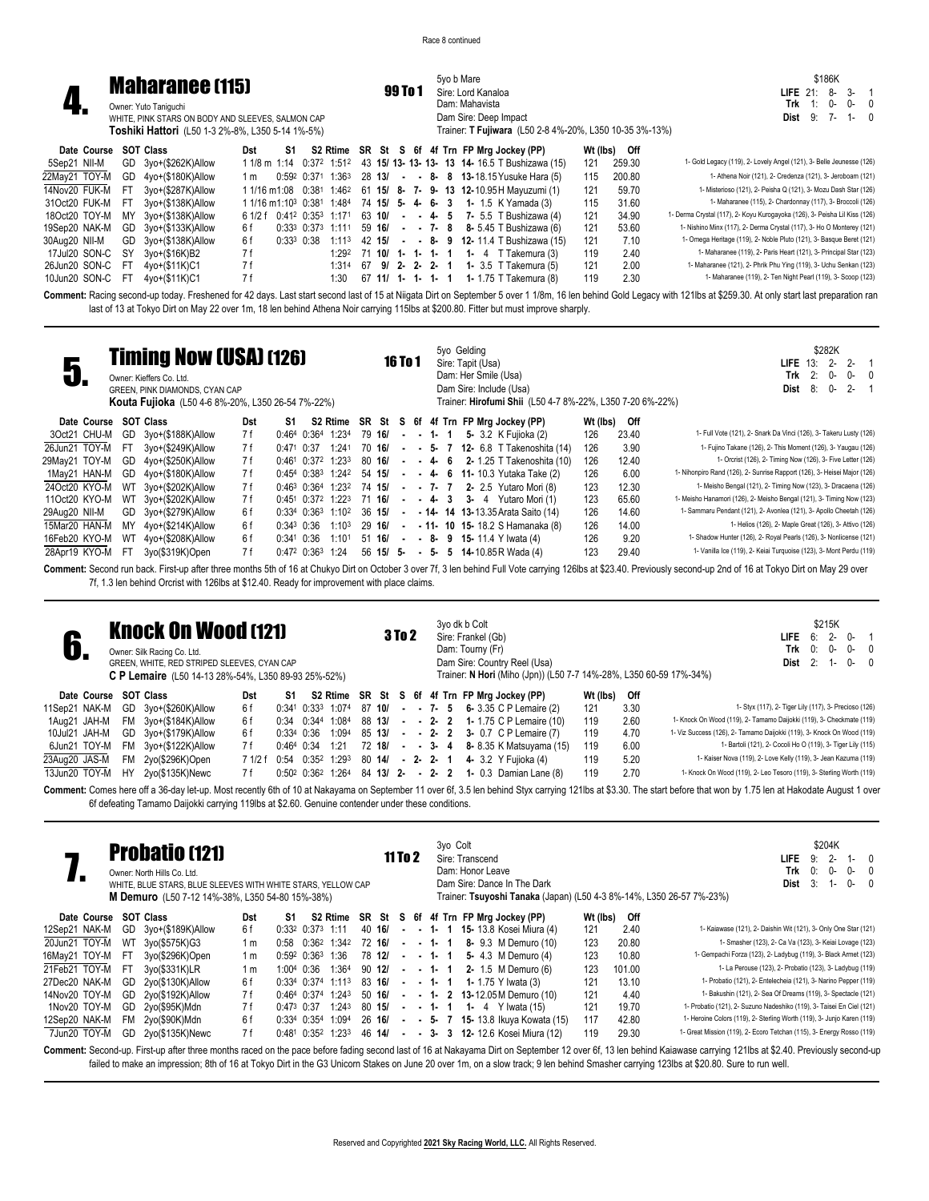|               |      |                                                   |                                       |                 |                         |                   |    |                   |                   |          | 5vo b Mare |                    |                                                         |          |        | \$186K                                                                                                                                                                                               |
|---------------|------|---------------------------------------------------|---------------------------------------|-----------------|-------------------------|-------------------|----|-------------------|-------------------|----------|------------|--------------------|---------------------------------------------------------|----------|--------|------------------------------------------------------------------------------------------------------------------------------------------------------------------------------------------------------|
|               |      | <b>Maharanee (115)</b>                            |                                       |                 |                         |                   |    |                   | 99 To 1           |          |            | Sire: Lord Kanaloa |                                                         |          |        | $3 - 1$<br>LIFE $21$ :<br>-8                                                                                                                                                                         |
|               |      | Owner: Yuto Taniquchi                             |                                       |                 |                         |                   |    |                   |                   |          |            | Dam: Mahavista     |                                                         |          |        | 0-<br>በ-<br>Trk<br>$\Omega$                                                                                                                                                                          |
|               |      | WHITE, PINK STARS ON BODY AND SLEEVES, SALMON CAP |                                       |                 |                         |                   |    |                   |                   |          |            |                    | Dam Sire: Deep Impact                                   |          |        | $9:7-$<br>$1 - 0$<br>Dist                                                                                                                                                                            |
|               |      | Toshiki Hattori (L50 1-3 2%-8%, L350 5-14 1%-5%)  |                                       |                 |                         |                   |    |                   |                   |          |            |                    | Trainer: T Fujiwara (L50 2-8 4%-20%, L350 10-35 3%-13%) |          |        |                                                                                                                                                                                                      |
| Date Course   |      | <b>SOT Class</b>                                  | Dst                                   | S1              |                         |                   |    |                   |                   |          |            |                    | S2 Rtime SR St S 6f 4f Trn FP Mrg Jockey (PP)           | Wt (lbs) | Off    |                                                                                                                                                                                                      |
| 5Sep21 NII-M  | GD   | 3yo+(\$262K)Allow                                 | 1 1/8 m 1:14                          |                 |                         | 0:372 1:512       |    |                   |                   |          |            |                    | 43 15/ 13- 13- 13- 13 14- 16.5 T Bushizawa (15)         | 121      | 259.30 | 1- Gold Legacy (119), 2- Lovely Angel (121), 3- Belle Jeunesse (126)                                                                                                                                 |
| 22May21 TOY-M | GD.  | 4yo+(\$180K)Allow                                 | 1 m                                   |                 |                         | 0:592 0:371 1:363 |    | 28 13/            |                   |          |            |                    | $ -$ 8 $-$ 8 13-18.15 Yusuke Hara (5)                   | 115      | 200.80 | 1- Athena Noir (121), 2- Credenza (121), 3- Jeroboam (121)                                                                                                                                           |
| 14Nov20 FUK-M | FT.  | 3yo+(\$287K)Allow                                 | 1 1/16 m1:08 0:381 1:46 <sup>2</sup>  |                 |                         |                   |    |                   |                   |          |            |                    | 61 15/ 8- 7- 9- 13 12-10.95 H Mayuzumi (1)              | 121      | 59.70  | 1- Misterioso (121), 2- Peisha Q (121), 3- Mozu Dash Star (126)                                                                                                                                      |
| 31Oct20 FUK-M | -FT  | 3yo+(\$138K)Allow                                 | 1 1/16 m1:10 <sup>3</sup> 0:381 1:484 |                 |                         |                   |    | 74 15/ 5- 4- 6- 3 |                   |          |            |                    | <b>1-</b> 1.5 K Yamada (3)                              | 115      | 31.60  | 1- Maharanee (115), 2- Chardonnay (117), 3- Broccoli (126)                                                                                                                                           |
| 18Oct20 TOY-M | MY   | 3yo+(\$138K)Allow                                 | 6 1/2 f                               |                 | $0:41^2$ $0:35^3$ 1:171 |                   |    | 63 10/            | $\sim$            | $-4$ 5   |            |                    | <b>7-</b> 5.5 T Bushizawa (4)                           | 121      | 34.90  | 1- Derma Crystal (117), 2- Koyu Kurogayoka (126), 3- Peisha Lil Kiss (126)                                                                                                                           |
| 19Sep20 NAK-M | GD   | 3yo+(\$133K)Allow                                 | 6 f                                   |                 | $0:33^3$ $0:37^3$ 1:111 |                   |    | 59 16/            |                   | $-7 - 8$ |            |                    | 8- 5.45 T Bushizawa (6)                                 | 121      | 53.60  | 1- Nishino Minx (117), 2- Derma Crystal (117), 3- Ho O Monterey (121)                                                                                                                                |
| 30Aug20 NII-M | GD   | 3yo+(\$138K)Allow                                 | 6 f                                   | $0:33^{3}$ 0:38 |                         | 1:113             |    | 42 15/            |                   |          | $ -$ 8-9   |                    | <b>12-</b> 11.4 T Bushizawa (15)                        | 121      | 7.10   | 1- Omega Heritage (119), 2- Noble Pluto (121), 3- Basque Beret (121)                                                                                                                                 |
| 17Jul20 SON-C | SY   | 3yo+(\$16K)B2                                     | 7 f                                   |                 |                         | 1:292             |    | 71 10/ 1- 1- 1- 1 |                   |          |            |                    | 1- 4 $T$ Takemura $(3)$                                 | 119      | 2.40   | 1- Maharanee (119), 2- Paris Heart (121), 3- Principal Star (123)                                                                                                                                    |
| 26Jun20 SON-C | - FT | 4yo+(\$11K)C1                                     | 7 f                                   |                 |                         | 1:314             | 67 |                   | $9/2 - 2 - 2 - 1$ |          |            |                    | <b>1-</b> 3.5 T Takemura (5)                            | 121      | 2.00   | 1- Maharanee (121), 2- Phrik Phu Ying (119), 3- Uchu Senkan (123)                                                                                                                                    |
| 10Jun20 SON-C | -FT  | 4yo+(\$11K)C1                                     | 7 f                                   |                 |                         | 1:30              |    | 67 11/ 1- 1- 1- 1 |                   |          |            |                    | <b>1-</b> 1.75 T Takemura (8)                           | 119      | 2.30   | 1- Maharanee (119), 2- Ten Night Pearl (119), 3- Scoop (123)                                                                                                                                         |
|               |      |                                                   |                                       |                 |                         |                   |    |                   |                   |          |            |                    |                                                         |          |        | Campanti Desire sessed un today Exchanged for 10 days Lot start sessed lost of 15 of Nijeste Distres Distres Cause 140m 140m 16 happen Cald Logary with 194ho of COD 30. No published parameters are |

Comment: Racing second-up today. Freshened for 42 days. Last start second last of 15 at Niigata Dirt on September 5 over 1 1/8m, 16 len behind Gold Legacy with 121lbs at \$259.30. At only start last preparation ran last of 13 at Tokyo Dirt on May 22 over 1m, 18 len behind Athena Noir carrying 115lbs at \$200.80. Fitter but must improve sharply.

|                       |     | <b>Timing Now (USA) (126)</b><br>Owner: Kieffers Co. Ltd.<br>GREEN, PINK DIAMONDS, CYAN CAP<br>Kouta Fujioka (L50 4-6 8%-20%, L350 26-54 7%-22%) |     |                 |                       |                   |           | <b>16 To 1</b> |  | 5yo Gelding | Sire: Tapit (Usa)<br>Dam: Her Smile (Usa)<br>Dam Sire: Include (Usa)<br>Trainer: Hirofumi Shii (L50 4-7 8%-22%, L350 7-20 6%-22%) |          |       | \$282K<br><b>LIFE</b> $13: 2-$<br>$2 -$<br>2:<br>0-<br>$0 -$<br>Trk<br>$2 -$<br>Dist<br>8:<br>$0 -$ | $\Omega$ |
|-----------------------|-----|--------------------------------------------------------------------------------------------------------------------------------------------------|-----|-----------------|-----------------------|-------------------|-----------|----------------|--|-------------|-----------------------------------------------------------------------------------------------------------------------------------|----------|-------|-----------------------------------------------------------------------------------------------------|----------|
| Date Course SOT Class |     |                                                                                                                                                  | Dst | S1              |                       |                   |           |                |  |             | S2 Rtime SR St S 6f 4f Trn FP Mrg Jockey (PP)                                                                                     | Wt (lbs) | Off   |                                                                                                     |          |
| 3Oct21 CHU-M          | GD  | 3yo+(\$188K)Allow                                                                                                                                | 7 f |                 | 0:464 0:364 1:234     |                   | 79 16/    |                |  |             | $ -$ 1 $-$ 1 $-$ 5 $-$ 3.2 K Fujioka (2)                                                                                          | 126      | 23.40 | 1- Full Vote (121), 2- Snark Da Vinci (126), 3- Takeru Lusty (126)                                  |          |
| 26Jun21 TOY-M         | -FT | 3vo+(\$249K)Allow                                                                                                                                | 7 f | $0:471$ $0:37$  |                       | 1:241             | 70 16/    |                |  |             | $ -$ 5- 7 12- 6.8 T Takenoshita (14)                                                                                              | 126      | 3.90  | 1- Fujino Takane (126), 2- This Moment (126), 3- Yaugau (126)                                       |          |
| 29May21 TOY-M         | GD  | 4yo+(\$250K)Allow                                                                                                                                | 7 f |                 | $0:461$ $0:372$ 1:233 |                   | 80 16/    |                |  |             | $- 4 - 6$ 2 - 1.25 T Takenoshita (10)                                                                                             | 126      | 12.40 | 1- Orcrist (126), 2- Timing Now (126), 3- Five Letter (126)                                         |          |
| 1May21 HAN-M          | GD. | 4yo+(\$180K)Allow                                                                                                                                | 7 f |                 | $0:454$ $0:383$ 1:242 |                   | 54 15/    |                |  |             | $- 4 6 11 - 10.3$ Yutaka Take (2)                                                                                                 | 126      | 6.00  | 1- Nihonpiro Rand (126), 2- Sunrise Rapport (126), 3- Heisei Major (126)                            |          |
| 24Oct20 KYO-M         | WТ  | 3yo+(\$202K)Allow                                                                                                                                | 7 f |                 | $0:463$ $0:364$ 1:232 |                   | 74 15/    |                |  |             | $-7$ 7 2 2 2.5 Yutaro Mori (8)                                                                                                    | 123      | 12.30 | 1- Meisho Bengal (121), 2- Timing Now (123), 3- Dracaena (126)                                      |          |
| 110ct20 KYO-M         | WT  | 3yo+(\$202K)Allow                                                                                                                                | 7 f |                 | $0:451$ $0:372$ 1:223 |                   | 71 16/    |                |  |             | $- 4 - 3 - 3 - 4$ Yutaro Mori (1)                                                                                                 | 123      | 65.60 | 1- Meisho Hanamori (126), 2- Meisho Bengal (121), 3- Timing Now (123)                               |          |
| 29Aug20 NII-M         | GD. | 3yo+(\$279K)Allow                                                                                                                                | 6 f |                 | $0:334$ $0:363$ 1:102 |                   | 36 15/    | $\sim$         |  |             | $-14 - 14$ 13-13.35 Arata Saito (14)                                                                                              | 126      | 14.60 | 1- Sammaru Pendant (121), 2- Avonlea (121), 3- Apollo Cheetah (126)                                 |          |
| 15Mar20 HAN-M         | ΜY  | 4yo+(\$214K)Allow                                                                                                                                | 6 f | $0:34^3$ 0:36   |                       | $1:10^{3}$        | 29 16/    | $\sim$         |  |             | $-11 - 10$ 15 - 18.2 S Hamanaka (8)                                                                                               | 126      | 14.00 | 1- Helios (126), 2- Maple Great (126), 3- Attivo (126)                                              |          |
| 16Feb20 KYO-M         | WТ  | 4yo+(\$208K)Allow                                                                                                                                | 6 f | $0:34^{1}$ 0:36 |                       | 1:10 <sup>1</sup> | 51 16/    | $\sim$         |  |             | $-$ 8- 9 15-11.4 Y Iwata (4)                                                                                                      | 126      | 9.20  | 1- Shadow Hunter (126), 2- Royal Pearls (126), 3- Nonlicense (121)                                  |          |
| 28Apr19 KYO-M         |     | 3vo(\$319K)Open                                                                                                                                  | 7 f |                 | 0:472 0:363 1:24      |                   | 56 15/ 5- |                |  | $-5 - 5$    | <b>14-10.85 R Wada (4)</b>                                                                                                        | 123      | 29.40 | 1- Vanilla Ice (119), 2- Keiai Turquoise (123), 3- Mont Perdu (119)                                 |          |

Comment: Second run back. First-up after three months 5th of 16 at Chukyo Dirt on October 3 over 7f, 3 len behind Full Vote carrying 126lbs at \$23.40. Previously second-up 2nd of 16 at Tokyo Dirt on May 29 over 7f, 1.3 len behind Orcrist with 126lbs at \$12.40. Ready for improvement with place claims.

|               |             |           | <b>Knock On Wood [121]</b><br>Owner: Silk Racing Co. Ltd.<br>GREEN, WHITE, RED STRIPED SLEEVES, CYAN CAP<br><b>C P Lemaire</b> (L50 14-13 28%-54%, L350 89-93 25%-52%) |         |                 |          |                         |                  | <b>3 To 2</b> |  |              | 3yo dk b Colt<br>Sire: Frankel (Gb)<br>Dam: Tourny (Fr) | Dam Sire: Country Reel (Usa)<br>Trainer: N Hori (Miho (Jpn)) (L50 7-7 14%-28%, L350 60-59 17%-34%) |          |      | \$215K<br>LIFE.<br>$2 -$<br>$0 -$<br>6:<br>0:<br>$0-$<br>Trk<br>$0 - 0$<br>$-2:$<br>$0 - 0$<br>Dist<br>$1 -$                                                                                                         |
|---------------|-------------|-----------|------------------------------------------------------------------------------------------------------------------------------------------------------------------------|---------|-----------------|----------|-------------------------|------------------|---------------|--|--------------|---------------------------------------------------------|----------------------------------------------------------------------------------------------------|----------|------|----------------------------------------------------------------------------------------------------------------------------------------------------------------------------------------------------------------------|
|               | Date Course |           | <b>SOT Class</b>                                                                                                                                                       | Dst     | S1              |          |                         |                  |               |  |              |                                                         | S2 Rtime SR St S 6f 4f Trn FP Mrg Jockey (PP)                                                      | Wt (lbs) | Off  |                                                                                                                                                                                                                      |
| 11Sep21 NAK-M |             | GD        | 3vo+(\$260K)Allow                                                                                                                                                      | 6 f     | $0:341$ $0:333$ |          | 1:074                   | 87 10/           |               |  |              |                                                         | $-7 - 5 6 - 3.35$ C P Lemaire (2)                                                                  | 121      | 3.30 | 1- Styx (117), 2- Tiger Lily (117), 3- Precioso (126)                                                                                                                                                                |
| 1Aug21 JAH-M  |             | <b>FM</b> | 3vo+(\$184K)Allow                                                                                                                                                      | 6 f     | 0:34            | 0:344    | 1:084                   | 88 13/           |               |  |              |                                                         | $-2$ 2 1 - 1.75 C P Lemaire (10)                                                                   | 119      | 2.60 | 1- Knock On Wood (119), 2- Tamamo Daijokki (119), 3- Checkmate (119)                                                                                                                                                 |
| 10Jul21 JAH-M |             |           | GD 3yo+(\$179K)Allow                                                                                                                                                   | 6 f     | $0:334$ 0:36    |          | 1:094                   | 85 13/           |               |  | $-2$ 2       |                                                         | 3- 0.7 C P Lemaire (7)                                                                             | 119      | 4.70 | 1- Viz Success (126), 2- Tamamo Daijokki (119), 3- Knock On Wood (119)                                                                                                                                               |
| 6Jun21 TOY-M  |             | FM        | 3yo+(\$122K)Allow                                                                                                                                                      | 7 f     | $0:464$ 0:34    |          | 1:21                    | 72 18/           |               |  | $-3-4$       |                                                         | 8- 8.35 K Matsuyama (15)                                                                           | 119      | 6.00 | 1- Bartoli (121), 2- Cocoli Ho O (119), 3- Tiger Lily (115)                                                                                                                                                          |
| 23Aug20 JAS-M |             | FM        | 2yo(\$296K)Open                                                                                                                                                        | 7 1/2 f | 0:54            | $0:35^2$ | 1:29 <sup>3</sup>       | 80 14/           |               |  | $-2 - 2 - 1$ |                                                         | 4- 3.2 Y Fuijoka (4)                                                                               | 119      | 5.20 | 1- Kaiser Nova (119), 2- Love Kelly (119), 3- Jean Kazuma (119)                                                                                                                                                      |
| 13Jun20 TOY-M |             | HY        | 2yo(\$135K)Newc                                                                                                                                                        | 7 f     |                 |          | $0:50^2$ $0:36^2$ 1:264 | 84 13/ 2 - 2 - 2 |               |  |              |                                                         | 1- 0.3 Damian Lane (8)                                                                             | 119      | 2.70 | 1- Knock On Wood (119), 2- Leo Tesoro (119), 3- Sterling Worth (119)                                                                                                                                                 |
|               |             |           | 6f defeating Tamamo Daijokki carrying 119lbs at \$2.60. Genuine contender under these conditions.                                                                      |         |                 |          |                         |                  |               |  |              |                                                         |                                                                                                    |          |      | Comment: Comes here off a 36-day let-up. Most recently 6th of 10 at Nakayama on September 11 over 6f, 3.5 len behind Styx carrying 121lbs at \$3.30. The start before that won by 1.75 len at Hakodate August 1 over |

|               |           | <b>Probatio (121)</b><br>Owner: North Hills Co. Ltd.<br>WHITE, BLUE STARS, BLUE SLEEVES WITH WHITE STARS, YELLOW CAP<br>M Demuro (L50 7-12 14%-38%, L350 54-80 15%-38%) |     |                 |                        |        | 11 To 2 |  | 3yo Colt    | Sire: Transcend<br>Dam: Honor Leave<br>Dam Sire: Dance In The Dark<br>Trainer: Tsuyoshi Tanaka (Japan) (L50 4-3 8%-14%, L350 26-57 7%-23%) |          |                                                                  | \$204K<br>$2 -$<br>LIFE.<br>9:<br>Trk<br>0:<br>0-<br>3:<br>Dist<br>1-  | $1 - 0$<br>0-<br>$\Omega$<br>$0-$<br>$\Omega$ |
|---------------|-----------|-------------------------------------------------------------------------------------------------------------------------------------------------------------------------|-----|-----------------|------------------------|--------|---------|--|-------------|--------------------------------------------------------------------------------------------------------------------------------------------|----------|------------------------------------------------------------------|------------------------------------------------------------------------|-----------------------------------------------|
| Date Course   |           | <b>SOT Class</b>                                                                                                                                                        | Dst | S1              |                        |        |         |  |             | S2 Rtime SR St S 6f 4f Trn FP Mrg Jockey (PP)                                                                                              | Wt (lbs) | Off                                                              |                                                                        |                                               |
| 12Sep21 NAK-M | GD.       | 3yo+(\$189K)Allow                                                                                                                                                       | 6 f |                 | $0:332$ $0:373$ 1:11   | 40 16/ |         |  |             | $ -$ 1 $-$ 1 15 13.8 Kosei Miura (4)                                                                                                       | 121      | 2.40                                                             | 1- Kaiawase (121), 2- Daishin Wit (121), 3- Only One Star (121)        |                                               |
| 20Jun21 TOY-M | <b>WT</b> | 3yo(\$575K)G3                                                                                                                                                           | 1 m |                 | $0:58$ $0:362$ 1:342   | 72 16/ |         |  | $-1$ 1      | 8- 9.3 M Demuro (10)                                                                                                                       | 123      | 20.80                                                            | 1- Smasher (123), 2- Ca Va (123), 3- Keiai Lovage (123)                |                                               |
| 16May21 TOY-M | -FT       | 3yo(\$296K)Open                                                                                                                                                         | 1 m |                 | $0:59^2$ $0:36^3$ 1:36 | 78 12/ |         |  | $-1$ 1      | 5- 4.3 M Demuro (4)                                                                                                                        | 123      | 10.80                                                            | 1- Gempachi Forza (123), 2- Ladybug (119), 3- Black Armet (123)        |                                               |
| 21Feb21 TOY-M | -FT       | 3yo(\$331K)LR                                                                                                                                                           | 1 m | 1:004 0:36      | 1:364                  | 90 12/ |         |  | $\cdot$ 1 1 | 2- 1.5 M Demuro (6)                                                                                                                        | 123      | 101.00                                                           | 1- La Perouse (123), 2- Probatio (123), 3- Ladybug (119)               |                                               |
| 27Dec20 NAK-M | GD        | 2yo(\$130K)Allow                                                                                                                                                        | 6f  | $0.334$ $0.374$ | 1:113                  | 83 16/ |         |  | $-1$ 1      | <b>1-</b> 1.75 Y Iwata (3)                                                                                                                 | 121      | 13.10                                                            | 1- Probatio (121), 2- Entelecheia (121), 3- Narino Pepper (119)        |                                               |
| 14Nov20 TOY-M | GD        | 2yo(\$192K)Allow                                                                                                                                                        | 7 f |                 | $0:464$ $0:374$ 1:243  | 50 16/ |         |  |             | $- 1 - 2 13 - 12.05 M$ Demuro (10)                                                                                                         | 121      | 4.40                                                             | 1- Bakushin (121), 2- Sea Of Dreams (119), 3- Spectacle (121)          |                                               |
| 1Nov20 TOY-M  | GD        | 2yo(\$95K)Mdn                                                                                                                                                           | 7 f | $0:47^3$ 0:37   | 1:243                  | 80 15/ |         |  | $-1$ 1 $1$  | <b>1-</b> 4 Y Iwata (15)                                                                                                                   | 121      | 19.70                                                            | 1- Probatio (121), 2- Suzuno Nadeshiko (119), 3- Taisei En Ciel (121)  |                                               |
| 12Sep20 NAK-M | FM.       | 2yo(\$90K)Mdn                                                                                                                                                           | 6f  |                 | 0:334 0:354 1:094      | 26 16/ |         |  |             | <b>- - 5- 7 15-</b> 13.8 Ikuya Kowata (15)                                                                                                 | 117      | 42.80                                                            | 1- Heroine Colors (119), 2- Sterling Worth (119), 3- Junjo Karen (119) |                                               |
| 7Jun20 TOY-M  | GD        | 2yo(\$135K)Newc                                                                                                                                                         | 7 f |                 | $0:481$ $0:352$ 1:233  | 46 14/ |         |  |             | - - 3- 3 12-12.6 Kosei Miura (12)<br>.                                                                                                     | 119      | 29.30<br>$\sim$ $\sim$ $\sim$ $\sim$ $\sim$ $\sim$ $\sim$ $\sim$ | 1- Great Mission (119), 2- Ecoro Tetchan (115), 3- Energy Rosso (119)  |                                               |

Comment: Second-up. First-up after three months raced on the pace before fading second last of 16 at Nakayama Dirt on September 12 over 6f, 13 len behind Kaiawase carrying 121lbs at \$2.40. Previously second-up failed to make an impression; 8th of 16 at Tokyo Dirt in the G3 Unicorn Stakes on June 20 over 1m, on a slow track; 9 len behind Smasher carrying 123lbs at \$20.80. Sure to run well.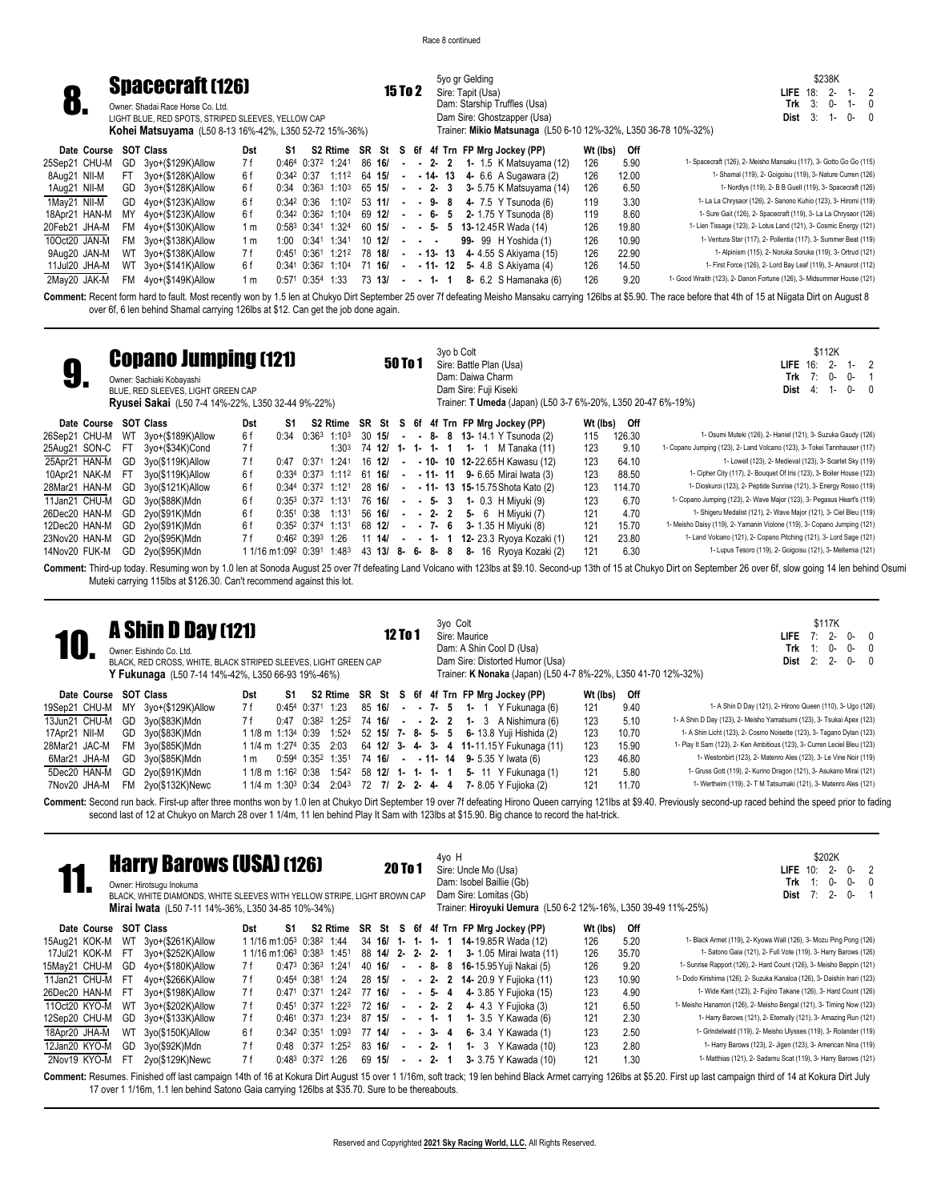5yo gr Gelding **15 To 2** Sire: Tapit (Usa)

Dam: Starship Truffles (Usa) Dam Sire: Ghostzapper (Usa)

\$238K **LIFE** 18: 2- 1- 2 **Trk** 3: 0- 1- 0<br>**Dist** 3: 1- 0- 0 **Dist** 3: 1- 0- 0

## **8. Spacecraft (126)**<br>**8.** Sumer: Shadai Race Horse Co. Ltd.

Owner: Shadai Race Horse Co. Ltd. LIGHT BLUE, RED SPOTS, STRIPED SLEEVES, YELLOW CAP **Kohei Matsuyama** (L50 8-13 16%-42%, L350 52-72 15%-36%)

|               |             |     | <b>Kohei Matsuyama</b> (L50 8-13 16%-42%, L350 52-72 15%-36%) |     |                      |            |                                                 |        |           |            |                                                                                                       | Trainer: Mikio Matsunaga (L50 6-10 12%-32%, L350 36-78 10%-32%) |          |       |                                                                        |
|---------------|-------------|-----|---------------------------------------------------------------|-----|----------------------|------------|-------------------------------------------------|--------|-----------|------------|-------------------------------------------------------------------------------------------------------|-----------------------------------------------------------------|----------|-------|------------------------------------------------------------------------|
|               | Date Course |     | SOT Class                                                     | Dst | S1                   |            |                                                 |        |           |            |                                                                                                       | S2 Rtime SR St S 6f 4f Trn FP Mrg Jockey (PP)                   | Wt (lbs) | Off   |                                                                        |
| 25Sep21 CHU-M |             | GD  | 3yo+(\$129K)Allow                                             | 7 f |                      |            | $0:464$ $0:372$ 1:241                           | 86 16/ |           |            |                                                                                                       | $-2$ 2 1 1.5 K Matsuyama (12)                                   | 126      | 5.90  | 1- Spacecraft (126), 2- Meisho Mansaku (117), 3- Gotto Go Go (115)     |
| 8Aug21 NII-M  |             | FT. | 3vo+(\$128K)Allow                                             | 6f  | $0:34^2$ 0:37        |            | 1:112                                           | 64 15/ |           | $\sim 100$ |                                                                                                       | $-14 - 13$ 4 6.6 A Sugawara (2)                                 | 126      | 12.00 | 1- Shamal (119), 2- Goigoisu (119), 3- Nature Curren (126)             |
| 1Aug21 NII-M  |             |     | GD 3yo+(\$128K)Allow                                          | 6f  |                      |            | $0:34$ $0:36^3$ 1:10 <sup>3</sup> 65 <b>15/</b> |        |           |            |                                                                                                       | $ -$ 2 $-$ 3 $-$ 3 $-$ 5.75 K Matsuyama (14)                    | 126      | 6.50  | 1- Nordlys (119), 2- B B Guell (119), 3- Spacecraft (126)              |
| 1May21 NII-M  |             |     | GD 4yo+(\$123K)Allow                                          | 6f  | $0:34^2$ $0:36$      |            | $1:10^2$ 53 11/                                 |        |           |            |                                                                                                       | $ -$ 9 $-$ 8 $-$ 4 $-$ 7.5 Y Tsunoda (6)                        | 119      | 3.30  | 1- La La Chrysaor (126), 2- Sanono Kuhio (123), 3- Hiromi (119)        |
| 18Apr21 HAN-M |             | MY  | 4yo+(\$123K)Allow                                             | 6f  |                      |            | 0:342 0:362 1:104                               | 69 12/ |           |            |                                                                                                       | $ -$ 6- 5 2-1.75 Y Tsunoda (8)                                  | 119      | 8.60  | 1- Sure Gait (126), 2- Spacecraft (119), 3- La La Chrysaor (126)       |
| 20Feb21 JHA-M |             |     | $FM$ $4yo+($130K)$ Allow                                      | 1 m | 0:583 0:341          |            | 1:324                                           | 60 15/ |           |            |                                                                                                       | $ -$ 5 $-$ 5 13-12.45 R Wada (14)                               | 126      | 19.80 | 1- Lien Tissage (123), 2- Lotus Land (121), 3- Cosmic Energy (121)     |
| 10Oct20 JAN-M |             |     | FM 3yo+(\$138K)Allow                                          | 1 m |                      | 1:00 0:341 | 1:341                                           |        | $10 \t12$ |            | $\begin{array}{cccccccccccccc} \bullet & \bullet & \bullet & \bullet & \bullet & \bullet \end{array}$ | 99- 99 H Yoshida (1)                                            | 126      | 10.90 | 1- Ventura Star (117), 2- Pollentia (117), 3- Summer Beat (119)        |
| 9Aug20 JAN-M  |             |     | WT 3yo+(\$138K)Allow                                          | 7 f | 0:451 0:361          |            | 1:212 78 18/                                    |        |           | $\sim$     |                                                                                                       | $-13 - 13 - 4 - 4.55$ S Akivama (15)                            | 126      | 22.90 | 1- Alpinism (115), 2- Noruka Soruka (119), 3- Ortrud (121)             |
| 11Jul20 JHA-M |             |     | WT 3yo+(\$141K)Allow                                          | 6f  |                      |            | 0:341 0:362 1:104                               | 71 16/ |           | $\sim$     |                                                                                                       | $-11 - 12 - 5 - 4.8$ S Akiyama (4)                              | 126      | 14.50 | 1- First Force (126), 2- Lord Bay Leaf (119), 3- Amaurot (112)         |
| 2May20 JAK-M  |             |     | FM 4yo+(\$149K)Allow                                          | 1 m | $0:571$ $0:354$ 1:33 |            |                                                 | 73 13/ |           |            | $-1$ 1                                                                                                | 8- 6.2 S Hamanaka (6)                                           | 126      | 9.20  | 1- Good Wraith (123), 2- Danon Fortune (126), 3- Midsummer House (121) |

Comment: Recent form hard to fault. Most recently won by 1.5 len at Chukyo Dirt September 25 over 7f defeating Meisho Mansaku carrying 126lbs at \$5.90. The race before that 4th of 15 at Niigata Dirt on August 8 over 6f, 6 len behind Shamal carrying 126lbs at \$12. Can get the job done again.

| ū                     |           | <b>Copano Jumping (121)</b><br>Owner: Sachiaki Kobayashi<br>BLUE, RED SLEEVES, LIGHT GREEN CAP<br><b>Ryusei Sakai</b> (L50 7-4 14%-22%, L350 32-44 9%-22%) |     |                                 |       |                            |        |            | 50 To 1 |               |    | 3yo b Colt      | Sire: Battle Plan (Usa)<br>Dam: Daiwa Charm<br>Dam Sire: Fuji Kiseki |                                               |                                 |          |        | \$112K<br><b>LIFE</b> 16:<br>$2-$<br>1-<br>Trk<br>0-<br>7:<br>$0 -$<br><b>Dist</b><br>0-<br><b>4</b> :<br>$1 -$<br>Trainer: T Umeda (Japan) (L50 3-7 6%-20%, L350 20-47 6%-19%) |
|-----------------------|-----------|------------------------------------------------------------------------------------------------------------------------------------------------------------|-----|---------------------------------|-------|----------------------------|--------|------------|---------|---------------|----|-----------------|----------------------------------------------------------------------|-----------------------------------------------|---------------------------------|----------|--------|---------------------------------------------------------------------------------------------------------------------------------------------------------------------------------|
| Date Course SOT Class |           |                                                                                                                                                            | Dst | S1                              |       |                            |        |            |         |               |    |                 |                                                                      | S2 Rtime SR St S 6f 4f Trn FP Mrg Jockey (PP) |                                 | Wt (lbs) | Off    |                                                                                                                                                                                 |
| 26Sep21 CHU-M         | WT        | 3yo+(\$189K)Allow                                                                                                                                          | 6f  | 0:34                            |       | $0:36^3$ 1:10 <sup>3</sup> |        | $30 + 151$ |         |               |    |                 |                                                                      | $ -$ 8 $-$ 8 $-$ 13 $-$ 14.1 Y Tsunoda (2)    |                                 | 115      | 126.30 | 1- Osumi Muteki (126), 2- Haniel (121), 3- Suzuka Gaudy (126)                                                                                                                   |
| 25Aug21 SON-C         | <b>FT</b> | 3yo+(\$34K)Cond                                                                                                                                            | 7f  |                                 |       | 1:30 <sup>3</sup>          |        | 74 12/     |         |               |    | $1 - 1 - 1 - 1$ | 1 $-1$                                                               | M Tanaka (11)                                 |                                 | 123      | 9.10   | 1- Copano Jumping (123), 2- Land Volcano (123), 3- Tokei Tannhauser (117)                                                                                                       |
| 25Apr21 HAN-M         | GD        | 3yo(\$119K)Allow                                                                                                                                           | 7 f | 0:47                            | 0:371 | 1:241                      |        | $16 \t12$  | $\sim$  |               |    |                 |                                                                      | $-10-10$ 12-22.65H Kawasu (12)                |                                 | 123      | 64.10  | 1- Lowell (123), 2- Medieval (123), 3- Scarlet Sky (119)                                                                                                                        |
| 10Apr21 NAK-M         | FT.       | 3yo(\$119K)Allow                                                                                                                                           | 6f  |                                 |       | $0:334$ $0:373$ 1:112      | 61 16/ |            |         |               |    |                 |                                                                      | $ -$ 11- 11 9- 6.65 Mirai Iwata (3)           |                                 | 123      | 88.50  | 1- Cipher City (117), 2- Bouquet Of Iris (123), 3- Boiler House (123)                                                                                                           |
| 28Mar21 HAN-M         | GD        | 3yo(\$121K)Allow                                                                                                                                           | 6 f |                                 |       | $0:344$ $0:372$ 1:121      | 28 16/ |            |         |               |    |                 |                                                                      | $- 11 - 13$ 15-15.75 Shota Kato (2)           |                                 | 123      | 114.70 | 1- Dioskuroi (123), 2- Peptide Sunrise (121), 3- Energy Rosso (119)                                                                                                             |
| 11Jan21 CHU-M         | GD        | 3yo(\$88K)Mdn                                                                                                                                              | 6f  | 0:353                           |       | 0:372 1:131                |        | 76 16/     |         |               |    | $-53$           |                                                                      | <b>1-</b> 0.3 H Mivuki (9)                    |                                 | 123      | 6.70   | 1- Copano Jumping (123), 2- Wave Major (123), 3- Pegasus Heart's (119)                                                                                                          |
| 26Dec20 HAN-M         | GD        | 2yo(\$91K)Mdn                                                                                                                                              | 6f  | 0:35 <sup>1</sup>               | 0:38  | 1:131                      |        | 56 16/     |         |               |    | $-2$ 2 2        |                                                                      | <b>5-</b> 6 H Mivuki (7)                      |                                 | 121      | 4.70   | 1- Shigeru Medalist (121), 2- Wave Major (121), 3- Ciel Bleu (119)                                                                                                              |
| 12Dec20 HAN-M         | GD        | 2yo(\$91K)Mdn                                                                                                                                              | 6f  | 0:352 0:374                     |       | 1:131                      |        | 68 12/     |         |               |    | $-7 - 6$        |                                                                      | 3- 1.35 H Mivuki (8)                          |                                 | 121      | 15.70  | 1- Meisho Daisy (119), 2- Yamanin Violone (119), 3- Copano Jumping (121)                                                                                                        |
| 23Nov20 HAN-M         | GD        | 2yo(\$95K)Mdn                                                                                                                                              | 7 f | $0:46^2$ 0:393                  |       | 1:26                       |        | 11 14/     |         | $\sim$ $\sim$ | 1- |                 |                                                                      |                                               | <b>12-23.3 Ryoya Kozaki (1)</b> | 121      | 23.80  | 1- Land Volcano (121), 2- Copano Pitching (121), 3- Lord Sage (121)                                                                                                             |
| 14Nov20 FUK-M         | GD        | 2vo(\$95K)Mdn                                                                                                                                              |     | 1 1/16 m1:09 <sup>2</sup> 0:391 |       | 1:483                      |        | 43 13/     | -8      | 6-            | -8 | 8               | 8-                                                                   |                                               | 16 Ryova Kozaki (2)             | 121      | 6.30   | 1- Lupus Tesoro (119), 2- Goigoisu (121), 3- Meltemia (121)                                                                                                                     |

**Comment:** Third-up today. Resuming won by 1.0 len at Sonoda August 25 over 7f defeating Land Volcano with 123lbs at \$9.10. Second-up 13th of 15 at Chukyo Dirt on September 26 over 6f, slow going 14 len behind Osumi Muteki carrying 115lbs at \$126.30. Can't recommend against this lot.

|               |           | <b>A Shin D Day (121)</b><br>Owner: Eishindo Co. Ltd.<br>BLACK, RED CROSS, WHITE, BLACK STRIPED SLEEVES, LIGHT GREEN CAP<br>Y Fukunaga (L50 7-14 14%-42%, L350 66-93 19%-46%) |                                |    |                                 |        | 12 To 1 |  | 3vo Colt<br>Sire: Maurice      |  | Dam: A Shin Cool D (Usa)<br>Dam Sire: Distorted Humor (Usa)<br>Trainer: K Nonaka (Japan) (L50 4-7 8%-22%, L350 41-70 12%-32%) |          |       | \$117K<br>0-<br>7:<br>LIFE<br>Trk<br>0-<br>1: 0-<br>0-<br><b>Dist</b> $2: 2-$ | $\Omega$<br>$\Omega$<br>- 0 |
|---------------|-----------|-------------------------------------------------------------------------------------------------------------------------------------------------------------------------------|--------------------------------|----|---------------------------------|--------|---------|--|--------------------------------|--|-------------------------------------------------------------------------------------------------------------------------------|----------|-------|-------------------------------------------------------------------------------|-----------------------------|
| Date Course   |           | SOT Class                                                                                                                                                                     | Dst                            | S1 |                                 |        |         |  |                                |  | S2 Rtime SR St S 6f 4f Trn FP Mrg Jockey (PP)                                                                                 | Wt (lbs) | Off   |                                                                               |                             |
| 19Sep21 CHU-M | MY        | 3yo+(\$129K)Allow                                                                                                                                                             | 7 f                            |    | $0:454$ $0:371$ 1:23            |        |         |  | $85 \; 16$ $-7 \; 5 \; 1 \; 1$ |  | Y Fukunaga (6)                                                                                                                | 121      | 9.40  | 1- A Shin D Day (121), 2- Hirono Queen (110), 3- Ugo (126)                    |                             |
| 13Jun21 CHU-M | GD        | 3yo(\$83K)Mdn                                                                                                                                                                 | 7 f                            |    | $0:47$ $0:38^2$ $1:25^2$ 74 16/ |        |         |  |                                |  | $-2$ 2 1 3 A Nishimura (6)                                                                                                    | 123      | 5.10  | 1- A Shin D Day (123), 2- Meisho Yamatsumi (123), 3- Tsukai Apex (123)        |                             |
| 17Apr21 NII-M |           | GD 3yo(\$83K)Mdn                                                                                                                                                              | 1 1/8 m 1:13 <sup>4</sup> 0:39 |    | 1:52 <sup>4</sup>               |        |         |  |                                |  | 52 15/ 7- 8- 5- 5 6- 13.8 Yuji Hishida (2)                                                                                    | 123      | 10.70 | 1- A Shin Licht (123), 2- Cosmo Noisette (123), 3- Tagano Dylan (123)         |                             |
| 28Mar21 JAC-M | FM.       | 3yo(\$85K)Mdn                                                                                                                                                                 | 1 1/4 m 1:274 0:35             |    | 2:03                            |        |         |  |                                |  | 64 12/ 3- 4- 3- 4 11-11.15 Y Fukunaga (11)                                                                                    | 123      | 15.90 | 1- Play It Sam (123), 2- Ken Ambitious (123), 3- Curren Leciel Bleu (123)     |                             |
| 6Mar21 JHA-M  |           | GD 3yo(\$85K)Mdn                                                                                                                                                              | 1 m                            |    | 0:594 0:352 1:351               | 74 16/ |         |  |                                |  | $ -$ 11- 14 9- 5.35 Y Iwata (6)                                                                                               | 123      | 46.80 | 1- Westonbirt (123), 2- Matenro Ales (123), 3- Le Vine Noir (119)             |                             |
| 5Dec20 HAN-M  | GD        | 2yo(\$91K)Mdn                                                                                                                                                                 | 1 1/8 m 1:16 <sup>2</sup> 0:38 |    | $1:54^2$ 58 12/ 1 - 1 - 1 - 1   |        |         |  |                                |  | 5- 11 Y Fukunaga (1)                                                                                                          | 121      | 5.80  | 1- Gruss Gott (119), 2- Kurino Dragon (121), 3- Asukano Mirai (121)           |                             |
| 7Nov20 JHA-M  | <b>FM</b> | 2yo(\$132K)Newc                                                                                                                                                               | $11/4$ m $1:30^{3}$ 0:34       |    |                                 |        |         |  |                                |  | 2:043 72 7/ 2- 2- 4- 4 7-8.05 Y Fujioka (2)                                                                                   | 121      | 11.70 | 1- Wertheim (119), 2- T M Tatsumaki (121), 3- Matenro Ales (121)              |                             |

Comment: Second run back. First-up after three months won by 1.0 len at Chukyo Dirt September 19 over 7f defeating Hirono Queen carrying 121lbs at \$9.40. Previously second-up raced behind the speed prior to fading second last of 12 at Chukyo on March 28 over 1 1/4m, 11 len behind Play It Sam with 123lbs at \$15.90. Big chance to record the hat-trick.

|                       |     | <b>Harry Barows (USA) (126)</b><br>Owner: Hirotsugu Inokuma<br>BLACK, WHITE DIAMONDS, WHITE SLEEVES WITH YELLOW STRIPE, LIGHT BROWN CAP<br>Mirai Iwata (L50 7-11 14%-36%, L350 34-85 10%-34%) |     |                                                               |                 |                                            |                | 20 To 1 |        |  | 4yo H | Sire: Uncle Mo (Usa)<br>Dam: Isobel Baillie (Gb)<br>Dam Sire: Lomitas (Gb)<br>Trainer: Hiroyuki Uemura (L50 6-2 12%-16%, L350 39-49 11%-25%) |          |       | \$202K<br>$2 -$<br>$0-$<br>$\overline{2}$<br>$LIEE$ 10:<br>$1: 0-$<br>Trk<br>0-<br>$7:2-$<br>Dist<br>0-                                                                                                              |
|-----------------------|-----|-----------------------------------------------------------------------------------------------------------------------------------------------------------------------------------------------|-----|---------------------------------------------------------------|-----------------|--------------------------------------------|----------------|---------|--------|--|-------|----------------------------------------------------------------------------------------------------------------------------------------------|----------|-------|----------------------------------------------------------------------------------------------------------------------------------------------------------------------------------------------------------------------|
| Date Course SOT Class |     |                                                                                                                                                                                               | Dst | S1                                                            |                 | S2 Rtime                                   |                |         |        |  |       | SR St S 6f 4f Trn FP Mrg Jockey (PP)                                                                                                         | Wt (lbs) | Off   |                                                                                                                                                                                                                      |
| 15Aug21 KOK-M         | WT  | 3yo+(\$261K)Allow                                                                                                                                                                             |     | 1 1/16 m1:053 0:382 1:44                                      |                 |                                            |                |         |        |  |       | 34 16/ 1- 1- 1- 1 14-19.85 R Wada (12)                                                                                                       | 126      | 5.20  | 1- Black Armet (119), 2- Kyowa Wall (126), 3- Mozu Ping Pong (126)                                                                                                                                                   |
| 17Jul21 KOK-M         | FT. | 3yo+(\$252K)Allow                                                                                                                                                                             |     | 1 1/16 m1:06 <sup>3</sup> 0:38 <sup>3</sup> 1:45 <sup>1</sup> |                 |                                            |                |         |        |  |       | 88 <b>14/ 2- 2- 2- 1 3-</b> 1.05 Mirai Iwata (11)                                                                                            | 126      | 35.70 | 1- Satono Gaia (121), 2- Full Vote (119), 3- Harry Barows (126)                                                                                                                                                      |
| 15May21 CHU-M         | GD  | 4yo+(\$180K)Allow                                                                                                                                                                             | 7 f |                                                               |                 | 0:473 0:363 1:241                          |                |         |        |  |       | 40 <b>16/ - - 8- 8 16-</b> 15.95 Yuji Nakai (5)                                                                                              | 126      | 9.20  | 1- Sunrise Rapport (126), 2- Hard Count (126), 3- Meisho Beppin (121)                                                                                                                                                |
| 11Jan21 CHU-M         | FT. | $4$ yo+( $$266K$ )Allow                                                                                                                                                                       | 7 f |                                                               |                 | $0:454$ $0:381$ 1:24                       |                |         |        |  |       | 28 15/ - - 2- 2 14-20.9 Y Fujioka (11)                                                                                                       | 123      | 10.90 | 1- Dodo Kirishima (126), 2- Suzuka Kanaloa (126), 3- Daishin Inari (123)                                                                                                                                             |
| 26Dec20 HAN-M         | FT. | 3yo+(\$198K)Allow                                                                                                                                                                             | 7 f |                                                               |                 | $0:471$ $0:371$ 1:242                      | 77 16/ - - 5-4 |         |        |  |       | 4- 3.85 Y Fujioka (15)                                                                                                                       | 123      | 4.90  | 1- Wide Kant (123), 2- Fujino Takane (126), 3- Hard Count (126)                                                                                                                                                      |
| 11Oct20 KYO-M         | WT  | 3yo+(\$202K)Allow                                                                                                                                                                             | 7 f |                                                               |                 | $0:45^1$ $0:37^2$ $1:22^3$ 72 16/ - - 2- 2 |                |         |        |  |       | 4- 4.3 Y Fuijoka (3)                                                                                                                         | 121      | 6.50  | 1- Meisho Hanamori (126), 2- Meisho Bengal (121), 3- Timing Now (123)                                                                                                                                                |
| 12Sep20 CHU-M         | GD  | 3yo+(\$133K)Allow                                                                                                                                                                             | 7 f |                                                               |                 | $0:461$ $0:373$ 1:234                      | 87 15/         |         | $-1$ 1 |  |       | <b>1-</b> 3.5 Y Kawada (6)                                                                                                                   | 121      | 2.30  | 1- Harry Barows (121), 2- Eternally (121), 3- Amazing Run (121)                                                                                                                                                      |
| 18Apr20 JHA-M         | WT  | 3yo(\$150K)Allow                                                                                                                                                                              | 6f  |                                                               | $0:342$ $0:351$ | 1:093                                      | 77 14/         |         | $-3-4$ |  |       | 6- 3.4 Y Kawada (1)                                                                                                                          | 123      | 2.50  | 1- Grindelwald (119), 2- Meisho Ulysses (119), 3- Rolander (119)                                                                                                                                                     |
| 12Jan20 KYO-M         | GD  | 3yo(\$92K)Mdn                                                                                                                                                                                 | 7 f |                                                               | $0:48$ $0:372$  | 1:25 <sup>2</sup>                          | 83 16/         |         |        |  |       | $ -$ 2- 1 1 3 Y Kawada (10)                                                                                                                  | 123      | 2.80  | 1- Harry Barows (123), 2- Jigen (123), 3- American Nina (119)                                                                                                                                                        |
| 2Nov19 KYO-M          | FT. | 2yo(\$129K)Newc                                                                                                                                                                               | 7 f |                                                               |                 | $0:48^3$ $0:37^2$ 1:26                     |                |         |        |  |       | 69 15/ - - 2- 1 3-3.75 Y Kawada (10)                                                                                                         | 121      | 1.30  | 1- Matthias (121), 2- Sadamu Scat (119), 3- Harry Barows (121)                                                                                                                                                       |
|                       |     |                                                                                                                                                                                               |     |                                                               |                 |                                            |                |         |        |  |       |                                                                                                                                              |          |       | Comment: Resumes Finished off last campaign 14th of 16 at Kokura Dirt August 15 over 1 1/16m soft track: 19 len behind Black Armet carrying 126lbs at \$5.20. First up last campaign third of 14 at Kokura Dirt July |

4th of 16 at Kokura Dirt August 15 over 1 1/16m, soft track; 19 len behind Black Armet carrying 126lbs at \$5.20. First up last campaign third of 14 at Kokura Dirt July 17 over 1 1/16m, 1.1 len behind Satono Gaia carrying 126lbs at \$35.70. Sure to be thereabouts.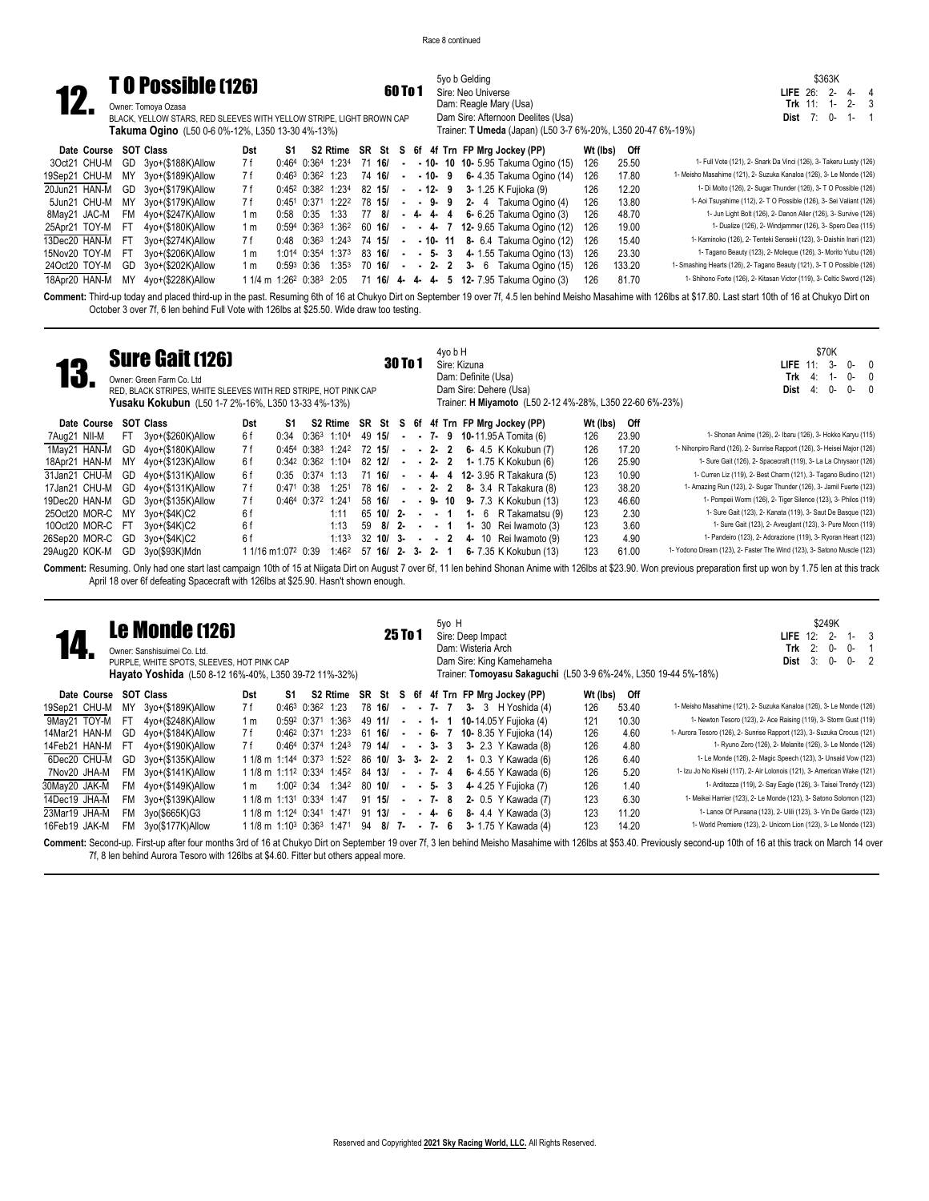5yo b Gelding **60 To 1** Sire: Neo Universe

Dam: Reagle Mary (Usa) Dam Sire: Afternoon Deelites (Usa)

\$363K **LIFE** 26: 2- 4- 4<br> **Trk** 11: 1- 2- 3 **Trk** 11: 1- 2- 3 **Dist** 7: 0- 1- 1

**12. TO POSSIble (126)** 60 To 1<br>
BLACK, YELLOW STARS, RED SLEEVES WITH YELLOW STRIPE, LIGHT BROWN CAP<br>
Takuma Ogino (L50 0-6 0%-12%, L350 13-30 4%-13%) Owner: Tomoya Ozasa

|                       |      | <b>Takuma Ogino</b> (L50 0-6 0%-12%, L350 13-30 4%-13%) |     |            |                        |                                                 |                 |        |       | Trainer: <b>T Umeda</b> (Japan) (L50 3-7 6%-20%, L350 20-47 6%-19%)                 |          |        |                                                                         |
|-----------------------|------|---------------------------------------------------------|-----|------------|------------------------|-------------------------------------------------|-----------------|--------|-------|-------------------------------------------------------------------------------------|----------|--------|-------------------------------------------------------------------------|
| Date Course SOT Class |      |                                                         | Dst | S1         |                        |                                                 |                 |        |       | S2 Rtime SR St S 6f 4f Trn FP Mrg Jockey (PP)                                       | Wt (lbs) | Off    |                                                                         |
| 3Oct21 CHU-M          |      | GD 3yo+(\$188K)Allow                                    | 7 f |            |                        | $0:464$ $0:364$ 1:234 71 16/                    |                 |        |       | $ -$ 10 $-$ 10 $-$ 10 $-$ 5.95 Takuma Ogino (15)                                    | 126      | 25.50  | 1- Full Vote (121), 2- Snark Da Vinci (126), 3- Takeru Lusty (126)      |
| 19Sep21 CHU-M         |      | MY 3yo+(\$189K)Allow                                    | 7 f |            | $0:46^3$ $0:36^2$ 1:23 |                                                 | 74 16/          | t mens | -10-9 | 6- 4.35 Takuma Ogino (14)                                                           | 126      | 17.80  | 1- Meisho Masahime (121), 2- Suzuka Kanaloa (126), 3- Le Monde (126)    |
| 20Jun21 HAN-M         |      | GD 3yo+(\$179K)Allow                                    | 7 f |            |                        | $0:45^2$ $0:38^2$ $1:23^4$ 82 15/ -             |                 |        |       | <b>- 12-</b> 9 3- 1.25 K Fujioka (9)                                                | 126      | 12.20  | 1- Di Molto (126), 2- Sugar Thunder (126), 3- T O Possible (126)        |
| 5Jun21 CHU-M          | MY   | 3yo+(\$179K)Allow                                       | 7 f |            |                        | 0:451 0:371 1:222                               | 78 15/          |        |       | $  9$ $ 9$ $2$ $-$ 4 Takuma Ogino (4)                                               | 126      | 13.80  | 1- Aoi Tsuyahime (112), 2- T O Possible (126), 3- Sei Valiant (126)     |
| 8May21 JAC-M          | FM . | 4yo+(\$247K)Allow                                       | 1 m | 0:58 0:35  |                        | 1:33                                            | 77 8/ - 4- 4- 4 |        |       | 6- 6.25 Takuma Ogino (3)                                                            | 126      | 48.70  | 1- Jun Light Bolt (126), 2- Danon Aller (126), 3- Survive (126)         |
| 25Apr21 TOY-M         | - FT | 4yo+(\$180K)Allow                                       | 1 m |            |                        |                                                 |                 |        |       | $0.594$ $0.363$ $1.362$ 60 16/ - - 4- 7 12-9.65 Takuma Ogino (12)                   | 126      | 19.00  | 1- Dualize (126), 2- Windjammer (126), 3- Spero Dea (115)               |
| 13Dec20 HAN-M         | -FT  | 3vo+(\$274K)Allow                                       | 7 f |            |                        | $0:48$ $0:36^3$ 1:24 <sup>3</sup> 74 <b>15/</b> |                 |        |       | <b>- - 10- 11 8-</b> 6.4 Takuma Ogino (12)                                          | 126      | 15.40  | 1- Kaminoko (126), 2- Tenteki Senseki (123), 3- Daishin Inari (123)     |
| 15Nov20 TOY-M         | -FT  | 3vo+(\$206K)Allow                                       | 1 m |            |                        | 1:014 0:354 1:373                               |                 |        |       | 83 16/ - - 5- 3 4- 1.55 Takuma Ogino (13)                                           | 126      | 23.30  | 1- Tagano Beauty (123), 2- Moleque (126), 3- Morito Yubu (126)          |
| 24Oct20 TOY-M         | GD   | 3yo+(\$202K)Allow                                       | 1 m | 0:593 0:36 |                        |                                                 |                 |        |       | 1:353 70 16/ - - 2- 2 3- 6 Takuma Ogino (15)                                        | 126      | 133.20 | 1- Smashing Hearts (126), 2- Tagano Beauty (121), 3- T O Possible (126) |
| 18Apr20 HAN-M         | MY   | 4yo+(\$228K)Allow                                       |     |            |                        |                                                 |                 |        |       | $11/4$ m $1:26^2$ 0:38 <sup>3</sup> 2:05 71 16/ 4- 4- 4- 5 12-7.95 Takuma Ogino (3) | 126      | 81.70  | 1- Shihono Forte (126), 2- Kitasan Victor (119), 3- Celtic Sword (126)  |

Comment: Third-up today and placed third-up in the past. Resuming 6th of 16 at Chukyo Dirt on September 19 over 7f, 4.5 len behind Meisho Masahime with 126lbs at \$17.80. Last start 10th of 16 at Chukyo Dirt on October 3 over 7f, 6 len behind Full Vote with 126lbs at \$25.50. Wide draw too testing.

|                  |     | <b>Sure Gait (126)</b><br>Owner: Green Farm Co. Ltd<br>RED. BLACK STRIPES. WHITE SLEEVES WITH RED STRIPE. HOT PINK CAP<br>Yusaku Kokubun (L50 1-7 2%-16%, L350 13-33 4%-13%) |                              |      |                   |                     |    |                     | <b>30 To 1</b> |  | 4vo b H  | Sire: Kizuna |          | Dam: Definite (Usa) | Dam Sire: Dehere (Usa)<br>Trainer: <b>H Miyamoto</b> (L50 2-12 4%-28%, L350 22-60 6%-23%) |          |       | \$70K<br>$3-$<br>n-<br>$\Omega$<br>LIFE $11$ :<br>Trk<br>0-<br>4:<br>1-<br>0-<br>Dist<br>0-<br>$\Omega$<br>4: |
|------------------|-----|------------------------------------------------------------------------------------------------------------------------------------------------------------------------------|------------------------------|------|-------------------|---------------------|----|---------------------|----------------|--|----------|--------------|----------|---------------------|-------------------------------------------------------------------------------------------|----------|-------|---------------------------------------------------------------------------------------------------------------|
| Date Course      |     | SOT Class                                                                                                                                                                    | Dst                          | S1   |                   |                     |    |                     |                |  |          |              |          |                     | S2 Rtime SR St S 6f 4f Trn FP Mrg Jockey (PP)                                             | Wt (lbs) | Off   |                                                                                                               |
| 7Aug21 NII-M     | FT. | 3yo+(\$260K)Allow                                                                                                                                                            | 6 f                          | 0:34 | 0:363             | 1:104               |    | 49 15/              |                |  |          |              |          |                     | $- 7 - 9 10 - 11.95A$ Tomita (6)                                                          | 126      | 23.90 | 1- Shonan Anime (126), 2- Ibaru (126), 3- Hokko Karyu (115)                                                   |
| 1Mav21 HAN-M     |     | GD 4yo+(\$180K)Allow                                                                                                                                                         | 7 f                          |      | $0:454$ 0:383     | 1:242               |    | 72 15/              |                |  |          |              |          |                     | $-2$ 2 6 4.5 K Kokubun (7)                                                                | 126      | 17.20 | 1- Nihonpiro Rand (126), 2- Sunrise Rapport (126), 3- Heisei Major (126)                                      |
| 18Apr21 HAN-M    | MY. | 4yo+(\$123K)Allow                                                                                                                                                            | 6 f                          |      | $0:34^2$ $0:36^2$ | 1:104               |    | 82 12/              |                |  |          |              |          |                     | $-2$ 2 1 1.75 K Kokubun (6)                                                               | 126      | 25.90 | 1- Sure Gait (126), 2- Spacecraft (119), 3- La La Chrysaor (126)                                              |
| 31Jan21 CHU-M    | GD  | 4yo+(\$131K)Allow                                                                                                                                                            | 6 f                          |      |                   | $0:35$ $0:374$ 1:13 |    | 71 16/              |                |  |          |              |          |                     | $- 4 4 12 - 3.95 R$ Takakura (5)                                                          | 123      | 10.90 | 1- Curren Liz (119), 2- Best Charm (121), 3- Tagano Budino (121)                                              |
| 17Jan21 CHU-M    | GD  | $4$ yo+( $$131K$ )Allow                                                                                                                                                      | 7 f                          |      | 0:471 0:38        | 1:251               |    | 78 16/              |                |  | $-2$ 2 2 |              |          |                     | 8- 3.4 R Takakura (8)                                                                     | 123      | 38.20 | 1- Amazing Run (123), 2- Sugar Thunder (126), 3- Jamil Fuerte (123)                                           |
| 19Dec20 HAN-M    | GD  | 3yo+(\$135K)Allow                                                                                                                                                            | 7 f                          |      |                   | 0:464 0:372 1:241   |    | 58 16/              | $\sim$         |  | - 9-10   |              |          |                     | 9- 7.3 K Kokubun (13)                                                                     | 123      | 46.60 | 1- Pompeii Worm (126), 2- Tiger Silence (123), 3- Philos (119)                                                |
| 25Oct20 MOR-C    | ΜY  | 3yo+(\$4K)C2                                                                                                                                                                 | 6f                           |      |                   | 1:11                |    | 65 10/ 2-           |                |  | . . 1    |              | 1-6      |                     | R Takamatsu (9)                                                                           | 123      | 2.30  | 1- Sure Gait (123), 2- Kanata (119), 3- Saut De Basque (123)                                                  |
| 10Oct20 MOR-C FT |     | 3yo+(\$4K)C2                                                                                                                                                                 | 6f                           |      |                   | 1:13                | 59 | -81                 | $2 -$          |  | --1      |              | $1 - 30$ |                     | Rei Iwamoto (3)                                                                           | 123      | 3.60  | 1- Sure Gait (123), 2- Aveuglant (123), 3- Pure Moon (119)                                                    |
| 26Sep20 MOR-C    | GD  | 3yo+(\$4K)C2                                                                                                                                                                 | 6f                           |      |                   | 1:133               |    | $32 \; 10/3 - -2$   |                |  |          |              |          |                     | 4- 10 Rei Iwamoto (9)                                                                     | 123      | 4.90  | 1- Pandeiro (123), 2- Adorazione (119), 3- Ryoran Heart (123)                                                 |
| 29Aug20 KOK-M    | GD  | 3yo(\$93K)Mdn                                                                                                                                                                | 1/16 m1:07 <sup>2</sup> 0:39 |      |                   | 1:462               |    | $57$ 16/ 2- 3- 2- 1 |                |  |          |              |          |                     | 6- 7.35 K Kokubun (13)                                                                    | 123      | 61.00 | 1- Yodono Dream (123), 2- Faster The Wind (123), 3- Satono Muscle (123)                                       |

**Comment:** Resuming. Only had one start last campaign 10th of 15 at Niigata Dirt on August 7 over 6f, 11 len behind Shonan Anime with 126lbs at \$23.90. Won previous preparation first up won by 1.75 len at this track April 18 over 6f defeating Spacecraft with 126lbs at \$25.90. Hasn't shown enough.

|               |           | <b>Le Monde (126)</b><br>Owner: Sanshisuimei Co. Ltd.<br>PURPLE, WHITE SPOTS, SLEEVES, HOT PINK CAP<br>Hayato Yoshida (L50 8-12 16%-40%, L350 39-72 11%-32%) |                                                               |                        |                   |                       |        |        | 25 To 1 |      | 5yo H<br>Sire: Deep Impact<br>Dam: Wisteria Arch |  | Dam Sire: King Kamehameha                     |          |       | \$249K<br>LIFE $12$ :<br>$2 -$<br>2:<br>0-<br>$0 -$<br>Trk<br>0-<br>3:<br>$0 -$<br>Dist<br>Trainer: Tomoyasu Sakaguchi (L50 3-9 6%-24%, L350 19-44 5%-18%)                                                           |
|---------------|-----------|--------------------------------------------------------------------------------------------------------------------------------------------------------------|---------------------------------------------------------------|------------------------|-------------------|-----------------------|--------|--------|---------|------|--------------------------------------------------|--|-----------------------------------------------|----------|-------|----------------------------------------------------------------------------------------------------------------------------------------------------------------------------------------------------------------------|
| Date Course   |           | SOT Class                                                                                                                                                    | Dst                                                           | S1                     |                   |                       |        |        |         |      |                                                  |  | S2 Rtime SR St S 6f 4f Trn FP Mrg Jockey (PP) | Wt (lbs) | Off   |                                                                                                                                                                                                                      |
| 19Sep21 CHU-M | ΜY        | 3yo+(\$189K)Allow                                                                                                                                            | 7 f                                                           | 0:463                  | 0:362             | 1:23                  |        | 78 16/ | $\sim$  |      | $-7 - 7$                                         |  | $3 - 3$ H Yoshida (4)                         | 126      | 53.40 | 1- Meisho Masahime (121), 2- Suzuka Kanaloa (126), 3- Le Monde (126)                                                                                                                                                 |
| 9May21 TOY-M  | - FT      | 4yo+(\$248K)Allow                                                                                                                                            | 1 <sub>m</sub>                                                |                        | $0:59^2$ $0:37^1$ | 1:36 <sup>3</sup>     |        | 49 11/ | $\sim$  |      |                                                  |  | - 1- 1 10-14.05 Y Fujioka (4)                 | 121      | 10.30 | 1- Newton Tesoro (123), 2- Ace Raising (119), 3- Storm Gust (119)                                                                                                                                                    |
| 14Mar21 HAN-M | GD        | 4yo+(\$184K)Allow                                                                                                                                            | 7 f                                                           |                        | $0:46^2$ $0:37^1$ | 1:23 <sup>3</sup>     | 61 16/ |        |         |      |                                                  |  | $- 6 - 7 10 - 8.35$ Y Fuijoka (14)            | 126      | 4.60  | 1- Aurora Tesoro (126), 2- Sunrise Rapport (123), 3- Suzuka Crocus (121)                                                                                                                                             |
| 14Feb21 HAN-M | - FT      | 4yo+(\$190K)Allow                                                                                                                                            | 7 f                                                           |                        |                   | $0:464$ $0:374$ 1:243 |        | 79 14/ |         |      | $-3-3$                                           |  | 3- 2.3 Y Kawada (8)                           | 126      | 4.80  | 1- Ryuno Zoro (126), 2- Melanite (126), 3- Le Monde (126)                                                                                                                                                            |
| 6Dec20 CHU-M  | GD        | 3yo+(\$135K)Allow                                                                                                                                            | 1 1/8 m 1:144 0:373 1:522                                     |                        |                   |                       |        |        |         |      | 86 10/ 3- 3- 2- 2                                |  | <b>1-</b> 0.3 Y Kawada (6)                    | 126      | 6.40  | 1- Le Monde (126), 2- Magic Speech (123), 3- Unsaid Vow (123)                                                                                                                                                        |
| 7Nov20 JHA-M  |           | $FM$ $3yo+($141K)$ Allow                                                                                                                                     | 1 1/8 m 1:11 <sup>2</sup> 0:33 <sup>4</sup> 1:45 <sup>2</sup> |                        |                   |                       | 84 13/ |        |         |      | $-7-4$                                           |  | 6-4.55 Y Kawada (6)                           | 126      | 5.20  | 1- Izu Jo No Kiseki (117), 2- Air Lolonois (121), 3- American Wake (121)                                                                                                                                             |
| 30May20 JAK-M |           | FM 4yo+(\$149K)Allow                                                                                                                                         | 1 m                                                           | 1:00 <sup>2</sup> 0:34 |                   | 1:342                 | 80 10/ |        |         | $-5$ | 3                                                |  | 4- 4.25 Y Fuijoka (7)                         | 126      | 1.40  | 1- Arditezza (119), 2- Say Eagle (126), 3- Taisei Trendy (123)                                                                                                                                                       |
| 14Dec19 JHA-M | FM        | 3yo+(\$139K)Allow                                                                                                                                            | 1 1/8 m 1:13 <sup>1</sup> 0:334                               |                        |                   | 1:47                  | 91 15/ |        |         |      | $-7 - 8$                                         |  | <b>2-</b> 0.5 Y Kawada (7)                    | 123      | 6.30  | 1- Meikei Harrier (123), 2- Le Monde (123), 3- Satono Solomon (123)                                                                                                                                                  |
| 23Mar19 JHA-M | <b>FM</b> | 3yo(\$665K)G3                                                                                                                                                | 1 1/8 m 1:124 0:341                                           |                        |                   | 1:471                 | 91 13/ |        | $\sim$  |      | $-4$ 6                                           |  | 8- 4.4 Y Kawada (3)                           | 123      | 11.20 | 1- Lance Of Puraana (123), 2- Ulili (123), 3- Vin De Garde (123)                                                                                                                                                     |
| 16Feb19 JAK-M | FM.       | 3yo(\$177K)Allow                                                                                                                                             | $11/8$ m $1:10^3$ $0:36^3$ $1:47^1$ $94$ 8/ 7- - 7- 6         |                        |                   |                       |        |        |         |      |                                                  |  | <b>3-</b> 1.75 Y Kawada (4)                   | 123      | 14.20 | 1- World Premiere (123), 2- Unicorn Lion (123), 3- Le Monde (123)                                                                                                                                                    |
|               |           |                                                                                                                                                              |                                                               |                        |                   |                       |        |        |         |      |                                                  |  |                                               |          |       | Comment: Second-up. First-up after four months 3rd of 16 at Chukyo Dirt on September 19 over 7f, 3 len behind Meisho Masahime with 126lbs at \$53.40. Previously second-up 10th of 16 at this track on March 14 over |

7f, 8 len behind Aurora Tesoro with 126lbs at \$4.60. Fitter but others appeal more.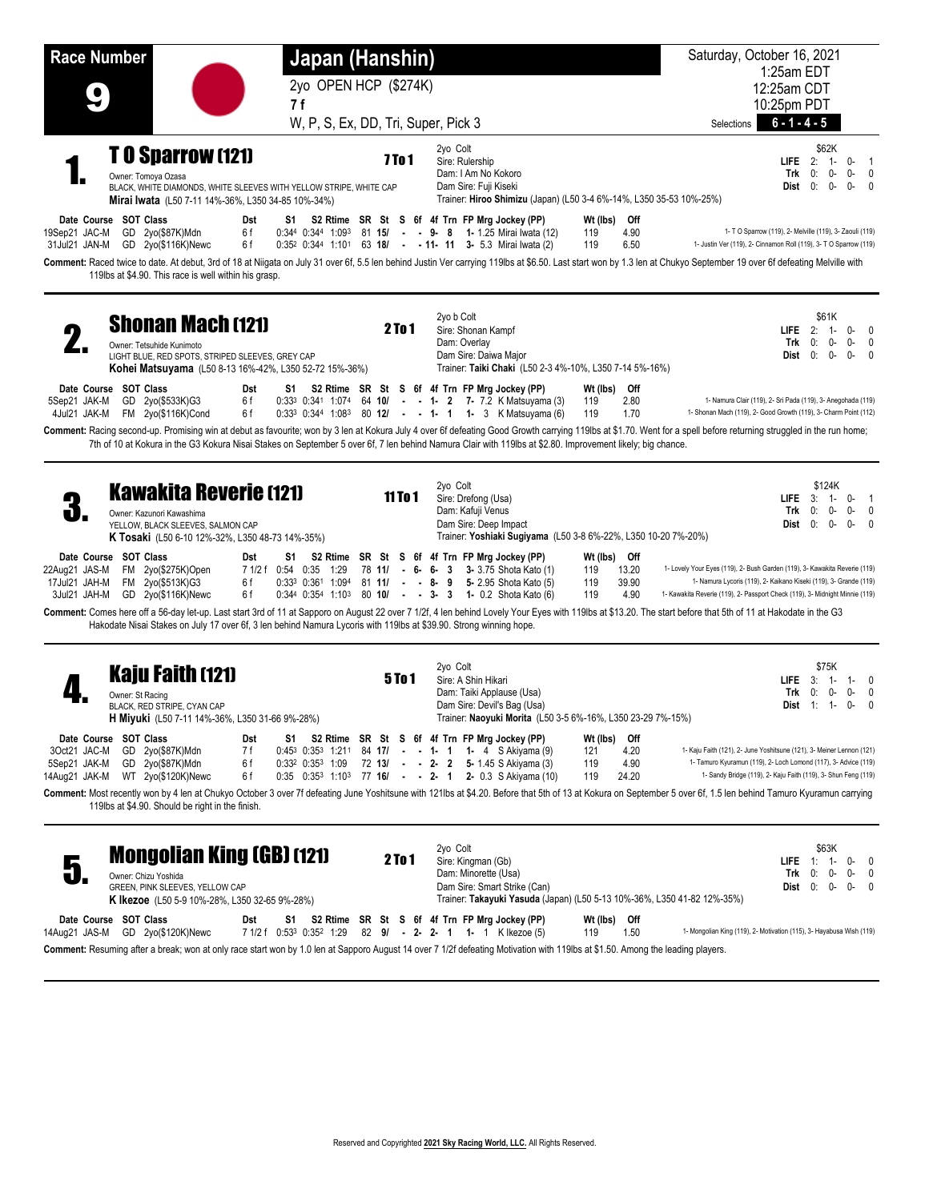| <b>Race Number</b>                             |                                                                                                                                                                              | Japan (Hanshin)                                                                                                    |                    |                                                                                                                                                                                                                                                                                                                                                                                   | Saturday, October 16, 2021                                                                                                                                                                                                      |
|------------------------------------------------|------------------------------------------------------------------------------------------------------------------------------------------------------------------------------|--------------------------------------------------------------------------------------------------------------------|--------------------|-----------------------------------------------------------------------------------------------------------------------------------------------------------------------------------------------------------------------------------------------------------------------------------------------------------------------------------------------------------------------------------|---------------------------------------------------------------------------------------------------------------------------------------------------------------------------------------------------------------------------------|
|                                                |                                                                                                                                                                              | 2yo OPEN HCP (\$274K)                                                                                              |                    |                                                                                                                                                                                                                                                                                                                                                                                   | 1:25am EDT<br>12:25am CDT                                                                                                                                                                                                       |
|                                                |                                                                                                                                                                              | 7f                                                                                                                 |                    |                                                                                                                                                                                                                                                                                                                                                                                   | 10:25pm PDT<br>$6 - 1 - 4 - 5$                                                                                                                                                                                                  |
|                                                |                                                                                                                                                                              | W, P, S, Ex, DD, Tri, Super, Pick 3                                                                                |                    |                                                                                                                                                                                                                                                                                                                                                                                   | Selections<br>\$62K                                                                                                                                                                                                             |
|                                                | <b>TO Sparrow (121)</b><br>Owner: Tomoya Ozasa<br>Mirai Iwata (L50 7-11 14%-36%, L350 34-85 10%-34%)                                                                         | BLACK, WHITE DIAMONDS, WHITE SLEEVES WITH YELLOW STRIPE, WHITE CAP                                                 | 7 To 1             | 2yo Colt<br>Sire: Rulership<br>Dam: I Am No Kokoro<br>Dam Sire: Fuji Kiseki<br>Trainer: Hiroo Shimizu (Japan) (L50 3-4 6%-14%, L350 35-53 10%-25%)                                                                                                                                                                                                                                | <b>LIFE</b> $2: 1$<br>$0 - 1$<br>$0: 0-$<br>$0 - 0$<br>Trk<br>$Dist 0: 0-$<br>$0 - 0$                                                                                                                                           |
| 19Sep21 JAC-M<br>31Jul21 JAN-M                 | Date Course SOT Class<br>GD 2yo(\$87K)Mdn<br>GD 2yo(\$116K)Newc                                                                                                              | Dst<br>6f<br>6 f                                                                                                   |                    | S1 S2 Rtime SR St S 6f 4f Trn FP Mrg Jockey (PP)<br>Wt (lbs) Off<br>0:344 0:344 1:093 81 15/ - - 9- 8 1-1.25 Mirai Iwata (12)<br>4.90<br>119<br>$0.35^2$ $0.34^4$ $1.10^1$ 63 18/ - - 11- 11 3- 5.3 Mirai Iwata (2)<br>119<br>6.50                                                                                                                                                | 1- T O Sparrow (119), 2- Melville (119), 3- Zaouli (119)<br>1- Justin Ver (119), 2- Cinnamon Roll (119), 3- T O Sparrow (119)                                                                                                   |
|                                                | 119lbs at \$4.90. This race is well within his grasp.                                                                                                                        |                                                                                                                    |                    | Comment: Raced twice to date. At debut, 3rd of 18 at Niigata on July 31 over 6f, 5.5 len behind Justin Ver carrying 119lbs at \$6.50. Last start won by 1.3 len at Chukyo September 19 over 6f defeating Melville with                                                                                                                                                            |                                                                                                                                                                                                                                 |
|                                                | <b>Shonan Mach (121)</b><br>Owner: Tetsuhide Kunimoto<br>LIGHT BLUE, RED SPOTS, STRIPED SLEEVES, GREY CAP                                                                    | Kohei Matsuyama (L50 8-13 16%-42%, L350 52-72 15%-36%)                                                             | 2 To 1             | 2yo b Colt<br>Sire: Shonan Kampf<br>Dam: Overlay<br>Dam Sire: Daiwa Major<br>Trainer: Taiki Chaki (L50 2-3 4%-10%, L350 7-14 5%-16%)                                                                                                                                                                                                                                              | \$61K<br><b>LIFE</b> $2: 1$<br>$0 - 0$<br>Trk<br>0:<br>$0 - 0$<br>0-<br>Dist $0: 0$ -<br>$0 - 0$                                                                                                                                |
| 5Sep21 JAK-M<br>4Jul21 JAK-M                   | Date Course SOT Class<br>GD 2yo(\$533K)G3<br>FM 2yo(\$116K)Cond                                                                                                              | Dst<br>S1<br>6f<br>6 f                                                                                             |                    | S2 Rtime SR St S 6f 4f Trn FP Mrg Jockey (PP)<br>Wt (lbs) Off<br>0:33 <sup>3</sup> 0:341 1:074 64 10/ - - 1- 2 7- 7.2 K Matsuyama (3)<br>2.80<br>119<br>$0.333$ $0.344$ $1.083$ 80 <b>12/</b> - - <b>1- 1 1-</b> 3 K Matsuyama (6)<br>119<br>1.70                                                                                                                                 | 1- Namura Clair (119), 2- Sri Pada (119), 3- Anegohada (119)<br>1- Shonan Mach (119), 2- Good Growth (119), 3- Charm Point (112)                                                                                                |
|                                                |                                                                                                                                                                              |                                                                                                                    |                    | Comment: Racing second-up. Promising win at debut as favourite; won by 3 len at Kokura July 4 over 6f defeating Good Growth carrying 119lbs at \$1.70. Went for a spell before returning struggled in the run home;<br>7th of 10 at Kokura in the G3 Kokura Nisai Stakes on September 5 over 6f, 7 len behind Namura Clair with 119lbs at \$2.80. Improvement likely; big chance. |                                                                                                                                                                                                                                 |
| J.                                             | <b>Kawakita Reverie (121)</b><br>Owner: Kazunori Kawashima<br>YELLOW, BLACK SLEEVES, SALMON CAP<br>K Tosaki (L50 6-10 12%-32%, L350 48-73 14%-35%)                           |                                                                                                                    | 11T <sub>0</sub> 1 | 2yo Colt<br>Sire: Drefong (Usa)<br>Dam: Kafuji Venus<br>Dam Sire: Deep Impact<br>Trainer: Yoshiaki Sugiyama (L50 3-8 6%-22%, L350 10-20 7%-20%)                                                                                                                                                                                                                                   | \$124K<br><b>LIFE</b><br>$3: 1 -$<br>$0 - 1$<br>$0: 0-$<br>$0 - 0$<br>Trk<br>$Dist 0: 0-$<br>$0 - 0$                                                                                                                            |
| 22Aug21 JAS-M<br>17Jul21 JAH-M<br>3Jul21 JAH-M | Date Course SOT Class<br>FM 2yo(\$275K)Open<br>FM 2yo(\$513K)G3<br>GD 2yo(\$116K)Newc                                                                                        | Dst<br>S1<br>7 1/2 f 0:54 0:35 1:29<br>6 f<br>6 f                                                                  |                    | S2 Rtime SR St S 6f 4f Trn FP Mrg Jockey (PP)<br>Wt (lbs) Off<br>13.20<br>78 11/ - 6- 6- 3 3-3.75 Shota Kato (1)<br>119<br>$0.33^3$ $0.36^1$ $1.09^4$ 81 <b>11/</b> - - 8- 9 5-2.95 Shota Kato (5)<br>119<br>39.90<br>0:344 0:354 1:103 80 10/ - - 3- 3 1- 0.2 Shota Kato (6)<br>119<br>4.90                                                                                      | 1- Lovely Your Eyes (119), 2- Bush Garden (119), 3- Kawakita Reverie (119)<br>1- Namura Lycoris (119), 2- Kaikano Kiseki (119), 3- Grande (119)<br>1- Kawakita Reverie (119), 2- Passport Check (119), 3- Midnight Minnie (119) |
|                                                |                                                                                                                                                                              | Hakodate Nisai Stakes on July 17 over 6f, 3 len behind Namura Lycoris with 119lbs at \$39.90. Strong winning hope. |                    | Comment: Comes here off a 56-day let-up. Last start 3rd of 11 at Sapporo on August 22 over 7 1/2f, 4 len behind Lovely Your Eyes with 119lbs at \$13.20. The start before that 5th of 11 at Hakodate in the G3                                                                                                                                                                    |                                                                                                                                                                                                                                 |
|                                                | <b>Kaju Faith (121)</b><br>Owner: St Racing<br>BLACK, RED STRIPE, CYAN CAP<br>H Miyuki (L50 7-11 14%-36%, L350 31-66 9%-28%)                                                 |                                                                                                                    | <b>5To1</b>        | 2yo Colt<br>Sire: A Shin Hikari<br>Dam: Taiki Applause (Usa)<br>Dam Sire: Devil's Bag (Usa)<br>Trainer: Naoyuki Morita (L50 3-5 6%-16%, L350 23-29 7%-15%)                                                                                                                                                                                                                        | \$75K<br>$3: 1 -$<br>$1 - 0$<br><b>LIFE</b><br>0-<br>$0 - 0$<br>Trk<br>0:<br><b>Dist</b> $1: 1$<br>$0 - 0$                                                                                                                      |
| 3Oct21 JAC-M<br>5Sep21 JAK-M<br>14Aug21 JAK-M  | Date Course SOT Class<br>GD 2yo(\$87K)Mdn<br>GD 2yo(\$87K)Mdn<br>WT 2yo(\$120K)Newc                                                                                          | Dst<br>S1<br>7 f<br>6 f<br>$0:33^2$ $0:35^3$ 1:09<br>6 f                                                           |                    | S2 Rtime SR St S 6f 4f Trn FP Mrg Jockey (PP)<br>Wt (lbs) Off<br>$0.45^3$ $0.35^3$ 1:211 84 17/ - - 1- 1 1- 4 S Akiyama (9)<br>4.20<br>121<br>72 13/ - - 2- 2 5-1.45 S Akiyama (3)<br>4.90<br>119<br>$0.35$ $0.35^3$ 1:10 <sup>3</sup> 77 16/ - - 2- 1 2- 0.3 S Akiyama (10)<br>24.20<br>119                                                                                      | 1- Kaju Faith (121), 2- June Yoshitsune (121), 3- Meiner Lennon (121)<br>1- Tamuro Kyuramun (119), 2- Loch Lomond (117), 3- Advice (119)<br>1- Sandy Bridge (119), 2- Kaju Faith (119), 3- Shun Feng (119)                      |
|                                                | 119lbs at \$4.90. Should be right in the finish.                                                                                                                             |                                                                                                                    |                    | Comment: Most recently won by 4 len at Chukyo October 3 over 7f defeating June Yoshitsune with 121lbs at \$4.20. Before that 5th of 13 at Kokura on September 5 over 6f, 1.5 len behind Tamuro Kyuramun carrying                                                                                                                                                                  |                                                                                                                                                                                                                                 |
| 5                                              | <b>Mongolian King (GB) (121)</b><br>Owner: Chizu Yoshida<br>GREEN, PINK SLEEVES, YELLOW CAP<br><b>K Ikezoe</b> (L50 5-9 10%-28%, L350 32-65 9%-28%)<br>Date Course SOT Class | Dst                                                                                                                | 2 To 1             | 2yo Colt<br>Sire: Kingman (Gb)<br>Dam: Minorette (Usa)<br>Dam Sire: Smart Strike (Can)<br>Trainer: Takayuki Yasuda (Japan) (L50 5-13 10%-36%, L350 41-82 12%-35%)<br>S1 S2 Rtime SR St S 6f 4f Trn FP Mrg Jockey (PP)<br>Wt (lbs) Off                                                                                                                                             | \$63K<br><b>LIFE</b> $1: 1$<br>$0 - 0$<br>0: 0-<br>$0-0$<br>Trk<br>Dist $0: 0$<br>$0 - 0$                                                                                                                                       |

**Comment:** Resuming after a break; won at only race start won by 1.0 len at Sapporo August 14 over 7 1/2f defeating Motivation with 119lbs at \$1.50. Among the leading players.

14Aug21 JAS-M GD 2yo(\$120K)Newc 7 1/2 f 0:53 3 0:35 2 1:29 82 **9/ - 2- 2- 1 1-** 1 K Ikezoe (5) 119 1.50 1- Mongolian King (119), 2- Motivation (115), 3- Hayabusa Wish (119)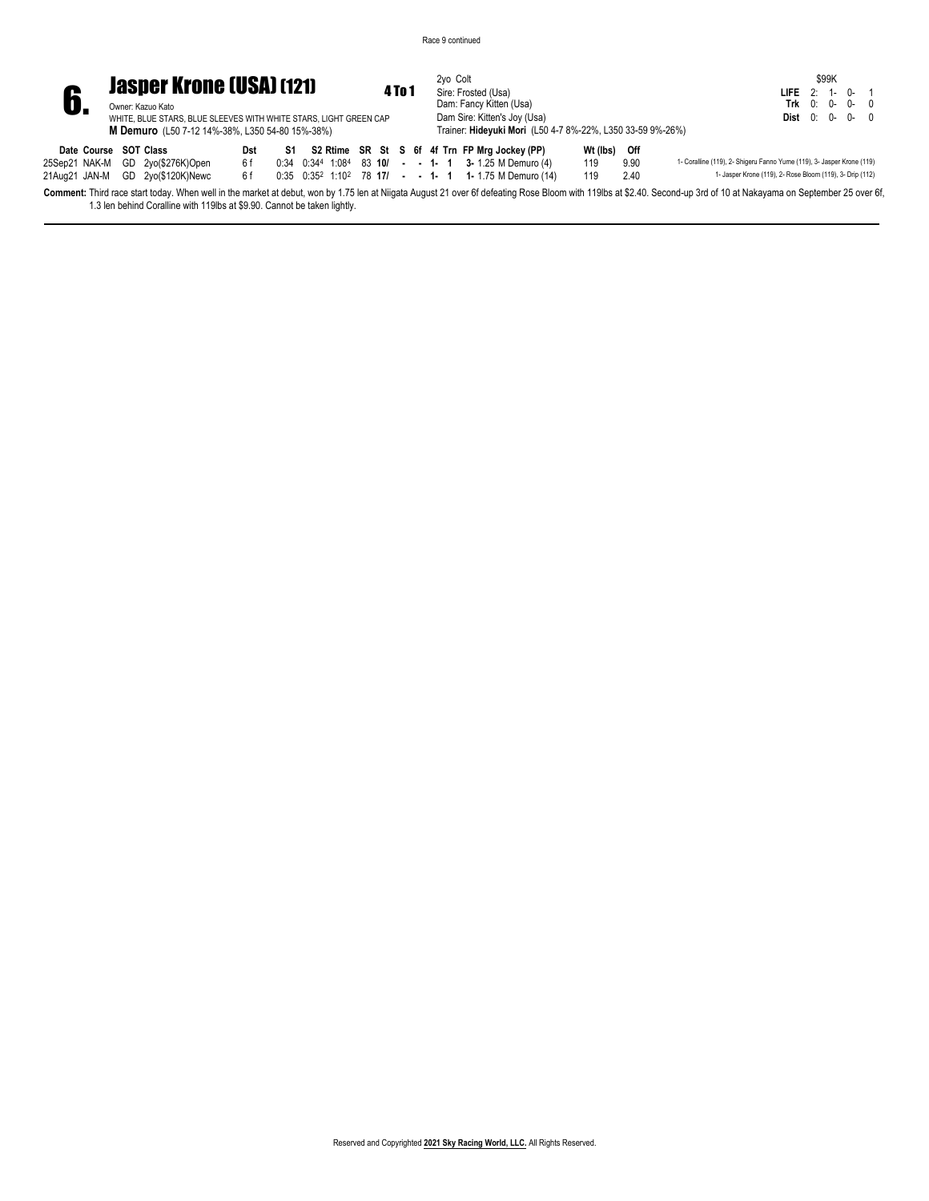Race 9 continued

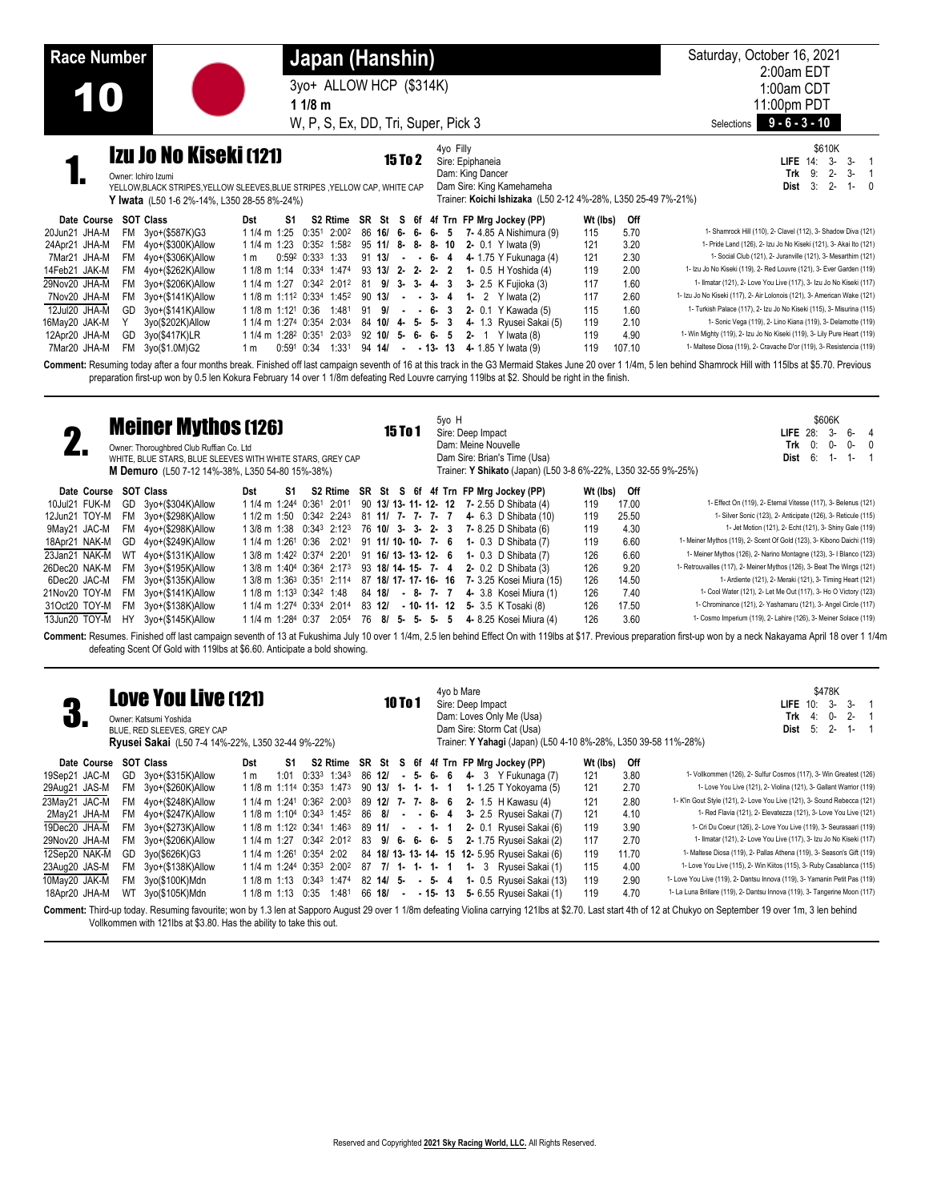| <b>Race Number</b> |                                                                                                                                                                                   |                                | Japan (Hanshin)                                               |                     |                   |           |                                                                                                                                    |          |        | Saturday, October 16, 2021<br>2:00am EDT                                                                                                                                                                           |
|--------------------|-----------------------------------------------------------------------------------------------------------------------------------------------------------------------------------|--------------------------------|---------------------------------------------------------------|---------------------|-------------------|-----------|------------------------------------------------------------------------------------------------------------------------------------|----------|--------|--------------------------------------------------------------------------------------------------------------------------------------------------------------------------------------------------------------------|
|                    |                                                                                                                                                                                   |                                | 3yo+ ALLOW HCP (\$314K)                                       |                     |                   |           |                                                                                                                                    |          |        | 1:00am CDT                                                                                                                                                                                                         |
|                    |                                                                                                                                                                                   |                                | 1 1/8 m                                                       |                     |                   |           |                                                                                                                                    |          |        | 11:00pm PDT                                                                                                                                                                                                        |
|                    |                                                                                                                                                                                   |                                | W, P, S, Ex, DD, Tri, Super, Pick 3                           |                     |                   |           |                                                                                                                                    |          |        | $9 - 6 - 3 - 10$<br>Selections                                                                                                                                                                                     |
|                    | Izu Jo No Kiseki (121)<br>Owner: Ichiro Izumi<br>YELLOW, BLACK STRIPES, YELLOW SLEEVES, BLUE STRIPES, YELLOW CAP, WHITE CAP<br><b>Y Iwata</b> (L50 1-6 2%-14%, L350 28-55 8%-24%) |                                |                                                               | <b>15 To 2</b>      |                   | 4yo Filly | Sire: Epiphaneia<br>Dam: King Dancer<br>Dam Sire: King Kamehameha<br>Trainer: Koichi Ishizaka (L50 2-12 4%-28%, L350 25-49 7%-21%) |          |        | \$610K<br>$LIEE$ 14:<br>$3-$<br>$3-$<br>9:<br>$2 -$<br>Trk<br>$3 -$<br>3:<br>$2 -$<br>$1 - 0$<br>Dist                                                                                                              |
| Date Course        | SOT Class                                                                                                                                                                         | Dst<br>S1                      |                                                               | S2 Rtime SR St S 6f |                   |           | 4f Trn FP Mrg Jockey (PP)                                                                                                          | Wt (lbs) | Off    |                                                                                                                                                                                                                    |
| 20Jun21 JHA-M      | FM 3yo+(\$587K)G3                                                                                                                                                                 | 1 1/4 m 1:25                   | 0:351 2:002                                                   | 86 16/ 6- 6-        |                   | 6-<br>5   | 7- 4.85 A Nishimura (9)                                                                                                            | 115      | 5.70   | 1- Shamrock Hill (110), 2- Clavel (112), 3- Shadow Diva (121)                                                                                                                                                      |
| 24Apr21 JHA-M      | FM 4yo+(\$300K)Allow                                                                                                                                                              | 1 1/4 m 1:23                   | 0:352 1:582                                                   | $95$ 11/ 8-8-       |                   | 8-10      | 2- 0.1 Y Iwata (9)                                                                                                                 | 121      | 3.20   | 1- Pride Land (126), 2- Izu Jo No Kiseki (121), 3- Akai Ito (121)                                                                                                                                                  |
| 7Mar21 JHA-M       | FM 4yo+(\$306K)Allow                                                                                                                                                              | 1 m                            | $0:59^2$ $0:33^3$ 1:33                                        | 91 13/              | $- - 6 - 4$       |           | 4- 1.75 Y Fukunaga (4)                                                                                                             | 121      | 2.30   | 1- Social Club (121), 2- Juranville (121), 3- Mesarthim (121)                                                                                                                                                      |
| 14Feb21 JAK-M      | FM 4yo+(\$262K)Allow                                                                                                                                                              | $11/8$ m $1:14$                | 0:334 1:474                                                   | $93$ 13/ 2- 2- 2- 2 |                   |           | 1- 0.5 H Yoshida (4)                                                                                                               | 119      | 2.00   | 1- Izu Jo No Kiseki (119), 2- Red Louvre (121), 3- Ever Garden (119)                                                                                                                                               |
| 29Nov20 JHA-M      | 3yo+(\$206K)Allow<br>FM                                                                                                                                                           | 1 1/4 m 1:27                   | 0:342 2:012                                                   | 81 9/ 3- 3- 4- 3    |                   |           | 3- 2.5 K Fujioka (3)                                                                                                               | 117      | 1.60   | 1- Ilmatar (121), 2- Love You Live (117), 3- Izu Jo No Kiseki (117)                                                                                                                                                |
| 7Nov20 JHA-M       | 3yo+(\$141K)Allow<br>FM                                                                                                                                                           |                                | 1 1/8 m 1:11 <sup>2</sup> 0:33 <sup>4</sup> 1:45 <sup>2</sup> | $90$ 13/            | $\sim$ 100 $\sim$ | $3 - 4$   | 1- 2 $Y$ Iwata (2)                                                                                                                 | 117      | 2.60   | 1- Izu Jo No Kiseki (117), 2- Air Lolonois (121), 3- American Wake (121)                                                                                                                                           |
| 12Jul20 JHA-M      | 3yo+(\$141K)Allow<br>GD                                                                                                                                                           | 1 1/8 m 1:12 <sup>1</sup> 0:36 | 1:481                                                         | 91 9/               | $\sim$ 100 $\sim$ | 6-3       | 2- 0.1 Y Kawada (5)                                                                                                                | 115      | 1.60   | 1- Turkish Palace (117), 2- Izu Jo No Kiseki (115), 3- Misurina (115)                                                                                                                                              |
| 16May20 JAK-M      | 3yo(\$202K)Allow                                                                                                                                                                  | 1 1/4 m 1:274 0:354            | 2:034                                                         | 84 10/ 4- 5-        |                   | 5-<br>- 3 | 4- 1.3 Ryusei Sakai (5)                                                                                                            | 119      | 2.10   | 1- Sonic Vega (119), 2- Lino Kiana (119), 3- Delamotte (119)                                                                                                                                                       |
| 12Apr20 JHA-M      | 3yo(\$417K)LR<br>GD                                                                                                                                                               |                                | 1 1/4 m 1:28 <sup>2</sup> 0:351 2:033                         | $92$ 10/ 5- 6-      |                   | 6-5       | 2- 1 Y Iwata $(8)$                                                                                                                 | 119      | 4.90   | 1- Win Mighty (119), 2- Izu Jo No Kiseki (119), 3- Lily Pure Heart (119)                                                                                                                                           |
| 7Mar20 JHA-M       | FM<br>3yo(\$1.0M)G2                                                                                                                                                               | 0:591<br>1 m                   | 0:34<br>1:331                                                 | 94 14/              | - 13-<br>$\sim$   | 13        | 4- 1.85 Y Iwata (9)                                                                                                                | 119      | 107.10 | 1- Maltese Diosa (119), 2- Cravache D'or (119), 3- Resistencia (119)                                                                                                                                               |
|                    |                                                                                                                                                                                   |                                |                                                               |                     |                   |           |                                                                                                                                    |          |        | Comment: Resuming today after a four months break. Finished off last campaign seventh of 16 at this track in the G3 Mermaid Stakes June 20 over 1 1/4m. 5 len behind Shamrock Hill with 115lbs at \$5.70. Previous |

Comment: Resuming today after a four months break. Finished off last campaign seventh of 16 at this track in the G3 Mermaid Stakes June 20 over 1 1/4m, 5 len behind Shamrock Hill with 115lbs at \$5.70. Previous preparation first-up won by 0.5 len Kokura February 14 over 1 1/8m defeating Red Louvre carrying 119lbs at \$2. Should be right in the finish.

| ω.            | <b>Meiner Mythos (126)</b><br>Owner: Thoroughbred Club Ruffian Co. Ltd<br>WHITE, BLUE STARS, BLUE SLEEVES WITH WHITE STARS, GREY CAP<br>M Demuro (L50 7-12 14%-38%, L350 54-80 15%-38%)<br>SOT Class<br>S2 Rtime SR St S 6f 4f Trn FP Mrg Jockey (PP)<br>Date Course<br>Dst<br>S1<br>GD 3yo+(\$304K)Allow<br>1 1/4 m 1:244 0:361 2:011 |                      |                                                  |  |  |                           |                     |  |  |  | 5yo H           |  | Sire: Deep Impact<br>Dam: Meine Nouvelle | Dam Sire: Brian's Time (Usa)                | Trainer: Y Shikato (Japan) (L50 3-8 6%-22%, L350 32-55 9%-25%) |       | \$606K<br>հ-<br>LIFE $28$ :<br>$3 -$<br>$\overline{4}$<br>0:<br>$0-$<br>Trk<br>0-<br>6:<br>Dist<br>1- $\sqrt{2}$<br>-1-                                                                                          |
|---------------|----------------------------------------------------------------------------------------------------------------------------------------------------------------------------------------------------------------------------------------------------------------------------------------------------------------------------------------|----------------------|--------------------------------------------------|--|--|---------------------------|---------------------|--|--|--|-----------------|--|------------------------------------------|---------------------------------------------|----------------------------------------------------------------|-------|------------------------------------------------------------------------------------------------------------------------------------------------------------------------------------------------------------------|
|               |                                                                                                                                                                                                                                                                                                                                        |                      |                                                  |  |  |                           |                     |  |  |  |                 |  |                                          |                                             | Wt (lbs)                                                       | Off   |                                                                                                                                                                                                                  |
| 10Jul21 FUK-M |                                                                                                                                                                                                                                                                                                                                        |                      |                                                  |  |  |                           |                     |  |  |  |                 |  |                                          | 90 13/ 13- 11- 12- 12 7- 2.55 D Shibata (4) | 119                                                            | 17.00 | 1- Effect On (119), 2- Eternal Vitesse (117), 3- Belenus (121)                                                                                                                                                   |
| 12Jun21 TOY-M | FM                                                                                                                                                                                                                                                                                                                                     | 3yo+(\$298K)Allow    | 1 1/2 m 1:50 0:34 <sup>2</sup> 2:24 <sup>3</sup> |  |  |                           | 81 11/ 7- 7- 7- 7   |  |  |  |                 |  |                                          | 4- 6.3 D Shibata (10)                       | 119                                                            | 25.50 | 1- Silver Sonic (123), 2- Anticipate (126), 3- Reticule (115)                                                                                                                                                    |
| 9May21 JAC-M  |                                                                                                                                                                                                                                                                                                                                        | FM 4yo+(\$298K)Allow | 1 3/8 m 1:38 0:34 <sup>3</sup> 2:12 <sup>3</sup> |  |  |                           | 76 10/ 3- 3- 2- 3   |  |  |  |                 |  |                                          | 7- 8.25 D Shibata (6)                       | 119                                                            | 4.30  | 1- Jet Motion (121), 2- Echt (121), 3- Shiny Gale (119)                                                                                                                                                          |
| 18Apr21 NAK-M | GD                                                                                                                                                                                                                                                                                                                                     | 4yo+(\$249K)Allow    | 1 1/4 m 1:26 <sup>1</sup> 0:36                   |  |  | 2:021                     | 91 11/ 10- 10- 7- 6 |  |  |  |                 |  |                                          | <b>1-</b> 0.3 D Shibata (7)                 | 119                                                            | 6.60  | 1- Meiner Mythos (119), 2- Scent Of Gold (123), 3- Kibono Daichi (119)                                                                                                                                           |
| 23Jan21 NAK-M |                                                                                                                                                                                                                                                                                                                                        | WT 4yo+(\$131K)Allow | 1 3/8 m 1:42 <sup>2</sup> 0:374 2:201            |  |  |                           | 91 16/13-13-12-6    |  |  |  |                 |  |                                          | <b>1-</b> 0.3 D Shibata (7)                 | 126                                                            | 6.60  | 1- Meiner Mythos (126), 2- Narino Montagne (123), 3- I Blanco (123)                                                                                                                                              |
| 26Dec20 NAK-M | FM.                                                                                                                                                                                                                                                                                                                                    | 3yo+(\$195K)Allow    | 1 3/8 m 1:404 0:364 2:173 93 18/ 14- 15- 7- 4    |  |  |                           |                     |  |  |  |                 |  |                                          | <b>2-</b> 0.2 D Shibata (3)                 | 126                                                            | 9.20  | 1- Retrouvailles (117), 2- Meiner Mythos (126), 3- Beat The Wings (121)                                                                                                                                          |
| 6Dec20 JAC-M  |                                                                                                                                                                                                                                                                                                                                        | FM 3yo+(\$135K)Allow | 1 3/8 m 1:363 0:351 2:114 87 18/ 17- 17- 16- 16  |  |  |                           |                     |  |  |  |                 |  |                                          | 7- 3.25 Kosei Miura (15)                    | 126                                                            | 14.50 | 1- Ardiente (121), 2- Meraki (121), 3- Timing Heart (121)                                                                                                                                                        |
| 21Nov20 TOY-M |                                                                                                                                                                                                                                                                                                                                        | FM 3yo+(\$141K)Allow | 1 1/8 m 1:13 <sup>3</sup> 0:34 <sup>2</sup> 1:48 |  |  |                           | 84 18/ - 8- 7- 7    |  |  |  |                 |  |                                          | 4- 3.8 Kosei Miura (1)                      | 126                                                            | 7.40  | 1- Cool Water (121), 2- Let Me Out (117), 3- Ho O Victory (123)                                                                                                                                                  |
| 31Oct20 TOY-M |                                                                                                                                                                                                                                                                                                                                        | FM 3yo+(\$138K)Allow | 1 1/4 m 1:274 0:334 2:014                        |  |  |                           | 83 12/              |  |  |  | $-10 - 11 - 12$ |  |                                          | 5- 3.5 K Tosaki (8)                         | 126                                                            | 17.50 | 1- Chrominance (121), 2- Yashamaru (121), 3- Angel Circle (117)                                                                                                                                                  |
| 13Jun20 TOY-M | HY                                                                                                                                                                                                                                                                                                                                     | 3yo+(\$145K)Allow    | 1 1/4 m 1:284 0:37                               |  |  | $2:05^4$ 76 8/ 5- 5- 5- 5 |                     |  |  |  |                 |  |                                          | 4- 8.25 Kosei Miura (4)                     | 126                                                            | 3.60  | 1- Cosmo Imperium (119), 2- Lahire (126), 3- Meiner Solace (119)                                                                                                                                                 |
|               |                                                                                                                                                                                                                                                                                                                                        |                      |                                                  |  |  |                           |                     |  |  |  |                 |  |                                          |                                             |                                                                |       | Commente Desimes Fisioleal officet commission considerated 12 of Fulgiolines July 10 anno 11/lim 25 Les behind Fiffed On with 110 les det 7 Designs creaseding first un was but a pool National Anii 10 anno 14/ |

**Comment:** Resumes. Finished off last campaign seventh of 13 at Fukushima July 10 over 1 1/4m, 2.5 len behind Effect On with 119lbs at \$17. Previous preparation first-up won by a neck Nakayama April 18 over 1 1/4m defeating Scent Of Gold with 119lbs at \$6.60. Anticipate a bold showing.

| <b>Love You Live (121)</b><br>4<br>$\Box$<br>Owner: Katsumi Yoshida<br>BLUE, RED SLEEVES, GREY CAP<br><b>Ryusei Sakai</b> (L50 7-4 14%-22%, L350 32-44 9%-22%) |     | 10 To 1           |                   |      | 4yo b Mare                                                    |                     | Sire: Deep Impact<br>Dam: Loves Only Me (Usa)<br>Dam Sire: Storm Cat (Usa) |        |      |           | \$478K<br>3-<br>$3-$<br>LIFE.<br>10:<br>$2 -$<br>Trk<br>0-<br>4:<br>$2 -$<br>5:<br>Dist<br>1- $\sqrt{2}$<br>Trainer: Y Yahagi (Japan) (L50 4-10 8%-28%, L350 39-58 11%-28%) |                             |                                                 |          |       |                                                                                                                                                                                                                |
|----------------------------------------------------------------------------------------------------------------------------------------------------------------|-----|-------------------|-------------------|------|---------------------------------------------------------------|---------------------|----------------------------------------------------------------------------|--------|------|-----------|-----------------------------------------------------------------------------------------------------------------------------------------------------------------------------|-----------------------------|-------------------------------------------------|----------|-------|----------------------------------------------------------------------------------------------------------------------------------------------------------------------------------------------------------------|
| Date Course                                                                                                                                                    |     | <b>SOT Class</b>  | Dst               | S1   | S2 Rtime SR St S 6f 4f Trn FP Mrg Jockey (PP)                 |                     |                                                                            |        |      |           |                                                                                                                                                                             |                             |                                                 | Wt (lbs) | Off   |                                                                                                                                                                                                                |
| 19Sep21 JAC-M                                                                                                                                                  | GD. | 3vo+(\$315K)Allow | 1 m               | 1:01 | $0:33^3$ 1:343                                                | 86 12/              |                                                                            | - 5-   | 6-   | - 6       |                                                                                                                                                                             | 4- $3 \quad Y$ Fukunaga (7) |                                                 | 121      | 3.80  | 1- Vollkommen (126), 2- Sulfur Cosmos (117), 3- Win Greatest (126)                                                                                                                                             |
| 29Aug21 JAS-M                                                                                                                                                  | FM. | 3yo+(\$260K)Allow |                   |      | 1 1/8 m 1:114 0:353 1:473                                     | 90 13/ 1- 1- 1- 1   |                                                                            |        |      |           |                                                                                                                                                                             |                             | 1- 1.25 T Yokoyama (5)                          | 121      | 2.70  | 1- Love You Live (121), 2- Violina (121), 3- Gallant Warrior (119)                                                                                                                                             |
| 23May21 JAC-M                                                                                                                                                  | FM  | 4yo+(\$248K)Allow |                   |      | 1 1/4 m 1:241 0:362 2:003                                     | $89$ 12/ 7- 7- 8- 6 |                                                                            |        |      |           |                                                                                                                                                                             | <b>2-</b> 1.5 H Kawasu (4)  |                                                 | 121      | 2.80  | 1- K'in Gout Style (121), 2- Love You Live (121), 3- Sound Rebecca (121)                                                                                                                                       |
| 2May21 JHA-M                                                                                                                                                   | FM. | 4yo+(\$247K)Allow |                   |      | 1 1/8 m 1:10 <sup>4</sup> 0:34 <sup>3</sup> 1:45 <sup>2</sup> | 86 8/               |                                                                            |        |      | $- 6 - 4$ |                                                                                                                                                                             |                             | 3- 2.5 Ryusei Sakai (7)                         | 121      | 4.10  | 1- Red Flavia (121), 2- Elevatezza (121), 3- Love You Live (121)                                                                                                                                               |
| 19Dec20 JHA-M                                                                                                                                                  | FM. | 3yo+(\$273K)Allow |                   |      | 1 1/8 m 1:12 <sup>2</sup> 0:34 <sup>1</sup> 1:46 <sup>3</sup> | 89 11/ - - 1-1      |                                                                            |        |      |           |                                                                                                                                                                             |                             | 2- 0.1 Ryusei Sakai (6)                         | 119      | 3.90  | 1- Cri Du Coeur (126), 2- Love You Live (119), 3- Seurasaari (119)                                                                                                                                             |
| 29Nov20 JHA-M                                                                                                                                                  | FM. | 3yo+(\$206K)Allow |                   |      | 1 1/4 m 1:27 0:342 2:012                                      | 83 9/6-6-6-5        |                                                                            |        |      |           |                                                                                                                                                                             |                             | 2- 1.75 Ryusei Sakai (2)                        | 117      | 2.70  | 1- Ilmatar (121), 2- Love You Live (117), 3- Izu Jo No Kiseki (117)                                                                                                                                            |
| 12Sep20 NAK-M                                                                                                                                                  | GD. | 3yo(\$626K)G3     |                   |      | 1 1/4 m 1:26 <sup>1</sup> 0:354 2:02                          |                     |                                                                            |        |      |           |                                                                                                                                                                             |                             | 84 18/ 13- 13- 14- 15 12- 5.95 Ryusei Sakai (6) | 119      | 11.70 | 1- Maltese Diosa (119), 2- Pallas Athena (119), 3- Season's Gift (119)                                                                                                                                         |
| 23Aug20 JAS-M                                                                                                                                                  | FM. | 3yo+(\$138K)Allow |                   |      | 1 1/4 m 1:244 0:353 2:002                                     |                     |                                                                            |        |      |           |                                                                                                                                                                             |                             | 87 7/ 1- 1- 1- 1 1- 3 Ryusei Sakai (1)          | 115      | 4.00  | 1- Love You Live (115), 2- Win Kiitos (115), 3- Ruby Casablanca (115)                                                                                                                                          |
| 10May20 JAK-M                                                                                                                                                  | FM  | 3yo(\$100K)Mdn    |                   |      | 1 1/8 m 1:13 0:34 <sup>3</sup> 1:474                          | 82 14/ 5-           |                                                                            | $\sim$ | - 5- | -4        |                                                                                                                                                                             |                             | 1- 0.5 Ryusei Sakai (13)                        | 119      | 2.90  | 1- Love You Live (119), 2- Dantsu Innova (119), 3- Yamanin Petit Pas (119)                                                                                                                                     |
| 18Apr20 JHA-M                                                                                                                                                  | WT  | 3yo(\$105K)Mdn    | 1 1/8 m 1:13 0:35 |      | 1:481                                                         | 66 18/              | $\sim$                                                                     |        |      | - 15-13   |                                                                                                                                                                             |                             | 5- 6.55 Ryusei Sakai (1)                        | 119      | 4.70  | 1- La Luna Brillare (119), 2- Dantsu Innova (119), 3- Tangerine Moon (117)                                                                                                                                     |
|                                                                                                                                                                |     |                   |                   |      |                                                               |                     |                                                                            |        |      |           |                                                                                                                                                                             |                             |                                                 |          |       | Comment: Third-up today. Resuming favourite; won by 1.3 len at Sapporo August 29 over 1 1/8m defeating Violina carrying 121lbs at \$2.70. Last start 4th of 12 at Chukyo on September 19 over 1m, 3 len behind |

Vollkommen with 121lbs at \$3.80. Has the ability to take this out.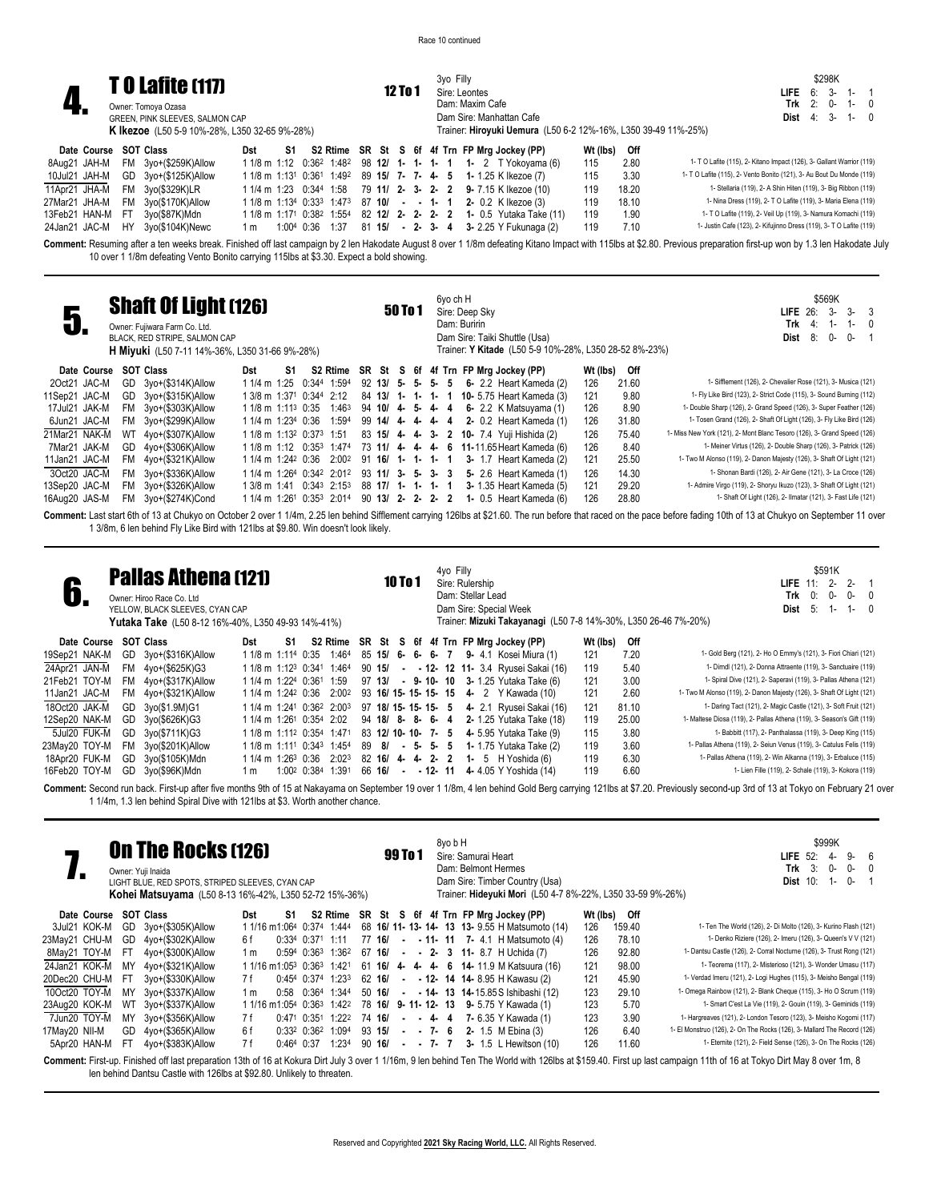|               |                       |      | <b>TO Lafite (117)</b>                               |     |    |                 |  |         |  | 3vo Filly |                 |                                                                                                             |          |       | \$298K                                                                |
|---------------|-----------------------|------|------------------------------------------------------|-----|----|-----------------|--|---------|--|-----------|-----------------|-------------------------------------------------------------------------------------------------------------|----------|-------|-----------------------------------------------------------------------|
|               |                       |      |                                                      |     |    |                 |  | 12 To 1 |  |           | Sire: Leontes   |                                                                                                             |          |       | 6: 3- 1- 1<br>LIFE                                                    |
|               |                       |      | Owner: Tomoya Ozasa                                  |     |    |                 |  |         |  |           | Dam: Maxim Cafe |                                                                                                             |          |       | Trk $2: 0 - 1 - 0$                                                    |
|               |                       |      | GREEN, PINK SLEEVES, SALMON CAP                      |     |    |                 |  |         |  |           |                 | Dam Sire: Manhattan Cafe                                                                                    |          |       | <b>Dist</b> 4: 3- 1- 0                                                |
|               |                       |      | <b>K Ikezoe</b> (L50 5-9 10%-28%, L350 32-65 9%-28%) |     |    |                 |  |         |  |           |                 | Trainer: Hiroyuki Uemura (L50 6-2 12%-16%, L350 39-49 11%-25%)                                              |          |       |                                                                       |
|               | Date Course SOT Class |      |                                                      | Dst | S1 |                 |  |         |  |           |                 | S2 Rtime SR St S 6f 4f Trn FP Mrg Jockey (PP)                                                               | Wt (lbs) | Off   |                                                                       |
| 8Aug21 JAH-M  |                       | FM   | 3yo+(\$259K)Allow                                    |     |    |                 |  |         |  |           |                 | 1 1/8 m 1:12 $0:36^2$ 1:48 <sup>2</sup> 98 12/ 1 - 1 - 1 - 1 - 1 - 2 T Yokoyama (6)                         | 115      | 2.80  | 1- T O Lafite (115), 2- Kitano Impact (126), 3- Gallant Warrior (119) |
| 10Jul21 JAH-M |                       |      | GD 3yo+(\$125K)Allow                                 |     |    |                 |  |         |  |           |                 | 1 1/8 m 1:13 <sup>1</sup> 0:36 <sup>1</sup> 1:49 <sup>2</sup> 89 <b>15/ 7- 7- 4- 5 1-</b> 1.25 K Ikezoe (7) | 115      | 3.30  | 1- T O Lafite (115), 2- Vento Bonito (121), 3- Au Bout Du Monde (119) |
| 11Apr21 JHA-M |                       |      | FM 3yo(\$329K)LR                                     |     |    |                 |  |         |  |           |                 | 1 1/4 m 1:23 0:344 1:58 79 11/ 2- 3- 2- 2 9- 7.15 K Ikezoe (10)                                             | 119      | 18.20 | 1- Stellaria (119), 2- A Shin Hiten (119), 3- Big Ribbon (119)        |
| 27Mar21 JHA-M |                       | FM   | 3yo(\$170K)Allow                                     |     |    |                 |  |         |  |           |                 | $11/8$ m $1:134$ 0:33 <sup>3</sup> 1:47 <sup>3</sup> 87 <b>10/</b> - - 1- 1 2- 0.2 K Ikezoe (3)             | 119      | 18.10 | 1- Nina Dress (119), 2- T O Lafite (119), 3- Maria Elena (119)        |
| 13Feb21 HAN-M |                       | - FT | 3yo(\$87K)Mdn                                        |     |    |                 |  |         |  |           |                 | 1 1/8 m 1:171 0:38 <sup>2</sup> 1:55 <sup>4</sup> 82 <b>12/ 2- 2- 2- 2 1-</b> 0.5 Yutaka Take (11)          | 119      | 1.90  | 1- T O Lafite (119), 2- Veil Up (119), 3- Namura Komachi (119)        |
| 24Jan21 JAC-M |                       | HY.  | 3vo(\$104K)Newc                                      | 1 m |    | 1:004 0:36 1:37 |  |         |  |           |                 | 81 15/ - 2- 3- 4 3- 2.25 Y Fukunaga (2)                                                                     | 119      | 7.10  | 1- Justin Cafe (123), 2- Kifujinno Dress (119), 3- T O Lafite (119)   |

Comment: Resuming after a ten weeks break. Finished off last campaign by 2 len Hakodate August 8 over 1 1/8m defeating Kitano Impact with 115lbs at \$2.80. Previous preparation first-up won by 1.3 len Hakodate July 10 over 1 1/8m defeating Vento Bonito carrying 115lbs at \$3.30. Expect a bold showing.

|               | <b>Shaft Of Light (126)</b><br>Owner: Fujiwara Farm Co. Ltd.<br>BLACK, RED STRIPE, SALMON CAP<br><b>H Miyuki</b> (L50 7-11 14%-36%, L350 31-66 9%-28%)<br><b>SOT Class</b><br>Date Course<br>Dst<br>S1 |                      |                                |  |                                                  |       |                     |  | 50 To 1 |  | 6yo ch H | Sire: Deep Sky<br>Dam: Buririn<br>Dam Sire: Taiki Shuttle (Usa)<br>Trainer: Y Kitade (L50 5-9 10%-28%, L350 28-52 8%-23%) |          |       | \$569K<br>$3-$<br>$3 - 3$<br>LIFE $26$ :<br>Trk<br>4:<br>-1-<br>$1 -$<br>0-<br>8:<br>0-<br>Dist |
|---------------|--------------------------------------------------------------------------------------------------------------------------------------------------------------------------------------------------------|----------------------|--------------------------------|--|--------------------------------------------------|-------|---------------------|--|---------|--|----------|---------------------------------------------------------------------------------------------------------------------------|----------|-------|-------------------------------------------------------------------------------------------------|
|               |                                                                                                                                                                                                        |                      |                                |  |                                                  |       |                     |  |         |  |          | S2 Rtime SR St S 6f 4f Trn FP Mrg Jockey (PP)                                                                             | Wt (lbs) | Off   |                                                                                                 |
| 2Oct21 JAC-M  | GD.                                                                                                                                                                                                    | 3yo+(\$314K)Allow    | 1 1/4 m 1:25                   |  | 0:344 1:594                                      |       | $92$ 13/ 5- 5- 5- 5 |  |         |  |          | <b>6-</b> 2.2 Heart Kameda (2)                                                                                            | 126      | 21.60 | 1- Sifflement (126), 2- Chevalier Rose (121), 3- Musica (121)                                   |
| 11Sep21 JAC-M |                                                                                                                                                                                                        | GD 3yo+(\$315K)Allow |                                |  | 1 3/8 m 1:371 0:344 2:12                         |       | 84 13/ 1- 1- 1- 1   |  |         |  |          | <b>10-</b> 5.75 Heart Kameda (3)                                                                                          | 121      | 9.80  | 1- Fly Like Bird (123), 2- Strict Code (115), 3- Sound Burning (112)                            |
| 17Jul21 JAK-M |                                                                                                                                                                                                        | FM 3yo+(\$303K)Allow | 1 1/8 m 1:11 <sup>3</sup> 0:35 |  |                                                  | 1:463 | $94$ 10/ 4- 5- 4- 4 |  |         |  |          | 6- 2.2 K Matsuyama (1)                                                                                                    | 126      | 8.90  | 1- Double Sharp (126), 2- Grand Speed (126), 3- Super Feather (126)                             |
| 6Jun21 JAC-M  |                                                                                                                                                                                                        | FM 3yo+(\$299K)Allow | 1 1/4 m 1:234 0:36             |  |                                                  | 1:594 | 99 14/ 4- 4- 4- 4   |  |         |  |          | 2- 0.2 Heart Kameda (1)                                                                                                   | 126      | 31.80 | 1- Tosen Grand (126), 2- Shaft Of Light (126), 3- Fly Like Bird (126)                           |
| 21Mar21 NAK-M | WT                                                                                                                                                                                                     | 4yo+(\$307K)Allow    |                                |  | 1 1/8 m 1:13 <sup>2</sup> 0:37 <sup>3</sup> 1:51 |       |                     |  |         |  |          | 83 15/ 4 4 3 2 10 7.4 Yuji Hishida (2)                                                                                    | 126      | 75.40 | 1- Miss New York (121), 2- Mont Blanc Tesoro (126), 3- Grand Speed (126)                        |
| 7Mar21 JAK-M  | GD                                                                                                                                                                                                     | 4yo+(\$306K)Allow    |                                |  | 1 1/8 m 1:12 0:35 <sup>3</sup> 1:474             |       | 73 11/ 4 4 4 4      |  |         |  |          | 6 11-11.65 Heart Kameda (6)                                                                                               | 126      | 8.40  | 1- Meiner Virtus (126), 2- Double Sharp (126), 3- Patrick (126)                                 |
| 11Jan21 JAC-M | FM.                                                                                                                                                                                                    | 4yo+(\$321K)Allow    | 1 1/4 m 1:24 <sup>2</sup> 0:36 |  | 2:002                                            |       | 91 16/ 1- 1- 1- 1   |  |         |  |          | 3- 1.7 Heart Kameda (2)                                                                                                   | 121      | 25.50 | 1- Two M Alonso (119), 2- Danon Majesty (126), 3- Shaft Of Light (121)                          |
| 3Oct20 JAC-M  |                                                                                                                                                                                                        | FM 3yo+(\$336K)Allow |                                |  | 1 1/4 m 1:264 0:342 2:012                        |       | $93$ 11/ 3- 5- 3- 3 |  |         |  |          | 5- 2.6 Heart Kameda (1)                                                                                                   | 126      | 14.30 | 1- Shonan Bardi (126), 2- Air Gene (121), 3- La Croce (126)                                     |
| 13Sep20 JAC-M |                                                                                                                                                                                                        | FM 3yo+(\$326K)Allow | 1 3/8 m 1:41                   |  | $0:343$ 2:153                                    |       | 88 17/ 1- 1- 1- 1   |  |         |  |          | 3- 1.35 Heart Kameda (5)                                                                                                  | 121      | 29.20 | 1- Admire Virgo (119), 2- Shoryu Ikuzo (123), 3- Shaft Of Light (121)                           |
| 16Aug20 JAS-M | FM                                                                                                                                                                                                     | 3yo+(\$274K)Cond     | 1 1/4 m 1:261                  |  | 0:353 2:014                                      |       | $90$ 13/ 2- 2- 2- 2 |  |         |  |          | 1- 0.5 Heart Kameda (6)                                                                                                   | 126      | 28.80 | 1- Shaft Of Light (126), 2- Ilmatar (121), 3- Fast Life (121)                                   |
|               |                                                                                                                                                                                                        |                      |                                |  |                                                  |       |                     |  |         |  |          |                                                                                                                           |          |       |                                                                                                 |

Comment: Last start 6th of 13 at Chukyo on October 2 over 1 1/4m, 2.25 len behind Sifflement carrying 126lbs at \$21.60. The run before that raced on the pace before fading 10th of 13 at Chukyo on September 11 over 1 3/8m, 6 len behind Fly Like Bird with 121lbs at \$9.80. Win doesn't look likely.

|               |     | <b>Pallas Athena (121)</b><br>Owner: Hiroo Race Co. Ltd<br>YELLOW. BLACK SLEEVES, CYAN CAP<br>Yutaka Take (L50 8-12 16%-40%, L350 49-93 14%-41%) |                                                               |    |             |                   |        |      | 10 To 1 |  | 4yo Filly             | Sire: Rulership<br>Dam: Stellar Lead | Dam Sire: Special Week<br>Trainer: Mizuki Takayanagi (L50 7-8 14%-30%, L350 26-46 7%-20%) |          |       | \$591K<br>$2 -$<br>$2 -$<br>LIE 11:<br>$Trk = 0$ :<br>0-<br>0-<br>-0<br>Dist<br>- 5:<br>$1 - 0$<br>1- |
|---------------|-----|--------------------------------------------------------------------------------------------------------------------------------------------------|---------------------------------------------------------------|----|-------------|-------------------|--------|------|---------|--|-----------------------|--------------------------------------|-------------------------------------------------------------------------------------------|----------|-------|-------------------------------------------------------------------------------------------------------|
| Date Course   |     | SOT Class                                                                                                                                        | Dst                                                           | S1 |             |                   |        |      |         |  |                       |                                      | S2 Rtime SR St S 6f 4f Trn FP Mrg Jockey (PP)                                             | Wt (lbs) | Off   |                                                                                                       |
| 19Sep21 NAK-M |     | GD 3yo+(\$316K)Allow                                                                                                                             | 1 1/8 m 1:11 <sup>4</sup> 0:35                                |    |             | 1:464             |        |      |         |  | $85$ 15/ 6- 6- 6- 7   |                                      | <b>9-</b> 4.1 Kosei Miura (1)                                                             | 121      | 7.20  | 1- Gold Berg (121), 2- Ho O Emmy's (121), 3- Fiori Chiari (121)                                       |
| 24Apr21 JAN-M | FM  | 4yo+(\$625K)G3                                                                                                                                   | 1 1/8 m 1:12 <sup>3</sup> 0:341 1:464                         |    |             |                   | 90 15/ |      |         |  |                       |                                      | <b>- - 12- 12 11-</b> 3.4 Ryusei Sakai (16)                                               | 119      | 5.40  | 1- Dirndl (121), 2- Donna Attraente (119), 3- Sanctuaire (119)                                        |
| 21Feb21 TOY-M | FM. | 4yo+(\$317K)Allow                                                                                                                                | 1 1/4 m 1:224 0:361                                           |    |             | 1:59              | 97 13/ |      |         |  |                       |                                      | $-9 - 10 - 10$ 3 - 1.25 Yutaka Take (6)                                                   | 121      | 3.00  | 1- Spiral Dive (121), 2- Saperavi (119), 3- Pallas Athena (121)                                       |
| 11Jan21 JAC-M | FM  | 4yo+(\$321K)Allow                                                                                                                                | 1 1/4 m 1:24 <sup>2</sup> 0:36                                |    |             | 2:002             |        |      |         |  | 93 16/ 15- 15- 15- 15 |                                      | 4- 2 Y Kawada (10)                                                                        | 121      | 2.60  | 1- Two M Alonso (119), 2- Danon Majesty (126), 3- Shaft Of Light (121)                                |
| 18Oct20 JAK-M | GD  | 3yo(\$1.9M)G1                                                                                                                                    | 1 1/4 m 1:241 0:362 2:003                                     |    |             |                   |        |      |         |  |                       |                                      | 97 18/ 15- 15- 15- 5 4- 2.1 Ryusei Sakai (16)                                             | 121      | 81.10 | 1- Daring Tact (121), 2- Magic Castle (121), 3- Soft Fruit (121)                                      |
| 12Sep20 NAK-M | GD. | 3yo(\$626K)G3                                                                                                                                    | 1 1/4 m 1:261 0:354 2:02                                      |    |             |                   |        |      |         |  |                       |                                      | 94 18/ 8- 8- 6- 4 2- 1.25 Yutaka Take (18)                                                | 119      | 25.00 | 1- Maltese Diosa (119), 2- Pallas Athena (119), 3- Season's Gift (119)                                |
| 5Jul20 FUK-M  | GD  | 3yo(\$711K)G3                                                                                                                                    | 1 1/8 m 1:11 <sup>2</sup> 0:35 <sup>4</sup>                   |    |             | 1:471             |        |      |         |  | 83 12/10-10-7-5       |                                      | 4- 5.95 Yutaka Take (9)                                                                   | 115      | 3.80  | 1- Babbitt (117), 2- Panthalassa (119), 3- Deep King (115)                                            |
| 23May20 TOY-M | FM. | 3yo(\$201K)Allow                                                                                                                                 | 1 1/8 m 1:11 <sup>1</sup> 0:34 <sup>3</sup> 1:45 <sup>4</sup> |    |             |                   | 89     | - 8/ |         |  | $-5 - 5 - 5$          |                                      | <b>1-</b> 1.75 Yutaka Take (2)                                                            | 119      | 3.60  | 1- Pallas Athena (119), 2- Seiun Venus (119), 3- Catulus Felis (119)                                  |
| 18Apr20 FUK-M | GD  | 3yo(\$105K)Mdn                                                                                                                                   | 1 1/4 m 1:26 <sup>3</sup> 0:36                                |    |             | 2:02 <sup>3</sup> |        |      |         |  | 82 16/ 4 4 2 2 2      |                                      | $1 - 5$ H Yoshida (6)                                                                     | 119      | 6.30  | 1- Pallas Athena (119), 2- Win Alkanna (119), 3- Erbaluce (115)                                       |
| 16Feb20 TOY-M | GD  | 3yo(\$96K)Mdn                                                                                                                                    | 1 m                                                           |    | 1:002 0:384 | 1:391             | 66 16/ |      | $\sim$  |  | $-12 - 11$            |                                      | 4- 4.05 Y Yoshida (14)                                                                    | 119      | 6.60  | 1- Lien Fille (119), 2- Schale (119), 3- Kokora (119)                                                 |

Comment: Second run back. First-up after five months 9th of 15 at Nakayama on September 19 over 1 1/8m, 4 len behind Gold Berg carrying 121lbs at \$7.20. Previously second-up 3rd of 13 at Tokyo on February 21 over 1 1/4m, 1.3 len behind Spiral Dive with 121lbs at \$3. Worth another chance.

| <b>On The Rocks (126)</b><br>Owner: Yuji Inaida<br>LIGHT BLUE, RED SPOTS, STRIPED SLEEVES, CYAN CAP<br><b>Kohei Matsuyama</b> (L50 8-13 16%-42%, L350 52-72 15%-36%)<br>SOT Class<br>Date Course<br>-S1<br>Dst<br>S2 Rtime |     |                         |     |                                                               |                           |                         |  |                     |  |         | 99 To 1 | 8yo b H | Sire: Samurai Heart | Dam: Belmont Hermes<br>Dam Sire: Timber Country (Usa)<br>Trainer: Hideyuki Mori (L50 4-7 8%-22%, L350 33-59 9%-26%) |          |        | \$999K<br>9-<br>$6\overline{6}$<br><b>LIFE 52:</b><br>4-<br>3:<br>Trk<br>0-<br>0-<br>$\Omega$<br>$0-$<br><b>Dist 10:</b><br>1-                                                                                       |
|----------------------------------------------------------------------------------------------------------------------------------------------------------------------------------------------------------------------------|-----|-------------------------|-----|---------------------------------------------------------------|---------------------------|-------------------------|--|---------------------|--|---------|---------|---------|---------------------|---------------------------------------------------------------------------------------------------------------------|----------|--------|----------------------------------------------------------------------------------------------------------------------------------------------------------------------------------------------------------------------|
|                                                                                                                                                                                                                            |     |                         |     |                                                               |                           |                         |  |                     |  |         |         |         |                     | SR St S 6f 4f Trn FP Mrg Jockey (PP)                                                                                | Wt (lbs) | Off    |                                                                                                                                                                                                                      |
| 3Jul21 KOK-M                                                                                                                                                                                                               | GD  | 3yo+(\$305K)Allow       |     | 1 1/16 m 1:064 0:374 1:444                                    |                           |                         |  |                     |  |         |         |         |                     | 68 16/ 11- 13- 14- 13 13- 9.55 H Matsumoto (14)                                                                     | 126      | 159.40 | 1- Ten The World (126), 2- Di Molto (126), 3- Kurino Flash (121)                                                                                                                                                     |
| 23May21 CHU-M                                                                                                                                                                                                              | GD  | 4yo+(\$302K)Allow       | 6 f |                                                               |                           | $0:334$ $0:371$ 1:11    |  | 77 16/              |  |         |         |         |                     | $-$ - 11- 11 7- 4.1 H Matsumoto (4)                                                                                 | 126      | 78.10  | 1- Denko Riziere (126), 2- Imeru (126), 3- Queen's V V (121)                                                                                                                                                         |
| 8May21 TOY-M                                                                                                                                                                                                               | -FT | 4yo+(\$300K)Allow       | 1 m |                                                               |                           | $0:594$ $0:363$ $1:362$ |  | 67 16/              |  |         |         |         |                     | $ -$ 2- 3 11-8.7 H Uchida (7)                                                                                       | 126      | 92.80  | 1- Dantsu Castle (126), 2- Corral Nocturne (126), 3- Trust Rong (121)                                                                                                                                                |
| 24Jan21 KOK-M                                                                                                                                                                                                              | MY  | 4yo+(\$321K)Allow       |     | 1 1/16 m1:05 <sup>3</sup> 0:36 <sup>3</sup> 1:42 <sup>1</sup> |                           |                         |  |                     |  |         |         |         |                     | 61 16/ 4 4 4 6 14 11.9 M Katsuura (16)                                                                              | 121      | 98.00  | 1- Teorema (117), 2- Misterioso (121), 3- Wonder Umasu (117)                                                                                                                                                         |
| 20Dec20 CHU-M                                                                                                                                                                                                              | -FT | 3yo+(\$330K)Allow       | 7 f |                                                               |                           | $0:454$ $0:374$ 1:233   |  |                     |  |         |         |         |                     | 62 16/ - - 12- 14 14-8.95 H Kawasu (2)                                                                              | 121      | 45.90  | 1- Verdad Imeru (121), 2- Logi Hughes (115), 3- Meisho Bengal (119)                                                                                                                                                  |
| 10Oct20 TOY-M                                                                                                                                                                                                              | MY  | 3yo+(\$337K)Allow       | 1 m | 0:58                                                          | 0:364                     | 1:344                   |  |                     |  |         |         |         |                     | 50 16/ - - 14 13 14 15.85 S Ishibashi (12)                                                                          | 123      | 29.10  | 1- Omega Rainbow (121), 2- Blank Cheque (115), 3- Ho O Scrum (119)                                                                                                                                                   |
| 23Aug20 KOK-M                                                                                                                                                                                                              | WΤ  | 3yo+(\$337K)Allow       |     | 1 1/16 m1:054 0:363                                           |                           | 1:422                   |  |                     |  |         |         |         |                     | 78 16/ 9-11-12-13 9-5.75 Y Kawada (1)                                                                               | 123      | 5.70   | 1- Smart C'est La Vie (119), 2- Gouin (119), 3- Geminids (119)                                                                                                                                                       |
| 7Jun20 TOY-M                                                                                                                                                                                                               | MY  | 3yo+(\$356K)Allow       | 7 f |                                                               | $0:471$ 0:35 <sup>1</sup> | 1:22 <sup>2</sup>       |  | 74 16/              |  | $- 4 4$ |         |         |                     | 7- 6.35 Y Kawada (1)                                                                                                | 123      | 3.90   | 1- Hargreaves (121), 2- London Tesoro (123), 3- Meisho Kogomi (117)                                                                                                                                                  |
| 17May20 NII-M                                                                                                                                                                                                              | GD  | 4yo+(\$365K)Allow       | 6 f |                                                               | $0:33^2$ $0:36^2$         | 1:094                   |  | 93 15/              |  | $-7-6$  |         |         |                     | <b>2-</b> 1.5 M Ebina (3)                                                                                           | 126      | 6.40   | 1- El Monstruo (126), 2- On The Rocks (126), 3- Mallard The Record (126)                                                                                                                                             |
| 5Apr20 HAN-M                                                                                                                                                                                                               | FT  | $4$ yo+( $$383K$ )Allow | 7 f | 0:464                                                         | 0:37                      | 1:234                   |  | $90 \; 16$ , - 7- 7 |  |         |         |         |                     | 3- 1.5 L Hewitson (10)                                                                                              | 126      | 11.60  | 1- Eternite (121), 2- Field Sense (126), 3- On The Rocks (126)                                                                                                                                                       |
|                                                                                                                                                                                                                            |     |                         |     |                                                               |                           |                         |  |                     |  |         |         |         |                     |                                                                                                                     |          |        | Comment: First-up. Finished off last preparation 13th of 16 at Kokura Dirt July 3 over 1 1/16m, 9 len behind Ten The World with 126lbs at \$159.40. First up last campaign 11th of 16 at Tokyo Dirt May 8 over 1m, 8 |

len behind Dantsu Castle with 126lbs at \$92.80. Unlikely to threaten.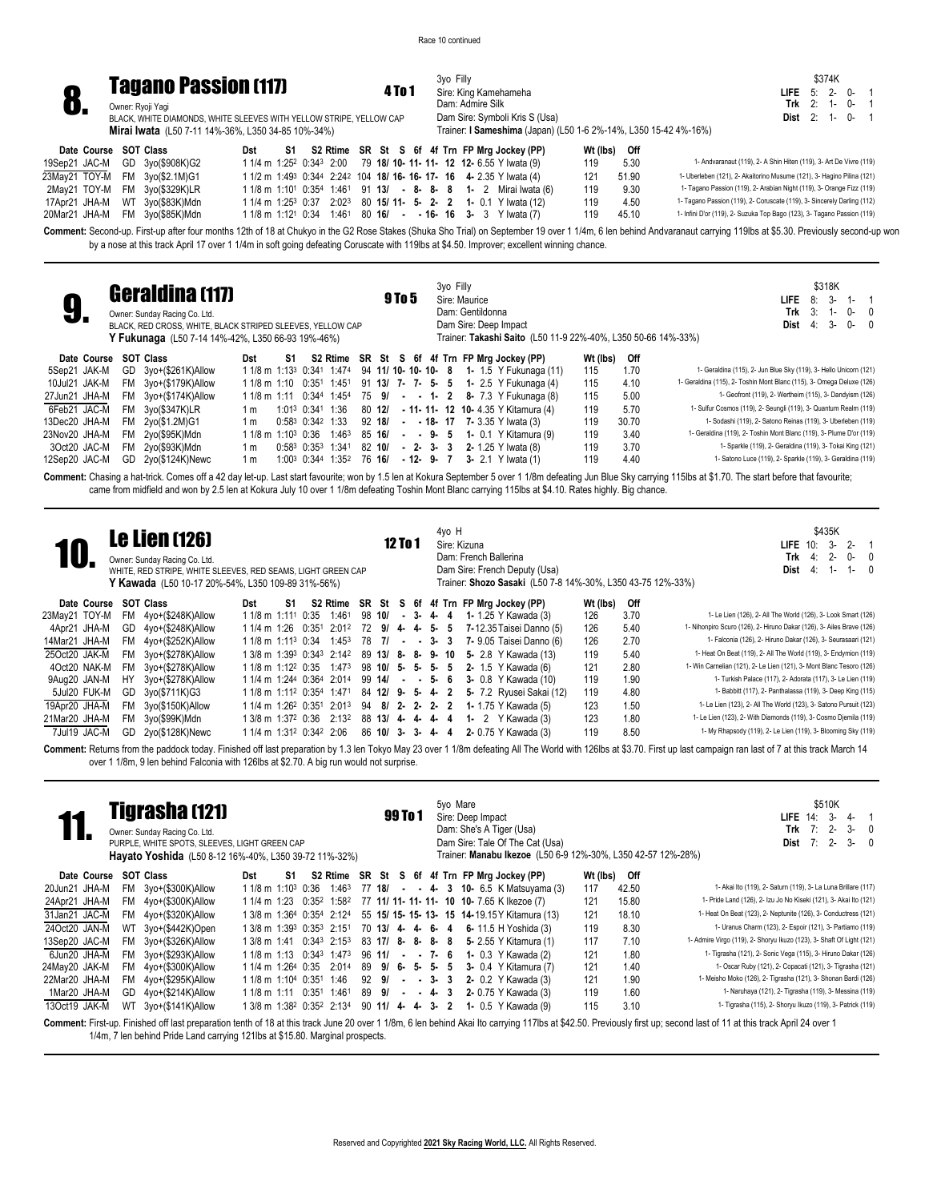

**8. Tagano Passion (117)**<br>**8.** Owner: Ryoji Yagi<br>BLACK, WHITE DIAMONDS, WHITE SLEEVES WITH YELLOW STRIPE, YELLOW CAP

3yo Filly Sire: King Kamehameha Dam: Admire Silk Dam Sire: Symboli Kris S (Usa) Trainer: **I Sameshima** (Japan) (L50 1-6 2%-14%, L350 15-42 4%-16%)

|                   | \$374K |    |   |
|-------------------|--------|----|---|
| <b>LIFE</b> 5: 2- |        | በ- | 1 |
| Trk               | $2:1-$ | በ- | 1 |
| Dist              | $2:1-$ | በ- | 1 |

**Mirai Iwata** (L50 7-11 14%-36%, L350 34-85 10%-34%)

| Date Course SOT Class |                                |  | Dst S1 S2 Rtime SR St S 6f 4f Trn FP Mrg Jockey (PP)                                                       | Wt (lbs) Off |                                                                         |
|-----------------------|--------------------------------|--|------------------------------------------------------------------------------------------------------------|--------------|-------------------------------------------------------------------------|
|                       | 19Sep21 JAC-M GD 3yo(\$908K)G2 |  | 1 1/4 m 1:25 <sup>2</sup> 0:34 <sup>3</sup> 2:00 79 18/ 10- 11- 11- 12 12- 6.55 Y Iwata (9)                | 5.30<br>119  | 1- Andvaranaut (119), 2- A Shin Hiten (119), 3- Art De Vivre (119)      |
|                       | 23May21 TOY-M FM 3yo(\$2.1M)G1 |  | 1 1/2 m 1:49 <sup>3</sup> 0:344 2:242 104 <b>18/ 16- 16- 17- 16 4-</b> 2.35 Y Iwata (4)                    | 51.90<br>121 | 1- Uberleben (121), 2- Akaitorino Musume (121), 3- Hagino Pilina (121)  |
|                       | 2May21 TOY-M FM 3yo(\$329K)LR  |  | 1 1/8 m 1:10 <sup>1</sup> 0:35 <sup>4</sup> 1:46 <sup>1</sup> 91 <b>13/ - 8- 8- 8 1-</b> 2 Mirai Iwata (6) | 9.30<br>119  | 1- Tagano Passion (119), 2- Arabian Night (119), 3- Orange Fizz (119)   |
|                       | 17Apr21 JHA-M WT 3yo(\$83K)Mdn |  | 1 1/4 m 1:25 <sup>3</sup> 0:37 2:02 <sup>3</sup> 80 <b>15/ 11- 5- 2- 2 1-</b> 0.1 Y Iwata (12)             | 119<br>4.50  | 1- Tagano Passion (119), 2- Coruscate (119), 3- Sincerely Darling (112) |
|                       | 20Mar21 JHA-M FM 3yo(\$85K)Mdn |  | $11/8$ m 1:12 <sup>1</sup> 0:34 1:46 <sup>1</sup> 80 <b>16/ - - 16- 16 3-</b> 3 Y Iwata (7)                | 45.10<br>119 | 1- Infini D'or (119), 2- Suzuka Top Bago (123), 3- Tagano Passion (119) |

Comment: Second-up. First-up after four months 12th of 18 at Chukyo in the G2 Rose Stakes (Shuka Sho Trial) on September 19 over 1 1/4m, 6 len behind Andvaranaut carrying 119lbs at \$5.30. Previously second-up won by a nose at this track April 17 over 1 1/4m in soft going defeating Coruscate with 119lbs at \$4.50. Improver; excellent winning chance.

| 9.            | <b>Geraldina (117)</b><br>Owner: Sunday Racing Co. Ltd.<br>BLACK, RED CROSS, WHITE, BLACK STRIPED SLEEVES, YELLOW CAP<br>Y Fukunaga (L50 7-14 14%-42%, L350 66-93 19%-46%) |                                |    |                                               |                   | 9 To 5 |  | 3yo Filly     | Sire: Maurice<br>Dam: Gentildonna | Dam Sire: Deep Impact                       |                                                                                          |          |       | \$318K<br>$3-$<br>8:<br>$1 - 1$<br>LIFE.<br>$3: 1-$<br>Trk<br>$0-0$<br>3-<br>$0 - 0$<br>Dist<br>4:<br>Trainer: Takashi Saito (L50 11-9 22%-40%, L350 50-66 14%-33%)                                               |
|---------------|----------------------------------------------------------------------------------------------------------------------------------------------------------------------------|--------------------------------|----|-----------------------------------------------|-------------------|--------|--|---------------|-----------------------------------|---------------------------------------------|------------------------------------------------------------------------------------------|----------|-------|-------------------------------------------------------------------------------------------------------------------------------------------------------------------------------------------------------------------|
| Date Course   | <b>SOT Class</b>                                                                                                                                                           | Dst                            | S1 | S2 Rtime SR St S 6f 4f Trn FP Mrg Jockey (PP) |                   |        |  |               |                                   |                                             |                                                                                          | Wt (lbs) | Off   |                                                                                                                                                                                                                   |
| 5Sep21 JAK-M  | GD 3vo+(\$261K)Allow                                                                                                                                                       |                                |    |                                               |                   |        |  |               |                                   |                                             | 1 1/8 m 1:13 <sup>3</sup> 0:341 1:474 94 <b>11/ 10- 10- 10- 8 1-</b> 1.5 Y Fukunaga (11) | 115      | 1.70  | 1- Geraldina (115), 2- Jun Blue Sky (119), 3- Hello Unicorn (121)                                                                                                                                                 |
| 10Jul21 JAK-M | FM 3yo+(\$179K)Allow                                                                                                                                                       | 1 1/8 m 1:10 0:351 1:451       |    |                                               | 91 13/ 7- 7- 5- 5 |        |  |               |                                   |                                             | <b>1-</b> 2.5 Y Fukunaga (4)                                                             | 115      | 4.10  | 1- Geraldina (115), 2- Toshin Mont Blanc (115), 3- Omega Deluxe (126)                                                                                                                                             |
| 27Jun21 JHA-M | FM 3yo+(\$174K)Allow                                                                                                                                                       | 1 1/8 m 1:11 0:344 1:454       |    |                                               |                   |        |  |               |                                   |                                             | 75 9/ - - 1 - 2 8 - 7.3 Y Fukunaga (8)                                                   | 115      | 5.00  | 1- Geofront (119), 2- Wertheim (115), 3- Dandyism (126)                                                                                                                                                           |
| 6Feb21 JAC-M  | FM 3vo(\$347K)LR                                                                                                                                                           | 1 m                            |    | 1:013 0:341 1:36                              |                   |        |  |               |                                   | 80 12/ - 11- 11- 12 10- 4.35 Y Kitamura (4) |                                                                                          | 119      | 5.70  | 1- Sulfur Cosmos (119), 2- Seungli (119), 3- Quantum Realm (119)                                                                                                                                                  |
| 13Dec20 JHA-M | FM 2yo(\$1.2M)G1                                                                                                                                                           | 1 m                            |    | $0:58^3$ $0:34^2$ 1:33                        |                   |        |  |               |                                   | 92 18/ - - 18 - 17 7 - 3.35 Y Iwata (3)     |                                                                                          | 119      | 30.70 | 1- Sodashi (119), 2- Satono Reinas (119), 3- Uberleben (119)                                                                                                                                                      |
| 23Nov20 JHA-M | FM 2yo(\$95K)Mdn                                                                                                                                                           | 1 1/8 m 1:10 <sup>3</sup> 0:36 |    | 1:463                                         | 85 16/            |        |  | $ -$ 9 $-$ 5  |                                   | <b>1-</b> 0.1 Y Kitamura (9)                |                                                                                          | 119      | 3.40  | 1- Geraldina (119), 2- Toshin Mont Blanc (119), 3- Plume D'or (119)                                                                                                                                               |
| 3Oct20 JAC-M  | FM 2yo(\$93K)Mdn                                                                                                                                                           | 1 m                            |    | $0:58^3$ $0:35^3$ 1:341                       | 82 10/            |        |  | $-2 - 3 - 3$  |                                   | 2- 1.25 Y Iwata (8)                         |                                                                                          | 119      | 3.70  | 1- Sparkle (119), 2- Geraldina (119), 3- Tokai King (121)                                                                                                                                                         |
| 12Sep20 JAC-M | GD 2yo(\$124K)Newc                                                                                                                                                         | 1 m                            |    | 1:00 <sup>3</sup> 0:344 1:35 <sup>2</sup>     | 76 16/            |        |  | $-12 - 9 - 7$ |                                   | 3- 2.1 Y Iwata (1)                          |                                                                                          | 119      | 4.40  | 1- Satono Luce (119), 2- Sparkle (119), 3- Geraldina (119)                                                                                                                                                        |
|               |                                                                                                                                                                            |                                |    |                                               |                   |        |  |               |                                   |                                             |                                                                                          |          |       | Commant: Chasing a bat-trick Compe off a 42 day latum I get start favourite: won by 1.5 Jan at Kokura Sovarnander 5 over 1,1/8m defeating Jun Rlue Sky carning 115 he at \$1.70. The start hefore that favourite: |

42 day let-up. Last start favourite; won by 1.5 len at Kokura September 5 over 1 1/8m defeating Jun Blue Sky carrying 115lbs at \$1.70. The start before that favourite; came from midfield and won by 2.5 len at Kokura July 10 over 1 1/8m defeating Toshin Mont Blanc carrying 115lbs at \$4.10. Rates highly. Big chance.

|               |     | <b>Le Lien (126)</b><br>Owner: Sunday Racing Co. Ltd.<br>WHITE, RED STRIPE, WHITE SLEEVES, RED SEAMS, LIGHT GREEN CAP<br>Y Kawada (L50 10-17 20%-54%, L350 109-89 31%-56%) |                                                  |    |                                                               |                     | 12 To 1 |        |  | 4yo H | Sire: Kizuna<br>Dam: French Ballerina | Dam Sire: French Deputy (Usa)<br>Trainer: Shozo Sasaki (L50 7-8 14%-30%, L350 43-75 12%-33%) |          |      | \$435K<br>$2 -$<br>LIFE $10$ :<br>3-<br>$2 -$<br>$0 - 0$<br>Trk<br>4:<br>Dist<br>$1 - 0$<br>4: 1- |
|---------------|-----|----------------------------------------------------------------------------------------------------------------------------------------------------------------------------|--------------------------------------------------|----|---------------------------------------------------------------|---------------------|---------|--------|--|-------|---------------------------------------|----------------------------------------------------------------------------------------------|----------|------|---------------------------------------------------------------------------------------------------|
| Date Course   |     | <b>SOT Class</b>                                                                                                                                                           | Dst                                              | S1 |                                                               |                     |         |        |  |       |                                       | S2 Rtime SR St S 6f 4f Trn FP Mrg Jockey (PP)                                                | Wt (lbs) | Off  |                                                                                                   |
| 23May21 TOY-M | FM  | 4yo+(\$248K)Allow                                                                                                                                                          | 1 1/8 m 1:11 <sup>1</sup> 0:35                   |    | 1:461                                                         | $98 \; 10/$ - 3-4-4 |         |        |  |       |                                       | <b>1-</b> 1.25 Y Kawada (3)                                                                  | 126      | 3.70 | 1- Le Lien (126), 2- All The World (126), 3- Look Smart (126)                                     |
| 4Apr21 JHA-M  |     | GD 4yo+(\$248K)Allow                                                                                                                                                       | 1 1/4 m 1:26 0:351                               |    | $2:01^2$                                                      | 72 9/ 4- 4- 5- 5    |         |        |  |       |                                       | 7-12.35 Taisei Danno (5)                                                                     | 126      | 5.40 | 1- Nihonpiro Scuro (126), 2- Hiruno Dakar (126), 3- Ailes Brave (126)                             |
| 14Mar21 JHA-M |     | FM 4yo+(\$252K)Allow                                                                                                                                                       | 1 1/8 m 1:11 <sup>3</sup> 0:34                   |    | 1:453                                                         | 78 71               |         | $-3-3$ |  |       |                                       | 7- 9.05 Taisei Danno (6)                                                                     | 126      | 2.70 | 1- Falconia (126), 2- Hiruno Dakar (126), 3- Seurasaari (121)                                     |
| 25Oct20 JAK-M |     | FM 3yo+(\$278K)Allow                                                                                                                                                       |                                                  |    | 1 3/8 m 1:39 <sup>3</sup> 0:34 <sup>3</sup> 2:14 <sup>2</sup> |                     |         |        |  |       |                                       | 89 13/ 8- 8- 9- 10 5- 2.8 Y Kawada (13)                                                      | 119      | 5.40 | 1- Heat On Beat (119), 2- All The World (119), 3- Endymion (119)                                  |
| 4Oct20 NAK-M  | FM  | 3yo+(\$278K)Allow                                                                                                                                                          | $11/8$ m $1:12^2$ 0:35 1:473                     |    |                                                               | $98$ 10/ 5- 5- 5- 5 |         |        |  |       |                                       | 2- 1.5 Y Kawada (6)                                                                          | 121      | 2.80 | 1- Win Carnelian (121), 2- Le Lien (121), 3- Mont Blanc Tesoro (126)                              |
| 9Aug20 JAN-M  | HY  | 3yo+(\$278K)Allow                                                                                                                                                          | 1 1/4 m 1:244 0:364 2:014                        |    |                                                               | 99 14/              |         | $-5-6$ |  |       |                                       | 3- 0.8 Y Kawada (10)                                                                         | 119      | 1.90 | 1- Turkish Palace (117), 2- Adorata (117), 3- Le Lien (119)                                       |
| 5Jul20 FUK-M  | GD. | 3yo(\$711K)G3                                                                                                                                                              |                                                  |    | 1 1/8 m 1:11 <sup>2</sup> 0:354 1:471                         | 84 12/ 9- 5- 4- 2   |         |        |  |       |                                       | <b>5-</b> 7.2 Ryusei Sakai (12)                                                              | 119      | 4.80 | 1- Babbitt (117), 2- Panthalassa (119), 3- Deep King (115)                                        |
| 19Apr20 JHA-M |     | FM 3yo(\$150K)Allow                                                                                                                                                        |                                                  |    | 1 1/4 m 1:26 <sup>2</sup> 0:351 2:013                         | $94$ 8/ 2- 2- 2- 2  |         |        |  |       |                                       | <b>1-</b> 1.75 Y Kawada (5)                                                                  | 123      | 1.50 | 1- Le Lien (123), 2- All The World (123), 3- Satono Pursuit (123)                                 |
| 21Mar20 JHA-M | FM. | 3yo(\$99K)Mdn                                                                                                                                                              | 1 3/8 m 1:372 0:36                               |    | 2:132                                                         | 88 13/ 4 4 4 4 4    |         |        |  |       |                                       | 1- 2 $Y$ Kawada $(3)$                                                                        | 123      | 1.80 | 1- Le Lien (123), 2- With Diamonds (119), 3- Cosmo Djemila (119)                                  |
| 7Jul19 JAC-M  | GD  | 2yo(\$128K)Newc                                                                                                                                                            | 1 1/4 m 1:31 <sup>2</sup> 0:34 <sup>2</sup> 2:06 |    |                                                               | 86 10/ 3- 3- 4- 4   |         |        |  |       |                                       | 2- 0.75 Y Kawada (3)                                                                         | 119      | 8.50 | 1- My Rhapsody (119), 2- Le Lien (119), 3- Blooming Sky (119)                                     |

**Comment:** Returns from the paddock today. Finished off last preparation by 1.3 len Tokyo May 23 over 1 1/8m defeating All The World with 126lbs at \$3.70. First up last campaign ran last of 7 at this track March 14 over 1 1/8m, 9 len behind Falconia with 126lbs at \$2.70. A big run would not surprise.

|               |     | <b>Tigrasha (121)</b><br>Owner: Sunday Racing Co. Ltd.<br>PURPLE, WHITE SPOTS, SLEEVES, LIGHT GREEN CAP<br>Hayato Yoshida (L50 8-12 16%-40%, L350 39-72 11%-32%) |                                                                             |    |       |                   | 99 To 1 | 5yo Mare<br>Sire: Deep Impact |  | Dam: She's A Tiger (Usa)<br>Dam Sire: Tale Of The Cat (Usa)<br>Trainer: Manabu Ikezoe (L50 6-9 12%-30%, L350 42-57 12%-28%) |          |       | \$510K<br>3-<br>LIFE $14$ :<br>4-<br>7:<br>$2 -$<br>$3 - 0$<br>Trk<br>$2 -$<br>$3 - 0$<br>Dist                                                                                                                         |
|---------------|-----|------------------------------------------------------------------------------------------------------------------------------------------------------------------|-----------------------------------------------------------------------------|----|-------|-------------------|---------|-------------------------------|--|-----------------------------------------------------------------------------------------------------------------------------|----------|-------|------------------------------------------------------------------------------------------------------------------------------------------------------------------------------------------------------------------------|
| Date Course   |     | <b>SOT Class</b>                                                                                                                                                 | Dst                                                                         | S1 |       |                   |         |                               |  | S2 Rtime SR St S 6f 4f Trn FP Mrg Jockey (PP)                                                                               | Wt (lbs) | Off   |                                                                                                                                                                                                                        |
| 20Jun21 JHA-M | FM. | 3yo+(\$300K)Allow                                                                                                                                                | 1 1/8 m 1:10 <sup>3</sup> 0:36 1:46 <sup>3</sup>                            |    |       |                   |         |                               |  | 77 18/ - - 4 3 10 6.5 K Matsuyama (3)                                                                                       | 117      | 42.50 | 1- Akai Ito (119), 2- Saturn (119), 3- La Luna Brillare (117)                                                                                                                                                          |
| 24Apr21 JHA-M |     | FM 4yo+(\$300K)Allow                                                                                                                                             | 1 1/4 m 1:23 0:35 <sup>2</sup> 1:58 <sup>2</sup>                            |    |       |                   |         |                               |  | 77 11/ 11- 11- 11- 10 10- 7.65 K Ikezoe (7)                                                                                 | 121      | 15.80 | 1- Pride Land (126), 2- Izu Jo No Kiseki (121), 3- Akai Ito (121)                                                                                                                                                      |
| 31Jan21 JAC-M |     | FM 4yo+(\$320K)Allow                                                                                                                                             |                                                                             |    |       |                   |         |                               |  | 1 3/8 m 1:364 0:354 2:124 55 15/ 15- 15- 13- 15 14-19.15 Y Kitamura (13)                                                    | 121      | 18.10 | 1- Heat On Beat (123), 2- Neptunite (126), 3- Conductress (121)                                                                                                                                                        |
| 24Oct20 JAN-M |     | WT 3yo+(\$442K)Open                                                                                                                                              | 1 3/8 m 1:393 0:353 2:151                                                   |    |       | 70 13/ 4- 4- 6- 4 |         |                               |  | 6- 11.5 H Yoshida (3)                                                                                                       | 119      | 8.30  | 1- Uranus Charm (123), 2- Espoir (121), 3- Partiamo (119)                                                                                                                                                              |
| 13Sep20 JAC-M | FM. | 3yo+(\$326K)Allow                                                                                                                                                | 1 3/8 m 1:41 0:343 2:153                                                    |    |       |                   |         |                               |  | 83 17/ 8- 8- 8- 8 5- 2.55 Y Kitamura (1)                                                                                    | 117      | 7.10  | 1- Admire Virgo (119), 2- Shoryu Ikuzo (123), 3- Shaft Of Light (121)                                                                                                                                                  |
| 6Jun20 JHA-M  | FM  | 3yo+(\$293K)Allow                                                                                                                                                | $11/8$ m 1:13 0:34 <sup>3</sup> 1:47 <sup>3</sup> 96 <b>11/</b> - - 7- 6    |    |       |                   |         |                               |  | <b>1-</b> 0.3 Y Kawada (2)                                                                                                  | 121      | 1.80  | 1- Tigrasha (121), 2- Sonic Vega (115), 3- Hiruno Dakar (126)                                                                                                                                                          |
| 24May20 JAK-M | FM  | 4yo+(\$300K)Allow                                                                                                                                                | 1 1/4 m 1:26 <sup>4</sup> 0:35                                              |    | 2:014 | 89 9/6-5-5-5      |         |                               |  | 3- 0.4 Y Kitamura (7)                                                                                                       | 121      | 1.40  | 1- Oscar Ruby (121), 2- Copacati (121), 3- Tigrasha (121)                                                                                                                                                              |
| 22Mar20 JHA-M | FM  | 4yo+(\$295K)Allow                                                                                                                                                | 1 1/8 m 1:10 <sup>4</sup> 0:35 <sup>1</sup> 1:46                            |    |       | $92 \t91 - 3 - 3$ |         |                               |  | 2- 0.2 Y Kawada (3)                                                                                                         | 121      | 1.90  | 1- Meisho Moko (126), 2- Tigrasha (121), 3- Shonan Bardi (126)                                                                                                                                                         |
| 1Mar20 JHA-M  | GD. | 4yo+(\$214K)Allow                                                                                                                                                | 1 1/8 m 1:11 0:351 1:461                                                    |    |       | 89 9/             | $- 4$   | - 3                           |  | 2- 0.75 Y Kawada (3)                                                                                                        | 119      | 1.60  | 1- Naruhaya (121), 2- Tigrasha (119), 3- Messina (119)                                                                                                                                                                 |
| 13Oct19 JAK-M |     | WT 3yo+(\$141K)Allow                                                                                                                                             | $13/8$ m $1:38^2$ 0:35 <sup>2</sup> 2:13 <sup>4</sup> 90 <b>11/ 4-4-3-2</b> |    |       |                   |         |                               |  | <b>1-</b> 0.5 Y Kawada (9)                                                                                                  | 115      | 3.10  | 1- Tigrasha (115), 2- Shoryu Ikuzo (119), 3- Patrick (119)                                                                                                                                                             |
|               |     |                                                                                                                                                                  |                                                                             |    |       |                   |         |                               |  |                                                                                                                             |          |       | Comment: First-up. Finished off last preparation tenth of 18 at this track June 20 over 1 1/8m, 6 len behind Akai Ito carrying 117lbs at \$42.50. Previously first up; second last of 11 at this track April 24 over 1 |

1/4m, 7 len behind Pride Land carrying 121lbs at \$15.80. Marginal prospects.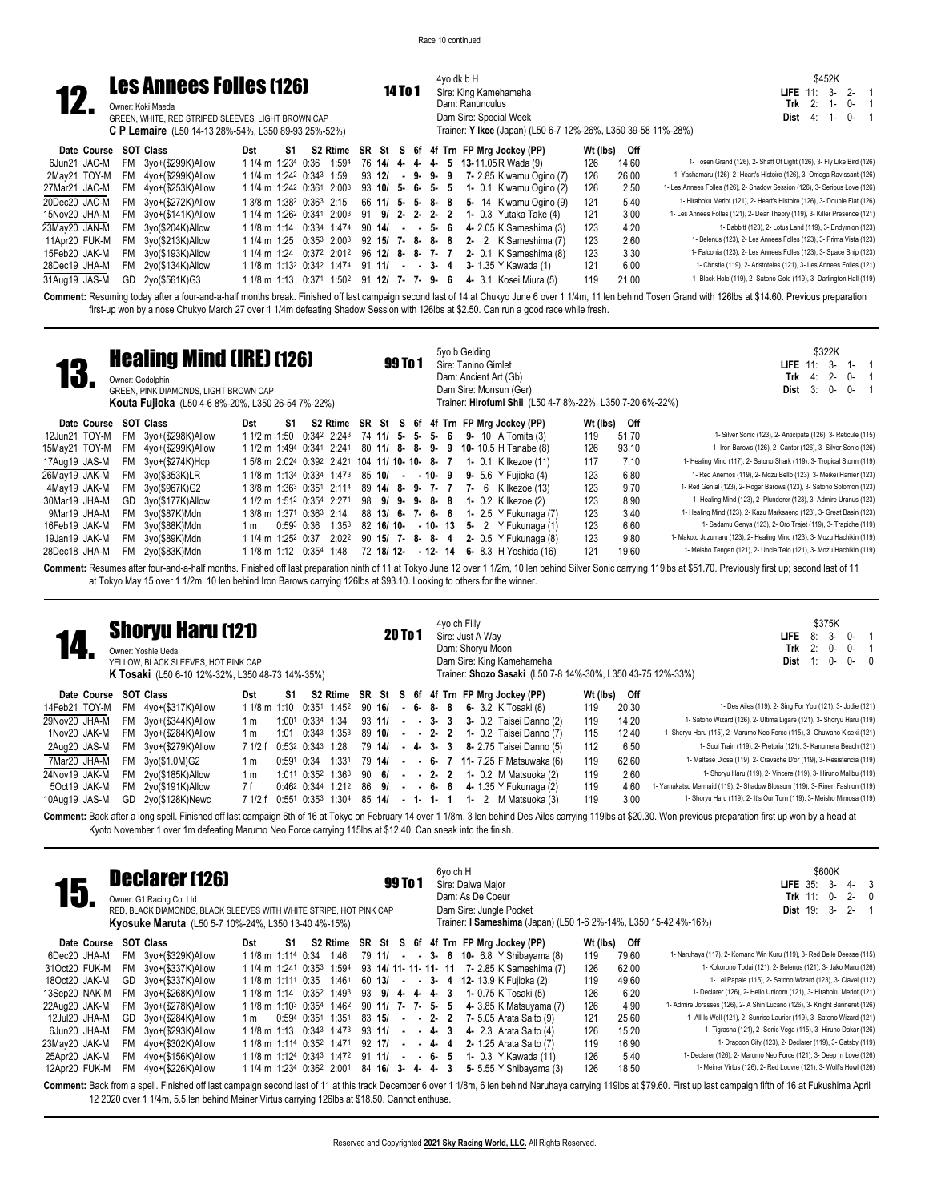4yo dk b H Sire: King Kamehameha Dam: Ranunculus

\$452K **LIFE** 11: 3- 2- 1 **Trk** 2: 1- 0- 1



| ----          |    | GREEN, WHITE, RED STRIPED SLEEVES, LIGHT BROWN CAP<br><b>C P Lemaire</b> (L50 14-13 28%-54%, L350 89-93 25%-52%) |                    |    |                                                  |  |  |  | Dam Sire: Special Week<br>Trainer: Y Ikee (Japan) (L50 6-7 12%-26%, L350 39-58 11%-28%)                        |          |       | $0 - 1$<br>Dist 4:<br>$1 -$                                                |
|---------------|----|------------------------------------------------------------------------------------------------------------------|--------------------|----|--------------------------------------------------|--|--|--|----------------------------------------------------------------------------------------------------------------|----------|-------|----------------------------------------------------------------------------|
| Date Course   |    | SOT Class                                                                                                        | Dst                | S1 |                                                  |  |  |  | S2 Rtime SR St S 6f 4f Trn FP Mrg Jockey (PP)                                                                  | Wt (lbs) | Off   |                                                                            |
| 6Jun21 JAC-M  |    | FM 3yo+(\$299K)Allow                                                                                             | 1 1/4 m 1:234 0:36 |    |                                                  |  |  |  | 1:594 76 14/ 4- 4- 4- 5 13-11.05 R Wada (9)                                                                    | 126      | 14.60 | 1- Tosen Grand (126), 2- Shaft Of Light (126), 3- Fly Like Bird (126)      |
| 2Mav21 TOY-M  |    | FM 4yo+(\$299K)Allow                                                                                             |                    |    | 1 1/4 m 1:24 <sup>2</sup> 0:34 <sup>3</sup> 1:59 |  |  |  | 93 12/ - 9- 9- 9 7-2.85 Kiwamu Ogino (7)                                                                       | 126      | 26.00 | 1- Yashamaru (126), 2- Heart's Histoire (126), 3- Omega Ravissant (126)    |
| 27Mar21 JAC-M |    | FM 4yo+(\$253K)Allow                                                                                             |                    |    |                                                  |  |  |  | 1 1/4 m 1:24 <sup>2</sup> 0:36 <sup>1</sup> 2:00 <sup>3</sup> 93 <b>10/ 5- 6- 5- 5 1-</b> 0.1 Kiwamu Ogino (2) | 126      | 2.50  | 1- Les Annees Folles (126), 2- Shadow Session (126), 3- Serious Love (126) |
| 20Dec20 JAC-M |    | FM 3yo+(\$272K)Allow                                                                                             |                    |    |                                                  |  |  |  | 1 3/8 m 1:38 <sup>2</sup> 0:36 <sup>3</sup> 2:15 66 11/ 5- 5- 8- 8 5- 14 Kiwamu Ogino (9)                      | 121      | 5.40  | 1- Hiraboku Merlot (121), 2- Heart's Histoire (126), 3- Double Flat (126)  |
| 15Nov20 JHA-M |    | $FM$ $3yo+($141K)$ Allow                                                                                         |                    |    |                                                  |  |  |  | 1 1/4 m 1:26 <sup>2</sup> 0:341 2:00 <sup>3</sup> 91 <b>9/ 2- 2- 2- 2 1-</b> 0.3 Yutaka Take (4)               | 121      | 3.00  | 1- Les Annees Folles (121), 2- Dear Theory (119), 3- Killer Presence (121) |
| 23May20 JAN-M |    | FM 3yo(\$204K)Allow                                                                                              |                    |    |                                                  |  |  |  | $11/8$ m 1:14 $0.334$ 1:474 90 14/ - - 5- 6 4- 2.05 K Sameshima (3)                                            | 123      | 4.20  | 1- Babbitt (123), 2- Lotus Land (119), 3- Endymion (123)                   |
| 11Apr20 FUK-M | FM | 3yo(\$213K)Allow                                                                                                 |                    |    |                                                  |  |  |  | $11/4$ m $1:25$ $0:35^3$ $2:00^3$ $92$ $15/7$ - 8-8- 8 2-2 K Sameshima (7)                                     | 123      | 2.60  | 1- Belenus (123), 2- Les Annees Folles (123), 3- Prima Vista (123)         |
| 15Feb20 JAK-M |    | FM 3yo(\$193K)Allow                                                                                              |                    |    |                                                  |  |  |  | 1 1/4 m 1:24 0:372 2:012 96 12/ 8- 8- 7- 7 2- 0.1 K Sameshima (8)                                              | 123      | 3.30  | 1- Falconia (123), 2- Les Annees Folles (123), 3- Space Ship (123)         |
| 28Dec19 JHA-M |    | $FM$ $2yo ($134K)$ Allow                                                                                         |                    |    |                                                  |  |  |  | $11/8$ m $1:13^2$ 0:34 <sup>2</sup> 1:474 91 <b>11/ - - 3- 4 3-</b> 1.35 Y Kawada (1)                          | 121      | 6.00  | 1- Christie (119), 2- Aristoteles (121), 3- Les Annees Folles (121)        |
| 31Aug19 JAS-M | GD | 2yo(\$561K)G3                                                                                                    |                    |    |                                                  |  |  |  | 1 1/8 m 1:13 0:371 1:502 91 12/ 7- 7- 9- 6 4- 3.1 Kosei Miura (5)                                              | 119      | 21.00 | 1- Black Hole (119), 2- Satono Gold (119), 3- Darlington Hall (119)        |
|               |    |                                                                                                                  |                    |    |                                                  |  |  |  |                                                                                                                |          |       |                                                                            |

Comment: Resuming today after a four-and-a-half months break. Finished off last campaign second last of 14 at Chukyo June 6 over 1 1/4m, 11 len behind Tosen Grand with 126lbs at \$14.60. Previous preparation first-up won by a nose Chukyo March 27 over 1 1/4m defeating Shadow Session with 126lbs at \$2.50. Can run a good race while fresh.

|               |           | <b>Healing Mind (IRE) (126)</b><br>Owner: Godolphin<br>GREEN. PINK DIAMONDS. LIGHT BROWN CAP<br><b>Kouta Fujioka</b> (L50 4-6 8%-20%, L350 26-54 7%-22%) |     |                    |               |                                                  |                   | 99 To 1 |  |          | 5yo b Gelding<br>Sire: Tanino Gimlet<br>Dam: Ancient Art (Gb) | Dam Sire: Monsun (Ger)<br>Trainer: Hirofumi Shii (L50 4-7 8%-22%, L350 7-20 6%-22%)                          |          |       | \$322K<br><b>LIFE</b> $11: 3-$<br>$1 -$<br>$4:2-$<br>Trk<br>0-<br>0-<br>3:<br>$0 -$<br>Dist |
|---------------|-----------|----------------------------------------------------------------------------------------------------------------------------------------------------------|-----|--------------------|---------------|--------------------------------------------------|-------------------|---------|--|----------|---------------------------------------------------------------|--------------------------------------------------------------------------------------------------------------|----------|-------|---------------------------------------------------------------------------------------------|
| Date Course   |           | SOT Class                                                                                                                                                | Dst | S1                 |               |                                                  |                   |         |  |          |                                                               | S2 Rtime SR St S 6f 4f Trn FP Mrg Jockey (PP)                                                                | Wt (lbs) | Off   |                                                                                             |
| 12Jun21 TOY-M | FM.       | 3yo+(\$298K)Allow                                                                                                                                        |     |                    |               |                                                  |                   |         |  |          |                                                               | $11/2$ m $1:50$ $0:34^2$ $2:24^3$ 74 <b>11/ 5- 5- 5- 6 9-</b> 10 A Tomita (3)                                | 119      | 51.70 | 1- Silver Sonic (123), 2- Anticipate (126), 3- Reticule (115)                               |
| 15May21 TOY-M | <b>FM</b> | 4yo+(\$299K)Allow                                                                                                                                        |     |                    |               |                                                  |                   |         |  |          |                                                               | 1 1/2 m 1:49 <sup>4</sup> 0:34 <sup>1</sup> 2:24 <sup>1</sup> 80 <b>11/ 8- 8- 9- 9 10-</b> 10.5 H Tanabe (8) | 126      | 93.10 | 1- Iron Barows (126), 2- Cantor (126), 3- Silver Sonic (126)                                |
| 17Aug19 JAS-M |           | FM 3yo+(\$274K)Hcp                                                                                                                                       |     |                    |               |                                                  |                   |         |  |          |                                                               | 1 5/8 m 2:024 0:392 2:421 104 11/ 10- 10- 8- 7 1- 0.1 K Ikezoe (11)                                          | 117      | 7.10  | 1- Healing Mind (117), 2- Satono Shark (119), 3- Tropical Storm (119)                       |
| 26May19 JAK-M |           | FM 3yo(\$353K)LR                                                                                                                                         |     |                    |               |                                                  |                   |         |  |          |                                                               | 1 1/8 m 1:134 0:334 1:473 85 10/ - - 10- 9 9- 5.6 Y Fuijoka (4)                                              | 123      | 6.80  | 1- Red Anemos (119), 2- Mozu Bello (123), 3- Meikei Harrier (123)                           |
| 4May19 JAK-M  |           | FM 3yo(\$967K)G2                                                                                                                                         |     |                    |               | 1 3/8 m 1:363 0:351 2:114                        |                   |         |  |          |                                                               | 89 14/ 8- 9- 7- 7 7- 6 K Ikezoe (13)                                                                         | 123      | 9.70  | 1- Red Genial (123), 2- Roger Barows (123), 3- Satono Solomon (123)                         |
| 30Mar19 JHA-M | GD        | 3yo(\$177K)Allow                                                                                                                                         |     |                    |               | 1 1/2 m 1:51 <sup>2</sup> 0:354 2:271            |                   |         |  |          |                                                               | 98 9/ 9- 9- 8- 8 1- 0.2 K Ikezoe (2)                                                                         | 123      | 8.90  | 1- Healing Mind (123), 2- Plunderer (123), 3- Admire Uranus (123)                           |
| 9Mar19 JHA-M  | FM.       | 3yo(\$87K)Mdn                                                                                                                                            |     |                    |               | 1 3/8 m 1:371 0:363 2:14                         |                   |         |  |          |                                                               | 88 13/ 6- 7- 6- 6 1- 2.5 Y Fukunaga (7)                                                                      | 123      | 3.40  | 1- Healing Mind (123), 2- Kazu Marksaeng (123), 3- Great Basin (123)                        |
| 16Feb19 JAK-M | FM        | 3yo(\$88K)Mdn                                                                                                                                            | 1 m |                    | $0:59^3$ 0:36 | $1:35^{3}$                                       | 82 16/10-         |         |  |          |                                                               | $-10 - 13 - 5 - 2$ Y Fukunaga (1)                                                                            | 123      | 6.60  | 1- Sadamu Genya (123), 2- Oro Trajet (119), 3- Trapiche (119)                               |
| 19Jan19 JAK-M | FM        | 3yo(\$89K)Mdn                                                                                                                                            |     |                    |               | 1 1/4 m 1:25 <sup>2</sup> 0:37 2:02 <sup>2</sup> | 90 15/ 7- 8- 8- 4 |         |  |          |                                                               | <b>2-</b> 0.5 Y Fukunaga (8)                                                                                 | 123      | 9.80  | 1- Makoto Juzumaru (123), 2- Healing Mind (123), 3- Mozu Hachikin (119)                     |
| 28Dec18 JHA-M | FM        | 2yo(\$83K)Mdn                                                                                                                                            |     | 1 1/8 m 1:12 0:354 |               | 1:48                                             | 72 18/12-         |         |  | - 12- 14 |                                                               | 6- 8.3 H Yoshida (16)                                                                                        | 121      | 19.60 | 1- Meisho Tengen (121), 2- Uncle Teio (121), 3- Mozu Hachikin (119)                         |

Comment: Resumes after four-and-a-half months. Finished off last preparation ninth of 11 at Tokyo June 12 over 1 1/2m, 10 len behind Silver Sonic carrying 119lbs at \$51.70. Previously first up; second last of 11 at Tokyo May 15 over 1 1/2m, 10 len behind Iron Barows carrying 126lbs at \$93.10. Looking to others for the winner.

|               |             | <b>Shoryu Haru (121)</b><br>Owner: Yoshie Ueda<br>YELLOW, BLACK SLEEVES, HOT PINK CAP<br><b>K Tosaki</b> (L50 6-10 12%-32%, L350 48-73 14%-35%) |                |            |                |                                              |        | 20 To 1 |              | 4yo ch Filly   | Sire: Just A Wav | Dam: Shoryu Moon<br>Dam Sire: King Kamehameha | Trainer: Shozo Sasaki (L50 7-8 14%-30%, L350 43-75 12%-33%) |       | \$375K<br>$\mathcal{E}$<br>n-<br>LIFE.<br>8:<br>2:<br>$0 -$<br>Trk<br>0-<br>0-<br>0-<br>Dist<br>- 0 |
|---------------|-------------|-------------------------------------------------------------------------------------------------------------------------------------------------|----------------|------------|----------------|----------------------------------------------|--------|---------|--------------|----------------|------------------|-----------------------------------------------|-------------------------------------------------------------|-------|-----------------------------------------------------------------------------------------------------|
|               | Date Course | <b>SOT Class</b>                                                                                                                                | Dst            | S1         |                |                                              |        |         |              |                |                  | S2 Rtime SR St S 6f 4f Trn FP Mrg Jockey (PP) | Wt (lbs)                                                    | Off   |                                                                                                     |
| 14Feb21 TOY-M |             | FM 4yo+(\$317K)Allow                                                                                                                            | 1 1/8 m 1:10   |            |                | 0:351 1:452                                  | 90 16/ |         |              | - 6-8-8        |                  | <b>6-</b> 3.2 K Tosaki (8)                    | 119                                                         | 20.30 | 1- Des Ailes (119), 2- Sing For You (121), 3- Jodie (121)                                           |
| 29Nov20 JHA-M |             | FM 3vo+(\$344K)Allow                                                                                                                            | 1 m            |            |                | 1:001 0:334 1:34                             | 93 11/ |         |              |                |                  | - - 3- 3 3- 0.2 Taisei Danno (2)              | 119                                                         | 14.20 | 1- Satono Wizard (126), 2- Ultima Ligare (121), 3- Shoryu Haru (119)                                |
| 1Nov20 JAK-M  |             | FM $3yo+($284K)$ Allow                                                                                                                          | 1 m            | 1:01       |                | 0:343 1:353                                  |        |         |              |                |                  | 89 10/ - - 2- 2 1- 0.2 Taisei Danno (7)       | 115                                                         | 12.40 | 1- Shoryu Haru (115), 2- Marumo Neo Force (115), 3- Chuwano Kiseki (121)                            |
| 2Aug20 JAS-M  |             | FM 3yo+(\$279K)Allow                                                                                                                            | 7 1/2 f        |            |                | $0:53^2$ $0:34^3$ 1:28                       | 79 14/ |         |              | $-4$ $-3$ $-3$ |                  | 8- 2.75 Taisei Danno (5)                      | 112                                                         | 6.50  | 1- Soul Train (119), 2- Pretoria (121), 3- Kanumera Beach (121)                                     |
| 7Mar20 JHA-M  |             | FM 3yo(\$1.0M)G2                                                                                                                                | 1 m            |            | $0:591$ $0:34$ | 1:331                                        | 79 14/ |         |              |                |                  | $ -$ 6- 7 11-7.25 F Matsuwaka (6)             | 119                                                         | 62.60 | 1- Maltese Diosa (119), 2- Cravache D'or (119), 3- Resistencia (119)                                |
| 24Nov19 JAK-M |             | FM 2yo(\$185K)Allow                                                                                                                             | 1 <sub>m</sub> |            |                | $1:01^1$ 0:35 <sup>2</sup> 1:36 <sup>3</sup> | 90 6/  |         |              |                |                  | $  2$ $ 2$ $1$ $ 0.2$ M Matsuoka (2)          | 119                                                         | 2.60  | 1- Shoryu Haru (119), 2- Vincere (119), 3- Hiruno Malibu (119)                                      |
| 5Oct19 JAK-M  |             | FM 2yo(\$191K)Allow                                                                                                                             | 7 f            |            |                | $0:46^2$ $0:34^4$ 1:21 <sup>2</sup>          | 86 9/  |         |              | $- - 6 - 6$    |                  | 4- 1.35 Y Fukunaga (2)                        | 119                                                         | 4.60  | 1- Yamakatsu Mermaid (119), 2- Shadow Blossom (119), 3- Rinen Fashion (119)                         |
| 10Aug19 JAS-M |             | GD 2yo(\$128K)Newc                                                                                                                              | 7 1/2 f        | $0:55^{1}$ | $0:35^3$       | 1:304                                        | 85 14/ |         | $-1$ 1 $1$ 1 |                |                  | 1- $2$ M Matsuoka $(3)$                       | 119                                                         | 3.00  | 1- Shoryu Haru (119), 2- It's Our Turn (119), 3- Meisho Mimosa (119)                                |

Comment: Back after a long spell. Finished off last campaign 6th of 16 at Tokyo on February 14 over 1 1/8m, 3 len behind Des Ailes carrying 119lbs at \$20.30. Won previous preparation first up won by a head at Kyoto November 1 over 1m defeating Marumo Neo Force carrying 115lbs at \$12.40. Can sneak into the finish.

| 15.           |     | Declarer (126)<br>Owner: G1 Racing Co. Ltd.<br>RED, BLACK DIAMONDS, BLACK SLEEVES WITH WHITE STRIPE, HOT PINK CAP<br><b>Kyosuke Maruta</b> (L50 5-7 10%-24%, L350 13-40 4%-15%) |                                                   |    |                                                                               |        | 99 To 1 |  | 6yo ch H                             |  | Sire: Daiwa Maior<br>Dam: As De Coeur | Dam Sire: Jungle Pocket<br>Trainer: I Sameshima (Japan) (L50 1-6 2%-14%, L350 15-42 4%-16%) |          |       | \$600K<br>LIFE $35:3$ -<br>$4 - 3$<br>Trk $11: 0-$<br>2-0<br><b>Dist 19:</b><br>-3<br>$2 - 1$                                                                                                                          |
|---------------|-----|---------------------------------------------------------------------------------------------------------------------------------------------------------------------------------|---------------------------------------------------|----|-------------------------------------------------------------------------------|--------|---------|--|--------------------------------------|--|---------------------------------------|---------------------------------------------------------------------------------------------|----------|-------|------------------------------------------------------------------------------------------------------------------------------------------------------------------------------------------------------------------------|
| Date Course   |     | SOT Class                                                                                                                                                                       | Dst                                               | S1 |                                                                               |        |         |  |                                      |  |                                       | S2 Rtime SR St S 6f 4f Trn FP Mrg Jockey (PP)                                               | Wt (lbs) | Off   |                                                                                                                                                                                                                        |
| 6Dec20 JHA-M  |     | FM 3yo+(\$329K)Allow                                                                                                                                                            | 1 1/8 m 1:11 <sup>4</sup> 0:34 1:46               |    |                                                                               |        |         |  |                                      |  |                                       | 79 11/ - - 3- 6 10- 6.8 Y Shibayama (8)                                                     | 119      | 79.60 | 1- Naruhaya (117), 2- Komano Win Kuru (119), 3- Red Belle Deesse (115)                                                                                                                                                 |
| 31Oct20 FUK-M |     | FM 3yo+(\$337K)Allow                                                                                                                                                            | 1 1/4 m 1:241 0:353 1:594                         |    |                                                                               |        |         |  |                                      |  |                                       | 93 14/ 11- 11- 11- 11 7- 2.85 K Sameshima (7)                                               | 126      | 62.00 | 1- Kokorono Todai (121), 2- Belenus (121), 3- Jako Maru (126)                                                                                                                                                          |
| 18Oct20 JAK-M |     | GD 3yo+(\$337K)Allow                                                                                                                                                            | 1 1/8 m 1:11 <sup>1</sup> 0:35 1:46 <sup>1</sup>  |    |                                                                               |        |         |  |                                      |  |                                       | 60 13/ - - 3- 4 12-13.9 K Fujioka (2)                                                       | 119      | 49.60 | 1- Lei Papale (115), 2- Satono Wizard (123), 3- Clavel (112)                                                                                                                                                           |
| 13Sep20 NAK-M |     | FM 3yo+(\$268K)Allow                                                                                                                                                            | 1 1/8 m 1:14 0:35 <sup>2</sup> 1:49 <sup>3</sup>  |    |                                                                               |        |         |  | 93 9/ 4 - 4 - 4 - 3                  |  |                                       | 1- 0.75 K Tosaki (5)                                                                        | 126      | 6.20  | 1- Declarer (126), 2- Hello Unicorn (121), 3- Hiraboku Merlot (121)                                                                                                                                                    |
| 22Aug20 JAK-M |     | FM 3yo+(\$278K)Allow                                                                                                                                                            | 1 1/8 m 1:10 <sup>3</sup> 0:354 1:46 <sup>2</sup> |    |                                                                               |        |         |  | 90 11/ 7- 7- 5- 5                    |  |                                       | 4- 3.85 K Matsuyama (7)                                                                     | 126      | 4.90  | 1- Admire Jorasses (126), 2- A Shin Lucano (126), 3- Knight Banneret (126)                                                                                                                                             |
| 12Jul20 JHA-M |     | GD 3yo+(\$284K)Allow                                                                                                                                                            | 1 m                                               |    | 0:594 0:351 1:351                                                             |        |         |  |                                      |  |                                       | 83 15/ - - 2- 2 7-5.05 Arata Saito (9)                                                      | 121      | 25.60 | 1- All Is Well (121), 2- Sunrise Laurier (119), 3- Satono Wizard (121)                                                                                                                                                 |
| 6Jun20 JHA-M  |     | FM 3yo+(\$293K)Allow                                                                                                                                                            |                                                   |    | 1 1/8 m 1:13 0:34 <sup>3</sup> 1:47 <sup>3</sup>                              | 93 11/ |         |  | $ -$ 4 $-$ 3                         |  |                                       | 4- 2.3 Arata Saito (4)                                                                      | 126      | 15.20 | 1- Tigrasha (121), 2- Sonic Vega (115), 3- Hiruno Dakar (126)                                                                                                                                                          |
| 23May20 JAK-M |     | $FM$ $4yo+($302K)$ Allow                                                                                                                                                        |                                                   |    | 1 1/8 m 1:114 0:35 <sup>2</sup> 1:471                                         |        |         |  | $92 \; 171 \; - \; - \; 4 \; - \; 4$ |  |                                       | 2- 1.25 Arata Saito (7)                                                                     | 119      | 16.90 | 1- Dragoon City (123), 2- Declarer (119), 3- Gatsby (119)                                                                                                                                                              |
| 25Apr20 JAK-M |     | FM 4yo+(\$156K)Allow                                                                                                                                                            |                                                   |    | 1 1/8 m 1:12 <sup>4</sup> 0:34 <sup>3</sup> 1:47 <sup>2</sup>                 |        |         |  | $91 \; 11/$ - - 6- 5                 |  |                                       | <b>1-</b> 0.3 Y Kawada (11)                                                                 | 126      | 5.40  | 1- Declarer (126), 2- Marumo Neo Force (121), 3- Deep In Love (126)                                                                                                                                                    |
| 12Apr20 FUK-M | FM. | 4yo+(\$226K)Allow                                                                                                                                                               |                                                   |    | $11/4$ m $1:234$ 0:36 <sup>2</sup> 2:00 <sup>1</sup> 84 <b>16/ 3- 4- 4- 3</b> |        |         |  |                                      |  |                                       | 5- 5.55 Y Shibayama (3)                                                                     | 126      | 18.50 | 1- Meiner Virtus (126), 2- Red Louvre (121), 3- Wolf's Howl (126)                                                                                                                                                      |
|               |     |                                                                                                                                                                                 |                                                   |    |                                                                               |        |         |  |                                      |  |                                       |                                                                                             |          |       | Comment: Back from a spell. Finished off last campaign second last of 11 at this track December 6 over 1 1/8m, 6 len behind Naruhaya carrying 119lbs at \$79.60. First up last campaign fifth of 16 at Fukushima April |

12 2020 over 1 1/4m, 5.5 len behind Meiner Virtus carrying 126lbs at \$18.50. Cannot enthuse.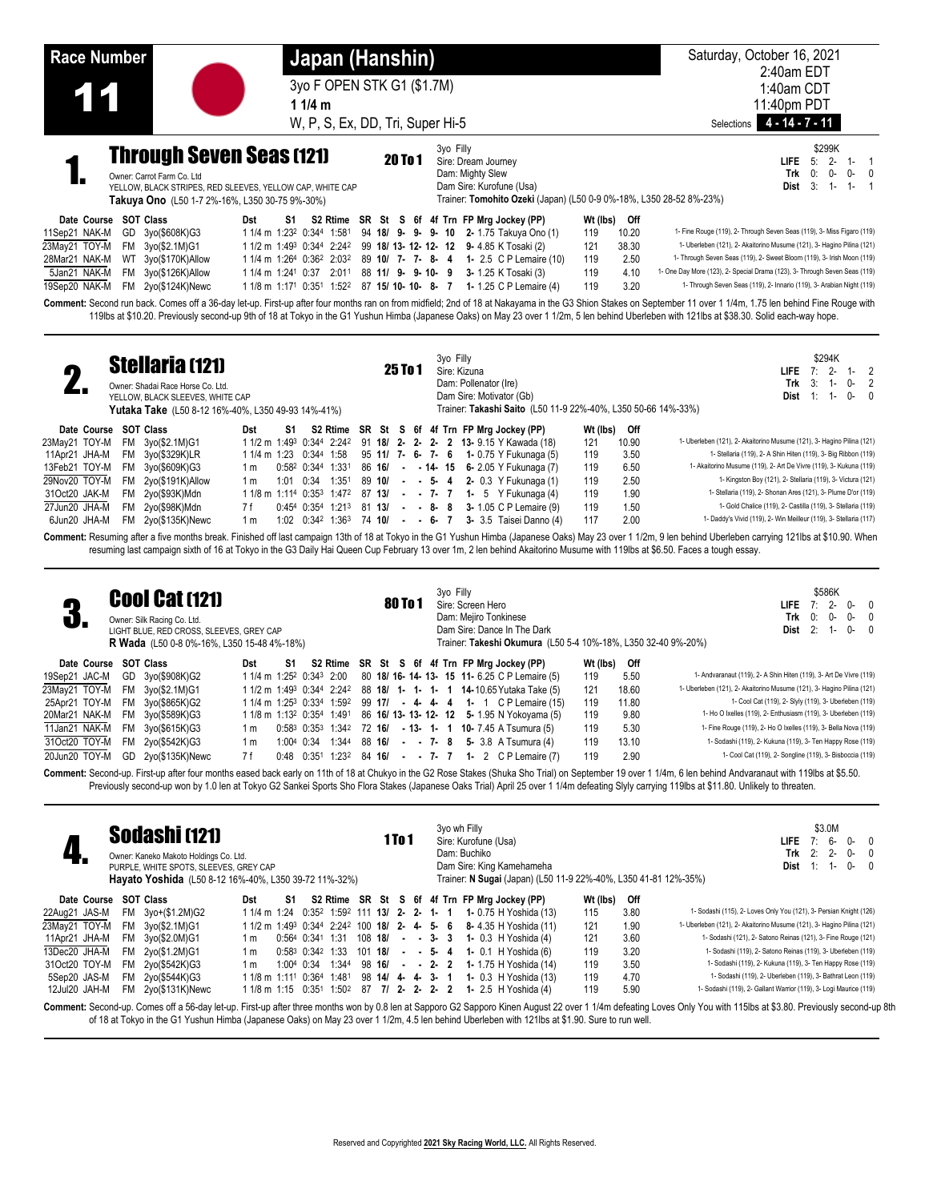| <b>Race Number</b>                                                                                                                                                                  | Japan (Hanshin)                                                                  |                                                                                                                                                         | Saturday, October 16, 2021<br>2:40am EDT                                                                                                                                                                                                                                                                                                                                                                                  |
|-------------------------------------------------------------------------------------------------------------------------------------------------------------------------------------|----------------------------------------------------------------------------------|---------------------------------------------------------------------------------------------------------------------------------------------------------|---------------------------------------------------------------------------------------------------------------------------------------------------------------------------------------------------------------------------------------------------------------------------------------------------------------------------------------------------------------------------------------------------------------------------|
|                                                                                                                                                                                     | 3yo F OPEN STK G1 (\$1.7M)                                                       |                                                                                                                                                         | 1:40am CDT                                                                                                                                                                                                                                                                                                                                                                                                                |
| 1                                                                                                                                                                                   | 1 $1/4$ m                                                                        |                                                                                                                                                         | 11:40pm PDT                                                                                                                                                                                                                                                                                                                                                                                                               |
|                                                                                                                                                                                     | W, P, S, Ex, DD, Tri, Super Hi-5                                                 |                                                                                                                                                         | $4 - 14 - 7 - 11$<br>Selections                                                                                                                                                                                                                                                                                                                                                                                           |
| <b>Through Seven Seas (121)</b><br>Owner: Carrot Farm Co. Ltd<br>YELLOW, BLACK STRIPES, RED SLEEVES, YELLOW CAP, WHITE CAP<br><b>Takuya Ono</b> (L50 1-7 2%-16%, L350 30-75 9%-30%) | <b>20 To 1</b>                                                                   | 3yo Filly<br>Sire: Dream Journey<br>Dam: Mighty Slew<br>Dam Sire: Kurofune (Usa)<br>Trainer: Tomohito Ozeki (Japan) (L50 0-9 0%-18%, L350 28-52 8%-23%) | \$299K<br>$2 -$<br><b>LIFE</b><br>5:<br>$1 -$<br>0:<br>Trk<br>$0-$<br>$0 - 0$<br>3:<br><b>Dist</b><br>$1 -$<br>$1 - 1$                                                                                                                                                                                                                                                                                                    |
| SOT Class<br>Date Course<br>Dst                                                                                                                                                     | S2 Rtime SR St S 6f 4f Trn FP Mrg Jockey (PP)<br>S1                              | Wt (lbs)                                                                                                                                                | Off                                                                                                                                                                                                                                                                                                                                                                                                                       |
| 11Sep21 NAK-M<br>GD 3yo(\$608K)G3                                                                                                                                                   | 1 1/4 m 1:23 <sup>2</sup> 0:344 1:581<br>94 18/ 9- 9- 9- 10                      | 2- 1.75 Takuya Ono (1)<br>119                                                                                                                           | 1- Fine Rouge (119), 2- Through Seven Seas (119), 3- Miss Figaro (119)<br>10.20                                                                                                                                                                                                                                                                                                                                           |
| 23May21 TOY-M<br>FM 3yo(\$2.1M)G1                                                                                                                                                   | 1 1/2 m 1:49 <sup>3</sup> 0:344 2:242                                            | 99 18/ 13- 12- 12- 12 9- 4.85 K Tosaki (2)<br>121                                                                                                       | 38.30<br>1- Uberleben (121), 2- Akaitorino Musume (121), 3- Hagino Pilina (121)                                                                                                                                                                                                                                                                                                                                           |
| 28Mar21 NAK-M<br>3yo(\$170K)Allow<br>WT                                                                                                                                             | 1 1/4 m 1:264 0:362 2:032<br>89 10/ 7- 7- 8- 4                                   | 119<br><b>1-</b> 2.5 C P Lemaire (10)                                                                                                                   | 1- Through Seven Seas (119), 2- Sweet Bloom (119), 3- Irish Moon (119)<br>2.50                                                                                                                                                                                                                                                                                                                                            |
| 5Jan21 NAK-M<br>FM<br>3yo(\$126K)Allow                                                                                                                                              | 1 1/4 m 1:241 0:37<br>2:011<br>88 11/ 9- 9-10- 9                                 | 3- 1.25 K Tosaki (3)<br>119                                                                                                                             | 1- One Day More (123), 2- Special Drama (123), 3- Through Seven Seas (119)<br>4.10                                                                                                                                                                                                                                                                                                                                        |
| 19Sep20 NAK-M<br>2yo(\$124K)Newc<br><b>FM</b>                                                                                                                                       | 87 15/10-10-8-7<br>1 1/8 m 1:17 <sup>1</sup> 0:35 <sup>1</sup> 1:52 <sup>2</sup> | <b>1-</b> 1.25 C P Lemaire (4)<br>119                                                                                                                   | 1- Through Seven Seas (119), 2- Innario (119), 3- Arabian Night (119)<br>3.20                                                                                                                                                                                                                                                                                                                                             |
|                                                                                                                                                                                     |                                                                                  | 3yo Filly                                                                                                                                               | Comment: Second run back. Comes off a 36-day let-up. First-up after four months ran on from midfield; 2nd of 18 at Nakayama in the G3 Shion Stakes on September 11 over 1 1/4m, 1.75 len behind Fine Rouge with<br>119lbs at \$10.20. Previously second-up 9th of 18 at Tokyo in the G1 Yushun Himba (Japanese Oaks) on May 23 over 1 1/2m, 5 len behind Uberleben with 121lbs at \$38.30. Solid each-way hope.<br>\$294K |
| <b>Stellaria (121)</b><br>$\Box$                                                                                                                                                    | 25 To 1                                                                          | Sire: Kizuna<br>Domi Dellangter (Ira)                                                                                                                   | LIFE.<br>2<br>$T_{\text{m}}$ $\sim$ 0. 1                                                                                                                                                                                                                                                                                                                                                                                  |

| $\mathbf{r}$          | vwiidi id uz ij                                    |     |     |           |                   |  | 25 IO 1 |  |  | Sire: Kizuna |                                                                                                   |          |       | <b>LIFE</b> $7: 2 - 1 - 2$                                                                                                                                                                                                                                                                                                                                                                  |
|-----------------------|----------------------------------------------------|-----|-----|-----------|-------------------|--|---------|--|--|--------------|---------------------------------------------------------------------------------------------------|----------|-------|---------------------------------------------------------------------------------------------------------------------------------------------------------------------------------------------------------------------------------------------------------------------------------------------------------------------------------------------------------------------------------------------|
|                       | Owner: Shadai Race Horse Co. Ltd.                  |     |     |           |                   |  |         |  |  |              | Dam: Pollenator (Ire)                                                                             |          |       | Trk $3: 1 - 0 - 2$                                                                                                                                                                                                                                                                                                                                                                          |
|                       | YELLOW, BLACK SLEEVES, WHITE CAP                   |     |     |           |                   |  |         |  |  |              | Dam Sire: Motivator (Gb)                                                                          |          |       | $0-0$<br>Dist $1: 1$                                                                                                                                                                                                                                                                                                                                                                        |
|                       | Yutaka Take (L50 8-12 16%-40%, L350 49-93 14%-41%) |     |     |           |                   |  |         |  |  |              | Trainer: Takashi Saito (L50 11-9 22%-40%, L350 50-66 14%-33%)                                     |          |       |                                                                                                                                                                                                                                                                                                                                                                                             |
| Date Course SOT Class |                                                    | Dst | S1. |           |                   |  |         |  |  |              | S2 Rtime SR St S 6f 4f Trn FP Mrg Jockey (PP)                                                     | Wt (Ibs) | Off   |                                                                                                                                                                                                                                                                                                                                                                                             |
| 23Mav21 TOY-M         | FM 3yo(\$2.1M)G1                                   |     |     |           |                   |  |         |  |  |              | 1 1/2 m 1:49 <sup>3</sup> 0:344 2:24 <sup>2</sup> 91 <b>18/ 2- 2- 2- 2 13-</b> 9.15 Y Kawada (18) | 121      | 10.90 | 1- Uberleben (121), 2- Akaitorino Musume (121), 3- Hagino Pilina (121)                                                                                                                                                                                                                                                                                                                      |
| 11Apr21 JHA-M         | FM 3yo(\$329K)LR                                   |     |     |           |                   |  |         |  |  |              | 1 1/4 m 1:23 $0.344$ 1:58 95 11/ 7- 6- 7- 6 1- 0.75 Y Fukunaga (5)                                | 119      | 3.50  | 1- Stellaria (119), 2- A Shin Hiten (119), 3- Big Ribbon (119)                                                                                                                                                                                                                                                                                                                              |
| 13Feb21 TOY-M         | FM 3yo(\$609K)G3                                   | 1 m |     |           | 0:582 0:344 1:331 |  |         |  |  |              | 86 16/ - - 14 15 6 2.05 Y Fukunaga (7)                                                            | 119      | 6.50  | 1- Akaitorino Musume (119), 2- Art De Vivre (119), 3- Kukuna (119)                                                                                                                                                                                                                                                                                                                          |
| 29Nov20 TOY-M         | FM 2yo(\$191K)Allow                                | 1 m |     | 1:01 0:34 | 1:351             |  |         |  |  |              | 89 10/ - - 5- 4 2- 0.3 Y Fukunaga (1)                                                             | 119      | 2.50  | 1- Kingston Boy (121), 2- Stellaria (119), 3- Victura (121)                                                                                                                                                                                                                                                                                                                                 |
| 31Oct20 JAK-M         | FM 2yo(\$93K)Mdn                                   |     |     |           |                   |  |         |  |  |              | 1 1/8 m 1:114 $0:35^3$ 1:47 <sup>2</sup> 87 13/ - - 7- 7 1- 5 Y Fukunaga (4)                      | 119      | 1.90  | 1- Stellaria (119), 2- Shonan Ares (121), 3- Plume D'or (119)                                                                                                                                                                                                                                                                                                                               |
| 27Jun20 JHA-M         | FM 2yo(\$98K)Mdn                                   | 7 f |     |           |                   |  |         |  |  |              | $0:45^4$ $0:35^4$ $1:21^3$ $81$ $13/$ - - 8- 8 3-1.05 C P Lemaire (9)                             | 119      | 1.50  | 1- Gold Chalice (119), 2- Castilla (119), 3- Stellaria (119)                                                                                                                                                                                                                                                                                                                                |
| 6Jun20 JHA-M          | FM 2yo(\$135K)Newc                                 | 1 m |     |           |                   |  |         |  |  |              | 1:02 $0:34^2$ 1:36 <sup>3</sup> 74 10/ - - 6- 7 3- 3.5 Taisei Danno (4)                           | 117      | 2.00  | 1- Daddy's Vivid (119), 2- Win Meilleur (119), 3- Stellaria (117)                                                                                                                                                                                                                                                                                                                           |
|                       |                                                    |     |     |           |                   |  |         |  |  |              |                                                                                                   |          |       | Comment: Resuming after a five months break. Finished off last campaign 13th of 18 at Tokyo in the G1 Yushun Himba (Japanese Oaks) May 23 over 1 1/2m, 9 len behind Uberleben carrying 121lbs at \$10.90. When<br>resuming last campaign sixth of 16 at Tokyo in the G3 Daily Hai Queen Cup February 13 over 1m, 2 len behind Akaitorino Musume with 119lbs at \$6.50. Faces a tough essay. |
|                       |                                                    |     |     |           |                   |  |         |  |  |              |                                                                                                   |          |       |                                                                                                                                                                                                                                                                                                                                                                                             |

| ш.<br>U.              |           | <b>Cool Cat (121)</b><br>Owner: Silk Racing Co. Ltd.<br>LIGHT BLUE, RED CROSS, SLEEVES, GREY CAP<br><b>R Wada</b> (L50 0-8 0%-16%, L350 15-48 4%-18%) |                                                  |      |            |                                               |        | <b>80 To 1</b> |  | 3yo Filly | Sire: Screen Hero | Dam: Mejiro Tonkinese | Dam Sire: Dance In The Dark                                                      |          |       | \$586K<br>$2 -$<br>$0-$<br>$\overline{0}$<br>LIFE.<br>Trk<br>0:<br>0-<br>0-<br>$\overline{0}$<br>$0-0$<br>2:<br>Dist<br>$1 -$<br>Trainer: Takeshi Okumura (L50 5-4 10%-18%, L350 32-40 9%-20%) |
|-----------------------|-----------|-------------------------------------------------------------------------------------------------------------------------------------------------------|--------------------------------------------------|------|------------|-----------------------------------------------|--------|----------------|--|-----------|-------------------|-----------------------|----------------------------------------------------------------------------------|----------|-------|------------------------------------------------------------------------------------------------------------------------------------------------------------------------------------------------|
| Date Course SOT Class |           |                                                                                                                                                       | Dst                                              | S1   |            | S2 Rtime SR St S 6f 4f Trn FP Mrg Jockey (PP) |        |                |  |           |                   |                       |                                                                                  | Wt (lbs) | Off   |                                                                                                                                                                                                |
| 19Sep21 JAC-M         |           | GD 3yo(\$908K)G2                                                                                                                                      | 1 1/4 m 1:25 <sup>2</sup> 0:34 <sup>3</sup> 2:00 |      |            |                                               |        |                |  |           |                   |                       | 80 18/ 16- 14- 13- 15 11- 6.25 C P Lemaire (5)                                   | 119      | 5.50  | 1- Andvaranaut (119), 2- A Shin Hiten (119), 3- Art De Vivre (119)                                                                                                                             |
| 23Mav21 TOY-M         | <b>FM</b> | 3yo(\$2.1M)G1                                                                                                                                         |                                                  |      |            |                                               |        |                |  |           |                   |                       | 1 1/2 m 1:49 <sup>3</sup> 0:344 2:242 88 18/ 1- 1- 1- 1 14-10.65 Yutaka Take (5) | 121      | 18.60 | 1- Uberleben (121), 2- Akaitorino Musume (121), 3- Hagino Pilina (121)                                                                                                                         |
| 25Apr21 TOY-M         | FM        | 3yo(\$865K)G2                                                                                                                                         |                                                  |      |            | 1 1/4 m 1:25 <sup>3</sup> 0:334 1:592         |        |                |  |           |                   |                       | 99 17/ - 4 4 4 1 - 1 CP Lemaire (15)                                             | 119      | 11.80 | 1- Cool Cat (119), 2- Slyly (119), 3- Uberleben (119)                                                                                                                                          |
| 20Mar21 NAK-M         |           | FM 3yo(\$589K)G3                                                                                                                                      | 1 1/8 m 1:13 <sup>2</sup> 0:354 1:491            |      |            |                                               |        |                |  |           |                   |                       | 86 16/ 13- 13- 12- 12 5- 1.95 N Yokoyama (5)                                     | 119      | 9.80  | 1- Ho O Ixelles (119), 2- Enthusiasm (119), 3- Uberleben (119)                                                                                                                                 |
| 11Jan21 NAK-M         | FM        | 3yo(\$615K)G3                                                                                                                                         | 1 m                                              |      |            |                                               |        |                |  |           |                   |                       | $0.58^3$ $0.35^3$ 1.34 <sup>2</sup> 72 16/ - 13- 1- 1 10- 7.45 A Tsumura (5)     | 119      | 5.30  | 1- Fine Rouge (119), 2- Ho O Ixelles (119), 3- Bella Nova (119)                                                                                                                                |
| 31Oct20 TOY-M         | <b>FM</b> | 2yo(\$542K)G3                                                                                                                                         | 1 m                                              |      | 1:004 0:34 | 1:344                                         |        |                |  |           |                   |                       | 88 16/ - - 7- 8 5- 3.8 A Tsumura (4)                                             | 119      | 13.10 | 1- Sodashi (119), 2- Kukuna (119), 3- Ten Happy Rose (119)                                                                                                                                     |
| 20Jun20 TOY-M         | GD.       | 2yo(\$135K)Newc                                                                                                                                       | 7 f                                              | 0:48 | 0:351      | 1:232                                         | 84 16/ |                |  |           |                   |                       | $ -$ 7 $-$ 7 $-$ 1 $-$ 2 CP Lemaire (7)                                          | 119      | 2.90  | 1- Cool Cat (119), 2- Songline (119), 3- Bisboccia (119)                                                                                                                                       |

Comment: Second-up. First-up after four months eased back early on 11th of 18 at Chukyo in the G2 Rose Stakes (Shuka Sho Trial) on September 19 over 1 1/4m, 6 len behind Andvaranaut with 119lbs at \$5.50. Previously second-up won by 1.0 len at Tokyo G2 Sankei Sports Sho Flora Stakes (Japanese Oaks Trial) April 25 over 1 1/4m defeating Slyly carrying 119lbs at \$11.80. Unlikely to threaten.

| TГ            |             | <b>Sodashi (121)</b><br>Owner: Kaneko Makoto Holdings Co. Ltd.<br>PURPLE, WHITE SPOTS, SLEEVES, GREY CAP<br>Hayato Yoshida (L50 8-12 16%-40%, L350 39-72 11%-32%) |                                                               |    |                  |  | 1 To 1 |  | 3yo wh Filly | Sire: Kurofune (Usa)<br>Dam: Buchiko | Dam Sire: King Kamehameha<br>Trainer: N Sugai (Japan) (L50 11-9 22%-40%, L350 41-81 12%-35%)      |          |      | \$3.0M<br>6-<br>LIFE.<br>$0 -$<br>7:<br>Trk $2:2$ -<br>$0 -$<br>Dist<br>$0 -$<br>-1-                                                                                                                                 |
|---------------|-------------|-------------------------------------------------------------------------------------------------------------------------------------------------------------------|---------------------------------------------------------------|----|------------------|--|--------|--|--------------|--------------------------------------|---------------------------------------------------------------------------------------------------|----------|------|----------------------------------------------------------------------------------------------------------------------------------------------------------------------------------------------------------------------|
|               | Date Course | <b>SOT Class</b>                                                                                                                                                  | Dst                                                           | S1 |                  |  |        |  |              |                                      | S2 Rtime SR St S 6f 4f Trn FP Mrg Jockey (PP)                                                     | Wt (lbs) | Off  |                                                                                                                                                                                                                      |
| 22Aug21 JAS-M |             | $FM \, 3\gamma o+(\$1.2M)G2$                                                                                                                                      |                                                               |    |                  |  |        |  |              |                                      | 1 1/4 m 1:24 0:35 <sup>2</sup> 1:59 <sup>2</sup> 111 <b>13/ 2- 2- 1- 1 1-</b> 0.75 H Yoshida (13) | 115      | 3.80 | 1- Sodashi (115), 2- Loves Only You (121), 3- Persian Knight (126)                                                                                                                                                   |
| 23Mav21 TOY-M |             | FM 3yo(\$2.1M)G1                                                                                                                                                  | $11/2$ m $1:49^3$ $0:34^4$ $2:24^2$ 100 <b>18/ 2- 4- 5- 6</b> |    |                  |  |        |  |              |                                      | 8- 4.35 H Yoshida (11)                                                                            | 121      | 1.90 | 1- Uberleben (121), 2- Akaitorino Musume (121), 3- Hagino Pilina (121)                                                                                                                                               |
| 11Apr21 JHA-M |             | FM 3yo(\$2.0M)G1                                                                                                                                                  | 1 m                                                           |    |                  |  |        |  |              |                                      | $0.564$ $0.341$ $1.31$ $108$ $18/$ - - 3- 3 1- 0.3 H Yoshida (4)                                  | 121      | 3.60 | 1- Sodashi (121), 2- Satono Reinas (121), 3- Fine Rouge (121)                                                                                                                                                        |
| 13Dec20 JHA-M |             | FM 2yo(\$1.2M)G1                                                                                                                                                  | 1 m                                                           |    |                  |  |        |  |              |                                      | $0.58^3$ $0.34^2$ 1:33 101 18/ - - 5 4 1 0.1 H Yoshida (6)                                        | 119      | 3.20 | 1- Sodashi (119), 2- Satono Reinas (119), 3- Uberleben (119)                                                                                                                                                         |
| 31Oct20 TOY-M |             | FM 2yo(\$542K)G3                                                                                                                                                  | 1 m                                                           |    | 1:004 0:34 1:344 |  |        |  |              |                                      | 98 16/ - - 2- 2 1-1.75 H Yoshida (14)                                                             | 119      | 3.50 | 1- Sodashi (119), 2- Kukuna (119), 3- Ten Happy Rose (119)                                                                                                                                                           |
| 5Sep20 JAS-M  |             | FM 2yo(\$544K)G3                                                                                                                                                  | 1 1/8 m 1:11 <sup>1</sup> 0:36 <sup>4</sup> 1:48 <sup>1</sup> |    |                  |  |        |  |              |                                      | 98 14/ 4 4 3 1 1 0.3 H Yoshida (13)                                                               | 119      | 4.70 | 1- Sodashi (119), 2- Uberleben (119), 3- Bathrat Leon (119)                                                                                                                                                          |
| 12Jul20 JAH-M |             | FM 2yo(\$131K)Newc                                                                                                                                                | 1 1/8 m 1:15 0:351                                            |    | 1:502            |  |        |  |              |                                      | 87 7/ 2- 2- 2- 2 1- 2.5 H Yoshida (4)                                                             | 119      | 5.90 | 1- Sodashi (119), 2- Gallant Warrior (119), 3- Logi Maurice (119)                                                                                                                                                    |
|               |             | of 18 at Tokyo in the G1 Yushun Himba (Japanese Oaks) on May 23 over 1 1/2m, 4.5 len behind Uberleben with 121lbs at \$1.90. Sure to run well.                    |                                                               |    |                  |  |        |  |              |                                      |                                                                                                   |          |      | Comment: Second-up. Comes off a 56-day let-up. First-up after three months won by 0.8 len at Sapporo G2 Sapporo Kinen August 22 over 1 1/4m defeating Loves Only You with 115lbs at \$3.80. Previously second-up 8th |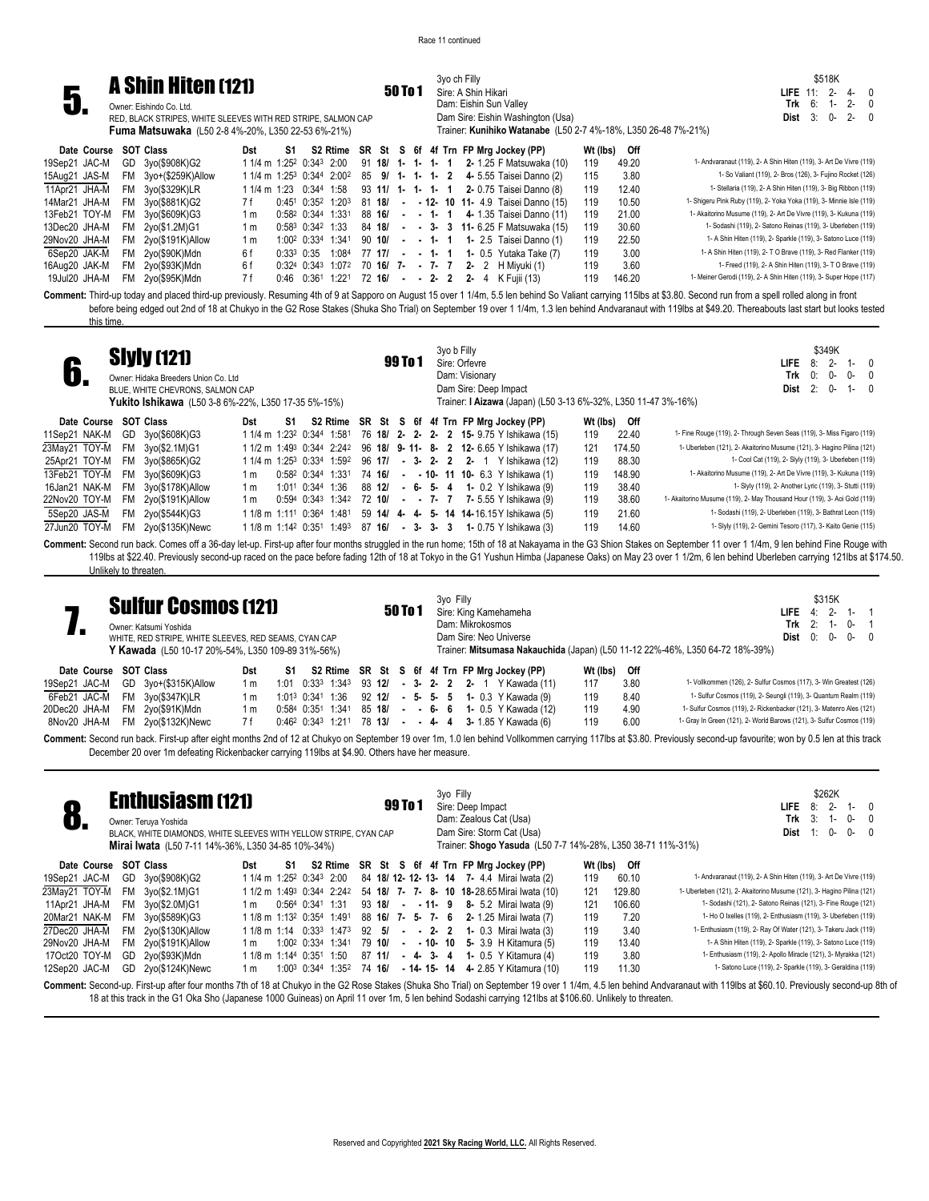3yo ch Filly



**Fuma Matsuwaka** (L50 2-8 4%-20%, L350 22-53 6%-21%)

## 50 To 1 Sire: A Shin Hikari Dam: Eishin Sun Valley Dam Sire: Eishin Washington (Usa) Trainer: **Kunihiko Watanabe** (L50 2-7 4%-18%, L350 26-48 7%-21%)

\$518K **LIFE** 11: 2- 4- 0 **Trk** 6: 1- 2- 0 **Dist** 3: 0- 2- 0

| Date Course SOT Class |                      | Dst | S1. |  |  |  |  | S2 Rtime SR St S 6f 4f Trn FP Mrg Jockey (PP)                                                      | Wt (lbs) | Off    |                                                                      |
|-----------------------|----------------------|-----|-----|--|--|--|--|----------------------------------------------------------------------------------------------------|----------|--------|----------------------------------------------------------------------|
| 19Sep21 JAC-M         | GD 3yo(\$908K)G2     |     |     |  |  |  |  | 1 1/4 m 1:25 <sup>2</sup> 0:34 <sup>3</sup> 2:00 91 18/ 1- 1- 1- 1 2- 1.25 F Matsuwaka (10)        | 119      | 49.20  | 1- Andvaranaut (119), 2- A Shin Hiten (119), 3- Art De Vivre (119)   |
| 15Aug21 JAS-M         | FM 3yo+(\$259K)Allow |     |     |  |  |  |  | 1 1/4 m 1:25 <sup>3</sup> 0:344 2:00 <sup>2</sup> 85 9/ 1- 1- 1- 2 4-5.55 Taisei Danno (2)         | 115      | 3.80   | 1- So Valiant (119), 2- Bros (126), 3- Fujino Rocket (126)           |
| 11Apr21 JHA-M         | FM 3yo(\$329K)LR     |     |     |  |  |  |  | 1 1/4 m 1:23 0:344 1:58 93 11/ 1- 1- 1- 1 2- 0.75 Taisei Danno (8)                                 | 119      | 12.40  | 1- Stellaria (119), 2- A Shin Hiten (119), 3- Big Ribbon (119)       |
| 14Mar21 JHA-M         | FM 3vo(\$881K)G2     | 7 f |     |  |  |  |  | $0.45^{\circ}$ $0.35^{\circ}$ 1:20 <sup>3</sup> 81 <b>18/ - - 12- 10 11-</b> 4.9 Taisei Danno (15) | 119      | 10.50  | 1- Shigeru Pink Ruby (119), 2- Yoka Yoka (119), 3- Minnie Isle (119) |
| 13Feb21 TOY-M         | FM 3yo(\$609K)G3     | 1 m |     |  |  |  |  | $0.58^2$ $0.34^4$ $1.33^1$ $88$ <b>16/</b> - - <b>1- 1 4-</b> 1.35 Taisei Danno (11)               | 119      | 21.00  | 1- Akaitorino Musume (119), 2- Art De Vivre (119), 3- Kukuna (119)   |
| 13Dec20 JHA-M         | FM 2yo(\$1.2M)G1     | 1 m |     |  |  |  |  | $0.58^3$ $0.34^2$ 1:33 84 18/ - - 3- 3 11-6.25 F Matsuwaka (15)                                    | 119      | 30.60  | 1- Sodashi (119), 2- Satono Reinas (119), 3- Uberleben (119)         |
| 29Nov20 JHA-M         | FM 2yo(\$191K)Allow  | 1 m |     |  |  |  |  | $1:00^2$ 0:33 <sup>4</sup> 1:34 <sup>1</sup> 90 <b>10/ - - 1- 1 1-</b> 2.5 Taisei Danno (1)        | 119      | 22.50  | 1- A Shin Hiten (119), 2- Sparkle (119), 3- Satono Luce (119)        |
| 6Sep20 JAK-M          | FM 2yo(\$90K)Mdn     | 6f  |     |  |  |  |  | $0:33^3$ $0:35$ $1:08^4$ $77$ $17/$ $\cdot$ $\cdot$ 1 $\cdot$ 1 1 $0.5$ Yutaka Take (7)            | 119      | 3.00   | 1- A Shin Hiten (119), 2- T O Brave (119), 3- Red Flanker (119)      |
| 16Aug20 JAK-M         | FM 2yo(\$93K)Mdn     | 6f  |     |  |  |  |  | $0:324$ $0:343$ 1:072 70 16/ 7 - 7 - 7 2 - 2 H Miyuki (1)                                          | 119      | 3.60   | 1- Freed (119), 2- A Shin Hiten (119), 3- T O Brave (119)            |
| 19Jul20 JHA-M         | FM 2yo(\$95K)Mdn     | 7 f |     |  |  |  |  | $0:46$ $0:361$ 1:221 72 16/ - - 2- 2 2- 4 K Fujii (13)                                             | 119      | 146.20 | 1- Meiner Gerodi (119), 2- A Shin Hiten (119), 3- Super Hope (117)   |
|                       |                      |     |     |  |  |  |  |                                                                                                    |          |        |                                                                      |

**Comment:** Third-up today and placed third-up previously. Resuming 4th of 9 at Sapporo on August 15 over 1 1/4m, 5.5 len behind So Valiant carrying 115lbs at \$3.80. Second run from a spell rolled along in front before being edged out 2nd of 18 at Chukyo in the G2 Rose Stakes (Shuka Sho Trial) on September 19 over 1 1/4m, 1.3 len behind Andvaranaut with 119lbs at \$49.20. Thereabouts last start but looks tested this time.

| <b>Siyly (121)</b><br>Owner: Hidaka Breeders Union Co. Ltd<br>BLUE, WHITE CHEVRONS, SALMON CAP<br><b>Yukito Ishikawa</b> (L50 3-8 6%-22%, L350 17-35 5%-15%)                                                                                                                                                                                                                                                                                                                                                                                                                                                                                |                                                                                                                                                                                                                                                                                                                            | 99 To 1                                                              | 3yo b Filly<br>Sire: Orfevre<br>Dam: Visionary<br>Dam Sire: Deep Impact<br>Trainer: I Aizawa (Japan) (L50 3-13 6%-32%, L350 11-47 3%-16%)                                                                                                                                                                                                                                                                                                                             | <b>LIFE</b><br>Dist                                                                                                                                                                                                                                                                                                                                                                                                                                                                                                                                                                                                                                                                                                                  | \$349K<br>8:<br>0:<br>Trk<br>$0 -$<br>0-<br>$\mathbf{0}$<br>2:<br>$0 -$<br>$1-$<br>$\Omega$                      |
|---------------------------------------------------------------------------------------------------------------------------------------------------------------------------------------------------------------------------------------------------------------------------------------------------------------------------------------------------------------------------------------------------------------------------------------------------------------------------------------------------------------------------------------------------------------------------------------------------------------------------------------------|----------------------------------------------------------------------------------------------------------------------------------------------------------------------------------------------------------------------------------------------------------------------------------------------------------------------------|----------------------------------------------------------------------|-----------------------------------------------------------------------------------------------------------------------------------------------------------------------------------------------------------------------------------------------------------------------------------------------------------------------------------------------------------------------------------------------------------------------------------------------------------------------|--------------------------------------------------------------------------------------------------------------------------------------------------------------------------------------------------------------------------------------------------------------------------------------------------------------------------------------------------------------------------------------------------------------------------------------------------------------------------------------------------------------------------------------------------------------------------------------------------------------------------------------------------------------------------------------------------------------------------------------|------------------------------------------------------------------------------------------------------------------|
| <b>SOT Class</b><br>Date Course<br>11Sep21 NAK-M<br>GD<br>3yo(\$608K)G3<br>23May21 TOY-M<br><b>FM</b><br>3yo(\$2.1M)G1<br>25Apr21 TOY-M<br><b>FM</b><br>3yo(\$865K)G2<br>13Feb21 TOY-M<br><b>FM</b><br>3yo(\$609K)G3<br>16Jan21 NAK-M<br><b>FM</b><br>3yo(\$178K)Allow<br>22Nov20 TOY-M<br>FM 2yo(\$191K)Allow<br>5Sep20 JAS-M<br>FM 2yo(\$544K)G3<br>27Jun20 TOY-M<br>2yo(\$135K)Newc<br>FM<br>Comment: Second run back. Comes off a 36-day let-up. First-up after four months struggled in the run home; 15th of 18 at Nakayama in the G3 Shion Stakes on September 11 over 1 1/4m, 9 len behind Fine Rouge with<br>Unlikely to threaten. | S1<br>Dst<br>1 1/4 m 1:23 <sup>2</sup> 0:344 1:581<br>1 1/2 m 1:49 <sup>3</sup> 0:344 2:242<br>1:592<br>1 1/4 m 1:25 <sup>3</sup> 0:334<br>0:582 0:344 1:331<br>1 m<br>1:011 0:344 1:36<br>1 m<br>0:594 0:343 1:342<br>1 <sub>m</sub><br>1 1/8 m 1:111 0:364 1:481<br>1 1/8 m 1:14 <sup>2</sup> 0:35 <sup>1</sup><br>1:493 | 96 17/<br>$-3-2$<br>74 16/<br>88 12/                                 | S2 Rtime SR St S 6f 4f Trn FP Mrg Jockey (PP)<br>Wt (lbs)<br>76 18/ 2- 2- 2- 2 15- 9.75 Y Ishikawa (15)<br>119<br>96 18/ 9-11- 8- 2 12-6.65 Y Ishikawa (17)<br>121<br>119<br><b>2</b> 2- 1 Y Ishikawa (12)<br>$- 10 - 11$ 10 $- 6.3$ Y Ishikawa (1)<br>119<br>119<br>$-6$ $-5$ $-4$ $1$ $-0.2$ Y Ishikawa (9)<br>119<br>72 10/ - - 7- 7 7- 5.55 Y Ishikawa (9)<br>119<br>59 14/ 4- 4- 5- 14 14-16.15 Y Ishikawa (5)<br>119<br>87 16/ - 3- 3- 3 1- 0.75 Y Ishikawa (3) | Off<br>22.40<br>1- Fine Rouge (119), 2- Through Seven Seas (119), 3- Miss Figaro (119)<br>174.50<br>1- Uberleben (121), 2- Akaitorino Musume (121), 3- Hagino Pilina (121)<br>88.30<br>1- Akaitorino Musume (119), 2- Art De Vivre (119), 3- Kukuna (119)<br>148.90<br>38.40<br>38.60<br>1- Akaitorino Musume (119), 2- May Thousand Hour (119), 3- Aoi Gold (119)<br>21.60<br>1- Sodashi (119), 2- Uberleben (119), 3- Bathrat Leon (119)<br>1- Slyly (119), 2- Gemini Tesoro (117), 3- Kaito Genie (115)<br>14.60<br>119lbs at \$22.40. Previously second-up raced on the pace before fading 12th of 18 at Tokyo in the G1 Yushun Himba (Japanese Oaks) on May 23 over 1 1/2m, 6 len behind Uberleben carrying 121lbs at \$174.50. | 1- Cool Cat (119), 2- Slyly (119), 3- Uberleben (119)<br>1- Slyly (119), 2- Another Lyric (119), 3- Stutti (119) |
| <b>Sulfur Cosmos (121)</b><br>Owner: Katsumi Yoshida<br>WHITE, RED STRIPE, WHITE SLEEVES, RED SEAMS, CYAN CAP<br>Y Kawada (L50 10-17 20%-54%, L350 109-89 31%-56%)                                                                                                                                                                                                                                                                                                                                                                                                                                                                          |                                                                                                                                                                                                                                                                                                                            | 50 To 1                                                              | 3yo Filly<br>Sire: King Kamehameha<br>Dam: Mikrokosmos<br>Dam Sire: Neo Universe                                                                                                                                                                                                                                                                                                                                                                                      | <b>LIFE</b><br>Trk<br>Dist<br>Trainer: Mitsumasa Nakauchida (Japan) (L50 11-12 22%-46%, L350 64-72 18%-39%)                                                                                                                                                                                                                                                                                                                                                                                                                                                                                                                                                                                                                          | \$315K<br>$2 -$<br>4:<br>2:<br>$0-$<br>$1 -$<br>0-<br>0:<br>n-                                                   |
| <b>SOT Class</b><br>Date Course<br>19Sep21 JAC-M<br>GD 3yo+(\$315K)Allow<br>6Feb21 JAC-M<br><b>FM</b><br>3yo(\$347K)LR<br>20Dec20 JHA-M<br>FM 2yo(\$91K)Mdn<br>8Nov20 JHA-M<br>FM 2yo(\$132K)Newc                                                                                                                                                                                                                                                                                                                                                                                                                                           | S2 Rtime<br>Dst<br>S1<br>1:01<br>$0:33^3$ 1:343<br>1 <sub>m</sub><br>1:013 0:341<br>1:36<br>1 <sub>m</sub><br>0:584 0:351 1:341<br>1 <sub>m</sub><br>7 f<br>$0:46^2$ $0:34^3$<br>1:211                                                                                                                                     | 93 12/<br>$-3 - 2$<br>92 12/<br>$-5-$<br>85 18/<br>78 13/<br>$- 4 4$ | Wt (lbs)<br>SR St S 6f 4f Trn FP Mrg Jockey (PP)<br>$\overline{\mathbf{2}}$<br>2- 1 Y Kawada (11)<br>117<br>119<br>- 5-<br>1- 0.3 Y Kawada (9)<br>5<br>1- 0.5 Y Kawada (12)<br>119<br>6-<br>- 6<br>119<br>3- 1.85 Y Kawada (6)                                                                                                                                                                                                                                        | Off<br>3.80<br>1- Vollkommen (126), 2- Sulfur Cosmos (117), 3- Win Greatest (126)<br>8.40<br>1- Sulfur Cosmos (119), 2- Seungli (119), 3- Quantum Realm (119)<br>4.90<br>1- Sulfur Cosmos (119), 2- Rickenbacker (121), 3- Matenro Ales (121)<br>6.00<br>1- Gray In Green (121), 2- World Barows (121), 3- Sulfur Cosmos (119)                                                                                                                                                                                                                                                                                                                                                                                                       |                                                                                                                  |

Comment: Second run back. First-up after eight months 2nd of 12 at Chukyo on September 19 over 1m, 1.0 len behind Vollkommen carrying 117lbs at \$3.80. Previously second-up favourite; won by 0.5 len at this track December 20 over 1m defeating Rickenbacker carrying 119lbs at \$4.90. Others have her measure.

| O.            |     | <b>Enthusiasm (121)</b><br>Owner: Teruya Yoshida<br>BLACK, WHITE DIAMONDS, WHITE SLEEVES WITH YELLOW STRIPE, CYAN CAP<br><b>Mirai Iwata</b> (L50 7-11 14%-36%, L350 34-85 10%-34%) |                                                                                            |    |                      |                               |                   | <b>99 To 1</b> |  | 3yo Filly | Sire: Deep Impact | Dam: Zealous Cat (Usa)<br>Dam Sire: Storm Cat (Usa) |          |        | \$262K<br>$2 -$<br>LIFE.<br>8:<br>- 0<br>$1 -$<br>Trk<br>3:<br>0-<br>0<br>$1 -$<br>$0-$<br>Dist<br>0-<br>$\Omega$<br>-1:<br>Trainer: Shogo Yasuda (L50 7-7 14%-28%, L350 38-71 11%-31%)                                |
|---------------|-----|------------------------------------------------------------------------------------------------------------------------------------------------------------------------------------|--------------------------------------------------------------------------------------------|----|----------------------|-------------------------------|-------------------|----------------|--|-----------|-------------------|-----------------------------------------------------|----------|--------|------------------------------------------------------------------------------------------------------------------------------------------------------------------------------------------------------------------------|
| Date Course   |     | SOT Class                                                                                                                                                                          | Dst                                                                                        | S1 |                      |                               |                   |                |  |           |                   | S2 Rtime SR St S 6f 4f Trn FP Mrg Jockey (PP)       | Wt (lbs) | Off    |                                                                                                                                                                                                                        |
| 19Sep21 JAC-M |     | GD 3yo(\$908K)G2                                                                                                                                                                   | 1 1/4 m 1:25 <sup>2</sup> 0:34 <sup>3</sup> 2:00                                           |    |                      |                               |                   |                |  |           |                   | 84 18/ 12- 12- 13- 14 7- 4.4 Mirai Iwata (2)        | 119      | 60.10  | 1- Andvaranaut (119), 2- A Shin Hiten (119), 3- Art De Vivre (119)                                                                                                                                                     |
| 23May21 TOY-M |     | FM 3yo(\$2.1M)G1                                                                                                                                                                   | 1 1/2 m 1:49 <sup>3</sup> 0:344 2:242 54 <b>18/ 7- 7- 8- 10 18-</b> 28.65 Mirai Iwata (10) |    |                      |                               |                   |                |  |           |                   |                                                     | 121      | 129.80 | 1- Uberleben (121), 2- Akaitorino Musume (121), 3- Hagino Pilina (121)                                                                                                                                                 |
| 11Apr21 JHA-M |     | FM 3yo(\$2.0M)G1                                                                                                                                                                   | 1 m                                                                                        |    | $0:564$ $0:341$ 1:31 |                               |                   |                |  |           |                   | 93 18/ - - 11- 9 8- 5.2 Mirai Iwata (9)             | 121      | 106.60 | 1- Sodashi (121), 2- Satono Reinas (121), 3- Fine Rouge (121)                                                                                                                                                          |
| 20Mar21 NAK-M |     | FM 3yo(\$589K)G3                                                                                                                                                                   | 1 1/8 m 1:13 <sup>2</sup> 0:354 1:491                                                      |    |                      |                               | 88 16/ 7- 5- 7- 6 |                |  |           |                   | 2- 1.25 Mirai Iwata (7)                             | 119      | 7.20   | 1- Ho O Ixelles (119), 2- Enthusiasm (119), 3- Uberleben (119)                                                                                                                                                         |
| 27Dec20 JHA-M |     | FM 2yo(\$130K)Allow                                                                                                                                                                | $11/8$ m 1:14 0:333 1:473 92 5/ - - 2 - 2 1 - 0.3 Mirai Iwata (3)                          |    |                      |                               |                   |                |  |           |                   |                                                     | 119      | 3.40   | 1- Enthusiasm (119), 2- Ray Of Water (121), 3- Takeru Jack (119)                                                                                                                                                       |
| 29Nov20 JHA-M |     | FM 2yo(\$191K)Allow                                                                                                                                                                | 1 m                                                                                        |    | 1:002 0:334 1:341    |                               |                   |                |  |           |                   | 79 10/ - - 10- 10 5- 3.9 H Kitamura (5)             | 119      | 13.40  | 1- A Shin Hiten (119), 2- Sparkle (119), 3- Satono Luce (119)                                                                                                                                                          |
| 17Oct20 TOY-M |     | GD 2yo(\$93K)Mdn                                                                                                                                                                   | 1 1/8 m 1:144 0:351                                                                        |    |                      | 1:50                          | 87 11/ - 4-3-4    |                |  |           |                   | <b>1-</b> 0.5 Y Kitamura (4)                        | 119      | 3.80   | 1- Enthusiasm (119), 2- Apollo Miracle (121), 3- Myrakka (121)                                                                                                                                                         |
| 12Sep20 JAC-M | GD. | 2yo(\$124K)Newc                                                                                                                                                                    | 1 m                                                                                        |    |                      | 1:00 <sup>3</sup> 0:344 1:352 |                   |                |  |           |                   | 74 16/ - 14- 15- 14 4- 2.85 Y Kitamura (10)         | 119      | 11.30  | 1- Satono Luce (119), 2- Sparkle (119), 3- Geraldina (119)                                                                                                                                                             |
|               |     |                                                                                                                                                                                    |                                                                                            |    |                      |                               |                   |                |  |           |                   |                                                     |          |        | Comment: Second-up. First-up after four months 7th of 18 at Chukyo in the G2 Rose Stakes (Shuka Sho Trial) on September 19 over 1 1/4m, 4.5 len behind Andvaranaut with 119lbs at \$60.10. Previously second-up 8th of |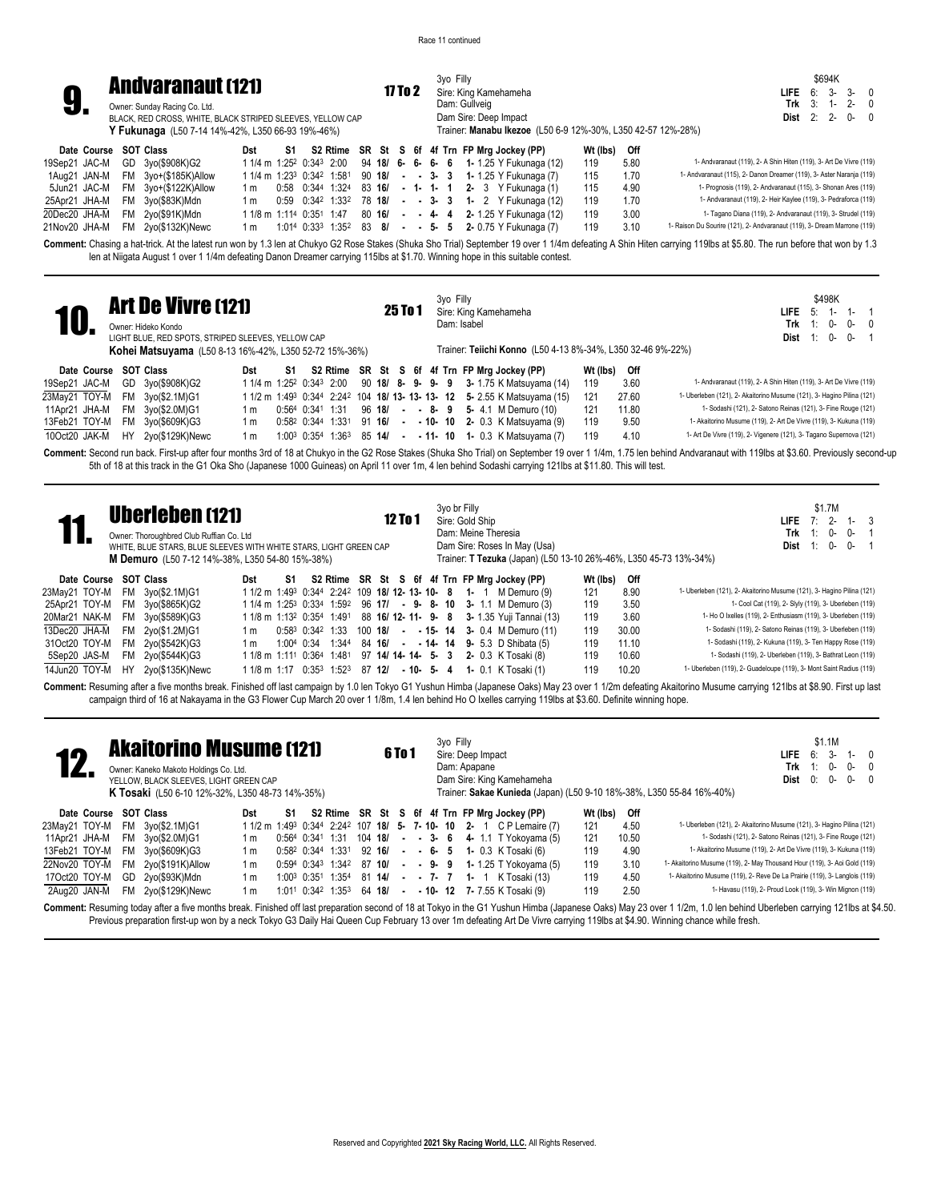3yo Filly

\$694K **LIFE** 6: 3- 3- 0 **Trk** 3: 1- 2- 0 **Dist** 2: 2- 0- 0



**9. Andvaranaut (121)** 17 To 2<br> **9.** Owner: Sunday Racing Co. Ltd.<br>
BLACK, RED CROSS, WHITE, BLACK STRIPED SLEEVES, YELLOW CAP 17 To 2 Sire: King Kamehameha Dam: Gullveig Dam Sire: Deep Impact Trainer: **Manabu Ikezoe** (L50 6-9 12%-30%, L350 42-57 12%-28%) Owner: Sunday Racing Co. Ltd. **Y Fukunaga** (L50 7-14 14%-42%, L350 66-93 19%-46%)

| Date Course SOT Class            |                                   |  |  |  |  |  | Dst S1 S2 Rtime SR St S 6f 4f Trn FP Mrg Jockey (PP)                                                       | Wt (lbs) Off |      |                                                                          |
|----------------------------------|-----------------------------------|--|--|--|--|--|------------------------------------------------------------------------------------------------------------|--------------|------|--------------------------------------------------------------------------|
| 19Sep21 JAC-M GD 3yo(\$908K)G2   |                                   |  |  |  |  |  | 1 1/4 m 1:25 <sup>2</sup> 0:34 <sup>3</sup> 2:00 94 18/ 6- 6- 6- 6 1- 1.25 Y Fukunaga (12)                 | 119          | 5.80 | 1- Andvaranaut (119), 2- A Shin Hiten (119), 3- Art De Vivre (119)       |
|                                  | 1Aug21 JAN-M FM 3yo+(\$185K)Allow |  |  |  |  |  | 1 1/4 m 1:23 <sup>3</sup> 0:34 <sup>2</sup> 1:58 <sup>1</sup> 90 <b>18/</b> - - 3- 3 1-1.25 Y Fukunaga (7) | 115          | 1.70 | 1- Andvaranaut (115), 2- Danon Dreamer (119), 3- Aster Naranja (119)     |
|                                  | 5Jun21 JAC-M FM 3yo+(\$122K)Allow |  |  |  |  |  | 1 m 0:58 0:344 1:324 83 16/ - 1- 1- 1 2- 3 Y Fukunaga (1)                                                  | 115          | 4.90 | 1- Prognosis (119), 2- Andvaranaut (115), 3- Shonan Ares (119)           |
| 25Apr21 JHA-M FM 3yo(\$83K)Mdn   |                                   |  |  |  |  |  | 1 m 0:59 0:342 1:332 78 18/ - - 3- 3 1- 2 Y Fukunaga (12)                                                  | 119          | 1.70 | 1- Andvaranaut (119), 2- Heir Kaylee (119), 3- Pedraforca (119)          |
| 20Dec20 JHA-M FM 2yo(\$91K)Mdn   |                                   |  |  |  |  |  | 1 1/8 m 1:114 0:351 1:47 80 16/ - - 4- 4 2-1.25 Y Fukunaga (12)                                            | 119          | 3.00 | 1- Tagano Diana (119), 2- Andvaranaut (119), 3- Strudel (119)            |
| 21Nov20 JHA-M FM 2yo(\$132K)Newc |                                   |  |  |  |  |  | 1 m 1:014 0:33 <sup>3</sup> 1:35 <sup>2</sup> 83 8/ - - 5- 5 2-0.75 Y Fukunaga (7)                         | 119          | 3.10 | 1- Raison Du Sourire (121), 2- Andvaranaut (119), 3- Dream Marrone (119) |

**Comment:** Chasing a hat-trick. At the latest run won by 1.3 len at Chukyo G2 Rose Stakes (Shuka Sho Trial) September 19 over 1 1/4m defeating A Shin Hiten carrying 119lbs at \$5.80. The run before that won by 1.3 len at Niigata August 1 over 1 1/4m defeating Danon Dreamer carrying 115lbs at \$1.70. Winning hope in this suitable contest.

| <b>10</b>             |     | <b>Art De Vivre (121)</b><br>Owner: Hideko Kondo<br>LIGHT BLUE. RED SPOTS. STRIPED SLEEVES. YELLOW CAP<br><b>Kohei Matsuyama</b> (L50 8-13 16%-42%, L350 52-72 15%-36%) |     |    |                                          |  | 25 To 1 |  | 3yo Filly<br>Dam: Isabel |  | Sire: King Kamehameha<br>Trainer: Teiichi Konno (L50 4-13 8%-34%, L350 32-46 9%-22%)         |          |       | \$498K<br><b>LIFE</b> $5: 1$<br>$1 -$<br>Trk $1: 0-$<br>$0 - 0$<br>$0-$<br><b>Dist</b> 1: 0-                                                                                                                  |
|-----------------------|-----|-------------------------------------------------------------------------------------------------------------------------------------------------------------------------|-----|----|------------------------------------------|--|---------|--|--------------------------|--|----------------------------------------------------------------------------------------------|----------|-------|---------------------------------------------------------------------------------------------------------------------------------------------------------------------------------------------------------------|
| Date Course SOT Class |     |                                                                                                                                                                         | Dst | S1 |                                          |  |         |  |                          |  | S2 Rtime SR St S 6f 4f Trn FP Mrg Jockey (PP)                                                | Wt (lbs) | Off   |                                                                                                                                                                                                               |
| 19Sep21 JAC-M         |     | GD 3yo(\$908K)G2                                                                                                                                                        |     |    |                                          |  |         |  |                          |  | $11/4$ m $1:25^2$ 0:34 <sup>3</sup> 2:00 90 <b>18/ 8- 9- 9- 9 3-</b> 1.75 K Matsuyama (14)   | 119      | 3.60  | 1- Andvaranaut (119), 2- A Shin Hiten (119), 3- Art De Vivre (119)                                                                                                                                            |
| 23May21 TOY-M         | FM. | 3yo(\$2.1M)G1                                                                                                                                                           |     |    |                                          |  |         |  |                          |  | $11/2$ m $1:49^3$ $0:34^4$ $2:24^2$ 104 <b>18/ 13- 13- 13- 12</b> 5- 2.55 K Matsuyama (15)   | 121      | 27.60 | 1- Uberleben (121), 2- Akaitorino Musume (121), 3- Hagino Pilina (121)                                                                                                                                        |
| 11Apr21 JHA-M         |     | FM 3yo(\$2.0M)G1                                                                                                                                                        | 1 m |    |                                          |  |         |  |                          |  | $0.564$ $0.341$ $1.31$ $96$ <b>18/ - - 8- 9 5-</b> 4.1 M Demuro (10)                         | 121      | 11.80 | 1- Sodashi (121), 2- Satono Reinas (121), 3- Fine Rouge (121)                                                                                                                                                 |
| 13Feb21 TOY-M         |     | FM 3yo(\$609K)G3                                                                                                                                                        | 1 m |    | $0:58^2$ $0:34^4$ $1:33^1$ 91 <b>16/</b> |  |         |  |                          |  | $ -$ 10 $-$ 10 $-$ 2 0.3 K Matsuyama (9)                                                     | 119      | 9.50  | 1- Akaitorino Musume (119), 2- Art De Vivre (119), 3- Kukuna (119)                                                                                                                                            |
| 10Oct20 JAK-M         | HY  | 2yo(\$129K)Newc                                                                                                                                                         | 1 m |    |                                          |  |         |  |                          |  | $1:00^3$ 0:35 <sup>4</sup> 1:36 <sup>3</sup> 85 <b>14/ - - 11- 10 1-</b> 0.3 K Matsuvama (7) | 119      | 4.10  | 1- Art De Vivre (119), 2- Vigenere (121), 3- Tagano Supernova (121)                                                                                                                                           |
|                       |     |                                                                                                                                                                         |     |    |                                          |  |         |  |                          |  |                                                                                              |          |       | Comment: Second run back First un after four months 3rd of 18 at Chukyo in the G2 Rose Stakes (Shuka Sho Trial) on Sentember 19 over 1 1/4m 175 len behind Andvaranaut with 119lhs at \$3.60 Previously secon |

**Comment:** Second run back. First-up after four months 3rd of 18 at Chukyo in the G2 Rose Stakes (Shuka Sho Trial) on September 19 over 1 1/4m, 1.75 len behind Andvaranaut with 119lbs at \$3.60. Previously second-up 5th of 18 at this track in the G1 Oka Sho (Japanese 1000 Guineas) on April 11 over 1m, 4 len behind Sodashi carrying 121lbs at \$11.80. This will test.

| S2 Rtime SR St S 6f 4f Trn FP Mrg Jockey (PP)<br>Wt (lbs)<br>Off<br>Date Course SOT Class<br>S1<br>Dst<br>1- Uberleben (121), 2- Akaitorino Musume (121), 3- Hagino Pilina (121)<br>8.90<br>23Mav21 TOY-M<br>1 1/2 m 1:49 <sup>3</sup> 0:344 2:24 <sup>2</sup> 109 <b>18/ 12- 13- 10- 8 1-</b> 1 M Demuro (9)<br>121<br>3vo(\$2.1M)G1<br>FM<br>1- Cool Cat (119), 2- Slyly (119), 3- Uberleben (119)<br>25Apr21 TOY-M<br>FM<br>119<br>3.50<br>$11/4$ m $1:25^3$ 0:33 <sup>4</sup> $1:59^2$ 96 17/ - 9- 8- 10 3- 1.1 M Demuro (3)<br>3vo(\$865K)G2<br>1- Ho O Ixelles (119), 2- Enthusiasm (119), 3- Uberleben (119)<br>3.60<br>119<br>20Mar21 NAK-M<br>1 1/8 m 1:13 <sup>2</sup> 0:35 <sup>4</sup> 1:49 <sup>1</sup> 88 <b>16/ 12- 11- 9- 8 3-</b> 1.35 Yuji Tannai (13)<br>FM 3yo(\$589K)G3<br>1- Sodashi (119), 2- Satono Reinas (119), 3- Uberleben (119)<br>13Dec20 JHA-M<br>FM 2yo(\$1.2M)G1<br>119<br>30.00<br>$0:58^3$ $0:34^2$ 1:33 100 18/ - - 15- 14 3- 0.4 M Demuro (11)<br>1 m<br>1- Sodashi (119), 2- Kukuna (119), 3- Ten Happy Rose (119)<br>31Oct20 TOY-M<br>FM 2yo(\$542K)G3<br>1:344 84 <b>16/ - - 14- 14 9-</b> 5.3 D Shibata (5)<br>119<br>11.10<br>1:004 0:34<br>1 m |  | <b>Uberleben (121)</b><br>Owner: Thoroughbred Club Ruffian Co. Ltd<br>WHITE, BLUE STARS, BLUE SLEEVES WITH WHITE STARS, LIGHT GREEN CAP<br>M Demuro (L50 7-12 14%-38%, L350 54-80 15%-38%) |  |  |  | <b>12 To 1</b> |  | 3yo br Filly | Sire: Gold Ship<br>Dam: Meine Theresia | Dam Sire: Roses In May (Usa) |     |       | \$1.7M<br>$1 - 3$<br>$2 -$<br>7 <sup>°</sup><br>LIFE.<br>Trk<br>1: 0-<br>0-<br>0-<br>0-<br>Dist<br>Trainer: T Tezuka (Japan) (L50 13-10 26%-46%, L350 45-73 13%-34%) |
|-------------------------------------------------------------------------------------------------------------------------------------------------------------------------------------------------------------------------------------------------------------------------------------------------------------------------------------------------------------------------------------------------------------------------------------------------------------------------------------------------------------------------------------------------------------------------------------------------------------------------------------------------------------------------------------------------------------------------------------------------------------------------------------------------------------------------------------------------------------------------------------------------------------------------------------------------------------------------------------------------------------------------------------------------------------------------------------------------------------------------------------------------------------------------------------------|--|--------------------------------------------------------------------------------------------------------------------------------------------------------------------------------------------|--|--|--|----------------|--|--------------|----------------------------------------|------------------------------|-----|-------|----------------------------------------------------------------------------------------------------------------------------------------------------------------------|
|                                                                                                                                                                                                                                                                                                                                                                                                                                                                                                                                                                                                                                                                                                                                                                                                                                                                                                                                                                                                                                                                                                                                                                                           |  |                                                                                                                                                                                            |  |  |  |                |  |              |                                        |                              |     |       |                                                                                                                                                                      |
|                                                                                                                                                                                                                                                                                                                                                                                                                                                                                                                                                                                                                                                                                                                                                                                                                                                                                                                                                                                                                                                                                                                                                                                           |  |                                                                                                                                                                                            |  |  |  |                |  |              |                                        |                              |     |       |                                                                                                                                                                      |
|                                                                                                                                                                                                                                                                                                                                                                                                                                                                                                                                                                                                                                                                                                                                                                                                                                                                                                                                                                                                                                                                                                                                                                                           |  |                                                                                                                                                                                            |  |  |  |                |  |              |                                        |                              |     |       |                                                                                                                                                                      |
|                                                                                                                                                                                                                                                                                                                                                                                                                                                                                                                                                                                                                                                                                                                                                                                                                                                                                                                                                                                                                                                                                                                                                                                           |  |                                                                                                                                                                                            |  |  |  |                |  |              |                                        |                              |     |       |                                                                                                                                                                      |
|                                                                                                                                                                                                                                                                                                                                                                                                                                                                                                                                                                                                                                                                                                                                                                                                                                                                                                                                                                                                                                                                                                                                                                                           |  |                                                                                                                                                                                            |  |  |  |                |  |              |                                        |                              |     |       |                                                                                                                                                                      |
|                                                                                                                                                                                                                                                                                                                                                                                                                                                                                                                                                                                                                                                                                                                                                                                                                                                                                                                                                                                                                                                                                                                                                                                           |  |                                                                                                                                                                                            |  |  |  |                |  |              |                                        |                              |     |       |                                                                                                                                                                      |
| 1 1/8 m 1:111 0:364 1:481 97 14/ 14- 14- 5- 3 2- 0.3 K Tosaki (8)<br>5Sep20 JAS-M<br>2yo(\$544K)G3<br>FM.                                                                                                                                                                                                                                                                                                                                                                                                                                                                                                                                                                                                                                                                                                                                                                                                                                                                                                                                                                                                                                                                                 |  |                                                                                                                                                                                            |  |  |  |                |  |              |                                        |                              | 119 | 10.60 | 1- Sodashi (119), 2- Uberleben (119), 3- Bathrat Leon (119)                                                                                                          |
| 1- Uberleben (119), 2- Guadeloupe (119), 3- Mont Saint Radius (119)<br>14Jun20 TOY-M<br>2yo(\$135K)Newc<br>1 1/8 m 1:17 0:35 <sup>3</sup> 1:52 <sup>3</sup> 87 <b>12/</b><br>$-10 - 5 - 4$ 1 - 0.1 K Tosaki (1)<br>119<br>10.20<br>HY.<br>Commant: Posuming after a five months broak Einished off last compaign by 1.0 lon Tokyo C1 Vusbur Himbo (Japanese Oaks) May 23 over 1.1/2m defeating Akaitering Musume carping 121 hs at \$8.00. First up Jap                                                                                                                                                                                                                                                                                                                                                                                                                                                                                                                                                                                                                                                                                                                                   |  |                                                                                                                                                                                            |  |  |  |                |  |              |                                        |                              |     |       |                                                                                                                                                                      |

aign by 1.0 len Tokyo G1 Yushun Himba (Japanese Oaks) May 23 over 1 1/2m defeating Akaitorino Musume carrying 121lbs at \$8.90. First up l campaign third of 16 at Nakayama in the G3 Flower Cup March 20 over 1 1/8m, 1.4 len behind Ho O Ixelles carrying 119lbs at \$3.60. Definite winning hope.

|               |           | <b>Akaitorino Musume (121)</b><br>Owner: Kaneko Makoto Holdings Co. Ltd.<br>YELLOW. BLACK SLEEVES. LIGHT GREEN CAP<br><b>K Tosaki</b> (L50 6-10 12%-32%, L350 48-73 14%-35%) |     |             |                         |              |         | <b>6To 1</b> |  | 3yo Filly | Dam: Apapane | Sire: Deep Impact | Dam Sire: King Kamehameha                                                            |          |       | \$1.1M<br>6: 3-<br>LIFE.<br>1- $\sqrt{ }$<br>0-<br>Trk $1$ :<br>0-<br>Dist<br>0:<br>0-<br>$0-0$<br>Trainer: Sakae Kunieda (Japan) (L50 9-10 18%-38%, L350 55-84 16%-40%) |
|---------------|-----------|------------------------------------------------------------------------------------------------------------------------------------------------------------------------------|-----|-------------|-------------------------|--------------|---------|--------------|--|-----------|--------------|-------------------|--------------------------------------------------------------------------------------|----------|-------|--------------------------------------------------------------------------------------------------------------------------------------------------------------------------|
| Date Course   |           | <b>SOT Class</b>                                                                                                                                                             | Dst | S1          |                         |              |         |              |  |           |              |                   | S2 Rtime SR St S 6f 4f Trn FP Mrg Jockey (PP)                                        | Wt (lbs) | Off   |                                                                                                                                                                          |
| 23May21 TOY-M | <b>FM</b> | 3yo(\$2.1M)G1                                                                                                                                                                |     |             |                         |              |         |              |  |           |              |                   | 1 1/2 m 1:49 <sup>3</sup> 0:344 2:242 107 <b>18/ 5- 7-10- 10 2-</b> 1 CP Lemaire (7) | 121      | 4.50  | 1- Uberleben (121), 2- Akaitorino Musume (121), 3- Hagino Pilina (121)                                                                                                   |
| 11Apr21 JHA-M | FM        | 3yo(\$2.0M)G1                                                                                                                                                                | 1 m |             | $0:564$ $0:341$ 1:31    |              | 104 18/ |              |  |           |              |                   | $ -$ 3 6 4 1.1 T Yokovama (5)                                                        | 121      | 10.50 | 1- Sodashi (121), 2- Satono Reinas (121), 3- Fine Rouge (121)                                                                                                            |
| 13Feb21 TOY-M | <b>FM</b> | 3yo(\$609K)G3                                                                                                                                                                | 1 m |             | 0:582 0:344 1:331       |              | 92 16/  |              |  |           |              |                   | $ -$ 6- 5 1 0.3 K Tosaki (6)                                                         | 119      | 4.90  | 1- Akaitorino Musume (119), 2- Art De Vivre (119), 3- Kukuna (119)                                                                                                       |
| 22Nov20 TOY-M | <b>FM</b> | 2yo(\$191K)Allow                                                                                                                                                             | 1 m |             | $0:594$ $0:343$ $1:342$ |              | 87 10/  |              |  |           |              |                   | $ -$ 9 $-$ 9 1 - 1.25 T Yokovama (5)                                                 | 119      | 3.10  | 1- Akaitorino Musume (119), 2- May Thousand Hour (119), 3- Aoi Gold (119)                                                                                                |
| 17Oct20 TOY-M | GD.       | 2yo(\$93K)Mdn                                                                                                                                                                | 1 m | 1:003 0:351 |                         | 1:354 81 14/ |         |              |  | --7-7-1-1 |              |                   | K Tosaki (13)                                                                        | 119      | 4.50  | 1- Akaitorino Musume (119), 2- Reve De La Prairie (119), 3- Langlois (119)                                                                                               |
| 2Aug20 JAN-M  | FM        | 2yo(\$129K)Newc                                                                                                                                                              | 1 m |             | $1:011$ $0:342$ $1:353$ |              | 64 18/  |              |  |           |              |                   | $ -$ 10 $-$ 12 $-$ 7 $-$ 7.55 K Tosaki (9)                                           | 119      | 2.50  | 1- Havasu (119), 2- Proud Look (119), 3- Win Mignon (119)                                                                                                                |

Comment: Resuming today after a five months break. Finished off last preparation second of 18 at Tokyo in the G1 Yushun Himba (Japanese Oaks) May 23 over 1 1/2m, 1.0 len behind Uberleben carrying 121lbs at \$4.50. Previous preparation first-up won by a neck Tokyo G3 Daily Hai Queen Cup February 13 over 1m defeating Art De Vivre carrying 119lbs at \$4.90. Winning chance while fresh.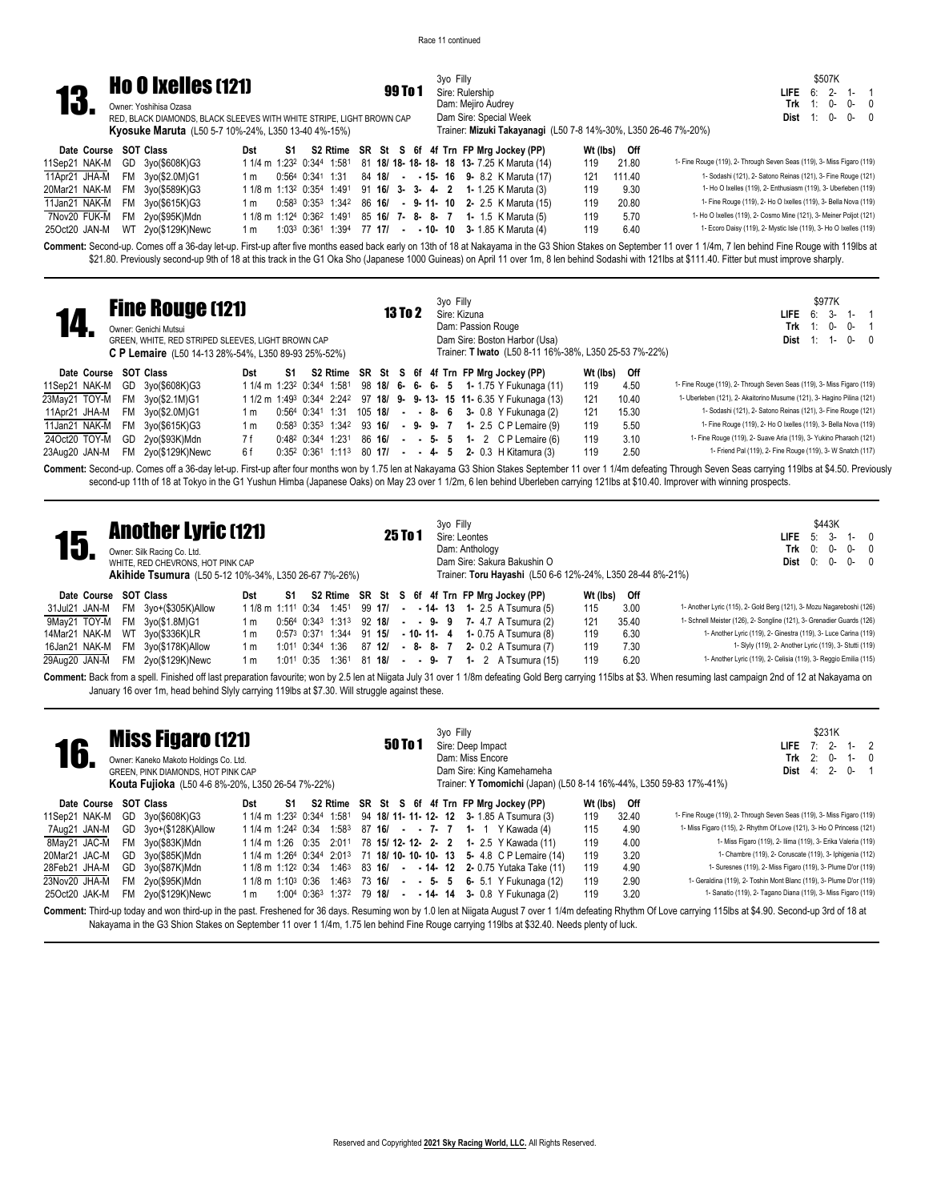3yo Filly

|     | <b>Ho O Ixelles (121)</b>                                                                       | 99 To 1 |
|-----|-------------------------------------------------------------------------------------------------|---------|
| 13. | Owner: Yoshihisa Ozasa<br>RED, BLACK DIAMONDS, BLACK SLEEVES WITH WHITE STRIPE, LIGHT BROWN CAP |         |

Owner: Yoshihisa Ozasa **Kyosuke Maruta** (L50 5-7 10%-24%, L350 13-40 4%-15%)

## 99 To 1 Sire: Rulership Dam: Mejiro Audrey Dam Sire: Special Week

\$507K **LIFE** 6: 2- 1- 1 **Trk** 1: 0- 0- 0 **Dist** 1: 0- 0- 0

|                       | <b>Kyosuke Maruta</b> (L50 5-7 10%-24%, L350 13-40 4%-15%) |  |  |  |  | Trainer: Mizuki Takayanagi (L50 7-8 14%-30%, L350 26-46 7%-20%)                                             |     |              |                                                                        |
|-----------------------|------------------------------------------------------------|--|--|--|--|-------------------------------------------------------------------------------------------------------------|-----|--------------|------------------------------------------------------------------------|
| Date Course SOT Class |                                                            |  |  |  |  | Dst S1 S2 Rtime SR St S 6f 4f Trn FP Mrg Jockey (PP)                                                        |     | Wt (lbs) Off |                                                                        |
|                       | 11Sep21 NAK-M GD 3yo(\$608K)G3                             |  |  |  |  | 1 1/4 m 1:23 <sup>2</sup> 0:344 1:581 81 <b>18/ 18- 18- 18- 18 13-</b> 7.25 K Maruta (14)                   |     | 119 21.80    | 1- Fine Rouge (119), 2- Through Seven Seas (119), 3- Miss Figaro (119) |
|                       | 11Apr21 JHA-M FM 3yo(\$2.0M)G1                             |  |  |  |  | 1 m 0:564 0:341 1:31 84 18/ - - 15- 16 9- 8.2 K Maruta (17)                                                 |     | 121 111.40   | 1- Sodashi (121), 2- Satono Reinas (121), 3- Fine Rouge (121)          |
|                       | 20Mar21 NAK-M FM 3yo(\$589K)G3                             |  |  |  |  | 1 1/8 m 1:13 <sup>2</sup> 0:35 <sup>4</sup> 1:49 <sup>1</sup> 91 <b>16/ 3- 3- 4- 2 1-</b> 1.25 K Maruta (3) | 119 | 9.30         | 1- Ho O Ixelles (119), 2- Enthusiasm (119), 3- Uberleben (119)         |
|                       | 11Jan21 NAK-M FM 3yo(\$615K)G3                             |  |  |  |  | 1 m 0:58 <sup>3</sup> 0:35 <sup>3</sup> 1:34 <sup>2</sup> 86 <b>16/ - 9-11-10 2-</b> 2.5 K Maruta (15)      | 119 | 20.80        | 1- Fine Rouge (119), 2- Ho O Ixelles (119), 3- Bella Nova (119)        |
|                       | 7Nov20 FUK-M FM 2yo(\$95K)Mdn                              |  |  |  |  | 1 1/8 m 1:12 <sup>4</sup> 0:36 <sup>2</sup> 1:49 <sup>1</sup> 85 <b>16/ 7- 8- 8- 7 1-</b> 1.5 K Maruta (5)  | 119 | 5.70         | 1- Ho O Ixelles (119), 2- Cosmo Mine (121), 3- Meiner Poljot (121)     |
|                       | 25Oct20 JAN-M WT 2yo(\$129K)Newc                           |  |  |  |  | 1 m 1:03 <sup>3</sup> 0:36 <sup>1</sup> 1:39 <sup>4</sup> 77 <b>17/ - - 10- 10 3-</b> 1.85 K Maruta (4)     | 119 | 6.40         | 1- Ecoro Daisy (119), 2- Mystic Isle (119), 3- Ho O Ixelles (119)      |

Comment: Second-up. Comes off a 36-day let-up. First-up after five months eased back early on 13th of 18 at Nakayama in the G3 Shion Stakes on September 11 over 1 1/4m, 7 len behind Fine Rouge with 119lbs at \$21.80. Previously second-up 9th of 18 at this track in the G1 Oka Sho (Japanese 1000 Guineas) on April 11 over 1m, 8 len behind Sodashi with 121lbs at \$111.40. Fitter but must improve sharply.

| Trainer: T Iwato (L50 8-11 16%-38%, L350 25-53 7%-22%)<br>C P Lemaire (L50 14-13 28%-54%, L350 89-93 25%-52%)                                                                                                                 |  |
|-------------------------------------------------------------------------------------------------------------------------------------------------------------------------------------------------------------------------------|--|
| S2 Rtime SR St S 6f 4f Trn FP Mrg Jockey (PP)<br>Wt (lbs)<br><b>SOT Class</b><br>Off<br>Date Course<br>Dst<br>S1                                                                                                              |  |
| 1- Fine Rouge (119), 2- Through Seven Seas (119), 3- Miss Figaro (119)<br>4.50<br>11Sep21 NAK-M<br>GD 3yo(\$608K)G3<br>98 18/ 6 - 6 - 6 - 5 1 - 1.75 Y Fukunaga (11)<br>119<br>1 1/4 m 1:23 <sup>2</sup> 0:344 1:581          |  |
| 1- Uberleben (121), 2- Akaitorino Musume (121), 3- Hagino Pilina (121)<br>23Mav21 TOY-M<br><b>FM</b><br>1 1/2 m 1:49 <sup>3</sup> 0:344 2:242 97 18/ 9- 9-13- 15 11-6.35 Y Fukunaga (13)<br>121<br>10.40<br>3yo(\$2.1M)G1     |  |
| 1- Sodashi (121), 2- Satono Reinas (121), 3- Fine Rouge (121)<br>15.30<br>11Apr21 JHA-M<br>121<br>FM<br>3yo(\$2.0M)G1<br>$0:564$ $0:341$ 1:31<br>105 <b>18/ - - 8- 6 3-</b> 0.8 Y Fukunaga (2)<br>1 m                         |  |
| 1- Fine Rouge (119), 2- Ho O Ixelles (119), 3- Bella Nova (119)<br>5.50<br>11Jan21 NAK-M<br>119<br>FM<br>$0:58^3$ $0:35^3$ 1:34 <sup>2</sup> 93 16/ - 9- 9- 7 1- 2.5 C P Lemaire (9)<br>3yo(\$615K)G3<br>1 m                  |  |
| 1- Fine Rouge (119), 2- Suave Aria (119), 3- Yukino Pharaoh (121)<br>24Oct20 TOY-M<br>3.10<br>119<br>2yo(\$93K)Mdn<br>7 f<br>$0:48^2$ $0:34^4$ 1:231<br>GD<br>86 16/ - - 5- 5 1- 2 CP Lemaire (6)                             |  |
| 1- Friend Pal (119), 2- Fine Rouge (119), 3- W Snatch (117)<br>6f<br>2.50<br>2yo(\$129K)Newc<br>119<br>$0:35^2$ $0:36^1$ 1:113<br>$80 \; 171 \; - \; - \; 4 \; - \; 5$<br><b>2-</b> 0.3 H Kitamura (3)<br>23Aug20 JAN-M<br>FM |  |

Comment: Second-up. Comes off a 36-day let-up. First-up after four months won by 1.75 len at Nakayama G3 Shion Stakes September 11 over 1 1/4m defeating Through Seven Seas carrying 119lbs at \$4.50. Previously second-up 11th of 18 at Tokyo in the G1 Yushun Himba (Japanese Oaks) on May 23 over 1 1/2m, 6 len behind Uberleben carrying 121lbs at \$10.40. Improver with winning prospects.

| 15.                   |           | <b>Another Lyric (121)</b><br>Owner: Silk Racing Co. Ltd.<br>WHITE, RED CHEVRONS, HOT PINK CAP<br><b>Akihide Tsumura</b> (L50 5-12 10%-34%, L350 26-67 7%-26%) |                                |    |                  |                                |        |        | 25 To 1 |              | 3yo Filly | Sire: Leontes<br>Dam: Anthology |  | Dam Sire: Sakura Bakushin O<br>Trainer: Toru Hayashi (L50 6-6 12%-24%, L350 28-44 8%-21%) |          |       | LIFE.<br>Trk<br>$Dist 0: 0-$                                                                                                                                                                                                                                                                       | 0: | \$443K<br>$5:3-$<br>0- | $1 - 0$<br>$0-0$<br>$0 - 0$ |  |
|-----------------------|-----------|----------------------------------------------------------------------------------------------------------------------------------------------------------------|--------------------------------|----|------------------|--------------------------------|--------|--------|---------|--------------|-----------|---------------------------------|--|-------------------------------------------------------------------------------------------|----------|-------|----------------------------------------------------------------------------------------------------------------------------------------------------------------------------------------------------------------------------------------------------------------------------------------------------|----|------------------------|-----------------------------|--|
| Date Course SOT Class |           |                                                                                                                                                                | Dst                            | S1 |                  |                                |        |        |         |              |           |                                 |  | S2 Rtime SR St S 6f 4f Trn FP Mrg Jockey (PP)                                             | Wt (lbs) | Off   |                                                                                                                                                                                                                                                                                                    |    |                        |                             |  |
| 31Jul21 JAN-M         |           | FM 3yo+(\$305K)Allow                                                                                                                                           | 1 1/8 m 1:11 <sup>1</sup> 0:34 |    |                  | 1:451                          |        | 99 17/ |         |              |           |                                 |  | $ -$ 14 $-$ 13 1 2.5 A Tsumura (5)                                                        | 115      | 3.00  | 1- Another Lyric (115), 2- Gold Berg (121), 3- Mozu Nagareboshi (126)                                                                                                                                                                                                                              |    |                        |                             |  |
| 9May21 TOY-M          | <b>FM</b> | 3yo(\$1.8M)G1                                                                                                                                                  | 1 m                            |    |                  | $0:564$ $0:343$ $1:313$ 92 18/ |        |        |         |              |           |                                 |  | $ -$ 9 $-$ 9 $-$ 7 $-$ 4.7 A Tsumura (2)                                                  | 121      | 35.40 | 1- Schnell Meister (126), 2- Songline (121), 3- Grenadier Guards (126)                                                                                                                                                                                                                             |    |                        |                             |  |
| 14Mar21 NAK-M         | WT        | 3yo(\$336K)LR                                                                                                                                                  | 1 m                            |    |                  | 0:573 0:371 1:344              | 91 15/ |        |         | - 10- 11- 4  |           |                                 |  | <b>1-</b> 0.75 A Tsumura (8)                                                              | 119      | 6.30  | 1- Another Lyric (119), 2- Ginestra (119), 3- Luce Carina (119)                                                                                                                                                                                                                                    |    |                        |                             |  |
| 16Jan21 NAK-M         | FM .      | 3yo(\$178K)Allow                                                                                                                                               | 1 m                            |    | 1:011 0:344 1:36 |                                | 87 12/ |        |         | $-8 - 8 - 7$ |           |                                 |  | <b>2-</b> 0.2 A Tsumura (7)                                                               | 119      | 7.30  | 1- Slyly (119), 2- Another Lyric (119), 3- Stutti (119)                                                                                                                                                                                                                                            |    |                        |                             |  |
| 29Aug20 JAN-M         | <b>FM</b> | 2yo(\$129K)Newc                                                                                                                                                | 1 m                            |    | 1:011 0:35       | 1:361                          | 81 18/ |        |         |              |           |                                 |  | $ -$ 9 $-$ 7 1 $2$ A Tsumura (15)                                                         | 119      | 6.20  | 1- Another Lyric (119), 2- Celisia (119), 3- Reggio Emilia (115)<br>Accounts Back from a could Fisheral official concentration for the D. B. B. D. D. Minute H.H. Administration Cold Back compared Administration Cold Called and of AB of Miller compared to the Control of AB of Miller compare |    |                        |                             |  |

Comment: Back from a spell. Finished off last preparation favourite; won by 2.5 len at Niigata July 31 over 1 1/8m defeating Gold Berg carrying 115lbs at \$3. When resuming last campaign 2nd of 12 at Nakayama on January 16 over 1m, head behind Slyly carrying 119lbs at \$7.30. Will struggle against these.

| 16.           |     | <b>Miss Figaro (121)</b><br>Owner: Kaneko Makoto Holdings Co. Ltd.<br>GREEN, PINK DIAMONDS, HOT PINK CAP<br><b>Kouta Fujioka</b> (L50 4-6 8%-20%, L350 26-54 7%-22%) |                                |    |                                       |        | <b>50 To 1</b> |  | 3yo Filly<br>Sire: Deep Impact |  | Dam: Miss Encore | Dam Sire: King Kamehameha                                                                                          |          |       | \$231K<br>$1 - 2$<br>$7:2-$<br>LIFE.<br>$2: 0-$<br>Trk<br>1-0<br>$4:2-$<br>$0 - 1$<br>Dist<br>Trainer: Y Tomomichi (Japan) (L50 8-14 16%-44%, L350 59-83 17%-41%)                                               |  |
|---------------|-----|----------------------------------------------------------------------------------------------------------------------------------------------------------------------|--------------------------------|----|---------------------------------------|--------|----------------|--|--------------------------------|--|------------------|--------------------------------------------------------------------------------------------------------------------|----------|-------|-----------------------------------------------------------------------------------------------------------------------------------------------------------------------------------------------------------------|--|
| Date Course   |     | SOT Class                                                                                                                                                            | Dst                            | S1 |                                       |        |                |  |                                |  |                  | S2 Rtime SR St S 6f 4f Trn FP Mrg Jockey (PP)                                                                      | Wt (lbs) | Off   |                                                                                                                                                                                                                 |  |
| 11Sep21 NAK-M | GD. | 3vo(\$608K)G3                                                                                                                                                        |                                |    | 1 1/4 m 1:23 <sup>2</sup> 0:344 1:581 |        |                |  |                                |  |                  | 94 18/ 11- 11- 12- 12 3- 1.85 A Tsumura (3)                                                                        | 119      | 32.40 | 1- Fine Rouge (119), 2- Through Seven Seas (119), 3- Miss Figaro (119)                                                                                                                                          |  |
| 7Aug21 JAN-M  |     | GD 3yo+(\$128K)Allow                                                                                                                                                 | $11/4$ m $1:24^2$ 0:34         |    | 1:583                                 |        |                |  |                                |  |                  | 87 16/ - - 7- 7 1- 1 Y Kawada (4)                                                                                  | 115      | 4.90  | 1- Miss Figaro (115), 2- Rhythm Of Love (121), 3- Ho O Princess (121)                                                                                                                                           |  |
| 8May21 JAC-M  | FM. | 3yo(\$83K)Mdn                                                                                                                                                        | 1 1/4 m 1:26 0:35              |    | 2:011                                 |        |                |  |                                |  |                  | 78 15/ 12- 12- 2- 2 1- 2.5 Y Kawada (11)                                                                           | 119      | 4.00  | 1- Miss Figaro (119), 2- Ilima (119), 3- Erika Valeria (119)                                                                                                                                                    |  |
| 20Mar21 JAC-M | GD. | 3yo(\$85K)Mdn                                                                                                                                                        |                                |    |                                       |        |                |  |                                |  |                  | 1 1/4 m 1:26 <sup>4</sup> 0:34 <sup>4</sup> 2:01 <sup>3</sup> 71 <b>18/ 10- 10- 10- 13 5-</b> 4.8 C P Lemaire (14) | 119      | 3.20  | 1- Chambre (119), 2- Coruscate (119), 3- Iphigenia (112)                                                                                                                                                        |  |
| 28Feb21 JHA-M |     | GD 3yo(\$87K)Mdn                                                                                                                                                     | 1 1/8 m 1:12 <sup>2</sup> 0:34 |    | 1:463                                 | 83 16/ |                |  |                                |  |                  | $ -$ 14 $-$ 12 2 $-$ 0.75 Yutaka Take (11)                                                                         | 119      | 4.90  | 1- Suresnes (119), 2- Miss Figaro (119), 3- Plume D'or (119)                                                                                                                                                    |  |
| 23Nov20 JHA-M | FM  | 2yo(\$95K)Mdn                                                                                                                                                        | 1 1/8 m 1:10 <sup>3</sup> 0:36 |    | 1:463                                 | 73 16/ |                |  |                                |  |                  | $ -$ 5 $-$ 5 6 $-$ 5.1 Y Fukunaga (12)                                                                             | 119      | 2.90  | 1- Geraldina (119), 2- Toshin Mont Blanc (119), 3- Plume D'or (119)                                                                                                                                             |  |
| 25Oct20 JAK-M |     | FM 2yo(\$129K)Newc                                                                                                                                                   | 1 m                            |    |                                       |        |                |  |                                |  |                  | 1:004 $0:363$ 1:37 <sup>2</sup> 79 18/ - - 14- 14 3- 0.8 Y Fukunaga (2)                                            | 119      | 3.20  | 1- Sanatio (119), 2- Tagano Diana (119), 3- Miss Figaro (119)                                                                                                                                                   |  |
|               |     |                                                                                                                                                                      |                                |    |                                       |        |                |  |                                |  |                  |                                                                                                                    |          |       | Comment: Third-up today and won third-up in the past. Freshened for 36 days. Resuming won by 1.0 len at Niigata August 7 over 1 1/4m defeating Rhythm Of Love carrying 115lbs at \$4.90. Second-up 3rd of 18 at |  |

Nakayama in the G3 Shion Stakes on September 11 over 1 1/4m, 1.75 len behind Fine Rouge carrying 119lbs at \$32.40. Needs plenty of luck.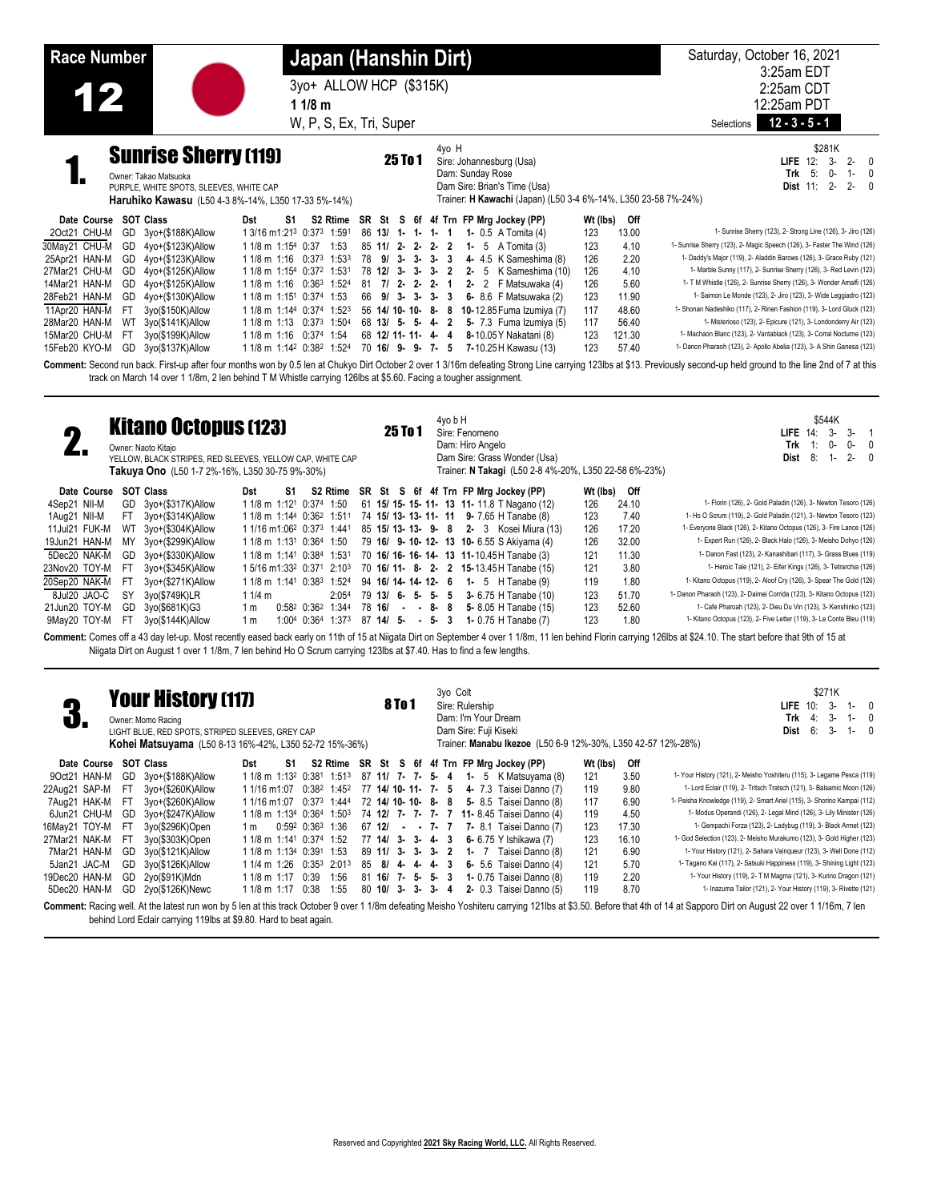**Race Number Japan (Hanshin Dirt)** Saturday, October 16, 2021 3yo+ ALLOW HCP (\$315K)<br>11/8 m 3:25am EDT 2:25am CDT 12:25am PDT W, P, S, Ex, Tri, Super Selections **12 - 3 - 5 - 1 1 1/8 m Sunrise Sherry (119)** 25 To 1 4yo H Sire: Johannesburg (Usa) Dam: Sunday Rose Dam Sire: Brian's Time (Usa) Trainer: **H Kawachi** (Japan) (L50 3-4 6%-14%, L350 23-58 7%-24%) \$281K **LIFE** 12: 3- 2- 0<br> **Trk** 5: 0- 1- 0 **Trk** 5: 0- 1- 0 **Dist** 11: 2- 2- 0 Owner: Takao Matsuoka PURPLE, WHITE SPOTS, SLEEVES, WHITE CAP **Haruhiko Kawasu** (L50 4-3 8%-14%, L350 17-33 5%-14%) **Date Course SOT Class Dst S1 S2 Rtime SR St S 6f 4f Trn FP Mrg Jockey (PP) Wt (lbs) Off** 2Oct21 CHU-M GD 31 CHU-M GD 31 CHU-M 5 A Tomita (4) 123 13.00<br>2Oct21 12-**1-1-1-1-1-1** 1-5 A Tomita (3) 123 4.10 1-Sunnise Sherry (123), 2- Magic Speech (126), 3- Faster The Wind (126) 30May21 CHU-M GD 4yo+(\$123K)Allow 1 1/8 m 1:15 4 0:37 1:53 85 **11/ 2- 2- 2- 2 1-** 5 A Tomita (3) 123 4.10 1- Sunrise Sherry (123), 2- Magic Speech (126), 3- Faster The Wind (126) 25Apr21 HAN-M GD 4yo+(\$123K)Allow 1 1/8 m 1:16 0:37<sup>3</sup> 1:53<sup>3</sup> 78 9/ 3-3-3-3 4-4.5 K Sameshima (8) 126 2.20<br>27Mar21 CHU-M GD 4yo+(\$125K)Allow 1 1/8 m 1:15<sup>4</sup> 0:37<sup>2</sup> 1:531 78 12/ 3-3-3-2 2-5 K Sameshima (10) 126 4.10 27Mar21 CHU-M GD 4yo+(\$125K)Allow 1 1/8 m 1:154 0:372 1:531 78 12/ 3- 3- 3- 2 2- 5 K Sameshima (10) 126 4.10 1- Marble Sunny (117), 2- Sunrise Sherry (126), 3- Red Levin (123)<br>14Mar21 HAN-M GD 4yo+(\$125K)Allow 1 1/8 m 1:16 14Mar21 HAN-M GD 4yo+(\$125K)Allow 1 1/8 m 1:16 0:36<sup>3</sup> 1:524 81 7/ 2- 2- 2- 1 2- 2 F Matsuwaka (4) 126 5.60 1-T M Whistle (126), 2- Sunrise Sherry (126), 3- Wonder Amalfi (126)<br>28Feb21 HAN-M GD 4yo+(\$130K)Allow 1 1/8 m 1:1 28Feb21 HAN-M GD 4yo+(\$130K)Allow 1 1/8 m 1:151 0:374 1:53 66 9/ 3-3-3 6-8.6 F Matsuwaka (2) 123 11.90 1- Saimon Le Monde (123), 2- Jiro (123), 3- Vide Leggiadro (123)<br>11Apr20 HAN-M FT 3yo(\$150K)Allow 1 1/8 m 1:144 0:374 1 11Apr20 HAN-M FT 3yo(\$150K)Allow 11/8 m 1:14 0:374 1:523 56 14/ 10-10-8-8 10-12.85 Fuma Izumiya (7) 117 48.60 1-Shonan Nadeshiko (117). 2- Rinen Fashion (119), 3- Lord Gluck (123)<br>28Mar20 HAN-M WT 3yo(\$141K)Allow 11/8 m 1: 28Mar20 HAN-M WT 3yo(\$141K)Allow 1 1/8 m 1:13 0:373 1:504 68 13/ 5- 5- 4- 2 5- 7.3 Fuma Izumiya (5) 117 56.40 1- Misterioso (123), 2- Epicure (121), 3- Londonderry Air (123)<br>15Mar20 CHU-M FT 3yo(\$199K)Allow 1 1/8 m 1:16 0: 15Mar20 CHU-M FT 3yo(\$199K)Allow 1 1/8 m 1:16 0:374 1:54 68 12/ 11- 11- 4- 4 8-10.05 Y Nakatani (8) 123 121.30 1- Machaon Blanc (123), 2- Vantablack (123), 3- Corral Nocturne (123)<br>15Feb20 KYO-M GD 3yo(\$137K)Allow 1 1/8 m 1 1/8 m 1:142 0:382 1:524 70 16/ 9- 9- 7- 5 7-10.25 H Kawasu (13)

Comment: Second run back. First-up after four months won by 0.5 len at Chukyo Dirt October 2 over 1 3/16m defeating Strong Line carrying 123lbs at \$13. Previously second-up held ground to the line 2nd of 7 at this track on March 14 over 1 1/8m, 2 len behind T M Whistle carrying 126lbs at \$5.60. Facing a tougher assignment.

| 47            |           | <b>Kitano Octopus (123)</b><br>Owner: Naoto Kitajo<br>YELLOW, BLACK STRIPES, RED SLEEVES, YELLOW CAP, WHITE CAP<br><b>Takuya Ono</b> (L50 1-7 2%-16%, L350 30-75 9%-30%) |                                                   |    |                   |                   |                        | 25 To 1 |             | 4yo b H | Sire: Fenomeno<br>Dam: Hiro Angelo | Dam Sire: Grass Wonder (Usa)                  | Trainer: N Takagi (L50 2-8 4%-20%, L350 22-58 6%-23%) |       | \$544K<br>$3 -$<br>$3-$<br>$\overline{1}$<br><b>LIFE 14:</b><br>$0-$<br>0-<br>Trk<br>0<br>$2 -$<br>Dist<br>8:<br>- 0<br>$1 -$ |
|---------------|-----------|--------------------------------------------------------------------------------------------------------------------------------------------------------------------------|---------------------------------------------------|----|-------------------|-------------------|------------------------|---------|-------------|---------|------------------------------------|-----------------------------------------------|-------------------------------------------------------|-------|-------------------------------------------------------------------------------------------------------------------------------|
| Date Course   |           | <b>SOT Class</b>                                                                                                                                                         | Dst                                               | S1 |                   |                   |                        |         |             |         |                                    | S2 Rtime SR St S 6f 4f Trn FP Mrg Jockey (PP) | Wt (lbs) Off                                          |       |                                                                                                                               |
| 4Sep21 NII-M  |           | GD 3vo+(\$317K)Allow                                                                                                                                                     | 1 1/8 m 1:12 <sup>1</sup> 0:374 1:50              |    |                   |                   |                        |         |             |         |                                    | 61 15/ 15- 15- 11- 13 11- 11.8 T Nagano (12)  | 126                                                   | 24.10 | 1- Florin (126), 2- Gold Paladin (126), 3- Newton Tesoro (126)                                                                |
| 1Aug21 NII-M  | FT.       | 3yo+(\$314K)Allow                                                                                                                                                        | 1 1/8 m 1:144 0:36 <sup>2</sup> 1:511             |    |                   |                   |                        |         |             |         |                                    | 74 15/ 13- 13- 11- 11 9- 7.65 H Tanabe (8)    | 123                                                   | 7.40  | 1- Ho O Scrum (119), 2- Gold Paladin (121), 3- Newton Tesoro (123)                                                            |
| 11Jul21 FUK-M | WT        | 3yo+(\$304K)Allow                                                                                                                                                        | 1 1/16 m1:06 <sup>2</sup> 0:37 <sup>3</sup> 1:441 |    |                   |                   |                        |         |             |         |                                    | 85 15/ 13- 13- 9- 8 2- 3 Kosei Miura (13)     | 126                                                   | 17.20 | 1- Everyone Black (126), 2- Kitano Octopus (126), 3- Fire Lance (126)                                                         |
| 19Jun21 HAN-M | MY        | 3yo+(\$299K)Allow                                                                                                                                                        | 1 1/8 m 1:13 <sup>1</sup> 0:364 1:50              |    |                   |                   |                        |         |             |         |                                    | 79 16/ 9-10-12- 13 10-6.55 S Akiyama (4)      | 126                                                   | 32.00 | 1- Expert Run (126), 2- Black Halo (126), 3- Meisho Dohyo (126)                                                               |
| 5Dec20 NAK-M  | GD        | 3yo+(\$330K)Allow                                                                                                                                                        | 1 1/8 m 1:14 <sup>1</sup> 0:384 1:531             |    |                   |                   |                        |         |             |         |                                    | 70 16/ 16- 16- 14- 13 11-10.45 H Tanabe (3)   | 121                                                   | 11.30 | 1- Danon Fast (123), 2- Kanashibari (117), 3- Grass Blues (119)                                                               |
| 23Nov20 TOY-M | - FT      | 3yo+(\$345K)Allow                                                                                                                                                        | 1 5/16 m1:332 0:371 2:103                         |    |                   |                   |                        |         |             |         |                                    | 70 16/ 11- 8- 2- 2 15-13.45 H Tanabe (15)     | 121                                                   | 3.80  | 1- Heroic Tale (121), 2- Eifer Kings (126), 3- Tetrarchia (126)                                                               |
| 20Sep20 NAK-M | -FT       | 3yo+(\$271K)Allow                                                                                                                                                        | 1 1/8 m 1:141 0:383 1:524                         |    |                   |                   | 94 16/14 - 14 - 12 - 6 |         |             |         |                                    | <b>1-</b> 5 $H$ Tanabe $(9)$                  | 119                                                   | 1.80  | 1- Kitano Octopus (119), 2- Aloof Cry (126), 3- Spear The Gold (126)                                                          |
| 8Jul20 JAO-C  | <b>SY</b> | 3yo(\$749K)LR                                                                                                                                                            | 1 1/4 m                                           |    |                   | 2:05 <sup>4</sup> | $79$ 13/ 6- 5- 5- 5    |         |             |         |                                    | 3- 6.75 H Tanabe (10)                         | 123                                                   | 51.70 | 1- Danon Pharaoh (123), 2- Daimei Corrida (123), 3- Kitano Octopus (123)                                                      |
| 21Jun20 TOY-M | GD        | 3yo(\$681K)G3                                                                                                                                                            | 1 m                                               |    | 0:582 0:362 1:344 |                   | 78 16/                 |         | $- - 8 - 8$ |         |                                    | 5- 8.05 H Tanabe (15)                         | 123                                                   | 52.60 | 1- Cafe Pharoah (123), 2- Dieu Du Vin (123), 3- Kenshinko (123)                                                               |
| 9May20 TOY-M  | -FI       | 3yo(\$144K)Allow                                                                                                                                                         | 1 m                                               |    | 1:004 0:364       | 1:373             | 87 14/ 5-              |         | $-5 - 3$    |         |                                    | 1- 0.75 H Tanabe (7)                          | 123                                                   | 1.80  | 1- Kitano Octopus (123), 2- Five Letter (119), 3- Le Conte Bleu (119)                                                         |
|               |           |                                                                                                                                                                          |                                                   |    |                   |                   |                        |         |             |         |                                    |                                               |                                                       |       |                                                                                                                               |

Comment: Comes off a 43 day let-up. Most recently eased back early on 11th of 15 at Niigata Dirt on September 4 over 1 1/8m, 11 len behind Florin carrying 126lbs at \$24.10. The start before that 9th of 15 at Niigata Dirt on August 1 over 1 1/8m, 7 len behind Ho O Scrum carrying 123lbs at \$7.40. Has to find a few lengths.

|               |                       |     | <b>Your History (117)</b><br>Owner: Momo Racing<br>LIGHT BLUE, RED SPOTS, STRIPED SLEEVES, GREY CAP<br><b>Kohei Matsuyama</b> (L50 8-13 16%-42%, L350 52-72 15%-36%) |                                                               |                |            |       |    |                                            | <b>8 To 1</b> |  | 3yo Colt | Sire: Rulership | Dam: I'm Your Dream<br>Dam Sire: Fuji Kiseki |                                               | Trainer: Manabu Ikezoe (L50 6-9 12%-30%, L350 42-57 12%-28%) |       | \$271K<br>$3-$<br>LIFE $10:$<br>- 0<br>1-<br>3-<br>Trk<br>4:<br>$1 -$<br>$3-$<br>6:<br>Dist<br>- 0<br>$1 -$                                                                                                           |
|---------------|-----------------------|-----|----------------------------------------------------------------------------------------------------------------------------------------------------------------------|---------------------------------------------------------------|----------------|------------|-------|----|--------------------------------------------|---------------|--|----------|-----------------|----------------------------------------------|-----------------------------------------------|--------------------------------------------------------------|-------|-----------------------------------------------------------------------------------------------------------------------------------------------------------------------------------------------------------------------|
|               | Date Course SOT Class |     |                                                                                                                                                                      | Dst                                                           | S1             |            |       |    |                                            |               |  |          |                 |                                              | S2 Rtime SR St S 6f 4f Trn FP Mrg Jockey (PP) | Wt (lbs)                                                     | Off   |                                                                                                                                                                                                                       |
| 9Oct21 HAN-M  |                       | GD. | 3yo+(\$188K)Allow                                                                                                                                                    | 1 1/8 m 1:13 <sup>2</sup> 0:38 <sup>1</sup> 1:51 <sup>3</sup> |                |            |       |    |                                            |               |  |          |                 |                                              | 87 11/ 7- 7- 5- 4 1- 5 K Matsuyama (8)        | 121                                                          | 3.50  | 1- Your History (121), 2- Meisho Yoshiteru (115), 3- Legame Pesca (119)                                                                                                                                               |
| 22Aug21 SAP-M |                       | -FT | 3yo+(\$260K)Allow                                                                                                                                                    | 1 1/16 m 1:07                                                 |                | 0:382      | 1:452 |    | 77 14/ 10- 11- 7- 5                        |               |  |          |                 |                                              | 4- 7.3 Taisei Danno (7)                       | 119                                                          | 9.80  | 1- Lord Eclair (119), 2- Tritsch Tratsch (121), 3- Balsamic Moon (126)                                                                                                                                                |
| 7Aug21 HAK-M  |                       | -FT | 3yo+(\$260K)Allow                                                                                                                                                    | 1 1/16 m 1:07                                                 |                | 0:373      | 1:444 |    | 72 14/ 10- 10- 8- 8                        |               |  |          |                 |                                              | 5- 8.5 Taisei Danno (8)                       | 117                                                          | 6.90  | 1- Peisha Knowledge (119), 2- Smart Ariel (115), 3- Shorino Kampai (112)                                                                                                                                              |
| 6Jun21 CHU-M  |                       | GD  | 3yo+(\$247K)Allow                                                                                                                                                    | 1 1/8 m 1:134                                                 |                | 0:364      | 1:503 |    |                                            |               |  |          |                 |                                              | 74 12/ 7- 7- 7- 7 11-8.45 Taisei Danno (4)    | 119                                                          | 4.50  | 1- Modus Operandi (126), 2- Legal Mind (126), 3- Lily Minister (126)                                                                                                                                                  |
| 16May21 TOY-M |                       | -FT | 3yo(\$296K)Open                                                                                                                                                      | 1 m                                                           | $0:59^2$ 0:363 |            | 1:36  |    | $67 \; 121 \; \cdot \cdot \; 7 \cdot \; 7$ |               |  |          |                 |                                              | 7- 8.1 Taisei Danno (7)                       | 123                                                          | 17.30 | 1- Gempachi Forza (123), 2- Ladybug (119), 3- Black Armet (123)                                                                                                                                                       |
| 27Mar21 NAK-M |                       | -FT | 3yo(\$303K)Open                                                                                                                                                      | 1 1/8 m 1:14 <sup>1</sup> 0:374                               |                |            | 1:52  |    | $77$ 14/ 3- 3- 4- 3                        |               |  |          |                 |                                              | 6- 6.75 Y Ishikawa (7)                        | 123                                                          | 16.10 | 1- God Selection (123), 2- Meisho Murakumo (123), 3- Gold Higher (123)                                                                                                                                                |
| 7Mar21 HAN-M  |                       | GD  | 3yo(\$121K)Allow                                                                                                                                                     | 1 1/8 m 1:13 <sup>4</sup> 0:391                               |                |            | 1:53  |    | 89 11/ 3- 3- 3-                            |               |  | 2        | 1 $-7$          |                                              | Taisei Danno (8)                              | 121                                                          | 6.90  | 1- Your History (121), 2- Sahara Vainqueur (123), 3- Well Done (112)                                                                                                                                                  |
| 5Jan21 JAC-M  |                       | GD  | 3yo(\$126K)Allow                                                                                                                                                     | 1 1/4 m 1:26                                                  |                | $0:35^{3}$ | 2:013 | 85 | 8/ 4- 4- 4- 3                              |               |  |          |                 |                                              | 6- 5.6 Taisei Danno (4)                       | 121                                                          | 5.70  | 1- Tagano Kai (117), 2- Satsuki Happiness (119), 3- Shining Light (123)                                                                                                                                               |
| 19Dec20 HAN-M |                       | GD  | 2yo(\$91K)Mdn                                                                                                                                                        | $11/8$ m $1:17$                                               |                | 0:39       | 1:56  |    | $81$ 16/ 7- 5- 5-                          |               |  | 3        |                 |                                              | 1- 0.75 Taisei Danno (8)                      | 119                                                          | 2.20  | 1- Your History (119), 2- T M Magma (121), 3- Kurino Dragon (121)                                                                                                                                                     |
| 5Dec20 HAN-M  |                       | GD. | 2yo(\$126K)Newc                                                                                                                                                      | 1 1/8 m 1:17                                                  |                | 0:38       | 1:55  |    | 80 10/ 3- 3- 3-                            |               |  | 4        |                 |                                              | 2- 0.3 Taisei Danno (5)                       | 119                                                          | 8.70  | 1- Inazuma Tailor (121), 2- Your History (119), 3- Rivette (121)                                                                                                                                                      |
|               |                       |     |                                                                                                                                                                      |                                                               |                |            |       |    |                                            |               |  |          |                 |                                              |                                               |                                                              |       | Comment: Racing well. At the latest run won by 5 len at this track October 9 over 1 1/8m defeating Meisho Yoshiteru carrying 121lbs at \$3.50. Before that 4th of 14 at Sapporo Dirt on August 22 over 1 1/16m, 7 len |

behind Lord Eclair carrying 119lbs at \$9.80. Hard to beat again.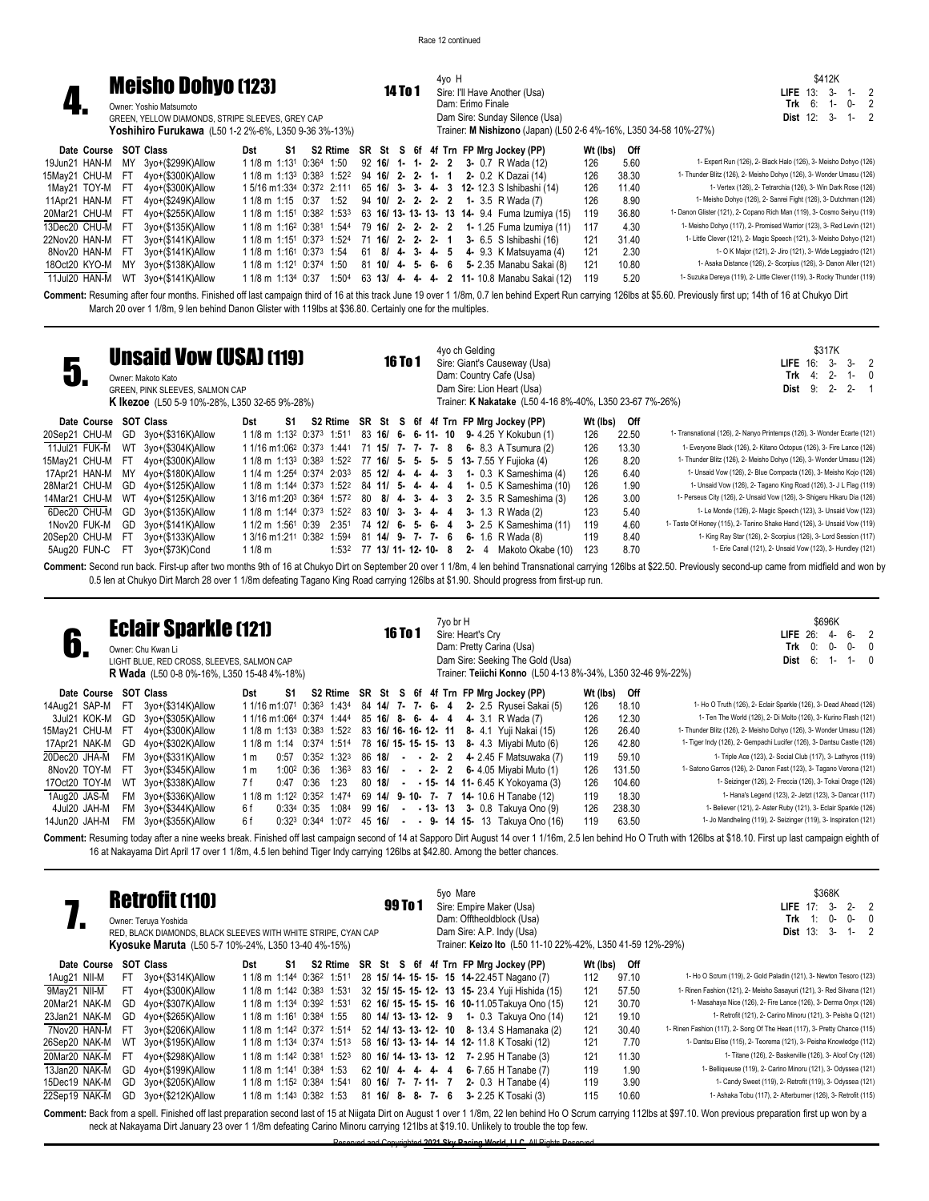

**Date Course SOT Class Dst** 

**1. Meisho Dohyo (123)** Owner: Yoshio Matsumoto GREEN, YELLOW DIAMONDS, STRIPE SLEEVES, O **Yoshihiro Furukawa** (L50 1-2 2%-6%, L3

|      | <b>GREY CAP</b> | 50 9-36 3%-13%) |  | <b>14 To 1</b> |  | $4vo$ H<br>Dam: Erimo Finale |  | Sire: I'll Have Another (Usa)<br>Dam Sire: Sunday Silence (Usa)                    |  |          |       |      | Trainer: M Nishizono (Japan) (L50 2-6 4%-16%, L350 34-58 10%-27%) |  |
|------|-----------------|-----------------|--|----------------|--|------------------------------|--|------------------------------------------------------------------------------------|--|----------|-------|------|-------------------------------------------------------------------|--|
| S1 I |                 |                 |  |                |  |                              |  | S2 Rtime SR St S 6f 4f Trn FP Mrg Jockey (PP)                                      |  | Wt (lbs) |       | Off  |                                                                   |  |
|      |                 |                 |  |                |  |                              |  | 13 <sup>1</sup> 0:36 <sup>4</sup> 1:50 92 <b>16/ 1- 1- 2- 2 3-</b> 0.7 R Wada (12) |  | 126      |       | 5.60 | 1- Expert Run (126)                                               |  |
|      |                 |                 |  |                |  |                              |  | 193 0.983 1.599 ON ACL <b>C</b> O A A A O O V Detail(14)                           |  | 10C      | no on |      | 1 Thunder Rlitz (126) 2 $\hbar$                                   |  |

\$412K **LIFE** 13: 3- 1- 2 **Trk** 6: 1- 0- 2 **Dist** 12: 3- 1-

|                 | 19Jun21 HAN-M MY 3yo+(\$299K)Allow | 1 1/8 m 1:13 <sup>1</sup> 0:364 1:50 92 <b>16/ 1- 1- 2- 2 3-</b> 0.7 R Wada (12)                           |  |  |  |  |  |                                                                                                                | 126 | 5.60  | 1- Expert Run (126), 2- Black Halo (126), 3- Meisho Dohyo (126)         |
|-----------------|------------------------------------|------------------------------------------------------------------------------------------------------------|--|--|--|--|--|----------------------------------------------------------------------------------------------------------------|-----|-------|-------------------------------------------------------------------------|
|                 | 15May21 CHU-M FT 4yo+(\$300K)Allow | 1 1/8 m 1:13 <sup>3</sup> 0:38 <sup>3</sup> 1:52 <sup>2</sup> 94 <b>16/ 2- 2- 1- 1 2-</b> 0.2 K Dazai (14) |  |  |  |  |  |                                                                                                                | 126 | 38.30 | 1- Thunder Blitz (126), 2- Meisho Dohyo (126), 3- Wonder Umasu (126)    |
| 1May21 TOY-M FT | 4yo+(\$300K)Allow                  |                                                                                                            |  |  |  |  |  | 15/16 m1:334 0:372 2:111 65 16/ 3- 3- 4- 3 12-12.3 S Ishibashi (14)                                            | 126 | 11.40 | 1- Vertex (126), 2- Tetrarchia (126), 3- Win Dark Rose (126)            |
|                 | 11Apr21 HAN-M FT 4yo+(\$249K)Allow | 1 1/8 m 1:15 0:37 1:52 94 10/ 2- 2- 2- 2 1- 3.5 R Wada (7)                                                 |  |  |  |  |  |                                                                                                                | 126 | 8.90  | 1- Meisho Dohyo (126), 2- Sanrei Fight (126), 3- Dutchman (126)         |
|                 | 20Mar21 CHU-M FT 4yo+(\$255K)Allow |                                                                                                            |  |  |  |  |  | 1 1/8 m 1:151 0:382 1:533 63 <b>16/ 13- 13- 13- 13 14-</b> 9.4 Fuma Izumiya (15)                               | 119 | 36.80 | 1- Danon Glister (121), 2- Copano Rich Man (119), 3- Cosmo Seiryu (119) |
|                 | 13Dec20 CHU-M FT 3yo+(\$135K)Allow |                                                                                                            |  |  |  |  |  | 1 1/8 m 1:16 <sup>2</sup> 0:381 1:544 79 <b>16/ 2- 2- 2- 2 1-</b> 1.25 Fuma Izumiya (11)                       | 117 | 4.30  | 1- Meisho Dohyo (117), 2- Promised Warrior (123), 3- Red Levin (121)    |
|                 | 22Nov20 HAN-M FT 3yo+(\$141K)Allow |                                                                                                            |  |  |  |  |  | 1 1/8 m 1:15 <sup>1</sup> 0:37 <sup>3</sup> 1:52 <sup>4</sup> 71 <b>16/ 2- 2- 2- 1 3-</b> 6.5 S Ishibashi (16) |     | 31.40 | 1- Little Clever (121), 2- Magic Speech (121), 3- Meisho Dohyo (121)    |
|                 | 8Nov20 HAN-M FT 3yo+(\$141K)Allow  |                                                                                                            |  |  |  |  |  | 1 1/8 m 1:161 0:373 1:54 61 8/ 4 3 4 5 4 9.3 K Matsuyama (4)                                                   |     | 2.30  | 1- O K Major (121), 2- Jiro (121), 3- Wide Leggiadro (121)              |
|                 | 18Oct20 KYO-M MY 3yo+(\$138K)Allow |                                                                                                            |  |  |  |  |  | 1 1/8 m 1:121 0:374 1:50 81 10/ 4- 5- 6- 6 5- 2.35 Manabu Sakai (8)                                            |     | 10.80 | 1- Asaka Distance (126), 2- Scorpius (126), 3- Danon Aller (121)        |
|                 | 11Jul20 HAN-M WT 3yo+(\$141K)Allow |                                                                                                            |  |  |  |  |  | 1 1/8 m 1:13 <sup>4</sup> 0:37 1:50 <sup>4</sup> 63 <b>13/ 4- 4- 4- 2 11-</b> 10.8 Manabu Sakai (12)           | 119 | 5.20  | 1- Suzuka Dereya (119), 2- Little Clever (119), 3- Rocky Thunder (119)  |

**Comment:** Resuming after four months. Finished off last campaign third of 16 at this track June 19 over 1 1/8m, 0.7 len behind Expert Run carrying 126lbs at \$5.60. Previously first up; 14th of 16 at Chukyo Dirt March 20 over 1 1/8m, 9 len behind Danon Glister with 119lbs at \$36.80. Certainly one for the multiples.

| U,                    |     | <b>Unsaid Vow (USA) (119)</b><br>Owner: Makoto Kato<br>GREEN, PINK SLEEVES, SALMON CAP<br><b>K Ikezoe</b> (L50 5-9 10%-28%, L350 32-65 9%-28%) |                                                               |    |       |    |                      | <b>16 To 1</b> |  |                   | 4yo ch Gelding | Sire: Giant's Causeway (Usa)<br>Dam: Country Cafe (Usa)<br>Dam Sire: Lion Heart (Usa)<br>Trainer: K Nakatake (L50 4-16 8%-40%, L350 23-67 7%-26%) |          |       | \$317K<br>$3 - 2$<br>$3-$<br>LIE 16:<br>Trk<br>$2 -$<br>4:<br>- 0<br>1-<br>$2 -$<br>$2 -$<br>9:<br>Dist |
|-----------------------|-----|------------------------------------------------------------------------------------------------------------------------------------------------|---------------------------------------------------------------|----|-------|----|----------------------|----------------|--|-------------------|----------------|---------------------------------------------------------------------------------------------------------------------------------------------------|----------|-------|---------------------------------------------------------------------------------------------------------|
| Date Course SOT Class |     |                                                                                                                                                | Dst                                                           | S1 |       |    |                      |                |  |                   |                | S2 Rtime SR St S 6f 4f Trn FP Mrg Jockey (PP)                                                                                                     | Wt (lbs) | Off   |                                                                                                         |
| 20Sep21 CHU-M         | GD  | 3yo+(\$316K)Allow                                                                                                                              | 1 1/8 m 1:13 <sup>2</sup> 0:37 <sup>3</sup> 1:511             |    |       |    |                      |                |  |                   |                | 83 16/ 6- 6- 11- 10 9- 4.25 Y Kokubun (1)                                                                                                         | 126      | 22.50 | 1- Transnational (126), 2- Nanyo Printemps (126), 3- Wonder Ecarte (121)                                |
| 11Jul21 FUK-M         |     | WT 3yo+(\$304K)Allow                                                                                                                           | 1 1/16 m1:06 <sup>2</sup> 0:37 <sup>3</sup> 1:441             |    |       |    |                      |                |  | 71 15/ 7- 7- 7- 8 |                | 6- 8.3 A Tsumura (2)                                                                                                                              | 126      | 13.30 | 1- Everyone Black (126), 2- Kitano Octopus (126), 3- Fire Lance (126)                                   |
| 15Mav21 CHU-M         | -FT | 4yo+(\$300K)Allow                                                                                                                              | 1 1/8 m 1:13 <sup>3</sup> 0:38 <sup>3</sup> 1:52 <sup>2</sup> |    |       |    |                      |                |  |                   |                | 77 16/ 5- 5- 5- 5 13- 7.55 Y Fujioka (4)                                                                                                          | 126      | 8.20  | 1- Thunder Blitz (126), 2- Meisho Dohyo (126), 3- Wonder Umasu (126)                                    |
| 17Apr21 HAN-M         | ΜY  | 4vo+(\$180K)Allow                                                                                                                              | 1 1/4 m 1:254 0:374 2:033                                     |    |       |    | 85 12/ 4 4 4 4 3     |                |  |                   |                | <b>1-</b> 0.3 K Sameshima (4)                                                                                                                     | 126      | 6.40  | 1- Unsaid Vow (126), 2- Blue Compacta (126), 3- Meisho Kojo (126)                                       |
| 28Mar21 CHU-M         | GD  | 4yo+(\$125K)Allow                                                                                                                              | 1 1/8 m 1:144 0:373 1:522                                     |    |       |    | 84 11/ 5- 4- 4- 4    |                |  |                   |                | 1- 0.5 K Sameshima (10)                                                                                                                           | 126      | 1.90  | 1- Unsaid Vow (126), 2- Tagano King Road (126), 3- J L Flag (119)                                       |
| 14Mar21 CHU-M         | WT  | 4yo+(\$125K)Allow                                                                                                                              | 1 3/16 m1:203 0:364 1:572                                     |    |       | 80 | $8/4$ 3 4 3          |                |  |                   |                | 2- 3.5 R Sameshima (3)                                                                                                                            | 126      | 3.00  | 1- Perseus City (126), 2- Unsaid Vow (126), 3- Shigeru Hikaru Dia (126)                                 |
| 6Dec20 CHU-M          | GD  | 3yo+(\$135K)Allow                                                                                                                              | 1 1/8 m 1:144 0:373 1:522                                     |    |       |    | 83 10/ 3- 3- 4- 4    |                |  |                   |                | 3- 1.3 R Wada $(2)$                                                                                                                               | 123      | 5.40  | 1- Le Monde (126), 2- Magic Speech (123), 3- Unsaid Vow (123)                                           |
| 1Nov20 FUK-M          | GD  | 3yo+(\$141K)Allow                                                                                                                              | 1 1/2 m 1:56 <sup>1</sup> 0:39                                |    | 2:351 |    | 74 12/ 6- 5- 6-      |                |  | -4                |                | 3- 2.5 K Sameshima (11)                                                                                                                           | 119      | 4.60  | 1- Taste Of Honey (115), 2- Tanino Shake Hand (126), 3- Unsaid Vow (119)                                |
| 20Sep20 CHU-M         | -FT | 3yo+(\$133K)Allow                                                                                                                              | 1 3/16 m1:211 0:38 <sup>2</sup> 1:594                         |    |       |    | 81 14/ 9- 7- 7- 6    |                |  |                   |                | 6- 1.6 R Wada $(8)$                                                                                                                               | 119      | 8.40  | 1- King Ray Star (126), 2- Scorpius (126), 3- Lord Session (117)                                        |
| 5Aug20 FUN-C          | FТ  | 3vo+(\$73K)Cond                                                                                                                                | 11/8 m                                                        |    | 1:532 |    | 77 13/ 11- 12- 10- 8 |                |  |                   | $2 - 4$        | Makoto Okabe (10)                                                                                                                                 | 123      | 8.70  | 1- Erie Canal (121), 2- Unsaid Vow (123), 3- Hundley (121)                                              |

**Comment:** Second run back. First-up after two months 9th of 16 at Chukyo Dirt on September 20 over 1 1/8m, 4 len behind Transnational carrying 126lbs at \$22.50. Previously second-up came from midfield and won by 0.5 len at Chukyo Dirt March 28 over 1 1/8m defeating Tagano King Road carrying 126lbs at \$1.90. Should progress from first-up run.

| D.            |     | <b>Eclair Sparkle (121)</b><br>Owner: Chu Kwan Li<br>LIGHT BLUE, RED CROSS, SLEEVES, SALMON CAP<br><b>R Wada</b> (L50 0-8 0%-16%, L350 15-48 4%-18%) |                                                               |                        |                            |                   |                   | <b>16 To 1</b> |  | 7yo br H | Sire: Heart's Crv | Dam: Pretty Carina (Usa)<br>Dam Sire: Seeking The Gold (Usa)<br>Trainer: Teiichi Konno (L50 4-13 8%-34%, L350 32-46 9%-22%) |          |        | \$696K<br>6-<br>LIEE 26:<br>$\mathcal{P}$<br>4-<br>$Trk = 0$ :<br>$0 -$<br>0-<br>0<br>Dist 6:<br>$1 - 0$                                                                                                             |
|---------------|-----|------------------------------------------------------------------------------------------------------------------------------------------------------|---------------------------------------------------------------|------------------------|----------------------------|-------------------|-------------------|----------------|--|----------|-------------------|-----------------------------------------------------------------------------------------------------------------------------|----------|--------|----------------------------------------------------------------------------------------------------------------------------------------------------------------------------------------------------------------------|
| Date Course   |     | SOT Class                                                                                                                                            | Dst                                                           | S1                     |                            |                   |                   |                |  |          |                   | S2 Rtime SR St S 6f 4f Trn FP Mrg Jockey (PP)                                                                               | Wt (lbs) | Off    |                                                                                                                                                                                                                      |
| 14Aug21 SAP-M | -FT | 3yo+(\$314K)Allow                                                                                                                                    | 1 1/16 m1:071 0:363 1:434                                     |                        |                            |                   |                   |                |  |          |                   | 84 14/ 7 - 7 - 6 - 4 2 - 2.5 Ryusei Sakai (5)                                                                               | 126      | 18.10  | 1- Ho O Truth (126), 2- Eclair Sparkle (126), 3- Dead Ahead (126)                                                                                                                                                    |
| 3Jul21 KOK-M  | GD  | 3yo+(\$305K)Allow                                                                                                                                    | 1 1/16 m1:064 0:374 1:444                                     |                        |                            |                   | 85 16/ 8- 6- 4- 4 |                |  |          |                   | 4- 3.1 R Wada (7)                                                                                                           | 126      | 12.30  | 1- Ten The World (126), 2- Di Molto (126), 3- Kurino Flash (121)                                                                                                                                                     |
| 15May21 CHU-M | -FT | 4yo+(\$300K)Allow                                                                                                                                    | 1 1/8 m 1:13 <sup>3</sup> 0:38 <sup>3</sup> 1:52 <sup>2</sup> |                        |                            |                   |                   |                |  |          |                   | 83 16/ 16- 16- 12- 11 8- 4.1 Yuji Nakai (15)                                                                                | 126      | 26.40  | 1- Thunder Blitz (126), 2- Meisho Dohyo (126), 3- Wonder Umasu (126)                                                                                                                                                 |
| 17Apr21 NAK-M | GD  | 4yo+(\$302K)Allow                                                                                                                                    | 1 1/8 m 1:14 0:374 1:514                                      |                        |                            |                   |                   |                |  |          |                   | 78 16/ 15- 15- 15- 13 8- 4.3 Miyabi Muto (6)                                                                                | 126      | 42.80  | 1- Tiger Indy (126), 2- Gempachi Lucifer (126), 3- Dantsu Castle (126)                                                                                                                                               |
| 20Dec20 JHA-M | FM. | 3yo+(\$331K)Allow                                                                                                                                    | 1 m                                                           | 0:57                   | $0:35^2$ 1:32 <sup>3</sup> |                   | 86 18/            |                |  |          |                   | $-2$ 2 4 2.45 F Matsuwaka (7)                                                                                               | 119      | 59.10  | 1- Triple Ace (123), 2- Social Club (117), 3- Lathyros (119)                                                                                                                                                         |
| 8Nov20 TOY-M  | -FT | 3yo+(\$345K)Allow                                                                                                                                    | 1 m                                                           | 1:00 <sup>2</sup> 0:36 |                            | 1:36 <sup>3</sup> | 83 16/            |                |  |          |                   | $-2$ 2 6 4.05 Mivabi Muto (1)                                                                                               | 126      | 131.50 | 1- Satono Garros (126), 2- Danon Fast (123), 3- Tagano Verona (121)                                                                                                                                                  |
| 17Oct20 TOY-M | WT  | 3yo+(\$338K)Allow                                                                                                                                    | 7 f                                                           | 0:47                   | 0:36                       | 1:23              | 80 18/            |                |  |          |                   | $ -$ 15- 14 11- 6.45 K Yokoyama (3)                                                                                         | 126      | 104.60 | 1- Seizinger (126), 2- Freccia (126), 3- Tokai Orage (126)                                                                                                                                                           |
| 1Aug20 JAS-M  | FM. | 3yo+(\$336K)Allow                                                                                                                                    | 1 1/8 m 1:12 <sup>2</sup> 0:35 <sup>2</sup> 1:47 <sup>4</sup> |                        |                            |                   |                   |                |  |          |                   | 69 14/ 9-10- 7- 7 14-10.6 H Tanabe (12)                                                                                     | 119      | 18.30  | 1- Hana's Legend (123), 2- Jetzt (123), 3- Dancar (117)                                                                                                                                                              |
| 4Jul20 JAH-M  |     | FM 3yo+(\$344K)Allow                                                                                                                                 | 6 f                                                           | $0:334$ 0:35           |                            | 1:084             | 99 16/            |                |  |          |                   | $ -$ 13 $-$ 13 $-$ 3 $-$ 0.8 Takuya Ono (9)                                                                                 | 126      | 238.30 | 1- Believer (121), 2- Aster Ruby (121), 3- Eclair Sparkle (126)                                                                                                                                                      |
| 14Jun20 JAH-M | FM. | 3yo+(\$355K)Allow                                                                                                                                    | 6f                                                            |                        | $0:32^3$ $0:34^4$          | 1:072             | 45 16/            |                |  |          |                   | $ -$ 9 $-$ 14 15 $-$ 13 Takuya Ono (16)                                                                                     | 119      | 63.50  | 1- Jo Mandheling (119), 2- Seizinger (119), 3- Inspiration (121)                                                                                                                                                     |
|               |     |                                                                                                                                                      |                                                               |                        |                            |                   |                   |                |  |          |                   |                                                                                                                             |          |        | Comment: Resuming today after a nine weeks break. Finished off last campaign second of 14 at Sapporo Dirt August 14 over 1 1/16m, 2.5 len behind Ho O Truth with 126lbs at \$18.10. First up last campaign eighth of |

16 at Nakayama Dirt April 17 over 1 1/8m, 4.5 len behind Tiger Indy carrying 126lbs at \$42.80. Among the better chances.

|               |     | <b>Retrofit (110)</b><br>Owner: Teruya Yoshida<br>RED, BLACK DIAMONDS, BLACK SLEEVES WITH WHITE STRIPE, CYAN CAP<br><b>Kyosuke Maruta</b> (L50 5-7 10%-24%, L350 13-40 4%-15%) |                                                               |    |                 |                      | 99 To 1 |  | 5yo Mare |  | Sire: Empire Maker (Usa)<br>Dam: Offtheoldblock (Usa)<br>Dam Sire: A.P. Indy (Usa) | Trainer: Keizo Ito (L50 11-10 22%-42%, L350 41-59 12%-29%) |          |       | \$368K<br>$2 - 2$<br>3-<br>LIFE $17$ :<br>0-<br>- 0<br>Trk<br>0-<br><b>Dist 13:</b><br>-3<br>$1 - 2$                                                                                                                 |
|---------------|-----|--------------------------------------------------------------------------------------------------------------------------------------------------------------------------------|---------------------------------------------------------------|----|-----------------|----------------------|---------|--|----------|--|------------------------------------------------------------------------------------|------------------------------------------------------------|----------|-------|----------------------------------------------------------------------------------------------------------------------------------------------------------------------------------------------------------------------|
| Date Course   |     | <b>SOT Class</b>                                                                                                                                                               | Dst                                                           | S1 | <b>S2 Rtime</b> |                      |         |  |          |  | SR St S 6f 4f Trn FP Mrg Jockey (PP)                                               |                                                            | Wt (lbs) | Off   |                                                                                                                                                                                                                      |
| 1Aug21 NII-M  | FT. | 3yo+(\$314K)Allow                                                                                                                                                              | 1 1/8 m 1:144 0:362 1:511                                     |    |                 |                      |         |  |          |  | 28 15/ 14- 15- 15- 15 14-22.45 T Nagano (7)                                        |                                                            | 112      | 97.10 | 1- Ho O Scrum (119), 2- Gold Paladin (121), 3- Newton Tesoro (123)                                                                                                                                                   |
| 9Mav21 NII-M  | FT  | 4yo+(\$300K)Allow                                                                                                                                                              | 1 1/8 m 1:14 <sup>2</sup> 0:38 <sup>3</sup> 1:531             |    |                 |                      |         |  |          |  | 32 15/ 15- 15- 12- 13 15- 23.4 Yuji Hishida (15)                                   |                                                            | 121      | 57.50 | 1- Rinen Fashion (121), 2- Meisho Sasayuri (121), 3- Red Silvana (121)                                                                                                                                               |
| 20Mar21 NAK-M | GD  | 4yo+(\$307K)Allow                                                                                                                                                              | 1 1/8 m 1:134 0:392 1:531                                     |    |                 |                      |         |  |          |  | 62 16/ 15- 15- 15- 16 10-11.05 Takuya Ono (15)                                     |                                                            | 121      | 30.70 | 1- Masahaya Nice (126), 2- Fire Lance (126), 3- Derma Onyx (126)                                                                                                                                                     |
| 23Jan21 NAK-M | GD  | 4yo+(\$265K)Allow                                                                                                                                                              | 1 1/8 m 1:16 <sup>1</sup> 0:384 1:55                          |    |                 | 80 14/ 13- 13- 12- 9 |         |  |          |  | 1- 0.3 Takuya Ono (14)                                                             |                                                            | 121      | 19.10 | 1- Retrofit (121), 2- Carino Minoru (121), 3- Peisha Q (121)                                                                                                                                                         |
| 7Nov20 HAN-M  | -F1 | 3yo+(\$206K)Allow                                                                                                                                                              | 1 1/8 m 1:142 0:372 1:514                                     |    |                 |                      |         |  |          |  | 52 14/ 13- 13- 12- 10 8- 13.4 S Hamanaka (2)                                       |                                                            | 121      | 30.40 | 1- Rinen Fashion (117), 2- Song Of The Heart (117), 3- Pretty Chance (115)                                                                                                                                           |
| 26Sep20 NAK-M | WТ  | 3yo+(\$195K)Allow                                                                                                                                                              | 1 1/8 m 1:134 0:374 1:513                                     |    |                 |                      |         |  |          |  | 58 16/ 13- 13- 14- 14 12- 11.8 K Tosaki (12)                                       |                                                            | 121      | 7.70  | 1- Dantsu Elise (115), 2- Teorema (121), 3- Peisha Knowledge (112)                                                                                                                                                   |
| 20Mar20 NAK-M | FT  | 4yo+(\$298K)Allow                                                                                                                                                              | 1 1/8 m 1:14 <sup>2</sup> 0:38 <sup>1</sup> 1:52 <sup>3</sup> |    |                 |                      |         |  |          |  | 80 16/ 14- 13- 13- 12 7- 2.95 H Tanabe (3)                                         |                                                            | 121      | 11.30 | 1- Titane (126), 2- Baskerville (126), 3- Aloof Cry (126)                                                                                                                                                            |
| 13Jan20 NAK-M | GD  | 4yo+(\$199K)Allow                                                                                                                                                              | 1 1/8 m 1:14 <sup>1</sup> 0:384 1:53                          |    |                 | $62$ 10/ 4- 4- 4- 4  |         |  |          |  | 6- 7.65 H Tanabe (7)                                                               |                                                            | 119      | 1.90  | 1- Belliqueuse (119), 2- Carino Minoru (121), 3- Odyssea (121)                                                                                                                                                       |
| 15Dec19 NAK-M | GD  | 3yo+(\$205K)Allow                                                                                                                                                              | 1 1/8 m 1:15 <sup>2</sup> 0:384 1:541                         |    |                 | 80 16/ 7- 7-11- 7    |         |  |          |  | 2- $0.3$ H Tanabe $(4)$                                                            |                                                            | 119      | 3.90  | 1- Candy Sweet (119), 2- Retrofit (119), 3- Odyssea (121)                                                                                                                                                            |
| 22Sep19 NAK-M | GD  | 3yo+(\$212K)Allow                                                                                                                                                              | 1 1/8 m 1:14 <sup>3</sup> 0:38 <sup>2</sup> 1:53              |    |                 | $81$ 16/ 8- 8- 7- 6  |         |  |          |  | 3- 2.25 K Tosaki (3)                                                               |                                                            | 115      | 10.60 | 1- Ashaka Tobu (117), 2- Afterburner (126), 3- Retrofit (115)                                                                                                                                                        |
|               |     |                                                                                                                                                                                |                                                               |    |                 |                      |         |  |          |  |                                                                                    |                                                            |          |       | Commant: Rack from a spall. Einichad off last proparation second last of 15 at Nijasta Dirtian August 1 over 1 1/8m, 22 lop bobind Ho Q Serum carning 112 ble of \$87.10. Wen providue proparation first up wan by a |

**it:** Back from a spell. Finished off last preparation second last of 15 at Niigata Dirt on August 1 over 1 1/8m, 22 len behind Ho O Scrum carrying 112lbs at \$97.10. Won previous preparation first up won by a neck at Nakayama Dirt January 23 over 1 1/8m defeating Carino Minoru carrying 121lbs at \$19.10. Unlikely to trouble the top few.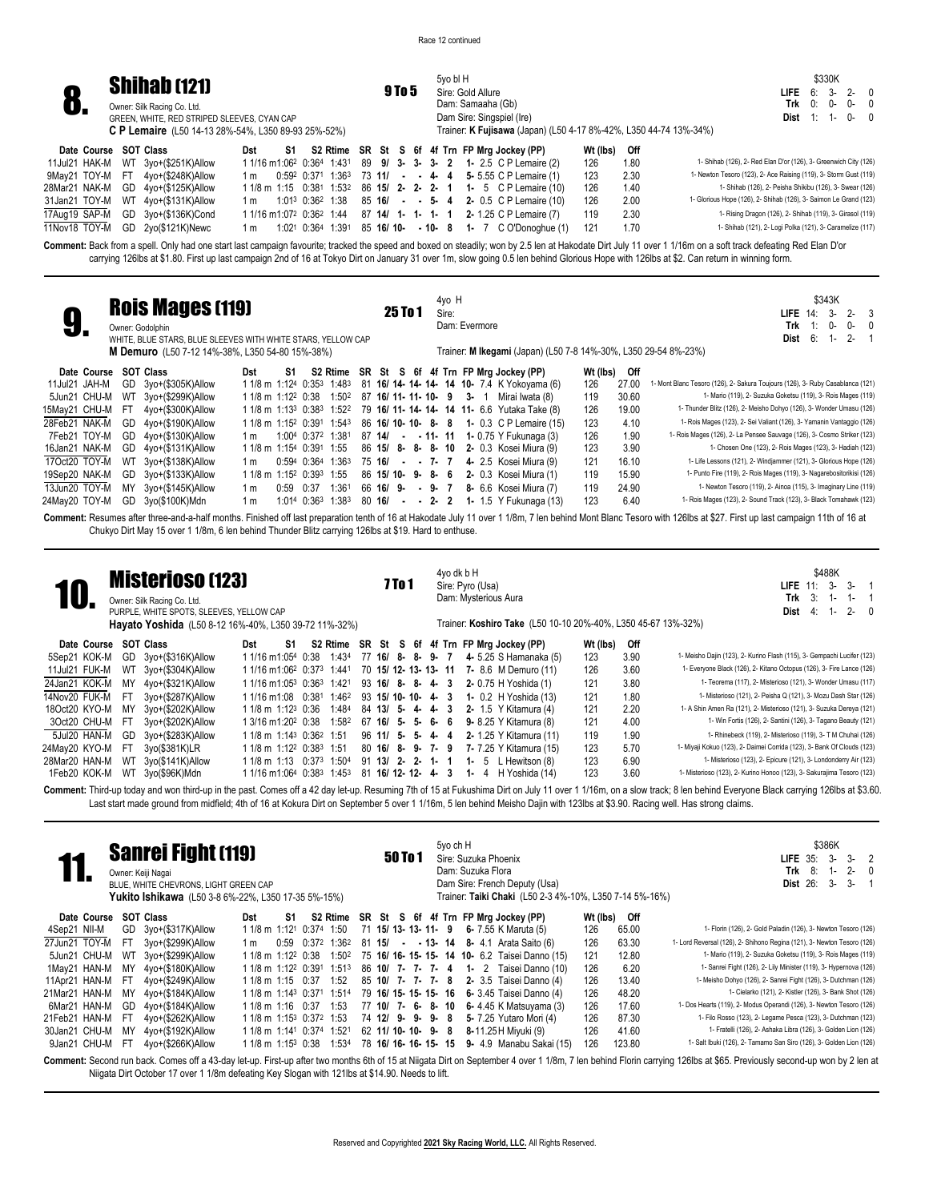|                 |                       | <b>Shihab (121)</b>                                        |     |    |  |  |               |  | 5vo bl H          |  |                                                                                                               |          |      | \$330K                                                            |
|-----------------|-----------------------|------------------------------------------------------------|-----|----|--|--|---------------|--|-------------------|--|---------------------------------------------------------------------------------------------------------------|----------|------|-------------------------------------------------------------------|
|                 |                       |                                                            |     |    |  |  | <b>9 To 5</b> |  | Sire: Gold Allure |  |                                                                                                               |          |      | 6: 3- 2- 0<br>LIFE                                                |
| v.              |                       | Owner: Silk Racing Co. Ltd.                                |     |    |  |  |               |  | Dam: Samaaha (Gb) |  |                                                                                                               |          |      | Trk<br>0: 0-<br>$0-0$                                             |
|                 |                       | GREEN, WHITE, RED STRIPED SLEEVES, CYAN CAP                |     |    |  |  |               |  |                   |  | Dam Sire: Singspiel (Ire)                                                                                     |          |      | <b>Dist</b> $1: 1 - 0 - 0$                                        |
|                 |                       | <b>C P Lemaire</b> (L50 14-13 28%-54%, L350 89-93 25%-52%) |     |    |  |  |               |  |                   |  | Trainer: K Fujisawa (Japan) (L50 4-17 8%-42%, L350 44-74 13%-34%)                                             |          |      |                                                                   |
|                 | Date Course SOT Class |                                                            | Dst | S1 |  |  |               |  |                   |  | S2 Rtime SR St S 6f 4f Trn FP Mrg Jockey (PP)                                                                 | Wt (lbs) | Off  |                                                                   |
| 11Jul21 HAK-M   |                       | WT 3yo+(\$251K)Allow                                       |     |    |  |  |               |  |                   |  | 1 1/16 m 1:06 <sup>2</sup> 0:36 <sup>4</sup> 1:43 <sup>1</sup> 89 <b>9/ 3- 3- 3- 2 1-</b> 2.5 C P Lemaire (2) | 126      | 1.80 | 1- Shihab (126), 2- Red Elan D'or (126), 3- Greenwich City (126)  |
| 9May21 TOY-M FT |                       | 4vo+(\$248K)Allow                                          | 1 m |    |  |  |               |  |                   |  | $0.59^2$ $0.37^1$ $1.36^3$ 73 11/ - - 4 4 5 5.55 C P Lemaire (1)                                              | 123      | 2.30 | 1- Newton Tesoro (123), 2- Ace Raising (119), 3- Storm Gust (119) |
| 28Mar21 NAK-M   |                       | GD 4yo+(\$125K)Allow                                       |     |    |  |  |               |  |                   |  | 1 1/8 m 1:15 0:381 1:532 86 15/ 2- 2- 2- 1 1- 5 C P Lemaire (10)                                              | 126      | 1.40 | 1- Shihab (126), 2- Peisha Shikibu (126), 3- Swear (126)          |
| 31Jan21 TOY-M   |                       | WT 4yo+(\$131K)Allow                                       | 1 m |    |  |  |               |  |                   |  | 1:01 <sup>3</sup> 0:36 <sup>2</sup> 1:38 85 <b>16/ - - 5- 4 2-</b> 0.5 C P Lemaire (10)                       | 126      | 2.00 | 1- Glorious Hope (126), 2- Shihab (126), 3- Saimon Le Grand (123) |
| 17Aug19 SAP-M   |                       | GD 3yo+(\$136K)Cond                                        |     |    |  |  |               |  |                   |  | 1 1/16 m 1:07 <sup>2</sup> 0:36 <sup>2</sup> 1:44 87 <b>14/ 1- 1- 1- 1 2-</b> 1.25 C P Lemaire (7)            | 119      | 2.30 | 1- Rising Dragon (126), 2- Shihab (119), 3- Girasol (119)         |
| 11Nov18 TOY-M   |                       | GD 2yo(\$121K)Newc                                         | 1 m |    |  |  |               |  |                   |  | $1:021$ 0:36 <sup>4</sup> 1:39 <sup>1</sup> 85 <b>16/ 10- - 10- 8 1-</b> 7 C O'Donoghue (1)                   | 121      | 1.70 | 1- Shihab (121), 2- Logi Polka (121), 3- Caramelize (117)         |
|                 |                       |                                                            |     |    |  |  |               |  |                   |  |                                                                                                               |          |      |                                                                   |

**Comment:** Back from a spell. Only had one start last campaign favourite; tracked the speed and boxed on steadily; won by 2.5 len at Hakodate Dirt July 11 over 1 1/16m on a soft track defeating Red Elan D'or carrying 126lbs at \$1.80. First up last campaign 2nd of 16 at Tokyo Dirt on January 31 over 1m, slow going 0.5 len behind Glorious Hope with 126lbs at \$2. Can return in winning form.

| J.               |                       |    | <b>Rois Mages (119)</b><br>Owner: Godolphin<br>WHITE, BLUE STARS, BLUE SLEEVES WITH WHITE STARS, YELLOW CAP<br>M Demuro (L50 7-12 14%-38%, L350 54-80 15%-38%) |                                                  |      |             |                                                               |                |    | 25 To 1 |       | 4yo H<br>Sire: | Dam: Evermore | Trainer: M Ikegami (Japan) (L50 7-8 14%-30%, L350 29-54 8%-23%) |          |       | \$343K<br>$3-$<br>$2 -$<br>- 3<br>$L$ IFE $14$ :<br>Trk<br>0-<br>0-<br>1:<br>6:<br>$2 -$<br>Dist<br>$1 -$ |
|------------------|-----------------------|----|----------------------------------------------------------------------------------------------------------------------------------------------------------------|--------------------------------------------------|------|-------------|---------------------------------------------------------------|----------------|----|---------|-------|----------------|---------------|-----------------------------------------------------------------|----------|-------|-----------------------------------------------------------------------------------------------------------|
|                  | Date Course SOT Class |    |                                                                                                                                                                | Dst                                              | S1   |             |                                                               |                |    |         |       |                |               | S2 Rtime SR St S 6f 4f Trn FP Mrg Jockey (PP)                   | Wt (lbs) | Off   |                                                                                                           |
| 11Jul21 JAH-M    |                       |    | GD 3yo+(\$305K)Allow                                                                                                                                           | 1 1/8 m 1:124 0:353 1:483                        |      |             |                                                               |                |    |         |       |                |               | 81 16/ 14- 14- 14- 14 10- 7.4 K Yokoyama (6)                    | 126      | 27.00 | I-Mont Blanc Tesoro (126), 2- Sakura Toujours (126), 3- Ruby Casablanca (121)                             |
|                  |                       |    | 5Jun21 CHU-M WT 3yo+(\$299K)Allow                                                                                                                              |                                                  |      |             | 1 1/8 m 1:12 <sup>2</sup> 0:38 1:50 <sup>2</sup>              |                |    |         |       |                |               | 87 16/ 11- 11- 10- 9 3- 1 Mirai Iwata (8)                       | 119      | 30.60 | 1- Mario (119), 2- Suzuka Goketsu (119), 3- Rois Mages (119)                                              |
| 15May21 CHU-M FT |                       |    | 4yo+(\$300K)Allow                                                                                                                                              |                                                  |      |             | 1 1/8 m 1:13 <sup>3</sup> 0:38 <sup>3</sup> 1:52 <sup>2</sup> |                |    |         |       |                |               | 79 16/ 11- 14- 14- 14 11- 6.6 Yutaka Take (8)                   | 126      | 19.00 | 1- Thunder Blitz (126), 2- Meisho Dohyo (126), 3- Wonder Umasu (126)                                      |
| 28Feb21 NAK-M    |                       | GD | 4vo+(\$190K)Allow                                                                                                                                              | 1 1/8 m 1:15 <sup>2</sup> 0:391 1:543            |      |             |                                                               |                |    |         |       |                |               | 86 16/ 10- 10- 8- 8 1- 0.3 C P Lemaire (15)                     | 123      | 4.10  | 1- Rois Mages (123), 2- Sei Valiant (126), 3- Yamanin Vantaggio (126)                                     |
| 7Feb21 TOY-M     |                       | GD | 4yo+(\$130K)Allow                                                                                                                                              | 1 m                                              |      |             | 1:004 0:372 1:381                                             |                |    |         |       |                |               | 87 14/ - - 11- 11 1- 0.75 Y Fukunaga (3)                        | 126      | 1.90  | 1- Rois Mages (126), 2- La Pensee Sauvage (126), 3- Cosmo Striker (123)                                   |
| 16Jan21 NAK-M    |                       |    | GD 4yo+(\$131K)Allow                                                                                                                                           | 1 1/8 m 1:154 0:391 1:55                         |      |             |                                                               |                |    |         |       |                |               | 86 15/ 8- 8- 8- 10 2- 0.3 Kosei Miura (9)                       | 123      | 3.90  | 1- Chosen One (123), 2- Rois Mages (123), 3- Hadiah (123)                                                 |
| 17Oct20 TOY-M    |                       |    | WT 3yo+(\$138K)Allow                                                                                                                                           | 1 m                                              |      |             | $0:594$ $0:364$ 1:363                                         | 75 16/         |    |         |       | $- - 7 - 7$    |               | 4- 2.5 Kosei Miura (9)                                          | 121      | 16.10 | 1- Life Lessons (121), 2- Windjammer (121), 3- Glorious Hope (126)                                        |
| 19Sep20 NAK-M    |                       |    | GD 3yo+(\$133K)Allow                                                                                                                                           | 1 1/8 m 1:15 <sup>2</sup> 0:39 <sup>3</sup> 1:55 |      |             |                                                               | 86 15/10-9-8-6 |    |         |       |                |               | 2- 0.3 Kosei Miura (1)                                          | 119      | 15.90 | 1- Punto Fire (119), 2- Rois Mages (119), 3- Nagarebositorikisi (126)                                     |
| 13Jun20 TOY-M    |                       |    | MY 3yo+(\$145K)Allow                                                                                                                                           | 1 m                                              | 0:59 | 0:37        | 1:361                                                         | 66 16/         | 9- |         | - 9-7 |                |               | 8- 6.6 Kosei Miura (7)                                          | 119      | 24.90 | 1- Newton Tesoro (119), 2- Ainoa (115), 3- Imaginary Line (119)                                           |
| 24May20 TOY-M    |                       |    | GD 3yo(\$100K)Mdn                                                                                                                                              | 1 m                                              |      | 1:014 0:363 | 1:383                                                         | 80 16/         |    |         |       | $-2$ 2 2       |               | 1- 1.5 Y Fukunaga (13)                                          | 123      | 6.40  | 1- Rois Mages (123), 2- Sound Track (123), 3- Black Tomahawk (123)                                        |
|                  |                       |    |                                                                                                                                                                |                                                  |      |             |                                                               |                |    |         |       |                |               |                                                                 |          |       |                                                                                                           |

Comment: Resumes after three-and-a-half months. Finished off last preparation tenth of 16 at Hakodate July 11 over 1 1/8m, 7 len behind Mont Blanc Tesoro with 126lbs at \$27. First up last campaign 11th of 16 at Chukyo Dirt May 15 over 1 1/8m, 6 len behind Thunder Blitz carrying 126lbs at \$19. Hard to enthuse.

| 10.           |     | <b>Misterioso (123)</b><br>Owner: Silk Racing Co. Ltd.<br>PURPLE, WHITE SPOTS, SLEEVES, YELLOW CAP<br>Hayato Yoshida (L50 8-12 16%-40%, L350 39-72 11%-32%) |                                                               |    |                   |     |                      | 7 To 1 |     |    |     | 4yo dk b H |         | Sire: Pyro (Usa)<br>Dam: Mysterious Aura | Trainer: Koshiro Take (L50 10-10 20%-40%, L350 45-67 13%-32%) |          |      | \$488K<br>$3 -$<br>$3-$<br>LIFE $11$ :<br>3:<br>Trk<br>$1 -$<br>$2 - 0$<br>Dist<br>4: 1- |
|---------------|-----|-------------------------------------------------------------------------------------------------------------------------------------------------------------|---------------------------------------------------------------|----|-------------------|-----|----------------------|--------|-----|----|-----|------------|---------|------------------------------------------|---------------------------------------------------------------|----------|------|------------------------------------------------------------------------------------------|
| Date Course   |     | <b>SOT Class</b>                                                                                                                                            | Dst                                                           | S1 |                   |     |                      |        |     |    |     |            |         |                                          | S2 Rtime SR St S 6f 4f Trn FP Mrg Jockey (PP)                 | Wt (lbs) | Off  |                                                                                          |
| 5Sep21 KOK-M  | GD  | 3yo+(\$316K)Allow                                                                                                                                           | 1 1/16 m1:054 0:38                                            |    | 1:434             |     | 77 16/ 8- 8- 9- 7    |        |     |    |     |            |         |                                          | 4- 5.25 S Hamanaka (5)                                        | 123      | 3.90 | 1- Meisho Dajin (123), 2- Kurino Flash (115), 3- Gempachi Lucifer (123)                  |
| 11Jul21 FUK-M |     | WT 3yo+(\$304K)Allow                                                                                                                                        | 1 1/16 m1:06 <sup>2</sup> 0:37 <sup>3</sup> 1:441             |    |                   |     |                      |        |     |    |     |            |         |                                          | 70 15/ 12- 13- 13- 11 7- 8.6 M Demuro (11)                    | 126      | 3.60 | 1- Everyone Black (126), 2- Kitano Octopus (126), 3- Fire Lance (126)                    |
| 24Jan21 KOK-M |     | MY 4vo+(\$321K)Allow                                                                                                                                        | 1 1/16 m1:05 <sup>3</sup> 0:36 <sup>3</sup> 1:42 <sup>1</sup> |    |                   |     | 93 16/ 8- 8- 4- 3    |        |     |    |     |            |         |                                          | 2- 0.75 H Yoshida (1)                                         | 121      | 3.80 | 1- Teorema (117), 2- Misterioso (121), 3- Wonder Umasu (117)                             |
| 14Nov20 FUK-M | -FT | 3yo+(\$287K)Allow                                                                                                                                           | 1 1/16 m 1:08 0:381 1:462                                     |    |                   |     | 93 15/10-10-4-3      |        |     |    |     |            |         |                                          | 1- 0.2 H Yoshida (13)                                         | 121      | 1.80 | 1- Misterioso (121), 2- Peisha Q (121), 3- Mozu Dash Star (126)                          |
| 18Oct20 KYO-M | MY  | 3yo+(\$202K)Allow                                                                                                                                           | 1 1/8 m 1:12 <sup>3</sup> 0:36                                |    | 1:484             |     | 84 13/ 5- 4- 4- 3    |        |     |    |     |            |         |                                          | 2- 1.5 Y Kitamura (4)                                         | 121      | 2.20 | 1- A Shin Amen Ra (121), 2- Misterioso (121), 3- Suzuka Dereya (121)                     |
| 3Oct20 CHU-M  | -FT | 3yo+(\$202K)Allow                                                                                                                                           | 1 3/16 m1:20 <sup>2</sup> 0:38                                |    | 1:582             |     | 67 16/ 5- 5- 6- 6    |        |     |    |     |            |         |                                          | 9- 8.25 Y Kitamura (8)                                        | 121      | 4.00 | 1- Win Fortis (126), 2- Santini (126), 3- Tagano Beauty (121)                            |
| 5Jul20 HAN-M  | GD  | 3yo+(\$283K)Allow                                                                                                                                           | 1 1/8 m 1:14 <sup>3</sup> 0:36 <sup>2</sup> 1:51              |    |                   |     | $96$ 11/ 5- 5-       |        |     |    | 4-4 |            |         |                                          | 2- 1.25 Y Kitamura (11)                                       | 119      | 1.90 | 1- Rhinebeck (119), 2- Misterioso (119), 3- T M Chuhai (126)                             |
| 24May20 KYO-M | -FT | 3yo(\$381K)LR                                                                                                                                               | 1 1/8 m 1:12 <sup>2</sup> 0:38 <sup>3</sup> 1:51              |    |                   |     | 80 16/8-9-           |        |     |    | 7-9 |            |         |                                          | 7- 7.25 Y Kitamura (15)                                       | 123      | 5.70 | 1- Miyaji Kokuo (123), 2- Daimei Corrida (123), 3- Bank Of Clouds (123)                  |
| 28Mar20 HAN-M | WT  | 3yo(\$141K)Allow                                                                                                                                            | 11/8 m 1:13 0:37 <sup>3</sup> 1:50 <sup>4</sup>               |    |                   |     | 91 13/               | $2 -$  | -2- | 1- |     |            | $1 - 5$ |                                          | L Hewitson (8)                                                | 123      | 6.90 | 1- Misterioso (123), 2- Epicure (121), 3- Londonderry Air (123)                          |
| 1Feb20 KOK-M  | WT  | 3yo(\$96K)Mdn                                                                                                                                               | 1 1/16 m1:06 <sup>4</sup> 0:38 <sup>3</sup>                   |    | 1:45 <sup>3</sup> | -81 | $16/12 - 12 - 4 - 3$ |        |     |    |     |            |         |                                          | 1- 4 $H$ Yoshida (14)                                         | 123      | 3.60 | 1- Misterioso (123), 2- Kurino Honoo (123), 3- Sakurajima Tesoro (123)                   |
|               |     |                                                                                                                                                             |                                                               |    |                   |     |                      |        |     |    |     |            |         |                                          |                                                               |          |      |                                                                                          |

Comment: Third-up today and won third-up in the past. Comes off a 42 day let-up. Resuming 7th of 15 at Fukushima Dirt on July 11 over 1 1/16m, on a slow track; 8 len behind Everyone Black carrying 126lbs at \$3.60. Last start made ground from midfield; 4th of 16 at Kokura Dirt on September 5 over 1 1/16m, 5 len behind Meisho Dajin with 123lbs at \$3.90. Racing well. Has strong claims.

|               |      | <b>Sanrei Fight (119)</b><br>Owner: Keiji Nagai<br>BLUE, WHITE CHEVRONS, LIGHT GREEN CAP<br>Yukito Ishikawa (L50 3-8 6%-22%, L350 17-35 5%-15%) |     |                                                  |       |                   | 50 To 1               |  | 5yo ch H<br>Dam: Suzuka Flora |  | Sire: Suzuka Phoenix<br>Dam Sire: French Deputy (Usa)<br>Trainer: Taiki Chaki (L50 2-3 4%-10%, L350 7-14 5%-16%) |          |        | \$386K<br>$3-$<br>$3-$<br>2<br>LIFE $35$ :<br>8:<br>$2 -$<br>Trk<br><b>Dist 26:</b><br>3-<br>$3-$                                                                                                                      |
|---------------|------|-------------------------------------------------------------------------------------------------------------------------------------------------|-----|--------------------------------------------------|-------|-------------------|-----------------------|--|-------------------------------|--|------------------------------------------------------------------------------------------------------------------|----------|--------|------------------------------------------------------------------------------------------------------------------------------------------------------------------------------------------------------------------------|
| Date Course   |      | <b>SOT Class</b>                                                                                                                                | Dst | S1                                               |       |                   |                       |  |                               |  | S2 Rtime SR St S 6f 4f Trn FP Mrg Jockey (PP)                                                                    | Wt (lbs) | Off    |                                                                                                                                                                                                                        |
| 4Sep21 NII-M  | GD   | 3yo+(\$317K)Allow                                                                                                                               |     | 1 1/8 m 1:121 0:374 1:50                         |       |                   | 71 15/ 13- 13- 11- 9  |  |                               |  | 6- 7.55 K Maruta (5)                                                                                             | 126      | 65.00  | 1- Florin (126), 2- Gold Paladin (126), 3- Newton Tesoro (126)                                                                                                                                                         |
| 27Jun21 TOY-M | FT   | 3yo+(\$299K)Allow                                                                                                                               | 1 m | 0:59                                             | 0:372 | 1:362             | 81 15/                |  |                               |  | $ -$ 13- 14 8- 4.1 Arata Saito (6)                                                                               | 126      | 63.30  | 1- Lord Reversal (126), 2- Shihono Regina (121), 3- Newton Tesoro (126)                                                                                                                                                |
| 5Jun21 CHU-M  | WT   | 3yo+(\$299K)Allow                                                                                                                               |     | 1 1/8 m 1:12 <sup>2</sup> 0:38                   |       | 1:502             |                       |  |                               |  | 75 16/ 16- 15- 15- 14 10- 6.2 Taisei Danno (15)                                                                  | 121      | 12.80  | 1- Mario (119), 2- Suzuka Goketsu (119), 3- Rois Mages (119)                                                                                                                                                           |
| 1May21 HAN-M  | MY   | 4yo+(\$180K)Allow                                                                                                                               |     | 1 1/8 m 1:12 <sup>2</sup> 0:391                  |       | 1:51 <sup>3</sup> | 86 10/ 7- 7- 7- 4     |  |                               |  | 1- 2 Taisei Danno (10)                                                                                           | 126      | 6.20   | 1- Sanrei Fight (126), 2- Lily Minister (119), 3- Hypernova (126)                                                                                                                                                      |
| 11Apr21 HAN-M | FT.  | 4yo+(\$249K)Allow                                                                                                                               |     | 1 1/8 m 1:15 0:37                                |       | 1:52              | 85 10/ 7- 7- 7- 8     |  |                               |  | 2- 3.5 Taisei Danno (4)                                                                                          | 126      | 13.40  | 1- Meisho Dohyo (126), 2- Sanrei Fight (126), 3- Dutchman (126)                                                                                                                                                        |
| 21Mar21 HAN-M | MY   | $4$ yo+ $($184K)$ Allow                                                                                                                         |     | 1 1/8 m 1:14 <sup>3</sup> 0:371                  |       | 1:514             | 79 16/ 15- 15- 15- 16 |  |                               |  | 6- 3.45 Taisei Danno (4)                                                                                         | 126      | 48.20  | 1- Cielarko (121), 2- Kistler (126), 3- Bank Shot (126)                                                                                                                                                                |
| 6Mar21 HAN-M  | GD   | $4$ yo+ $($184K)$ Allow                                                                                                                         |     | 1 1/8 m 1:16 0:37                                |       | 1:53              | 77 10/ 7- 6- 8- 10    |  |                               |  | 6-4.45 K Matsuyama (3)                                                                                           | 126      | 17.60  | 1- Dos Hearts (119), 2- Modus Operandi (126), 3- Newton Tesoro (126)                                                                                                                                                   |
| 21Feb21 HAN-M | -FT  | 4yo+(\$262K)Allow                                                                                                                               |     | 1 1/8 m 1:15 <sup>3</sup> 0:37 <sup>2</sup> 1:53 |       |                   | 74 12/ 9- 9-          |  | 9-8                           |  | 5- 7.25 Yutaro Mori (4)                                                                                          | 126      | 87.30  | 1- Filo Rosso (123), 2- Legame Pesca (123), 3- Dutchman (123)                                                                                                                                                          |
| 30Jan21 CHU-M | MY   | 4yo+(\$192K)Allow                                                                                                                               |     | 1 1/8 m 1:141 0:374 1:521                        |       |                   | 62 11/ 10- 10- 9- 8   |  |                               |  | 8-11.25 H Miyuki (9)                                                                                             | 126      | 41.60  | 1- Fratelli (126), 2- Ashaka Libra (126), 3- Golden Lion (126)                                                                                                                                                         |
| 9Jan21 CHU-M  | - FT | 4yo+(\$266K)Allow                                                                                                                               |     | 1 1/8 m 1:15 <sup>3</sup> 0:38                   |       | 1:534             | 78 16/ 16- 16- 15-    |  | 15                            |  | <b>9-</b> 4.9 Manabu Sakai (15)                                                                                  | 126      | 123.80 | 1- Salt Ibuki (126), 2- Tamamo San Siro (126), 3- Golden Lion (126)                                                                                                                                                    |
|               |      |                                                                                                                                                 |     |                                                  |       |                   |                       |  |                               |  |                                                                                                                  |          |        | Comment: Second run back. Comes off a 43-day let-up. First-up after two months 6th of 15 at Niigata Dirt on September 4 over 1 1/8m, 7 len behind Florin carrying 126lbs at \$65. Previously second-up won by 2 len at |

Niigata Dirt October 17 over 1 1/8m defeating Key Slogan with 121lbs at \$14.90. Needs to lift.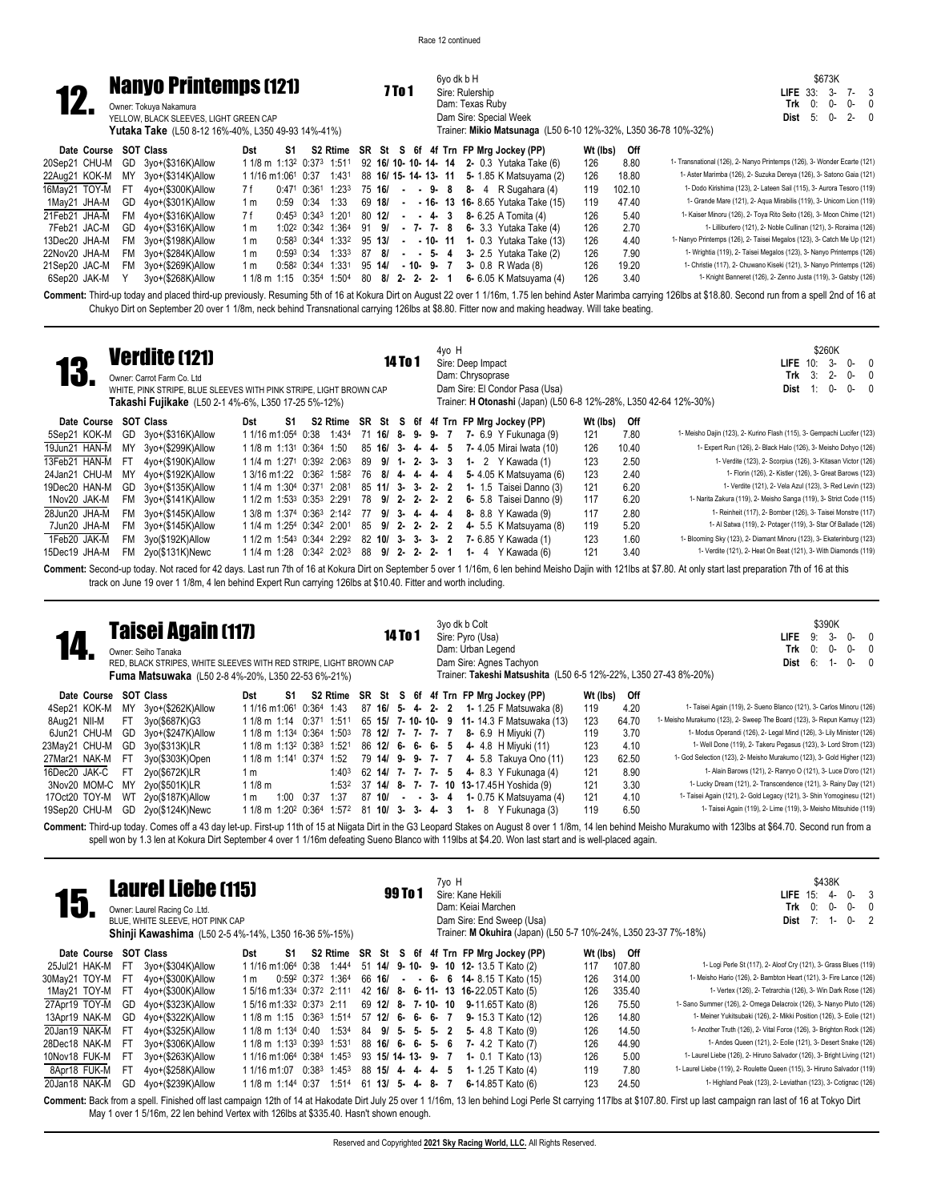6yo dk b H



### Sire: Rulership Dam: Texas Ruby Dam Sire: Special Week Trainer: **Mikio Matsunaga** (L50 6-10 12%-32%, L350 36-78 10%-32%) Owner: Tokuya Nakamura YELLOW, BLACK SLEEVES, LIGHT GREEN CAP **Yutaka Take** (L50 8-12 16%-40%, L350 49-93 14%-41%) **Date Course SOT Class Dst S1 S2 Rtime SR St S 6f 4f Trn FP Mrg Jockey (PP) Wt (lbs) Off** 20Sep21 CHU-M GD 3yo+(\$316K)Allow 11/8 m 1:132 0:373 1:511 92 **16/ 10-10-14-14 2-**0.3 Yutaka Take (6) 126 18.80 1-Transnational (126), 2- Nanyo Printemps (126), 3- Wonder Ecarte (121)<br>22Aug21 KOK-M MY 3yo+(\$314K)Allow 11/1 22Aug21 KOK-M MY 3yo+(\$314K)Allow 1 1/16 m1:061 0:37 1:431 88 16/ 15-14-13-11 5-1.85 K Matsuyama (2) 126 18.80 1-Aster Marimba (126), 2-Suzuka Dereya (126), 3-Satono Gaia (121)<br>16May21 TOY-M FT 4yo+(\$300K)Allow 7f 0:471 0 16May21 TOY-M FT 4yo+(\$300K)Allow 7 f 0:47 1 0:36 1 1:23 3 75 **16/ - - 9- 8 8-** 4 R Sugahara (4) 119 102.10 1- Dodo Kirishima (123), 2- Lateen Sail (115), 3- Aurora Tesoro (119) 1May21 JHA-M GD 4yo+(\$301K)Allow 1 m 0:59 0:34 1:33 69 **18/ - - 16- 13 16-** 8.65 Yutaka Take (15) 119 47.40 1- Grande Mare (121), 2- Aqua Mirabilis (119), 3- Unicorn Lion (119)

6Sep20 JAK-M Y 3yo+(\$268K)Allow 1 1/8 m 1:15 0:35<sup>4</sup> 1:50<sup>4</sup> 80 8/ 2- 2- 2- 1 6- 6.05 K Matsuyama (4) 126 3.40

21Feb21 JHA-M FM 4yo+(\$316K)Allow 7f 0:45<sup>3</sup> 0:34<sup>3</sup> 1:20<sup>1</sup> 80 **12/ - - 4- 3** 8- 6.25 A Tomita (4) 126 5.40 1- Kaiser Minoru (126), 2- Toya Rito Seito (126), 3- Moon Chime (121), 3- Roseima (121), 3- Roseima (121), 3- R 7Feb21 JAC-M GD 4yo+(\$316K)Allow 1 m 1:02 2 0:34 2 1:36 4 91 **9/ - 7- 7- 8 6-** 3.3 Yutaka Take (4) 126 2.70 1- Lilliburlero (121), 2- Noble Cullinan (121), 3- Roraima (126) 13Dec20 JHA-M FM 3yo+(\$198K)Allow 1 m 0:58 3 0:34 4 1:33 2 95 **13/ - - 10- 11 1-** 0.3 Yutaka Take (13) 126 4.40 1- Nanyo Printemps (126), 2- Taisei Megalos (123), 3- Catch Me Up (121) 22Nov20 JHA-M FM 3yo+(\$284K)Allow 1 m 0:59 3 0:34 1:33 3 87 **8/ - - 5- 4 3-** 2.5 Yutaka Take (2) 126 7.90 1- Wrightia (119), 2- Taisei Megalos (123), 3- Nanyo Printemps (126) 21Sep20 JAC-M FM 3yo+(\$269K)Allow 1 m 0:582 0:344 1:331 95 14/ **- 10- 9-** 7 3- 0.8 R Wada (8) 126 19.20 1- Christie (117), 2- Chuwano Kiseki (121), 3- Nanyo Printemps (126)<br>CSep20 JAK-M Y 3yo+(\$268K)Allow 11/8 m 1:15 0:35

\$673K **LIFE** 33: 3- 7- 3 0: 0- 0-<br>5: 0- 2-**Dist** 5: 0- 2- 0

Comment: Third-up today and placed third-up previously. Resuming 5th of 16 at Kokura Dirt on August 22 over 1 1/16m, 1.75 len behind Aster Marimba carrying 126lbs at \$18.80. Second run from a spell 2nd of 16 at Chukyo Dirt on September 20 over 1 1/8m, neck behind Transnational carrying 126lbs at \$8.80. Fitter now and making headway. Will take beating.

|               |     | <b>Verdite (121)</b><br>Owner: Carrot Farm Co. Ltd<br>WHITE, PINK STRIPE, BLUE SLEEVES WITH PINK STRIPE, LIGHT BROWN CAP<br>Takashi Fujikake (L50 2-1 4%-6%, L350 17-25 5%-12%) |                    |    |                                                  |    |                     | <b>14 To 1</b> |                   |         | 4yo H | Sire: Deep Impact<br>Dam: Chrysoprase |                                         | Dam Sire: El Condor Pasa (Usa) |          |       | \$260K<br>10:<br>3-<br>n-<br>LIFE<br>- 0<br>3:<br>$2 -$<br>0-<br>Trk<br>$0-$<br>Dist<br>0-<br>1:<br>Trainer: <b>H Otonashi</b> (Japan) (L50 6-8 12%-28%, L350 42-64 12%-30%) |
|---------------|-----|---------------------------------------------------------------------------------------------------------------------------------------------------------------------------------|--------------------|----|--------------------------------------------------|----|---------------------|----------------|-------------------|---------|-------|---------------------------------------|-----------------------------------------|--------------------------------|----------|-------|------------------------------------------------------------------------------------------------------------------------------------------------------------------------------|
| Date Course   |     | <b>SOT Class</b>                                                                                                                                                                | Dst                | S1 | S2 Rtime SR St S 6f 4f Trn FP Mrg Jockey (PP)    |    |                     |                |                   |         |       |                                       |                                         |                                | Wt (lbs) | Off   |                                                                                                                                                                              |
| 5Sep21 KOK-M  |     | GD 3yo+(\$316K)Allow                                                                                                                                                            | 1 1/16 m1:054 0:38 |    | 1:434                                            |    |                     |                |                   |         |       |                                       | 71 16/ 8- 9- 9- 7 7- 6.9 Y Fukunaga (9) |                                | 121      | 7.80  | 1- Meisho Dajin (123), 2- Kurino Flash (115), 3- Gempachi Lucifer (123)                                                                                                      |
| 19Jun21 HAN-M | MY. | 3yo+(\$299K)Allow                                                                                                                                                               |                    |    | 1 1/8 m 1:13 <sup>1</sup> 0:364 1:50             |    | $85$ 16/ 3- 4- 4- 5 |                |                   |         |       |                                       | 7- 4.05 Mirai Iwata (10)                |                                | 126      | 10.40 | 1- Expert Run (126), 2- Black Halo (126), 3- Meisho Dohyo (126)                                                                                                              |
| 13Feb21 HAN-M | -F1 | 4yo+(\$190K)Allow                                                                                                                                                               |                    |    | 1 1/4 m 1:271 0:392 2:063                        |    | 89 9/ 1- 2- 3- 3    |                |                   |         |       |                                       | <b>1-</b> 2 Y Kawada (1)                |                                | 123      | 2.50  | 1- Verdite (123), 2- Scorpius (126), 3- Kitasan Victor (126)                                                                                                                 |
| 24Jan21 CHU-M | ΜY  | 4vo+(\$192K)Allow                                                                                                                                                               |                    |    | 1 3/16 m1:22 0:36 <sup>2</sup> 1:58 <sup>2</sup> | 76 |                     |                | $8/4 - 4 - 4 - 4$ |         |       |                                       |                                         | 5- 4.05 K Matsuvama (6)        | 123      | 2.40  | 1- Florin (126), 2- Kistler (126), 3- Great Barows (123)                                                                                                                     |
| 19Dec20 HAN-M | GD. | 3yo+(\$135K)Allow                                                                                                                                                               |                    |    | 1 1/4 m 1:304 0:371 2:081                        |    | 85 11/ 3- 3- 2- 2   |                |                   |         |       |                                       |                                         | <b>1-</b> 1.5 Taisei Danno (3) | 121      | 6.20  | 1- Verdite (121), 2- Vela Azul (123), 3- Red Levin (123)                                                                                                                     |
| 1Nov20 JAK-M  |     | $FM$ $3yo+($141K)$ Allow                                                                                                                                                        |                    |    | 1 1/2 m 1:533 0:353 2:291                        | 78 |                     |                | $9/2 - 2 - 2 - 2$ |         |       |                                       |                                         | 6- 5.8 Taisei Danno (9)        | 117      | 6.20  | 1- Narita Zakura (119), 2- Meisho Sanga (119), 3- Strict Code (115)                                                                                                          |
| 28Jun20 JHA-M |     | FM 3yo+(\$145K)Allow                                                                                                                                                            |                    |    | 1 3/8 m 1:374 0:363 2:142                        | 77 |                     |                | $9/3 - 4 - 4 - 4$ |         |       |                                       | 8- 8.8 Y Kawada (9)                     |                                | 117      | 2.80  | 1- Reinheit (117), 2- Bomber (126), 3- Taisei Monstre (117)                                                                                                                  |
| 7Jun20 JHA-M  |     | FM 3yo+(\$145K)Allow                                                                                                                                                            |                    |    | 1 1/4 m 1:254 0:342 2:001                        | 85 |                     |                | $9/2 - 2$         | $2 - 2$ |       |                                       |                                         | 4- 5.5 K Matsuyama (8)         | 119      | 5.20  | 1- Al Satwa (119), 2- Potager (119), 3- Star Of Ballade (126)                                                                                                                |
| 1Feb20 JAK-M  |     | FM 3yo(\$192K)Allow                                                                                                                                                             |                    |    | 1 1/2 m 1:543 0:344 2:292                        |    | 82 10/ 3- 3- 3- 2   |                |                   |         |       |                                       | 7- 6.85 Y Kawada (1)                    |                                | 123      | 1.60  | 1- Blooming Sky (123), 2- Diamant Minoru (123), 3- Ekaterinburg (123)                                                                                                        |
| 15Dec19 JHA-M | FM  | 2yo(\$131K)Newc                                                                                                                                                                 |                    |    | 1 1/4 m 1:28 0:34 <sup>2</sup> 2:02 <sup>3</sup> |    | 88 9/ 2- 2-         |                |                   | $2 - 1$ |       |                                       | 1- 4 $Y$ Kawada (6)                     |                                | 121      | 3.40  | 1- Verdite (121), 2- Heat On Beat (121), 3- With Diamonds (119)                                                                                                              |

Comment: Second-up today. Not raced for 42 days. Last run 7th of 16 at Kokura Dirt on September 5 over 1 1/16m, 6 len behind Meisho Dajin with 121lbs at \$7.80. At only start last preparation 7th of 16 at this track on June 19 over 1 1/8m, 4 len behind Expert Run carrying 126lbs at \$10.40. Fitter and worth including.

|                 |                                                                                                                                                                                                                                                                                                                                                                                                                                                                                                                                                     | <b>Taisei Again (117)</b><br>Owner: Seiho Tanaka<br>RED. BLACK STRIPES. WHITE SLEEVES WITH RED STRIPE. LIGHT BROWN CAP<br><b>Fuma Matsuwaka</b> (L50 2-8 4%-20%, L350 22-53 6%-21%) |                                                   |      |      |                   |  |                     | 14 To 1 |  |  |  |  | 3yo dk b Colt<br>Sire: Pyro (Usa)<br>Dam: Urban Legend |  | Dam Sire: Agnes Tachyon                                                                                    |     |       | \$390K<br>$3-$<br>$0 - 0$<br>LIFE.<br>9:<br>$0-$<br>$0 - 0$<br>Trk<br>0:<br>$0-$<br>6:<br>$\mathbf{0}$<br>Dist<br>1-<br>Trainer: Takeshi Matsushita (L50 6-5 12%-22%, L350 27-43 8%-20%)                      |
|-----------------|-----------------------------------------------------------------------------------------------------------------------------------------------------------------------------------------------------------------------------------------------------------------------------------------------------------------------------------------------------------------------------------------------------------------------------------------------------------------------------------------------------------------------------------------------------|-------------------------------------------------------------------------------------------------------------------------------------------------------------------------------------|---------------------------------------------------|------|------|-------------------|--|---------------------|---------|--|--|--|--|--------------------------------------------------------|--|------------------------------------------------------------------------------------------------------------|-----|-------|---------------------------------------------------------------------------------------------------------------------------------------------------------------------------------------------------------------|
|                 | Date Course SOT Class<br>S2 Rtime SR St S 6f 4f Trn FP Mrg Jockey (PP)<br>Wt (lbs)<br>Off<br>Dst<br>S1<br>4.20<br>3yo+(\$262K)Allow<br>1 1/16 m1:061 0:364 1:43<br>$87 \; 16/ \; 5 - \; 4 - \; 2 - \; 2$<br>119<br>1- Taisei Again (119), 2- Sueno Blanco (121), 3- Carlos Minoru (126)<br>MY.<br><b>1-</b> 1.25 F Matsuwaka (8)<br>123<br>1- Meisho Murakumo (123), 2- Sweep The Board (123), 3- Repun Kamuy (123)<br>3yo(\$687K)G3<br>65 15/ 7-10-10- 9 11-14.3 F Matsuwaka (13)<br>64.70<br>1 1/8 m 1:14 0:371 1:511<br>FT.<br>78 12/ 7- 7- 7- 7 |                                                                                                                                                                                     |                                                   |      |      |                   |  |                     |         |  |  |  |  |                                                        |  |                                                                                                            |     |       |                                                                                                                                                                                                               |
| 4Sep21 KOK-M    |                                                                                                                                                                                                                                                                                                                                                                                                                                                                                                                                                     |                                                                                                                                                                                     |                                                   |      |      |                   |  |                     |         |  |  |  |  |                                                        |  |                                                                                                            |     |       |                                                                                                                                                                                                               |
| 8Aug21 NII-M    |                                                                                                                                                                                                                                                                                                                                                                                                                                                                                                                                                     |                                                                                                                                                                                     |                                                   |      |      |                   |  |                     |         |  |  |  |  |                                                        |  |                                                                                                            |     |       |                                                                                                                                                                                                               |
| 6Jun21 CHU-M    | GD                                                                                                                                                                                                                                                                                                                                                                                                                                                                                                                                                  | 3yo+(\$247K)Allow                                                                                                                                                                   | 1 1/8 m 1:134 0:364 1:503                         |      |      |                   |  |                     |         |  |  |  |  |                                                        |  | 8- 6.9 H Mivuki (7)                                                                                        | 119 | 3.70  | 1- Modus Operandi (126), 2- Legal Mind (126), 3- Lily Minister (126)                                                                                                                                          |
| 23May21 CHU-M   | GD                                                                                                                                                                                                                                                                                                                                                                                                                                                                                                                                                  | 3yo(\$313K)LR                                                                                                                                                                       | 1 1/8 m 1:13 <sup>2</sup> 0:38 <sup>3</sup> 1:521 |      |      |                   |  | 86 12/ 6- 6- 6- 5   |         |  |  |  |  |                                                        |  | 4- 4.8 H Mivuki (11)                                                                                       | 123 | 4.10  | 1- Well Done (119), 2- Takeru Pegasus (123), 3- Lord Strom (123)                                                                                                                                              |
| 27Mar21 NAK-M   | - FT                                                                                                                                                                                                                                                                                                                                                                                                                                                                                                                                                | 3yo(\$303K)Open                                                                                                                                                                     | 1 1/8 m 1:14 <sup>1</sup> 0:374 1:52              |      |      |                   |  | 79 14/ 9- 9- 7- 7   |         |  |  |  |  |                                                        |  | 4 5.8 Takuya Ono (11)                                                                                      | 123 | 62.50 | 1- God Selection (123), 2- Meisho Murakumo (123), 3- Gold Higher (123)                                                                                                                                        |
| 16Dec20 JAK-C   | <b>FT</b>                                                                                                                                                                                                                                                                                                                                                                                                                                                                                                                                           | 2vo(\$672K)LR                                                                                                                                                                       | 1 m                                               |      |      | 1:40 <sup>3</sup> |  | 62 14/ 7- 7- 7- 5   |         |  |  |  |  |                                                        |  | 4- 8.3 Y Fukunaga (4)                                                                                      | 121 | 8.90  | 1- Alain Barows (121), 2- Ranryo O (121), 3- Luce D'oro (121)                                                                                                                                                 |
| 3Nov20 MOM-C MY |                                                                                                                                                                                                                                                                                                                                                                                                                                                                                                                                                     | 2yo(\$501K)LR                                                                                                                                                                       | $11/8$ m                                          |      |      | 1:532             |  |                     |         |  |  |  |  |                                                        |  | 37 14/ 8- 7- 7- 10 13-17.45 H Yoshida (9)                                                                  | 121 | 3.30  | 1- Lucky Dream (121), 2- Transcendence (121), 3- Rainy Day (121)                                                                                                                                              |
| 17Oct20 TOY-M   | WT                                                                                                                                                                                                                                                                                                                                                                                                                                                                                                                                                  | 2yo(\$187K)Allow                                                                                                                                                                    | 1 m                                               | 1:00 | 0:37 | 1:37              |  | $87 \; 10/$ - - 3-4 |         |  |  |  |  |                                                        |  | 1- 0.75 K Matsuyama (4)                                                                                    | 121 | 4.10  | 1- Taisei Again (121), 2- Gold Legacy (121), 3- Shin Yomoginesu (121)                                                                                                                                         |
| 19Sep20 CHU-M   | GD                                                                                                                                                                                                                                                                                                                                                                                                                                                                                                                                                  | 2yo(\$124K)Newc                                                                                                                                                                     |                                                   |      |      |                   |  |                     |         |  |  |  |  |                                                        |  | 1 1/8 m 1:20 <sup>2</sup> 0:36 <sup>4</sup> 1:57 <sup>2</sup> 81 <b>10/ 3- 3- 4- 3 1-</b> 8 Y Fukunaga (3) | 119 | 6.50  | 1- Taisei Again (119), 2- Lime (119), 3- Meisho Mitsuhide (119)                                                                                                                                               |
|                 |                                                                                                                                                                                                                                                                                                                                                                                                                                                                                                                                                     |                                                                                                                                                                                     |                                                   |      |      |                   |  |                     |         |  |  |  |  |                                                        |  |                                                                                                            |     |       | Commant: Third-up today Comes off a 43 day let up First-up 11th of 15 at Nijaata Dirt in the G3 Leonard Stakes on August 8 over 11/8m 14 Jen behind Mejsho Murakumo with 123 he at \$64.70. Second run from a |

**Comment:** Third-up today. Comes off a 43 day let-up. First-up 11th of 15 at Niigata Dirt in the G3 Leopard Stakes on August 8 over 1 1/8m, 14 len behind Meisho Murakumo with 123lbs at \$64.70. Second run from a spell won by 1.3 len at Kokura Dirt September 4 over 1 1/16m defeating Sueno Blanco with 119lbs at \$4.20. Won last start and is well-placed again.

| 15.           |           | <b>Laurel Liebe (115)</b><br>Owner: Laurel Racing Co.Ltd.<br>BLUE, WHITE SLEEVE, HOT PINK CAP<br><b>Shinji Kawashima</b> (L50 2-5 4%-14%, L350 16-36 5%-15%) |     |                                                   |                                                  |                     | 99 To 1 |  | 7yo H | Sire: Kane Hekili<br>Dam: Keiai Marchen | Dam Sire: End Sweep (Usa)              | Trainer: M Okuhira (Japan) (L50 5-7 10%-24%, L350 23-37 7%-18%) |              | \$438K<br>- 3<br>$0 -$<br>LIFE<br>15:<br>4-<br>0:<br>Trk<br>0-<br>0-<br>$\Omega$<br>$0-$<br>Dist<br>$7: 1-$                                                                                                          |
|---------------|-----------|--------------------------------------------------------------------------------------------------------------------------------------------------------------|-----|---------------------------------------------------|--------------------------------------------------|---------------------|---------|--|-------|-----------------------------------------|----------------------------------------|-----------------------------------------------------------------|--------------|----------------------------------------------------------------------------------------------------------------------------------------------------------------------------------------------------------------------|
| Date Course   |           | SOT Class                                                                                                                                                    | Dst | S1                                                | S2 Rtime                                         |                     |         |  |       |                                         | SR St S 6f 4f Trn FP Mrg Jockey (PP)   |                                                                 | Wt (lbs) Off |                                                                                                                                                                                                                      |
| 25Jul21 HAK-M | -FT       | 3vo+(\$304K)Allow                                                                                                                                            |     | 1 1/16 m1:064 0:38                                | 1:444                                            |                     |         |  |       |                                         | 51 14/ 9-10- 9-10 12-13.5 T Kato (2)   | 117                                                             | 107.80       | 1- Logi Perle St (117), 2- Aloof Cry (121), 3- Grass Blues (119)                                                                                                                                                     |
| 30May21 TOY-M | - FT      | 4yo+(\$300K)Allow                                                                                                                                            | 1 m |                                                   | 0:592 0:372 1:364                                | 66 16/              |         |  |       |                                         | $ -$ 6 $-$ 6 14 $-$ 8.15 T Kato (15)   | 126                                                             | 314.00       | 1- Meisho Hario (126), 2- Bambton Heart (121), 3- Fire Lance (126)                                                                                                                                                   |
| 1May21 TOY-M  | - FT      | 4yo+(\$300K)Allow                                                                                                                                            |     | 1 5/16 m1:334 0:372 2:111                         |                                                  |                     |         |  |       |                                         | 42 16/ 8- 6-11- 13 16-22.05 T Kato (5) | 126                                                             | 335.40       | 1- Vertex (126), 2- Tetrarchia (126), 3- Win Dark Rose (126)                                                                                                                                                         |
| 27Apr19 TOY-M | GD.       | 4yo+(\$323K)Allow                                                                                                                                            |     | 1 5/16 m1:33 <sup>2</sup> 0:37 <sup>3</sup> 2:11  |                                                  |                     |         |  |       |                                         | 69 12/ 8- 7-10- 10 9-11.65 T Kato (8)  | 126                                                             | 75.50        | 1- Sano Summer (126), 2- Omega Delacroix (126), 3- Nanyo Pluto (126)                                                                                                                                                 |
| 13Apr19 NAK-M | GD.       | 4yo+(\$322K)Allow                                                                                                                                            |     | 1 1/8 m 1:15 0:36 <sup>3</sup> 1:514              |                                                  | $57$ 12/ 6- 6- 6- 7 |         |  |       |                                         | 9- 15.3 T Kato (12)                    | 126                                                             | 14.80        | 1- Meiner Yukitsubaki (126), 2- Mikki Position (126), 3- Eolie (121)                                                                                                                                                 |
| 20Jan19 NAK-M | -FT       | 4vo+(\$325K)Allow                                                                                                                                            |     | $11/8$ m $1:134$ 0:40                             | 1:534                                            | 84 9/ 5- 5- 5- 2    |         |  |       |                                         | 5- 4.8 T Kato (9)                      | 126                                                             | 14.50        | 1- Another Truth (126), 2- Vital Force (126), 3- Brighton Rock (126)                                                                                                                                                 |
| 28Dec18 NAK-M | <b>FT</b> | 3yo+(\$306K)Allow                                                                                                                                            |     | 1 1/8 m 1:13 <sup>3</sup> 0:39 <sup>3</sup> 1:531 |                                                  | $88$ 16/ 6- 6- 5- 6 |         |  |       |                                         | 7- 4.2 T Kato (7)                      | 126                                                             | 44.90        | 1- Andes Queen (121), 2- Eolie (121), 3- Desert Snake (126)                                                                                                                                                          |
| 10Nov18 FUK-M | FT.       | 3yo+(\$263K)Allow                                                                                                                                            |     | 1 1/16 m1:064 0:384                               | 1:45 <sup>3</sup>                                | 93 15/14-13-9-7     |         |  |       |                                         | <b>1-</b> 0.1 T Kato (13)              | 126                                                             | 5.00         | 1- Laurel Liebe (126), 2- Hiruno Salvador (126), 3- Bright Living (121)                                                                                                                                              |
| 8Apr18 FUK-M  | <b>FT</b> | 4yo+(\$258K)Allow                                                                                                                                            |     |                                                   | 1 1/16 m1:07 0:38 <sup>3</sup> 1:45 <sup>3</sup> | 88 15/ 4- 4- 4- 5   |         |  |       |                                         | <b>1-</b> 1.25 T Kato (4)              | 119                                                             | 7.80         | 1- Laurel Liebe (119), 2- Roulette Queen (115), 3- Hiruno Salvador (119)                                                                                                                                             |
| 20Jan18 NAK-M | GD        | 4yo+(\$239K)Allow                                                                                                                                            |     | 1 1/8 m 1:144 0:37                                | 1:514                                            | $61$ 13/ 5- 4- 8- 7 |         |  |       |                                         | 6-14.85 T Kato $(6)$                   | 123                                                             | 24.50        | 1- Highland Peak (123), 2- Leviathan (123), 3- Cotignac (126)                                                                                                                                                        |
|               |           |                                                                                                                                                              |     |                                                   |                                                  |                     |         |  |       |                                         |                                        |                                                                 |              | Commant: Rack from a spoll. Einished off last compaign 12th of 14 at Hakedate Dirt, July 25 over 1,1/16m, 13 Jon behind Logi Redio St carning 117lbs at C107,80. First up last compaign rap last of 16 at Tokyo Dirt |

**Comment:** Back from a spell. Finished off last campaign 12th of 14 at Hakodate Dirt July 25 over 1 1/16m, 13 len behind Logi Perle St carrying 117lbs at \$107.80. First up last campaign ran last of 16 at Tokyo Dirt May 1 over 1 5/16m, 22 len behind Vertex with 126lbs at \$335.40. Hasn't shown enough.